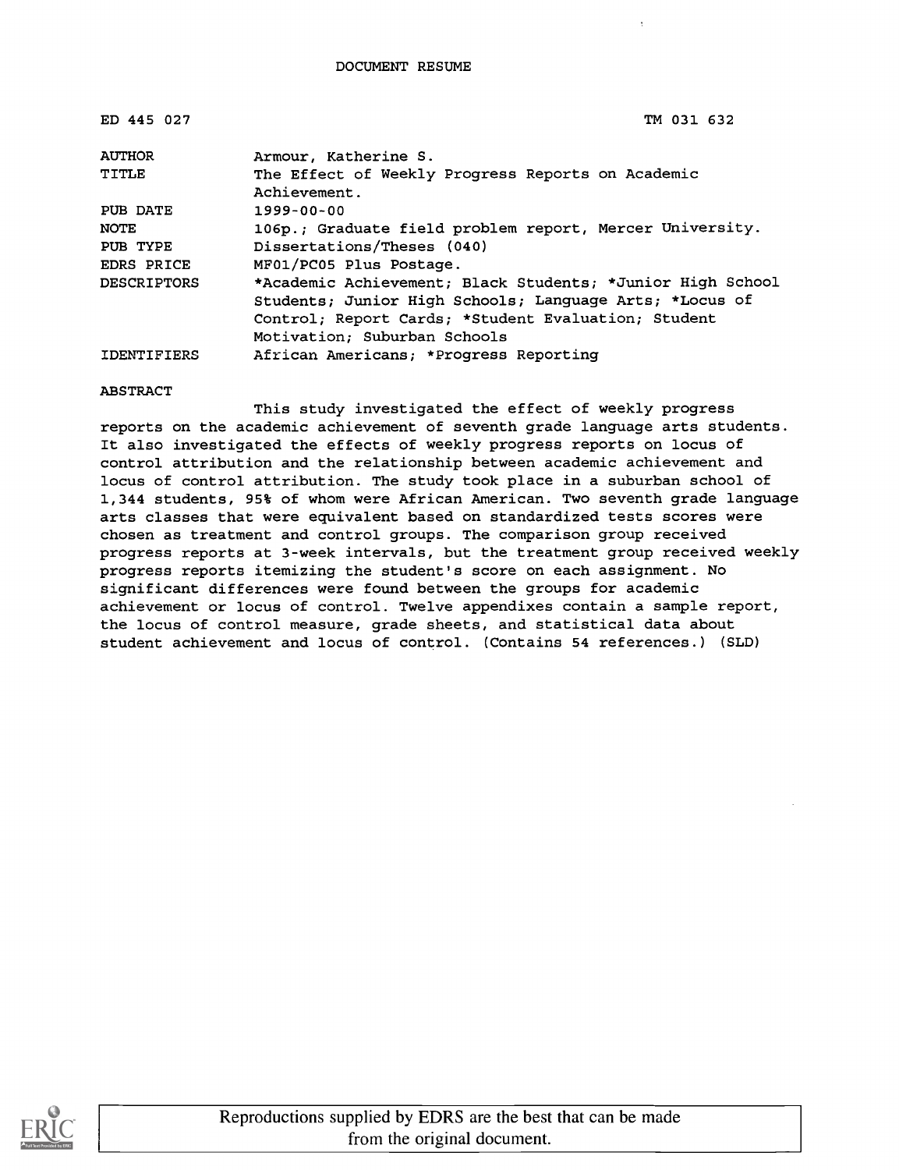| ED 445 027         | TM 031 632                                                 |
|--------------------|------------------------------------------------------------|
| <b>AUTHOR</b>      | Armour, Katherine S.                                       |
| TITLE              | The Effect of Weekly Progress Reports on Academic          |
|                    | Achievement.                                               |
| PUB DATE           | $1999 - 00 - 00$                                           |
| <b>NOTE</b>        | 106p.; Graduate field problem report, Mercer University.   |
| PUB TYPE           | Dissertations/Theses (040)                                 |
| <b>EDRS PRICE</b>  | MF01/PC05 Plus Postage.                                    |
| <b>DESCRIPTORS</b> | *Academic Achievement; Black Students; *Junior High School |
|                    | Students; Junior High Schools; Language Arts; *Locus of    |
|                    | Control; Report Cards; *Student Evaluation; Student        |
|                    | Motivation; Suburban Schools                               |
| IDENTIFIERS        | African Americans; *Progress Reporting                     |

#### ABSTRACT

This study investigated the effect of weekly progress reports on the academic achievement of seventh grade language arts students. It also investigated the effects of weekly progress reports on locus of control attribution and the relationship between academic achievement and locus of control attribution. The study took place in a suburban school of 1,344 students, 95t of whom were African American. Two seventh grade language arts classes that were equivalent based on standardized tests scores were chosen as treatment and control groups. The comparison group received progress reports at 3-week intervals, but the treatment group received weekly progress reports itemizing the student's score on each assignment. No significant differences were found between the groups for academic achievement or locus of control. Twelve appendixes contain a sample report, the locus of control measure, grade sheets, and statistical data about student achievement and locus of control. (Contains 54 references.) (SLD)

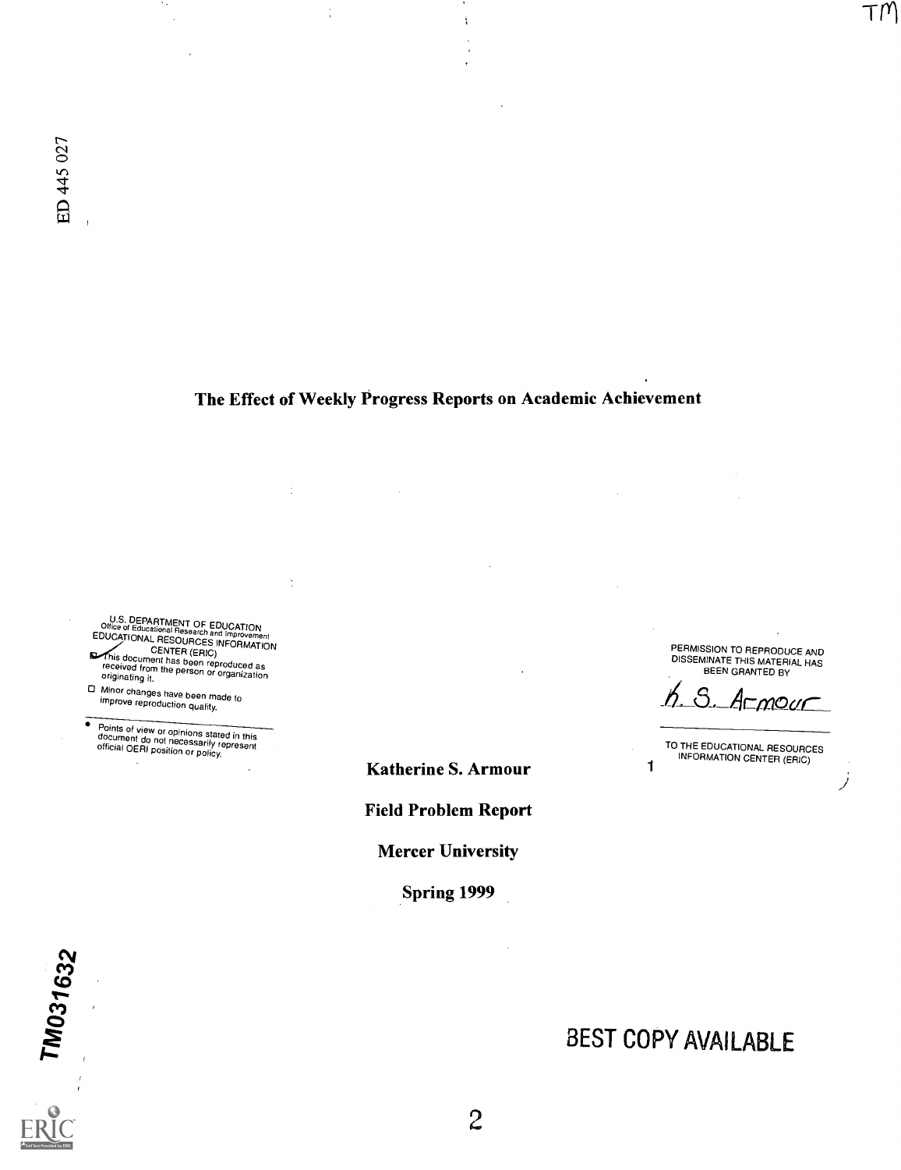# The Effect of Weekly Progress Reports on Academic Achievement

 $\frac{1}{3}$ 

 $\frac{1}{3}$ 

 $\ddot{\cdot}$ 

U.S. DEPARTMENT OF EDUCATION<br>EDUCATIONAL RESOURCES INFORMATION<br>EDUCATIONAL RESOURCES INFORMATION<br>This document has been reproduced as<br>received from the person or organization<br>originating it.

- 
- Minor changes have been made to improve reproduction quality.

Points of view or opinions stated in this document do not necessarily represent official OERI position or policy.  $\bullet$ 

PERMISSION TO REPRODUCE AND DISSEMINATE THIS MATERIAL HAS BEEN GRANTED BY

 $T/M$ 

Armour

TO THE EDUCATIONAL RESOURCES **1** INFORMATION CENTER (ERIC)

BEST COPY AVAILABLE

Katherine S. Armour Field Problem Report

**Mercer University** 

Spring 1999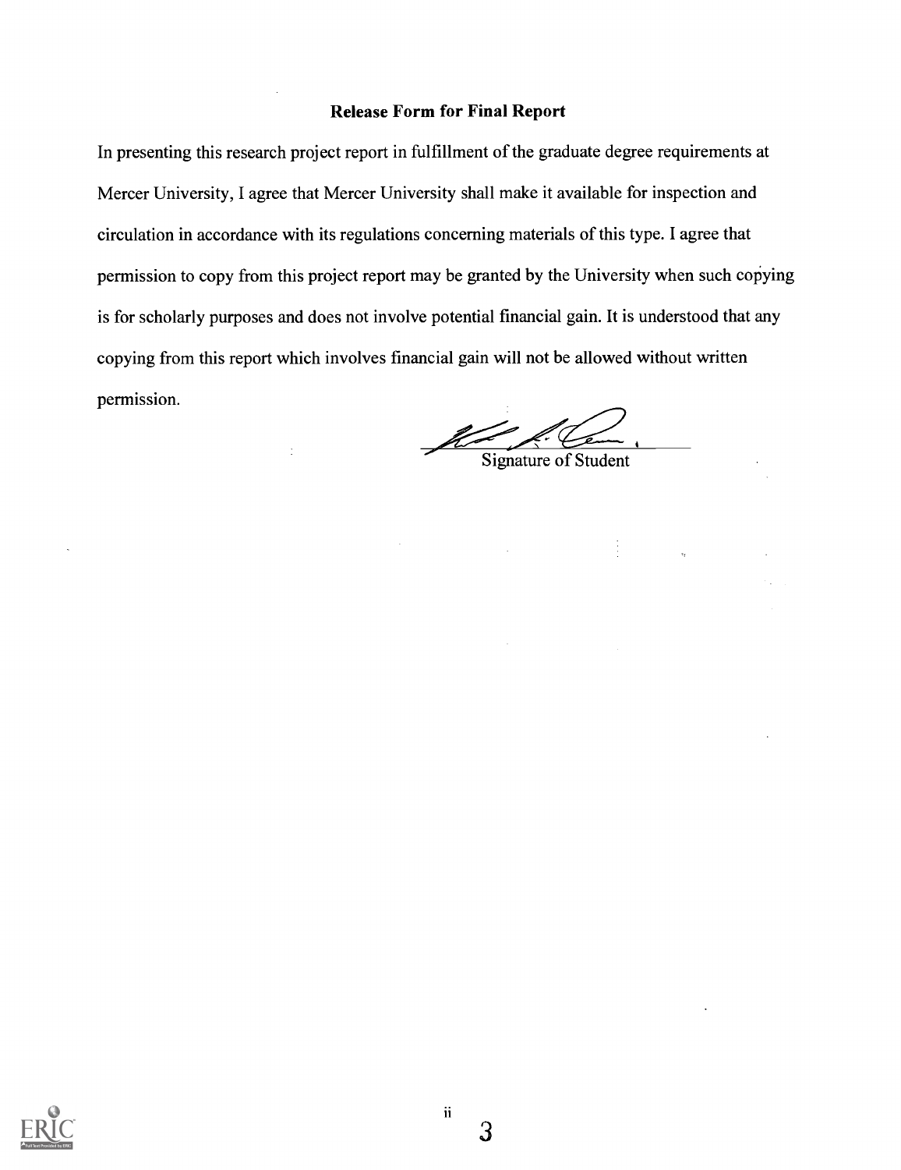## Release Form for Final Report

In presenting this research project report in fulfillment of the graduate degree requirements at Mercer University, I agree that Mercer University shall make it available for inspection and circulation in accordance with its regulations concerning materials of this type. I agree that permission to copy from this project report may be granted by the University when such copying is for scholarly purposes and does not involve potential financial gain. It is understood that any copying from this report which involves financial gain will not be allowed without written permission.

 $\frac{1}{2}$ 

Signature of Student

 $\frac{1}{2}$ 

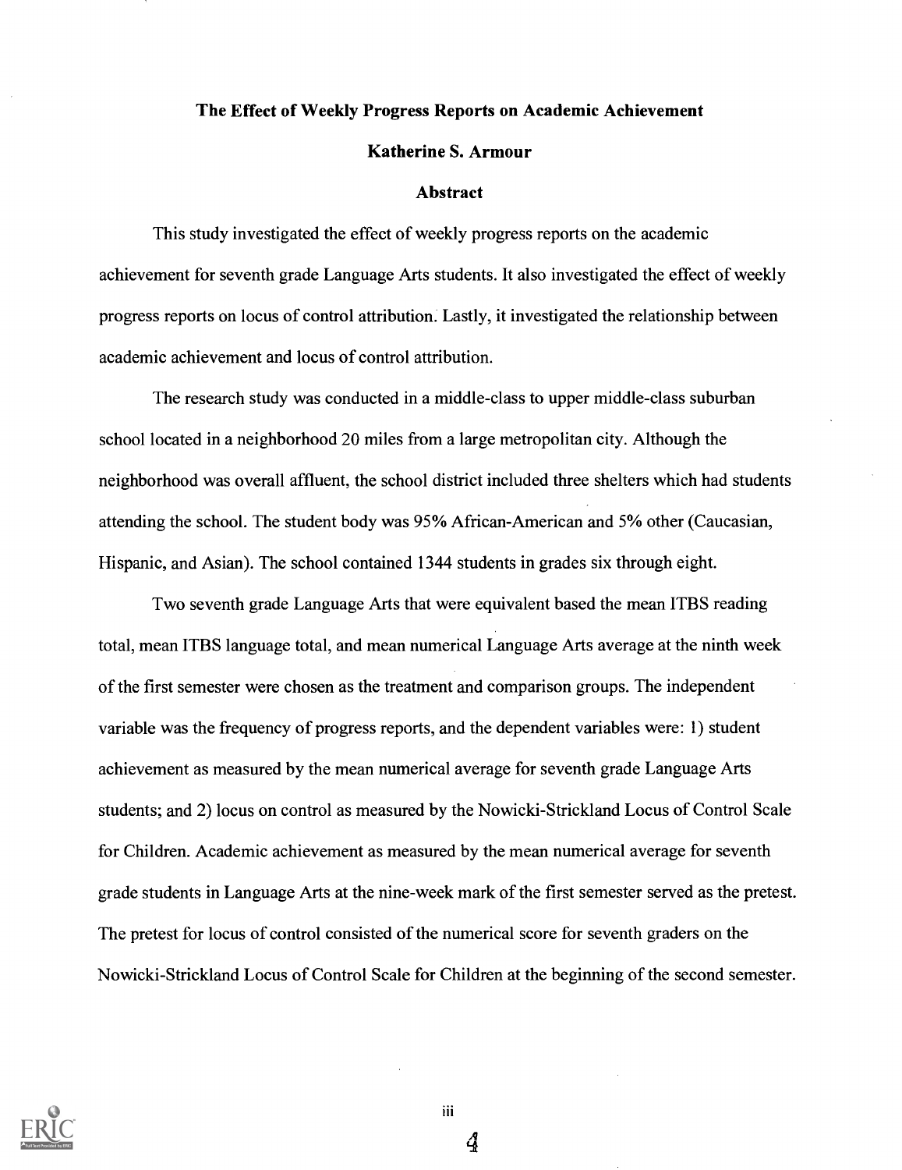## The Effect of Weekly Progress Reports on Academic Achievement

## Katherine S. Armour

#### Abstract

This study investigated the effect of weekly progress reports on the academic achievement for seventh grade Language Arts students. It also investigated the effect of weekly progress reports on locus of control attribution. Lastly, it investigated the relationship between academic achievement and locus of control attribution.

The research study was conducted in a middle-class to upper middle-class suburban school located in a neighborhood 20 miles from a large metropolitan city. Although the neighborhood was overall affluent, the school district included three shelters which had students attending the school. The student body was 95% African-American and 5% other (Caucasian, Hispanic, and Asian). The school contained 1344 students in grades six through eight.

Two seventh grade Language Arts that were equivalent based the mean ITBS reading total, mean ITBS language total, and mean numerical Language Arts average at the ninth week of the first semester were chosen as the treatment and comparison groups. The independent variable was the frequency of progress reports, and the dependent variables were: 1) student achievement as measured by the mean numerical average for seventh grade Language Arts students; and 2) locus on control as measured by the Nowicki-Strickland Locus of Control Scale for Children. Academic achievement as measured by the mean numerical average for seventh grade students in Language Arts at the nine-week mark of the first semester served as the pretest. The pretest for locus of control consisted of the numerical score for seventh graders on the Nowicki-Strickland Locus of Control Scale for Children at the beginning of the second semester.



iii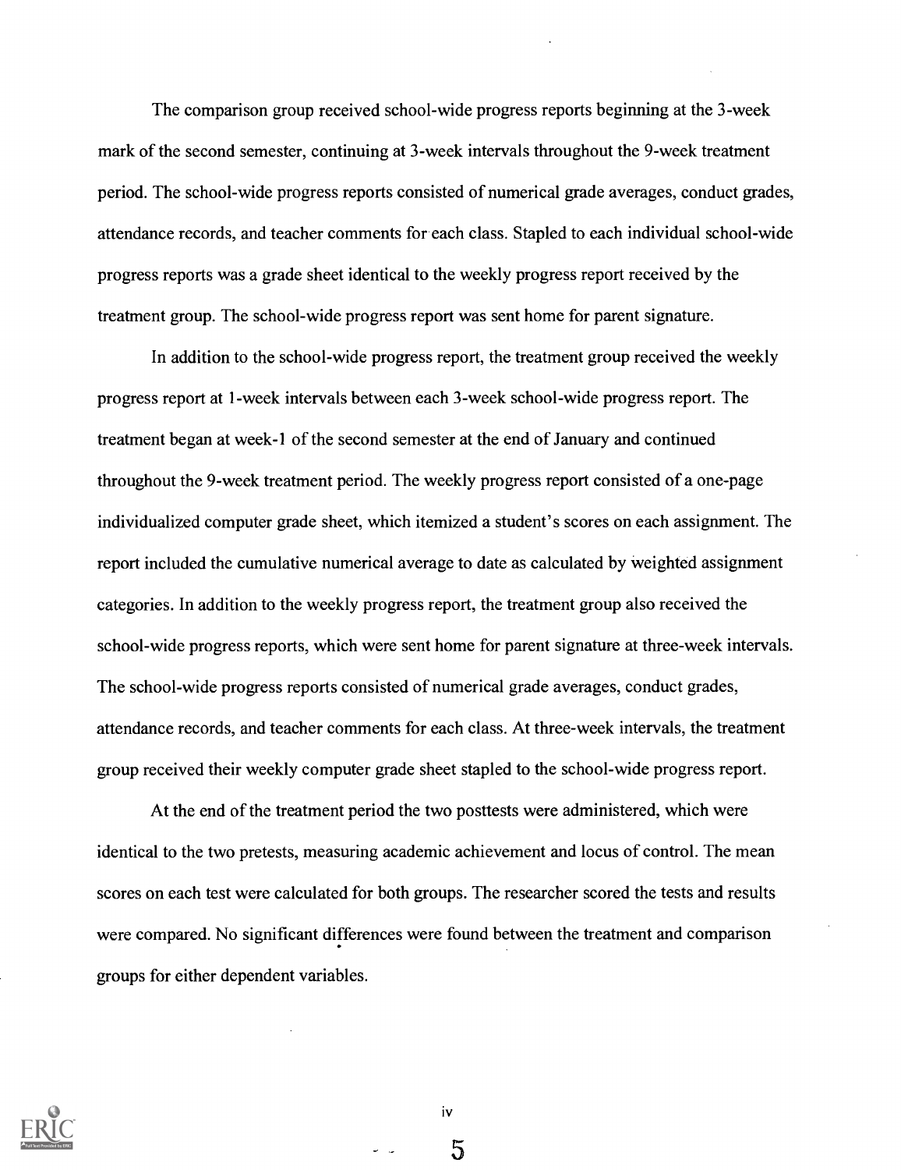The comparison group received school-wide progress reports beginning at the 3-week mark of the second semester, continuing at 3-week intervals throughout the 9-week treatment period. The school-wide progress reports consisted of numerical grade averages, conduct grades, attendance records, and teacher comments for each class. Stapled to each individual school-wide progress reports was a grade sheet identical to the weekly progress report received by the treatment group. The school-wide progress report was sent home for parent signature.

In addition to the school-wide progress report, the treatment group received the weekly progress report at 1-week intervals between each 3-week school-wide progress report. The treatment began at week-1 of the second semester at the end of January and continued throughout the 9-week treatment period. The weekly progress report consisted of a one-page individualized computer grade sheet, which itemized a student's scores on each assignment. The report included the cumulative numerical average to date as calculated by weighted assignment categories. In addition to the weekly progress report, the treatment group also received the school-wide progress reports, which were sent home for parent signature at three-week intervals. The school-wide progress reports consisted of numerical grade averages, conduct grades, attendance records, and teacher comments for each class. At three-week intervals, the treatment group received their weekly computer grade sheet stapled to the school-wide progress report.

At the end of the treatment period the two posttests were administered, which were identical to the two pretests, measuring academic achievement and locus of control. The mean scores on each test were calculated for both groups. The researcher scored the tests and results were compared. No significant differences were found between the treatment and comparison groups for either dependent variables.



iv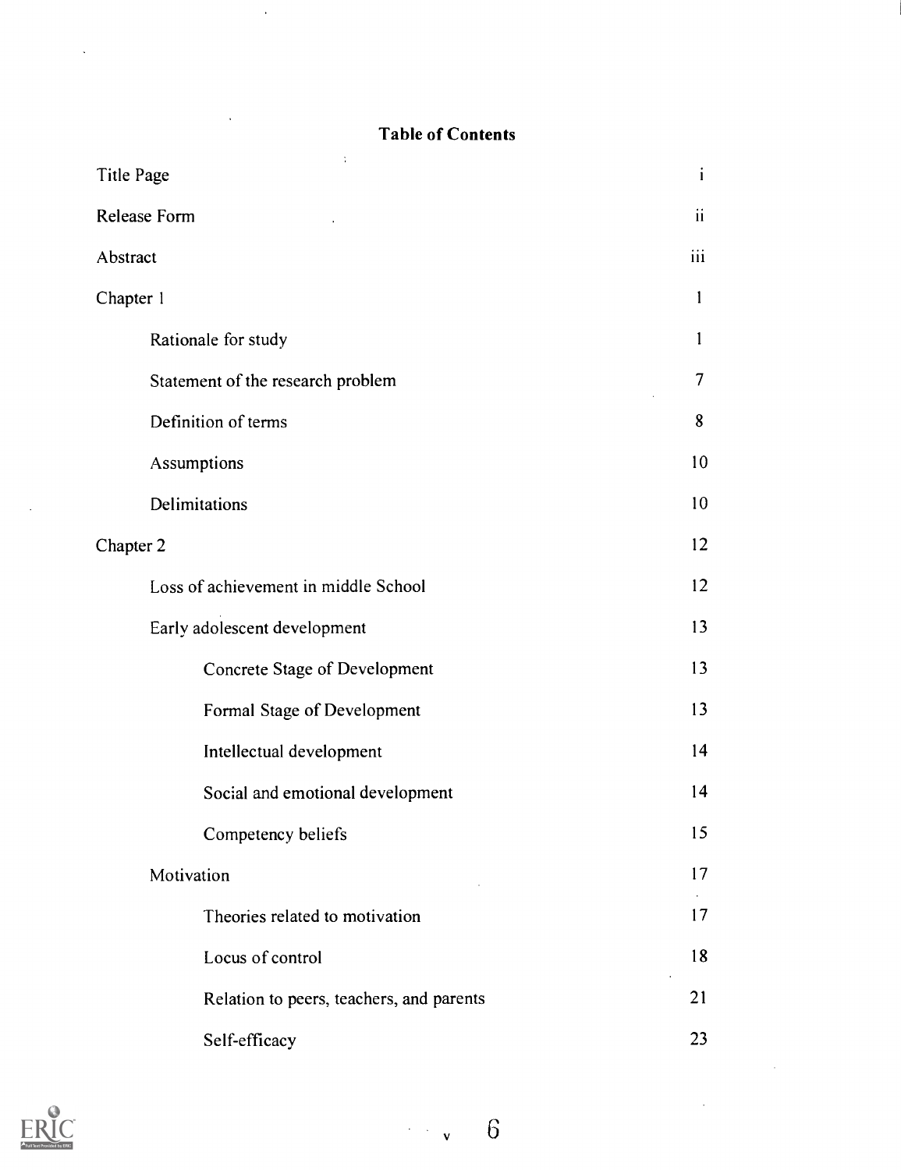# Table of Contents

 $\sim$ 

 $\ddot{\phantom{a}}$ 

| ÷<br>Title Page                          | $\mathbf{i}$ |
|------------------------------------------|--------------|
| <b>Release Form</b>                      |              |
| Abstract                                 |              |
| Chapter 1                                |              |
| Rationale for study                      | 1            |
| Statement of the research problem        | 7            |
| Definition of terms                      | 8            |
| Assumptions                              | 10           |
| Delimitations                            | 10           |
| Chapter 2                                |              |
| Loss of achievement in middle School     | 12           |
| Early adolescent development             | 13           |
| <b>Concrete Stage of Development</b>     | 13           |
| Formal Stage of Development              | 13           |
| Intellectual development                 | 14           |
| Social and emotional development         | 14           |
| Competency beliefs                       | 15           |
| Motivation                               | 17           |
| Theories related to motivation           | 17           |
| Locus of control                         | 18           |
| Relation to peers, teachers, and parents | 21           |
| Self-efficacy                            | 23           |



 $\overline{6}$  $\frac{1}{2}$  ,  $\frac{1}{2}$  ,  $\frac{1}{2}$ 

 $\ddot{\phantom{a}}$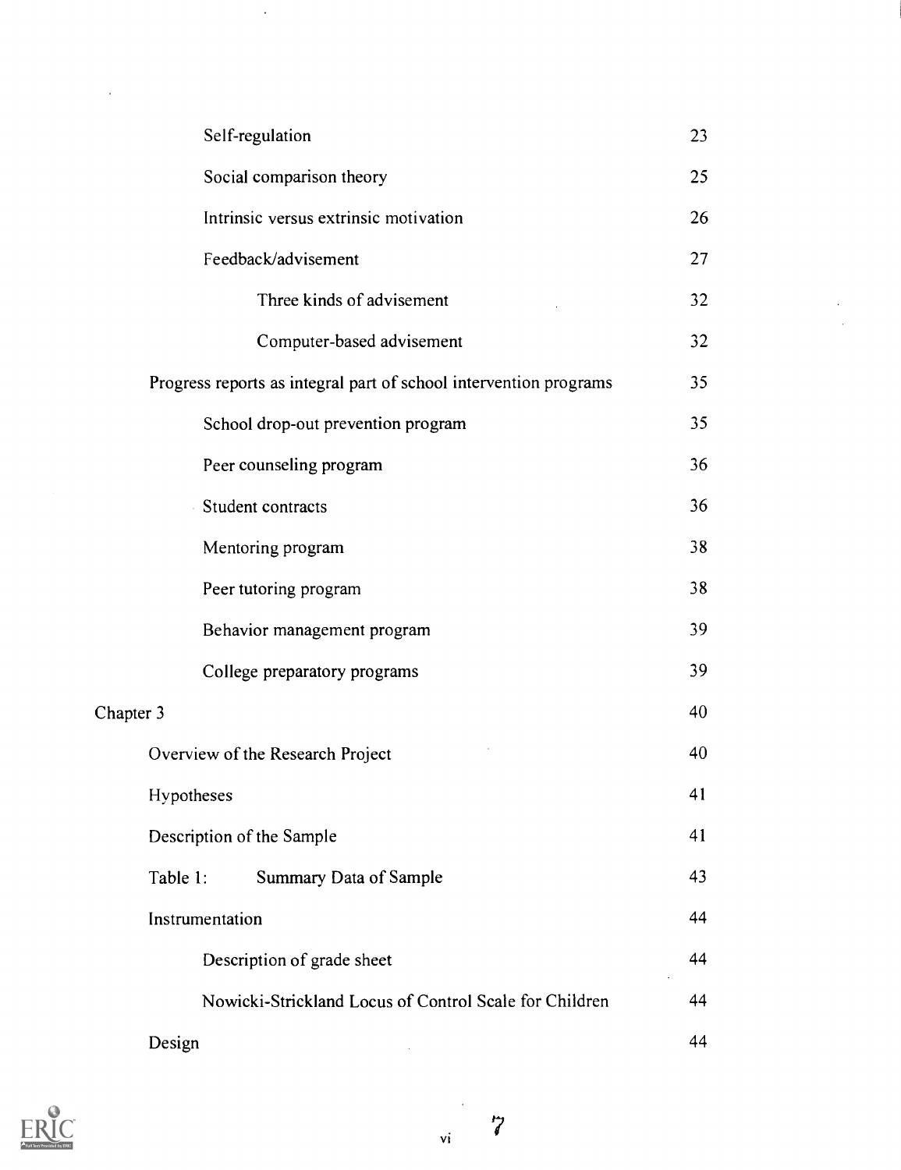|           | Self-regulation                                                   | 23 |  |
|-----------|-------------------------------------------------------------------|----|--|
|           | Social comparison theory                                          | 25 |  |
|           | Intrinsic versus extrinsic motivation                             | 26 |  |
|           | Feedback/advisement                                               | 27 |  |
|           | Three kinds of advisement                                         | 32 |  |
|           | Computer-based advisement                                         | 32 |  |
|           | Progress reports as integral part of school intervention programs | 35 |  |
|           | School drop-out prevention program                                | 35 |  |
|           | Peer counseling program                                           | 36 |  |
|           | Student contracts                                                 | 36 |  |
|           | Mentoring program                                                 | 38 |  |
|           | Peer tutoring program                                             | 38 |  |
|           | Behavior management program                                       | 39 |  |
|           | College preparatory programs                                      | 39 |  |
| Chapter 3 |                                                                   | 40 |  |
|           | Overview of the Research Project                                  | 40 |  |
|           | Hypotheses                                                        | 41 |  |
|           | Description of the Sample                                         | 41 |  |
|           | Summary Data of Sample<br>Table 1:                                | 43 |  |
|           | Instrumentation                                                   | 44 |  |
|           | Description of grade sheet                                        | 44 |  |
|           | Nowicki-Strickland Locus of Control Scale for Children            | 44 |  |
|           | Design                                                            | 44 |  |

 $\sim$   $\sim$ 

 $\ddot{\phantom{a}}$ 



 $\overline{\mathbf{vi}}$ 

 $\overline{\mathcal{C}}$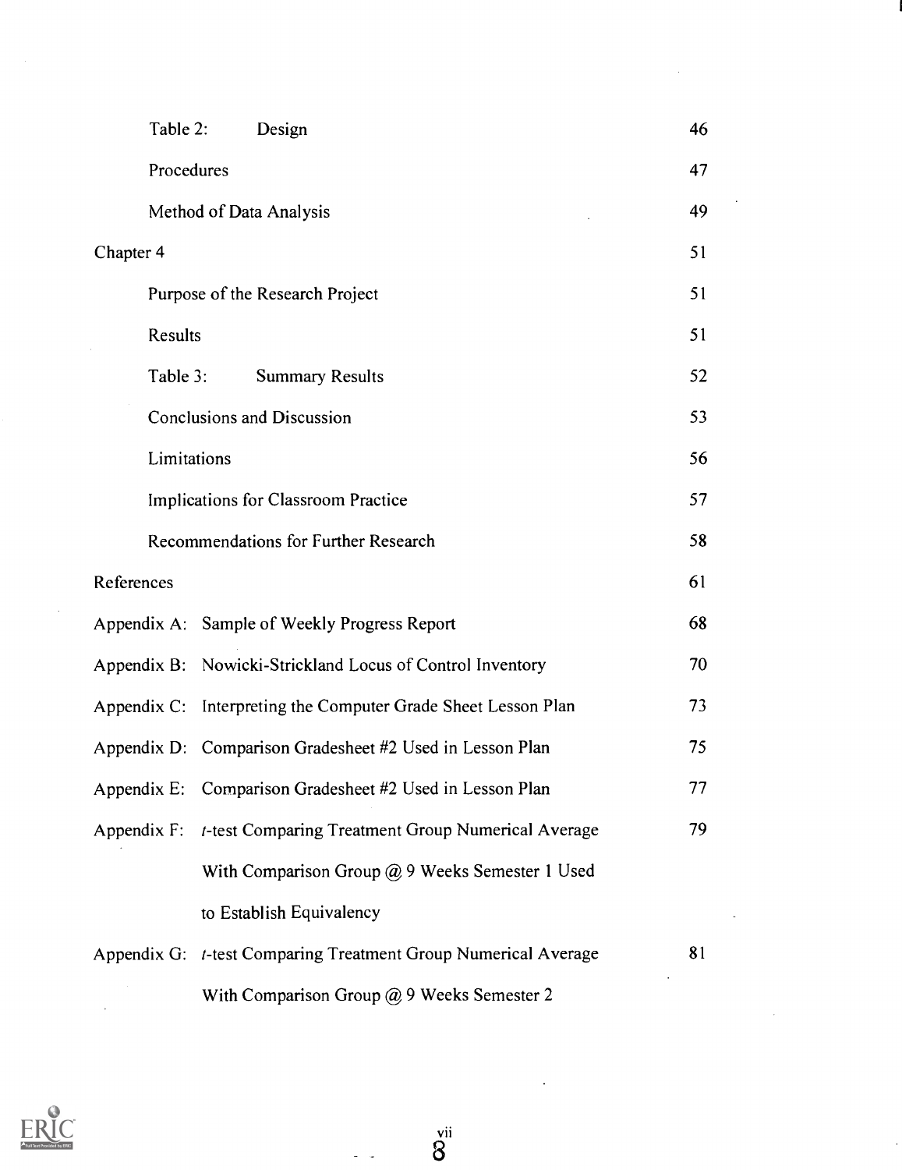| Table 2:                            | Design                                                         | 46 |
|-------------------------------------|----------------------------------------------------------------|----|
| Procedures                          |                                                                | 47 |
|                                     | Method of Data Analysis                                        | 49 |
| Chapter 4                           |                                                                | 51 |
|                                     | Purpose of the Research Project                                | 51 |
|                                     | Results                                                        |    |
| Table 3:                            | <b>Summary Results</b>                                         | 52 |
|                                     | <b>Conclusions and Discussion</b>                              | 53 |
| Limitations                         |                                                                | 56 |
| Implications for Classroom Practice |                                                                | 57 |
|                                     | <b>Recommendations for Further Research</b>                    | 58 |
| References                          |                                                                | 61 |
|                                     | Appendix A: Sample of Weekly Progress Report                   | 68 |
|                                     | Appendix B: Nowicki-Strickland Locus of Control Inventory      | 70 |
|                                     | Appendix C: Interpreting the Computer Grade Sheet Lesson Plan  | 73 |
|                                     | Appendix D: Comparison Gradesheet #2 Used in Lesson Plan       | 75 |
|                                     | Appendix E: Comparison Gradesheet #2 Used in Lesson Plan       | 77 |
| Appendix F:                         | t-test Comparing Treatment Group Numerical Average             | 79 |
|                                     | With Comparison Group $@9$ Weeks Semester 1 Used               |    |
|                                     | to Establish Equivalency                                       |    |
|                                     | Appendix G: t-test Comparing Treatment Group Numerical Average | 81 |
|                                     | With Comparison Group @ 9 Weeks Semester 2                     |    |

 $\sim$   $\sim$ 

 $\bar{\lambda}$ 

ł,



 $\bar{\mathcal{A}}$ 

 $\mathcal{L}_{\mathcal{A}}$ 

 $\overset{vii}{8}$ 

 $\sim$   $\sim$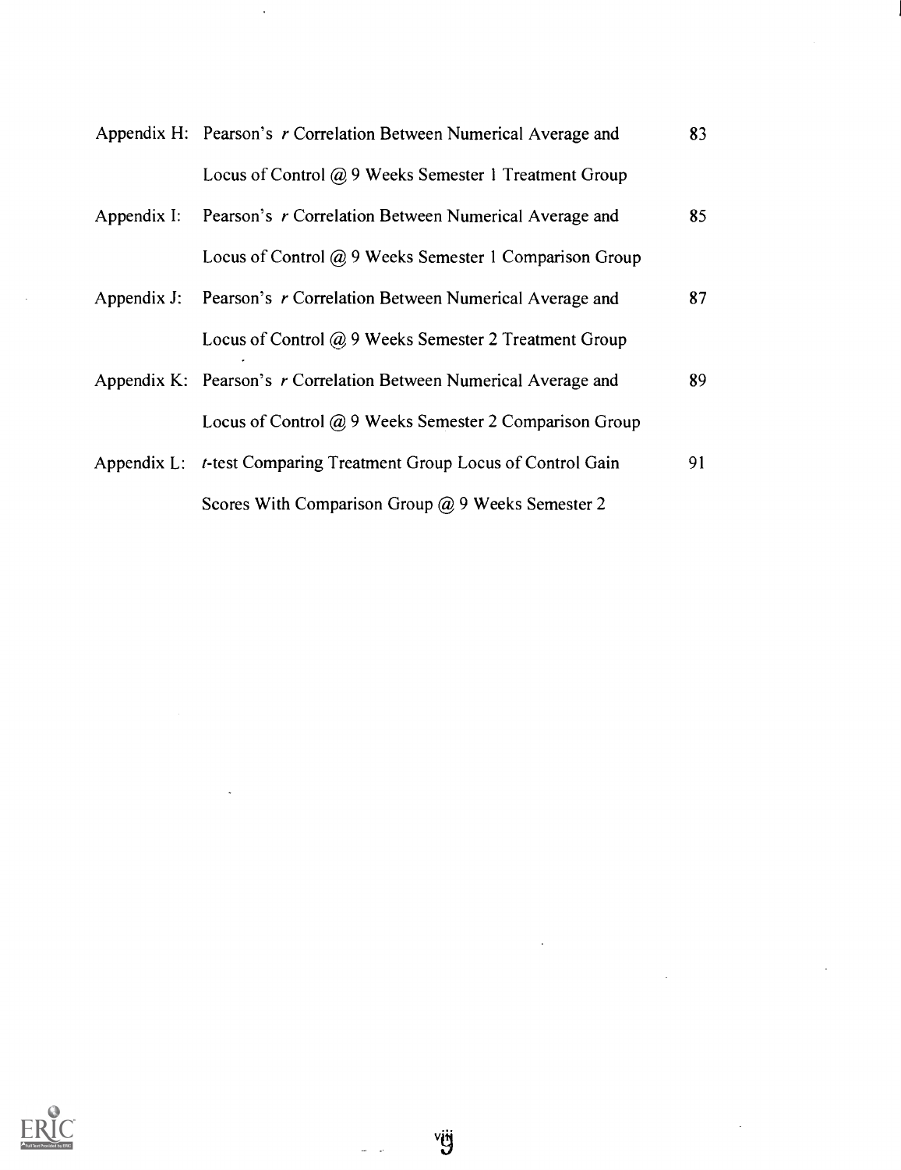| Appendix H: Pearson's r Correlation Between Numerical Average and  | 83 |
|--------------------------------------------------------------------|----|
| Locus of Control @ 9 Weeks Semester 1 Treatment Group              |    |
| Appendix I: Pearson's r Correlation Between Numerical Average and  | 85 |
| Locus of Control $\omega$ 9 Weeks Semester 1 Comparison Group      |    |
| Appendix J: Pearson's r Correlation Between Numerical Average and  | 87 |
| Locus of Control @ 9 Weeks Semester 2 Treatment Group              |    |
| Appendix K: Pearson's r Correlation Between Numerical Average and  | 89 |
| Locus of Control $(a)$ 9 Weeks Semester 2 Comparison Group         |    |
| Appendix L: t-test Comparing Treatment Group Locus of Control Gain | 91 |
| Scores With Comparison Group $\omega$ 9 Weeks Semester 2           |    |

 $\ddot{\phantom{a}}$ 



 $\overline{\phantom{a}}$ 

 $\omega = \omega$ 

 $\hat{\mathbf{r}}$ 

 $\overline{\phantom{a}}$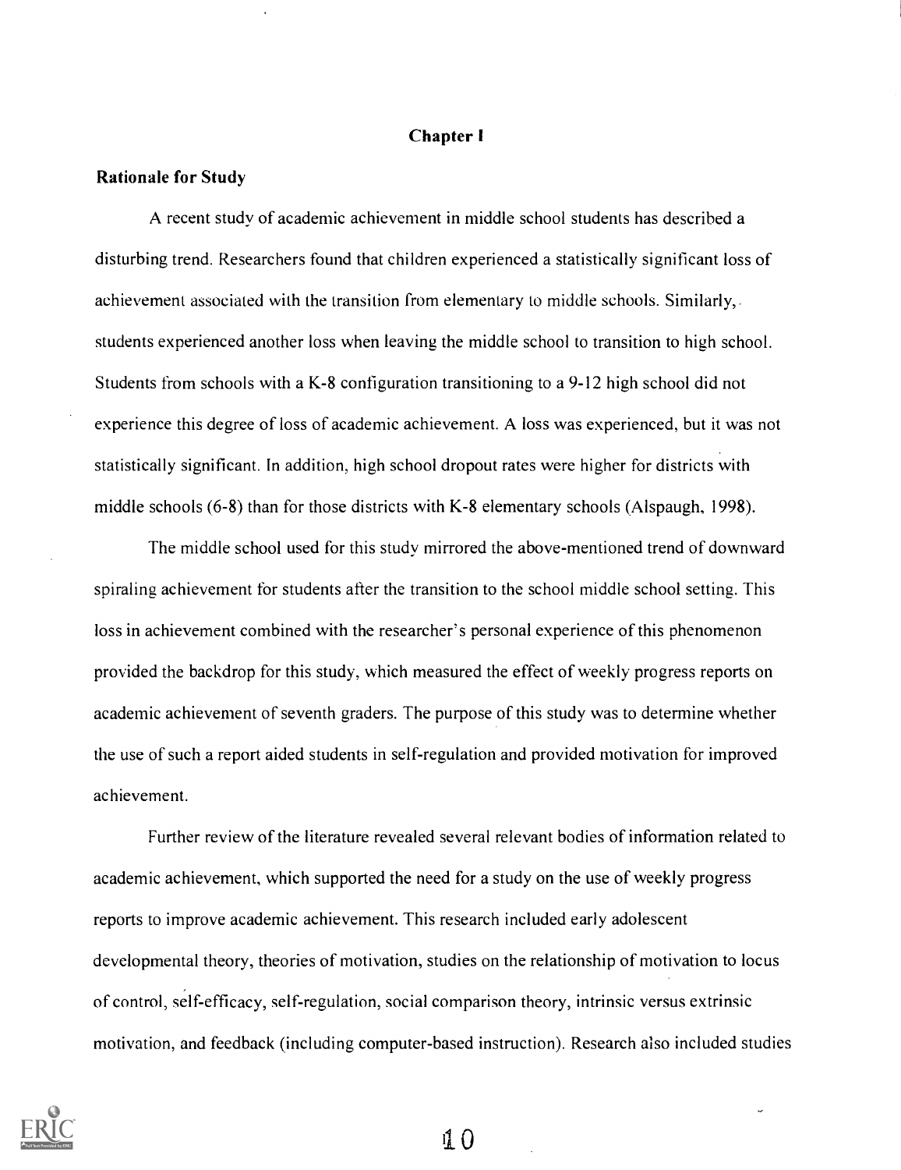## Chapter I

## Rationale for Study

A recent study of academic achievement in middle school students has described a disturbing trend. Researchers found that children experienced a statistically significant loss of achievement associated with the transition from elementary to middle schools. Similarly, students experienced another loss when leaving the middle school to transition to high school. Students from schools with a K-8 configuration transitioning to a 9-12 high school did not experience this degree of loss of academic achievement. A loss was experienced, but it was not statistically significant. In addition, high school dropout rates were higher for districts with middle schools (6-8) than for those districts with K-8 elementary schools (Alspaugh, 1998).

The middle school used for this study mirrored the above-mentioned trend of downward spiraling achievement for students after the transition to the school middle school setting. This loss in achievement combined with the researcher's personal experience of this phenomenon provided the backdrop for this study, which measured the effect of weekly progress reports on academic achievement of seventh graders. The purpose of this study was to determine whether the use of such a report aided students in self-regulation and provided motivation for improved achievement.

Further review of the literature revealed several relevant bodies of information related to academic achievement, which supported the need for a study on the use of weekly progress reports to improve academic achievement. This research included early adolescent developmental theory, theories of motivation, studies on the relationship of motivation to locus of control, self-efficacy, self-regulation, social comparison theory, intrinsic versus extrinsic motivation, and feedback (including computer-based instruction). Research also included studies

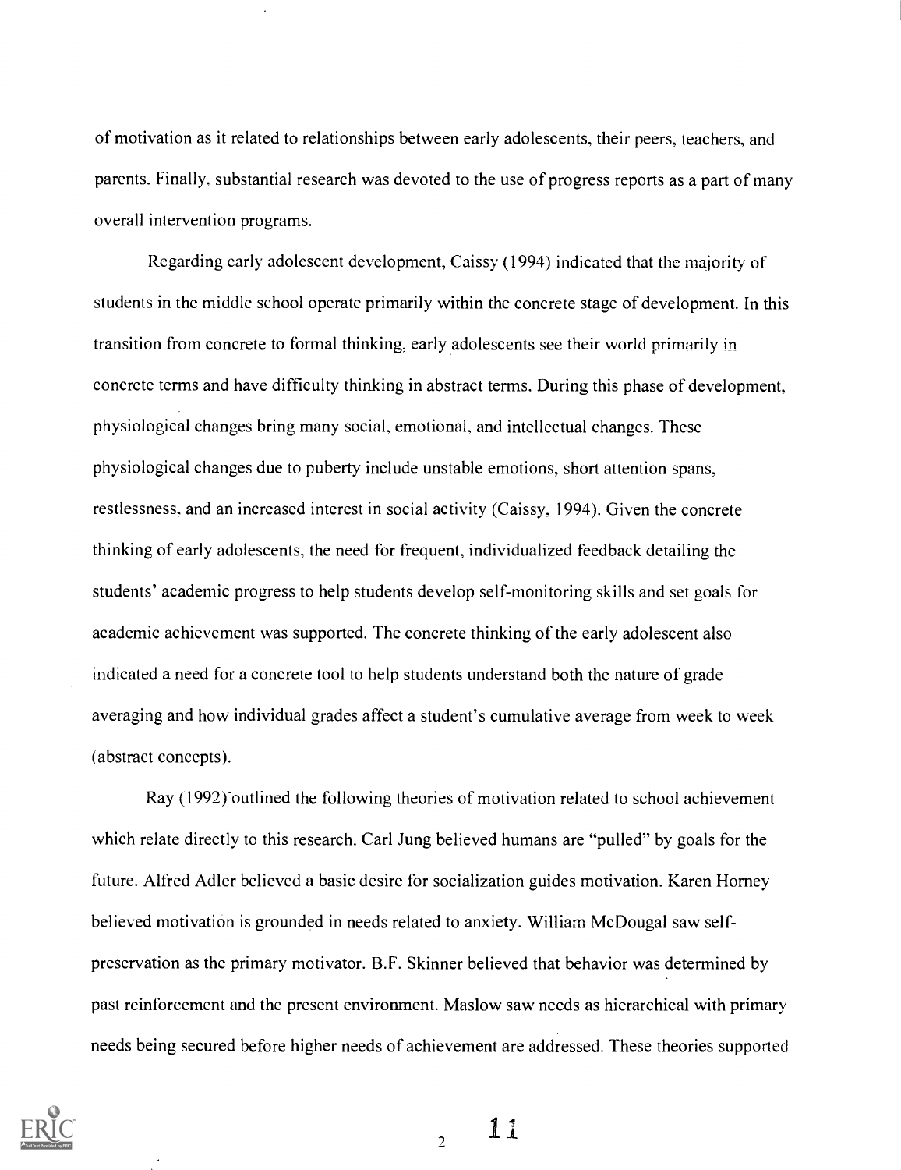of motivation as it related to relationships between early adolescents, their peers, teachers, and parents. Finally, substantial research was devoted to the use of progress reports as a part of many overall intervention programs.

Regarding early adolescent development, Caissy (1994) indicated that the majority of students in the middle school operate primarily within the concrete stage of development. In this transition from concrete to formal thinking, early adolescents see their world primarily in concrete terms and have difficulty thinking in abstract terms. During this phase of development, physiological changes bring many social, emotional, and intellectual changes. These physiological changes due to puberty include unstable emotions, short attention spans, restlessness, and an increased interest in social activity (Caissy, 1994). Given the concrete thinking of early adolescents, the need for frequent, individualized feedback detailing the students' academic progress to help students develop self-monitoring skills and set goals for academic achievement was supported. The concrete thinking of the early adolescent also indicated a need for a concrete tool to help students understand both the nature of grade averaging and how individual grades affect a student's cumulative average from week to week (abstract concepts).

Ray (1992) outlined the following theories of motivation related to school achievement which relate directly to this research. Carl Jung believed humans are "pulled" by goals for the future. Alfred Adler believed a basic desire for socialization guides motivation. Karen Homey believed motivation is grounded in needs related to anxiety. William McDougal saw selfpreservation as the primary motivator. B.F. Skinner believed that behavior was determined by past reinforcement and the present environment. Maslow saw needs as hierarchical with primary needs being secured before higher needs of achievement are addressed. These theories supported



 $11$ 

 $\overline{2}$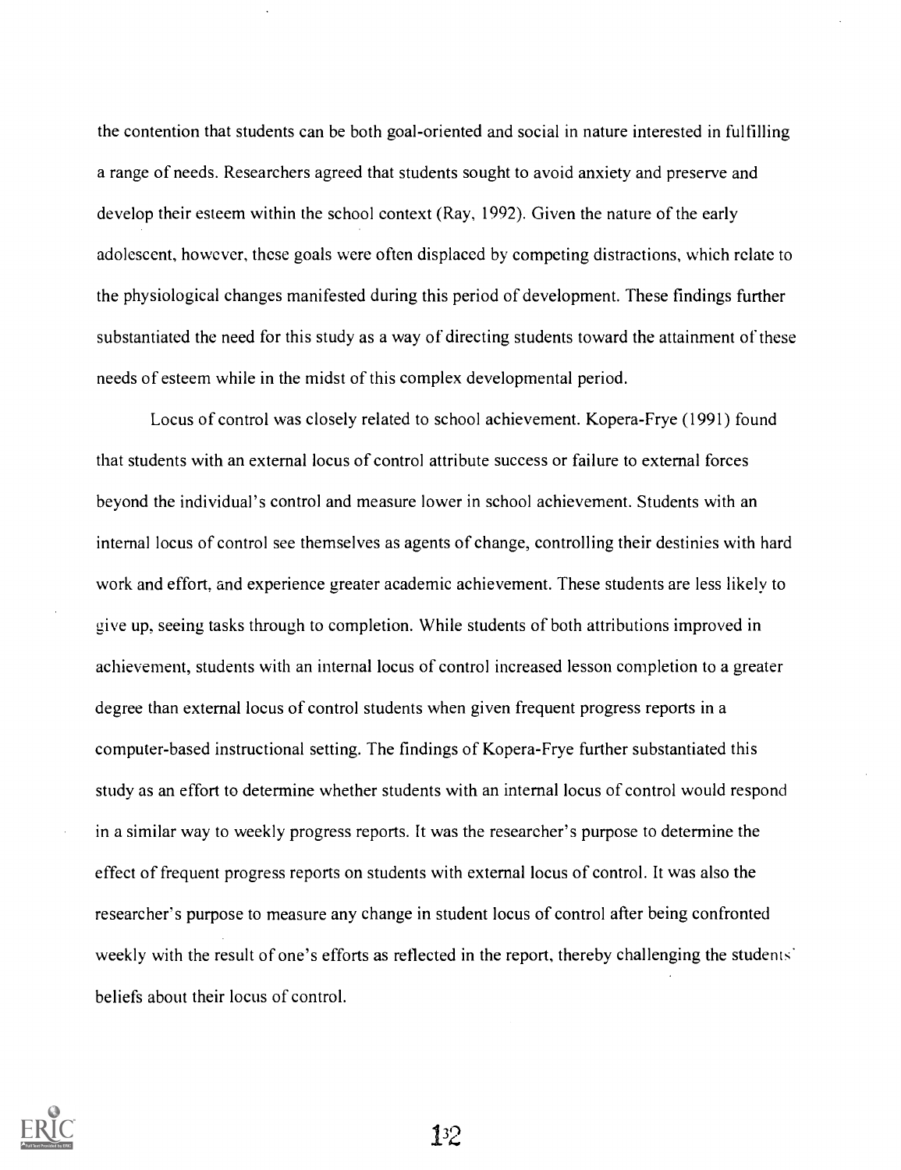the contention that students can be both goal-oriented and social in nature interested in fulfilling a range of needs. Researchers agreed that students sought to avoid anxiety and preserve and develop their esteem within the school context (Ray, 1992). Given the nature of the early adolescent, however, these goals were often displaced by competing distractions, which relate to the physiological changes manifested during this period of development. These findings further substantiated the need for this study as a way of directing students toward the attainment of these needs of esteem while in the midst of this complex developmental period.

Locus of control was closely related to school achievement. Kopera-Frye (1991) found that students with an external locus of control attribute success or failure to external forces beyond the individual's control and measure lower in school achievement. Students with an internal locus of control see themselves as agents of change, controlling their destinies with hard work and effort. and experience greater academic achievement. These students are less likely to give up, seeing tasks through to completion. While students of both attributions improved in achievement, students with an internal locus of control increased lesson completion to a greater degree than external locus of control students when given frequent progress reports in a computer-based instructional setting. The findings of Kopera-Frye further substantiated this study as an effort to determine whether students with an internal locus of control would respond in a similar way to weekly progress reports. It was the researcher's purpose to determine the effect of frequent progress reports on students with external locus of control. It was also the researcher's purpose to measure any change in student locus of control after being confronted weekly with the result of one's efforts as reflected in the report, thereby challenging the students' beliefs about their locus of control.

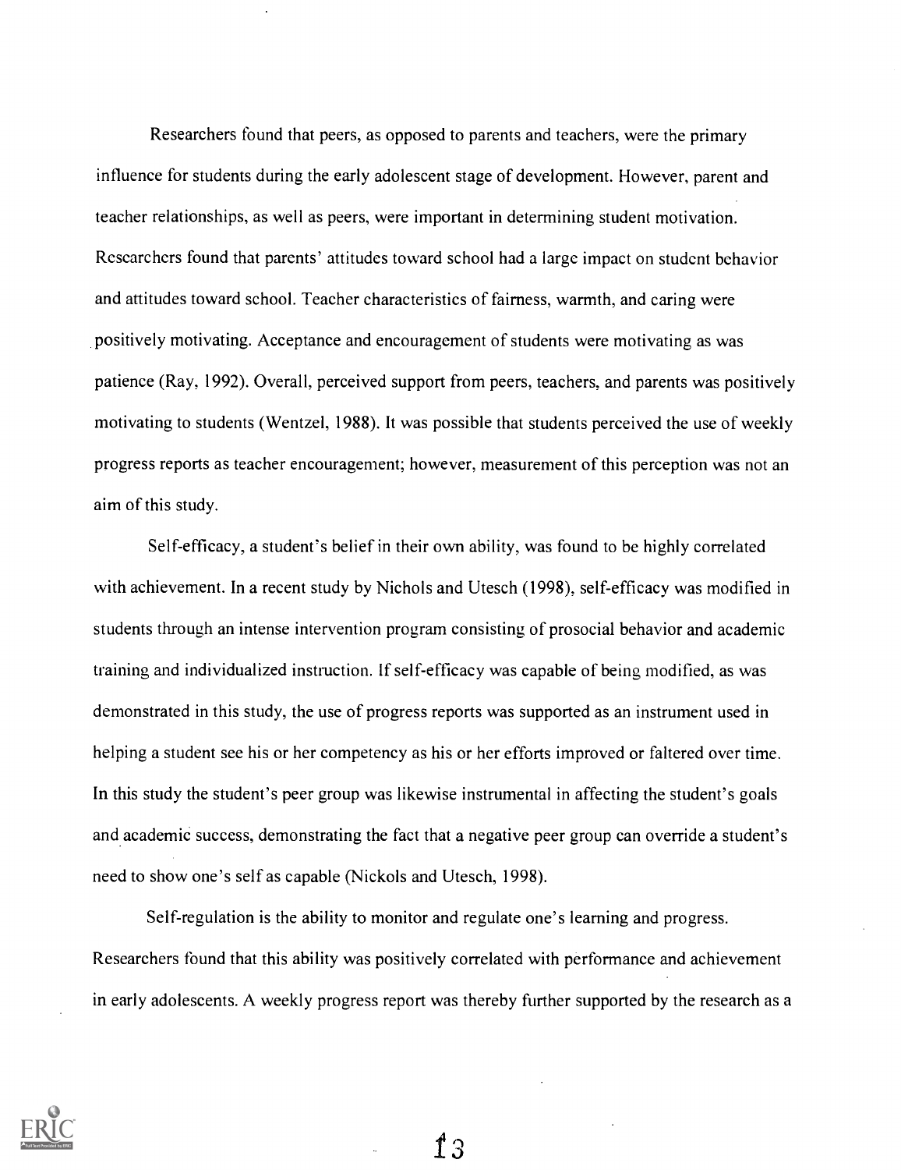Researchers found that peers, as opposed to parents and teachers, were the primary influence for students during the early adolescent stage of development. However, parent and teacher relationships, as well as peers, were important in determining student motivation. Researchers found that parents' attitudes toward school had a large impact on student behavior and attitudes toward school. Teacher characteristics of fairness, warmth, and caring were positively motivating. Acceptance and encouragement of students were motivating as was patience (Ray, 1992). Overall, perceived support from peers, teachers, and parents was positively motivating to students (Wentzel, 1988). It was possible that students perceived the use of weekly progress reports as teacher encouragement; however, measurement of this perception was not an aim of this study.

Self-efficacy, a student's belief in their own ability, was found to be highly correlated with achievement. In a recent study by Nichols and Utesch (1998), self-efficacy was modified in students through an intense intervention program consisting of prosocial behavior and academic training and individualized instruction. If self-efficacy was capable of being modified, as was demonstrated in this study, the use of progress reports was supported as an instrument used in helping a student see his or her competency as his or her efforts improved or faltered over time. In this study the student's peer group was likewise instrumental in affecting the student's goals and academic success, demonstrating the fact that a negative peer group can override a student's need to show one's self as capable (Nickols and Utesch, 1998).

Self-regulation is the ability to monitor and regulate one's learning and progress. Researchers found that this ability was positively correlated with performance and achievement in early adolescents. A weekly progress report was thereby further supported by the research as a



 $f_3$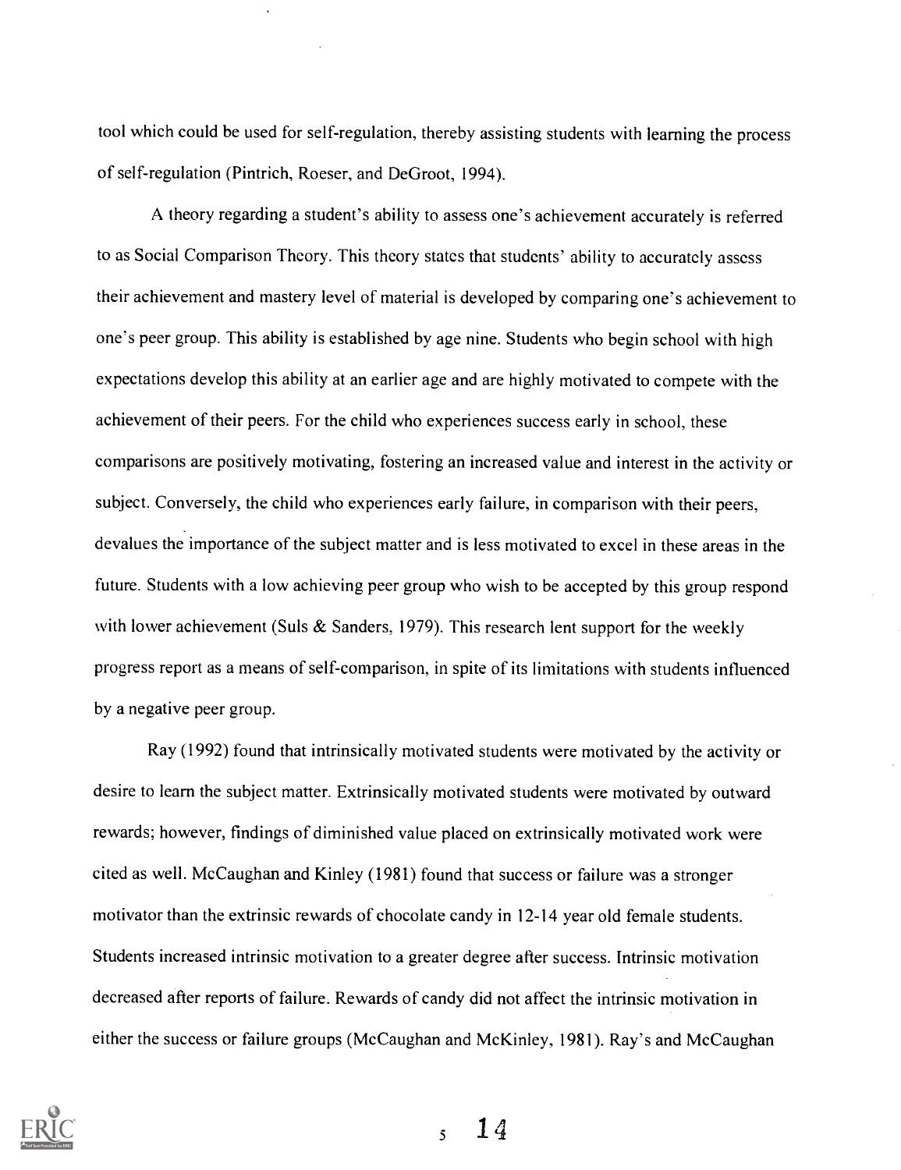tool which could be used for self-regulation, thereby assisting students with learning the process of self-regulation (Pintrich, Roeser, and DeGroot, 1994).

A theory regarding a student's ability to assess one's achievement accurately is referred to as Social Comparison Theory. This theory states that students' ability to accurately assess their achievement and mastery level of material is developed by comparing one's achievement to one's peer group. This ability is established by age nine. Students who begin school with high expectations develop this ability at an earlier age and are highly motivated to compete with the achievement of their peers. For the child who experiences success early in school, these comparisons are positively motivating, fostering an increased value and interest in the activity or subject. Conversely, the child who experiences early failure, in comparison with their peers, devalues the importance of the subject matter and is less motivated to excel in these areas in the future. Students with a low achieving peer group who wish to be accepted by this group respond with lower achievement (Suls  $&$  Sanders, 1979). This research lent support for the weekly progress report as a means of self-comparison, in spite of its limitations with students influenced by a negative peer group.

Ray (1992) found that intrinsically motivated students were motivated by the activity or desire to learn the subject matter. Extrinsically motivated students were motivated by outward rewards; however, findings of diminished value placed on extrinsically motivated work were cited as well. McCaughan and Kinley (1981) found that success or failure was a stronger motivator than the extrinsic rewards of chocolate candy in 12-14 year old female students. Students increased intrinsic motivation to a greater degree after success. Intrinsic motivation decreased after reports of failure. Rewards of candy did not affect the intrinsic motivation in either the success or failure groups (McCaughan and McKinley, 1981). Ray's and McCaughan



14 $\tilde{\mathbf{S}}$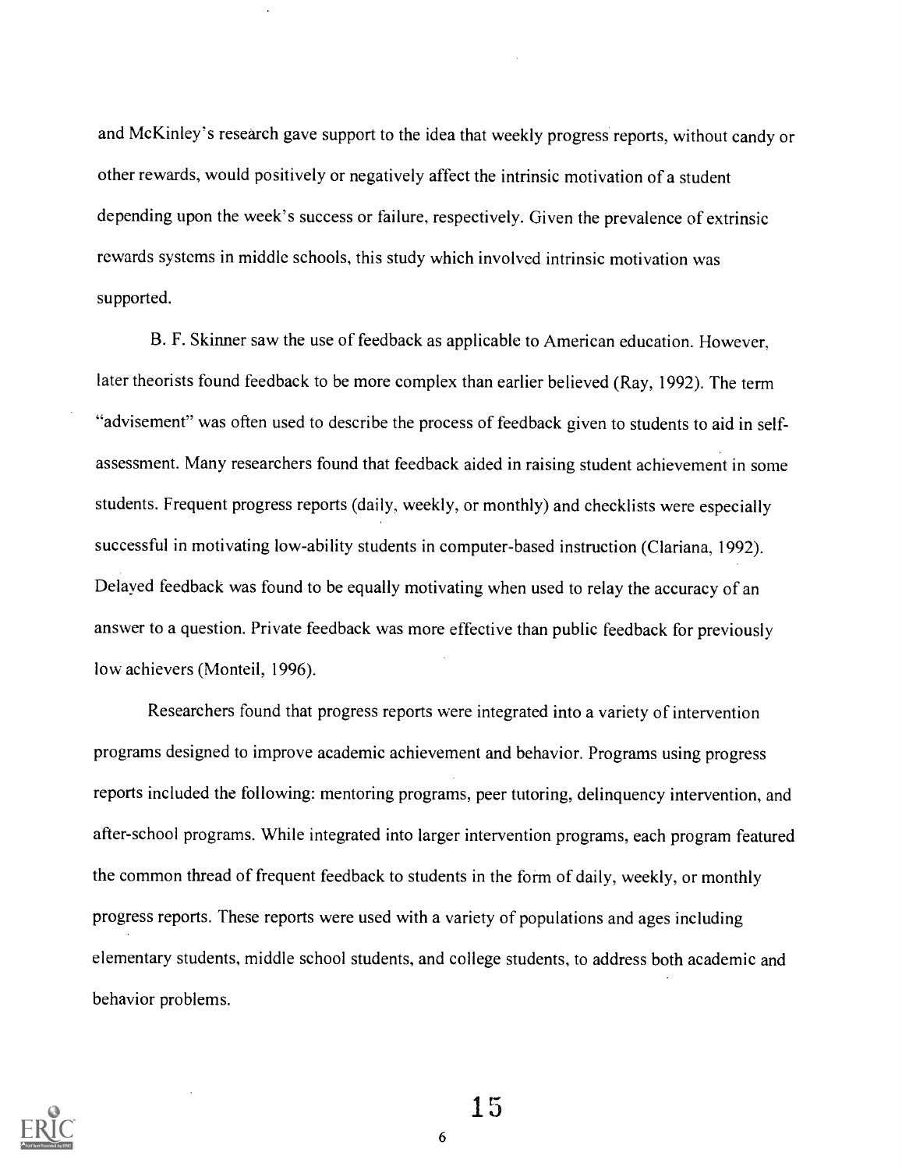and McKinley's research gave support to the idea that weekly progress reports, without candy or other rewards, would positively or negatively affect the intrinsic motivation of a student depending upon the week's success or failure, respectively. Given the prevalence of extrinsic rewards systems in middle schools, this study which involved intrinsic motivation was supported.

B. F. Skinner saw the use of feedback as applicable to American education. However, later theorists found feedback to be more complex than earlier believed (Ray, 1992). The term "advisement" was often used to describe the process of feedback given to students to aid in selfassessment. Many researchers found that feedback aided in raising student achievement in some students. Frequent progress reports (daily, weekly, or monthly) and checklists were especially successful in motivating low-ability students in computer-based instruction (Clariana, 1992). Delayed feedback was found to be equally motivating when used to relay the accuracy of an answer to a question. Private feedback was more effective than public feedback for previously low achievers (Monteil, 1996).

Researchers found that progress reports were integrated into a variety of intervention programs designed to improve academic achievement and behavior. Programs using progress reports included the following: mentoring programs, peer tutoring, delinquency intervention, and after-school programs. While integrated into larger intervention programs, each program featured the common thread of frequent feedback to students in the form of daily, weekly, or monthly progress reports. These reports were used with a variety of populations and ages including elementary students, middle school students, and college students, to address both academic and behavior problems.

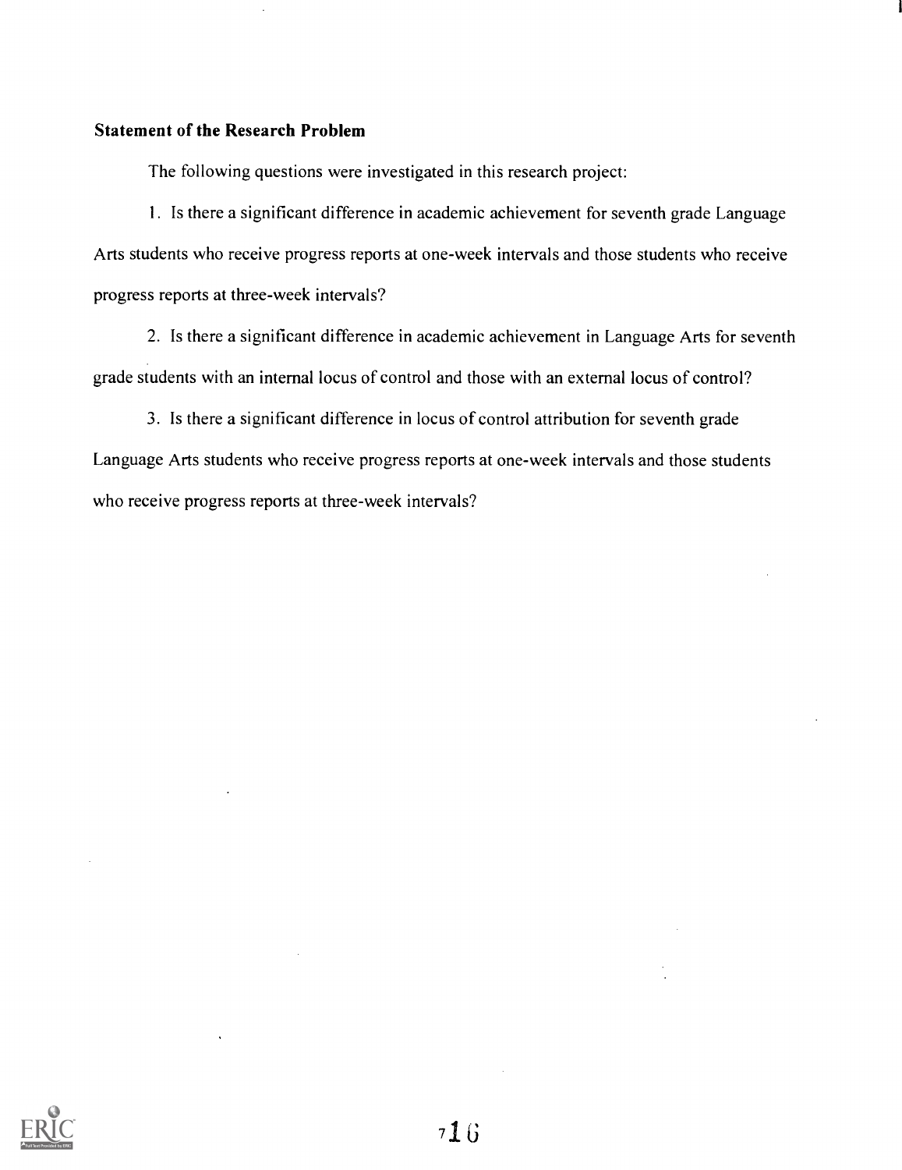## Statement of the Research Problem

The following questions were investigated in this research project:

1. Is there a significant difference in academic achievement for seventh grade Language Arts students who receive progress reports at one-week intervals and those students who receive progress reports at three-week intervals?

2. Is there a significant difference in academic achievement in Language Arts for seventh grade students with an internal locus of control and those with an external locus of control?

3. Is there a significant difference in locus of control attribution for seventh grade Language Arts students who receive progress reports at one-week intervals and those students who receive progress reports at three-week intervals?

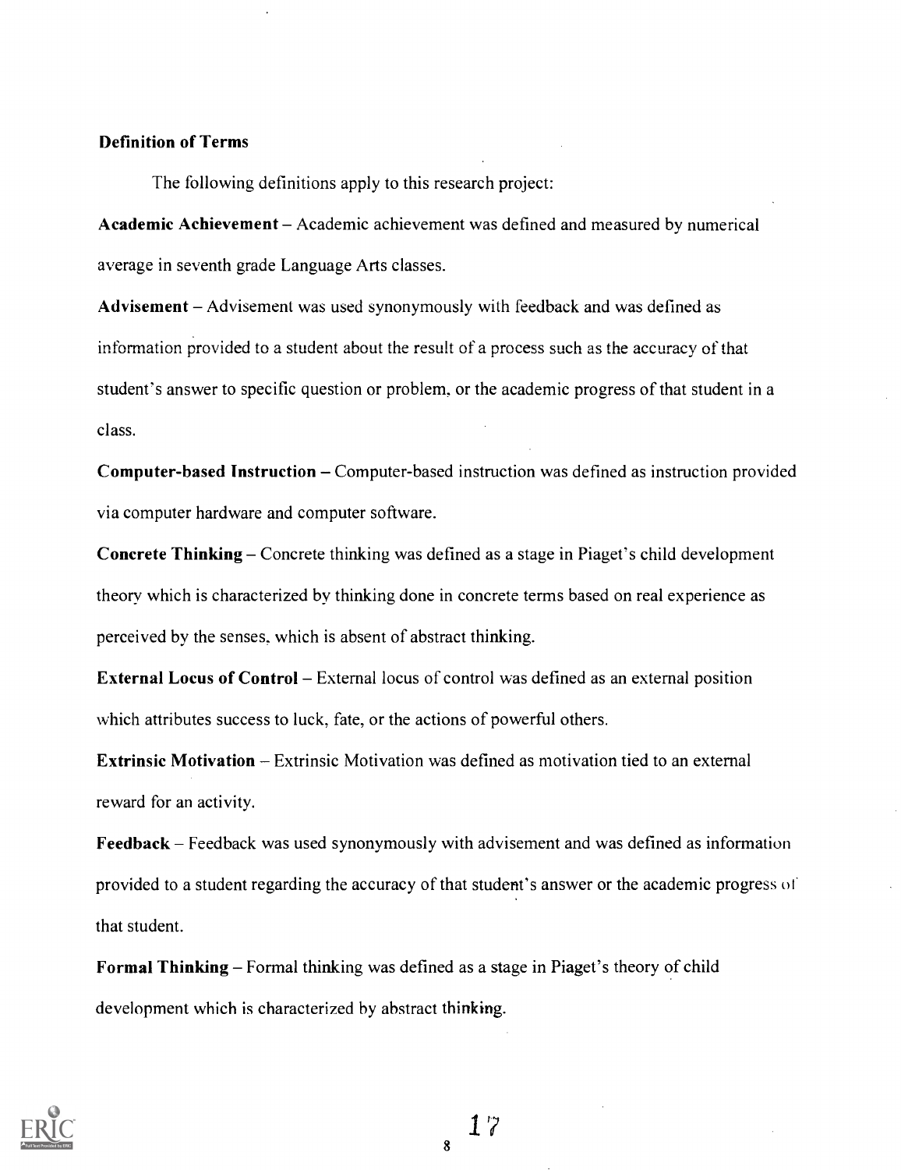# Definition of Terms

The following definitions apply to this research project:

Academic Achievement - Academic achievement was defined and measured by numerical average in seventh grade Language Arts classes.

Advisement - Advisement was used synonymously with feedback and was defined as information provided to a student about the result of a process such as the accuracy of that student's answer to specific question or problem, or the academic progress of that student in a class.

Computer-based Instruction – Computer-based instruction was defined as instruction provided via computer hardware and computer software.

Concrete Thinking – Concrete thinking was defined as a stage in Piaget's child development theory which is characterized by thinking done in concrete terms based on real experience as perceived by the senses. which is absent of abstract thinking.

**External Locus of Control** – External locus of control was defined as an external position which attributes success to luck, fate, or the actions of powerful others.

**Extrinsic Motivation** – Extrinsic Motivation was defined as motivation tied to an external reward for an activity.

Feedback  $-$  Feedback was used synonymously with advisement and was defined as information provided to a student regarding the accuracy of that student's answer or the academic progress or that student.

Formal Thinking – Formal thinking was defined as a stage in Piaget's theory of child development which is characterized by abstract thinking.

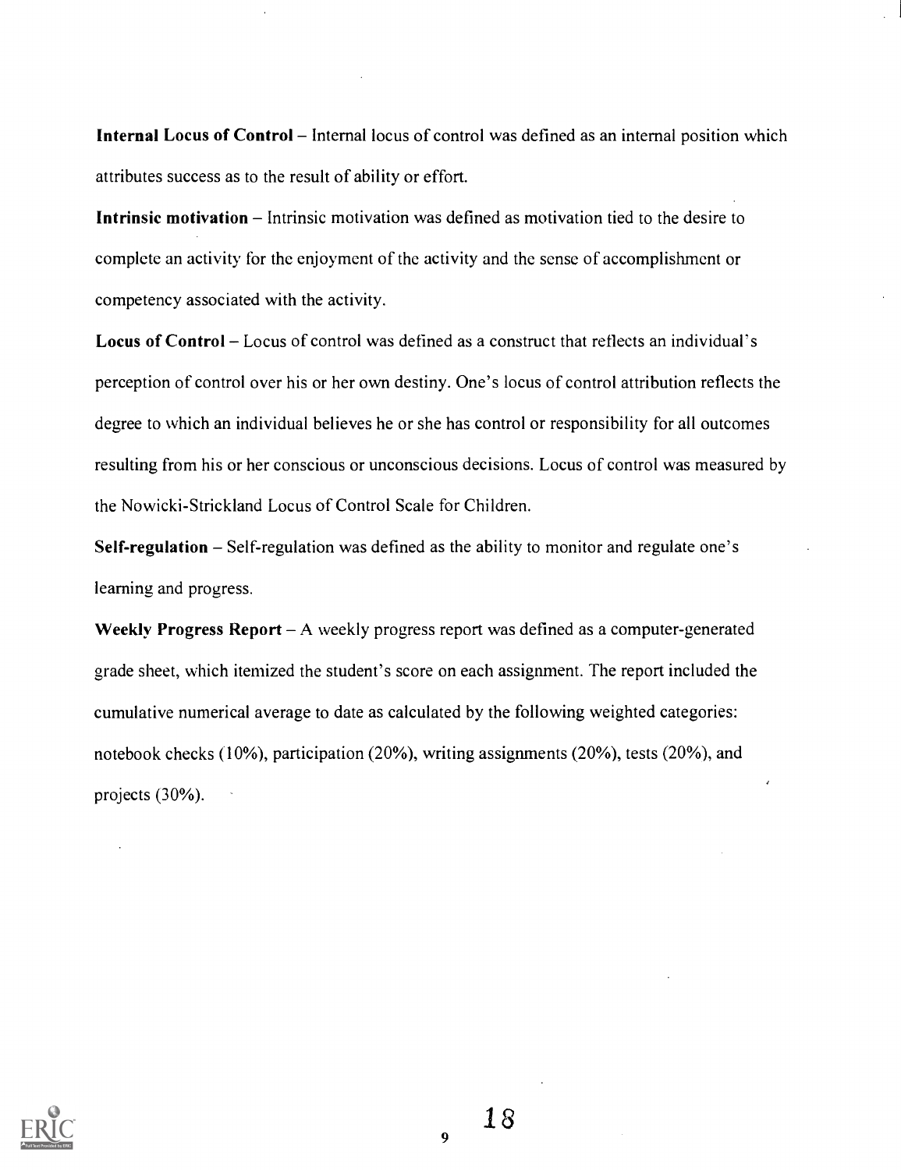Internal Locus of Control - Internal locus of control was defined as an internal position which attributes success as to the result of ability or effort.

**Intrinsic motivation** – Intrinsic motivation was defined as motivation tied to the desire to complete an activity for the enjoyment of the activity and the sense of accomplishment or competency associated with the activity.

Locus of Control – Locus of control was defined as a construct that reflects an individual's perception of control over his or her own destiny. One's locus of control attribution reflects the degree to which an individual believes he or she has control or responsibility for all outcomes resulting from his or her conscious or unconscious decisions. Locus of control was measured by the Nowicki-Strickland Locus of Control Scale for Children.

Self-regulation  $-$  Self-regulation was defined as the ability to monitor and regulate one's learning and progress.

Weekly Progress Report  $-A$  weekly progress report was defined as a computer-generated grade sheet, which itemized the student's score on each assignment. The report included the cumulative numerical average to date as calculated by the following weighted categories: notebook checks (10%), participation (20%), writing assignments (20%), tests (20%), and projects (30%).

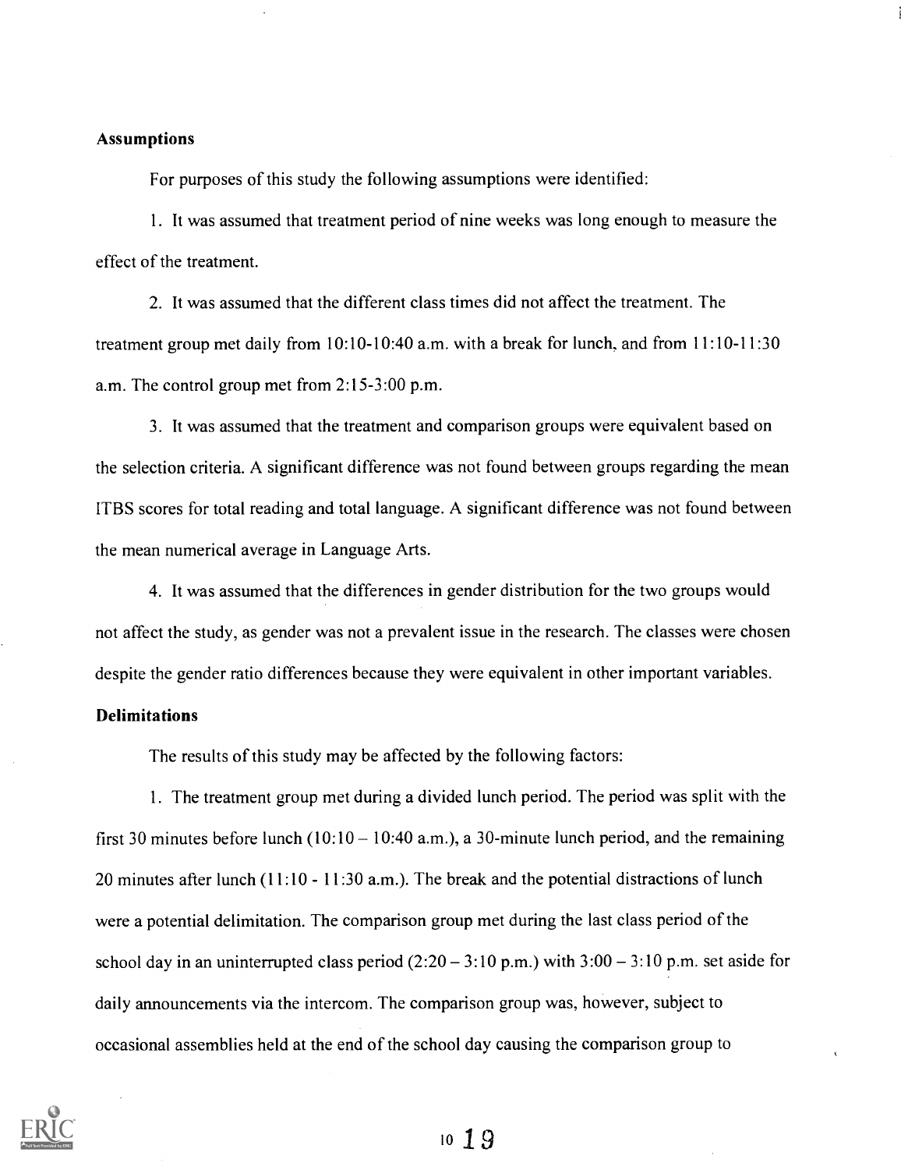## Assumptions

For purposes of this study the following assumptions were identified:

1. It was assumed that treatment period of nine weeks was long enough to measure the effect of the treatment.

2. It was assumed that the different class times did not affect the treatment. The treatment group met daily from  $10:10-10:40$  a.m. with a break for lunch, and from  $11:10-11:30$ a.m. The control group met from 2:15-3:00 p.m.

3. It was assumed that the treatment and comparison groups were equivalent based on the selection criteria. A significant difference was not found between groups regarding the mean ITBS scores for total reading and total language. A significant difference was not found between the mean numerical average in Language Arts.

4. It was assumed that the differences in gender distribution for the two groups would not affect the study, as gender was not a prevalent issue in the research. The classes were chosen despite the gender ratio differences because they were equivalent in other important variables.

## **Delimitations**

The results of this study may be affected by the following factors:

1. The treatment group met during a divided lunch period. The period was split with the first 30 minutes before lunch  $(10:10 - 10:40 \text{ a.m.})$ , a 30-minute lunch period, and the remaining 20 minutes after lunch (11:10 - 11:30 a.m.). The break and the potential distractions of lunch were a potential delimitation. The comparison group met during the last class period of the school day in an uninterrupted class period  $(2:20 - 3:10 \text{ p.m.})$  with  $3:00 - 3:10 \text{ p.m.}$  set aside for daily announcements via the intercom. The comparison group was, however, subject to occasional assemblies held at the end of the school day causing the comparison group to

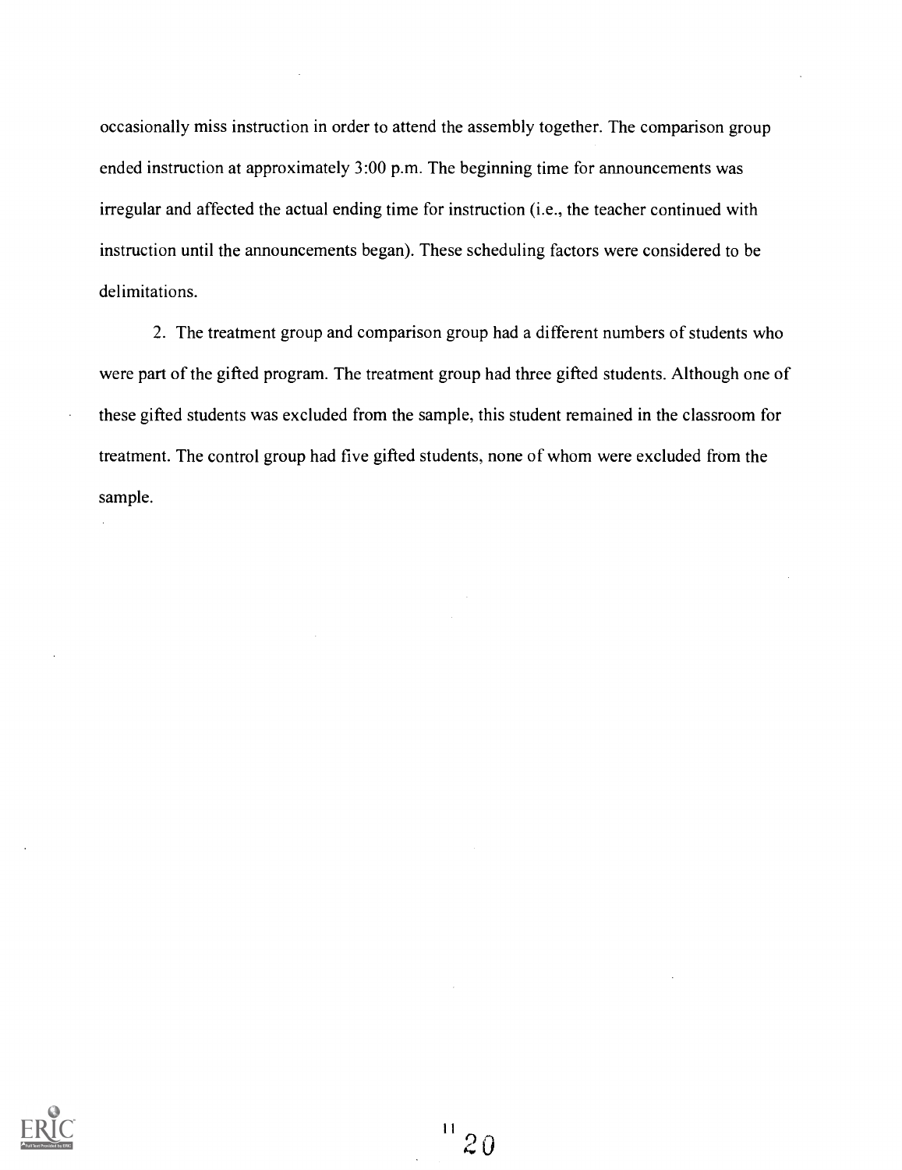occasionally miss instruction in order to attend the assembly together. The comparison group ended instruction at approximately 3:00 p.m. The beginning time for announcements was irregular and affected the actual ending time for instruction (i.e., the teacher continued with instruction until the announcements began). These scheduling factors were considered to be delimitations.

2. The treatment group and comparison group had a different numbers of students who were part of the gifted program. The treatment group had three gifted students. Although one of these gifted students was excluded from the sample, this student remained in the classroom for treatment. The control group had five gifted students, none of whom were excluded from the sample.

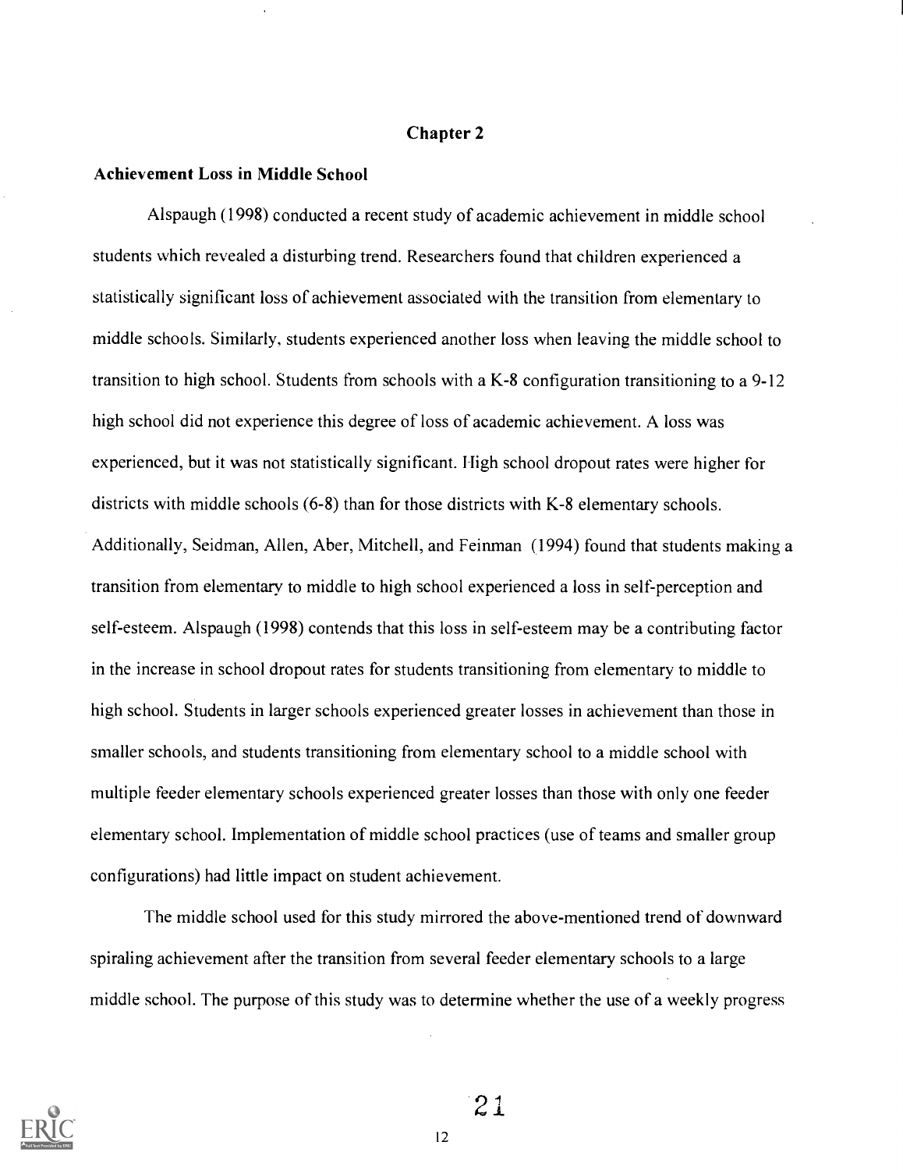#### Chapter 2

## Achievement Loss in Middle School

Alspaugh (1998) conducted a recent study of academic achievement in middle school students which revealed a disturbing trend. Researchers found that children experienced a statistically significant loss of achievement associated with the transition from elementary to middle schools. Similarly, students experienced another loss when leaving the middle school to transition to high school. Students from schools with a K-8 configuration transitioning to a 9-12 high school did not experience this degree of loss of academic achievement. A loss was experienced, but it was not statistically significant. High school dropout rates were higher for districts with middle schools (6-8) than for those districts with K-8 elementary schools. Additionally, Seidman, Allen, Aber, Mitchell, and Feinman (1994) found that students making a transition from elementary to middle to high school experienced a loss in self-perception and self-esteem. Alspaugh (1998) contends that this loss in self-esteem may be a contributing factor in the increase in school dropout rates for students transitioning from elementary to middle to high school. Students in larger schools experienced greater losses in achievement than those in smaller schools, and students transitioning from elementary school to a middle school with multiple feeder elementary schools experienced greater losses than those with only one feeder elementary school. Implementation of middle school practices (use of teams and smaller group configurations) had little impact on student achievement.

The middle school used for this study mirrored the above-mentioned trend of downward spiraling achievement after the transition from several feeder elementary schools to a large middle school. The purpose of this study was to determine whether the use of a weekly progress

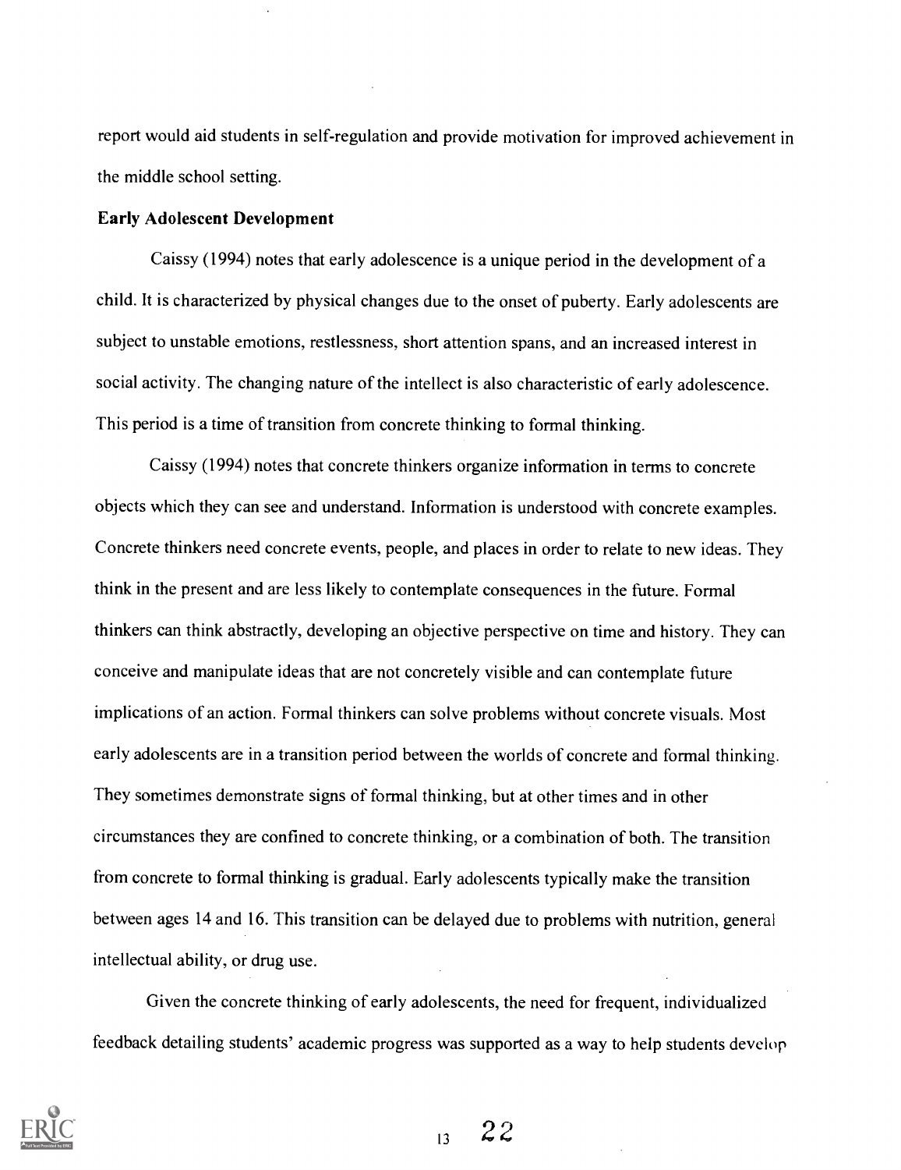report would aid students in self-regulation and provide motivation for improved achievement in the middle school setting.

#### Early Adolescent Development

Caissy (1994) notes that early adolescence is a unique period in the development of a child. It is characterized by physical changes due to the onset of puberty. Early adolescents are subject to unstable emotions, restlessness, short attention spans, and an increased interest in social activity. The changing nature of the intellect is also characteristic of early adolescence. This period is a time of transition from concrete thinking to formal thinking.

Caissy (1994) notes that concrete thinkers organize information in terms to concrete objects which they can see and understand. Information is understood with concrete examples. Concrete thinkers need concrete events, people, and places in order to relate to new ideas. They think in the present and are less likely to contemplate consequences in the future. Formal thinkers can think abstractly, developing an objective perspective on time and history. They can conceive and manipulate ideas that are not concretely visible and can contemplate future implications of an action. Formal thinkers can solve problems without concrete visuals. Most early adolescents are in a transition period between the worlds of concrete and formal thinking. They sometimes demonstrate signs of formal thinking, but at other times and in other circumstances they are confined to concrete thinking, or a combination of both. The transition from concrete to formal thinking is gradual. Early adolescents typically make the transition between ages 14 and 16. This transition can be delayed due to problems with nutrition, general intellectual ability, or drug use.

Given the concrete thinking of early adolescents, the need for frequent, individualized feedback detailing students' academic progress was supported as a way to help students develop

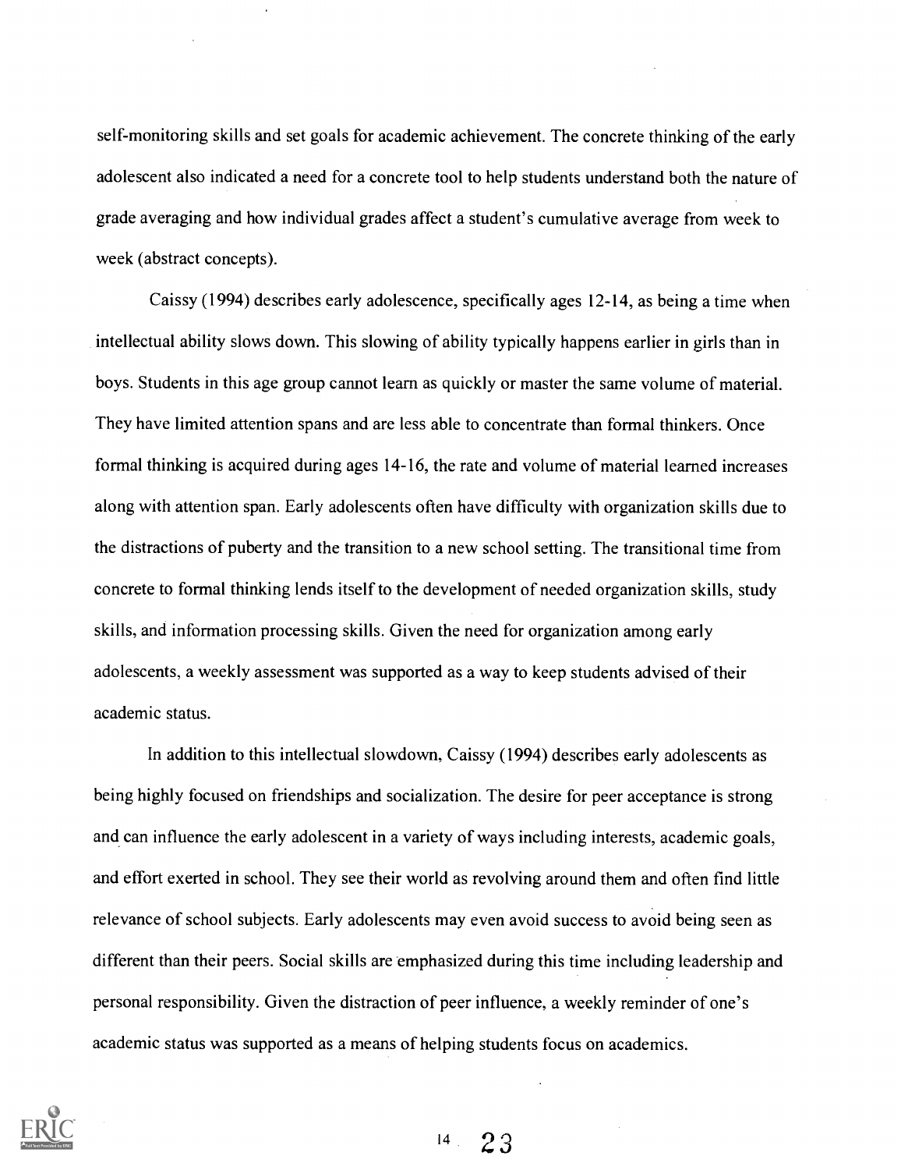self-monitoring skills and set goals for academic achievement. The concrete thinking of the early adolescent also indicated a need for a concrete tool to help students understand both the nature of grade averaging and how individual grades affect a student's cumulative average from week to week (abstract concepts).

Caissy (1994) describes early adolescence, specifically ages 12-14, as being a time when intellectual ability slows down. This slowing of ability typically happens earlier in girls than in boys. Students in this age group cannot learn as quickly or master the same volume of material. They have limited attention spans and are less able to concentrate than formal thinkers. Once formal thinking is acquired during ages 14-16, the rate and volume of material learned increases along with attention span. Early adolescents often have difficulty with organization skills due to the distractions of puberty and the transition to a new school setting. The transitional time from concrete to formal thinking lends itself to the development of needed organization skills, study skills, and information processing skills. Given the need for organization among early adolescents, a weekly assessment was supported as a way to keep students advised of their academic status.

In addition to this intellectual slowdown, Caissy (1994) describes early adolescents as being highly focused on friendships and socialization. The desire for peer acceptance is strong and can influence the early adolescent in a variety of ways including interests, academic goals, and effort exerted in school. They see their world as revolving around them and often find little relevance of school subjects. Early adolescents may even avoid success to avoid being seen as different than their peers. Social skills are emphasized during this time including leadership and personal responsibility. Given the distraction of peer influence, a weekly reminder of one's academic status was supported as a means of helping students focus on academics.

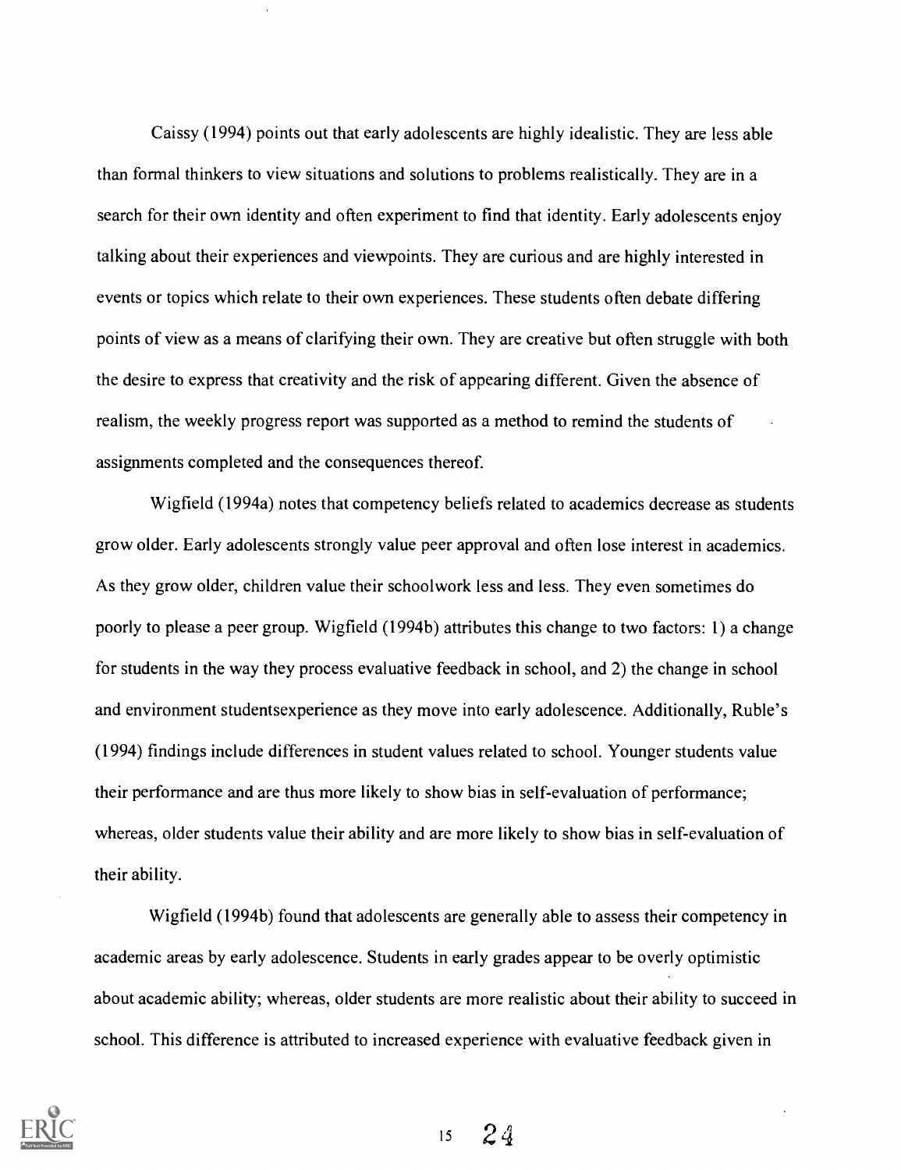Caissy (1994) points out that early adolescents are highly idealistic. They are less able than formal thinkers to view situations and solutions to problems realistically. They are in a search for their own identity and often experiment to find that identity. Early adolescents enjoy talking about their experiences and viewpoints. They are curious and are highly interested in events or topics which relate to their own experiences. These students often debate differing points of view as a means of clarifying their own. They are creative but often struggle with both the desire to express that creativity and the risk of appearing different. Given the absence of realism, the weekly progress report was supported as a method to remind the students of assignments completed and the consequences thereof.

Wigfield (1994a) notes that competency beliefs related to academics decrease as students grow older. Early adolescents strongly value peer approval and often lose interest in academics. As they grow older, children value their schoolwork less and less. They even sometimes do poorly to please a peer group. Wigfield (1994b) attributes this change to two factors: 1) a change for students in the way they process evaluative feedback in school, and 2) the change in school and environment studentsexperience as they move into early adolescence. Additionally, Ruble's (1994) findings include differences in student values related to school. Younger students value their performance and are thus more likely to show bias in self-evaluation of performance; whereas, older students value their ability and are more likely to show bias in self-evaluation of their ability.

Wigfield (1994b) found that adolescents are generally able to assess their competency in academic areas by early adolescence. Students in early grades appear to be overly optimistic about academic ability; whereas, older students are more realistic about their ability to succeed in school. This difference is attributed to increased experience with evaluative feedback given in

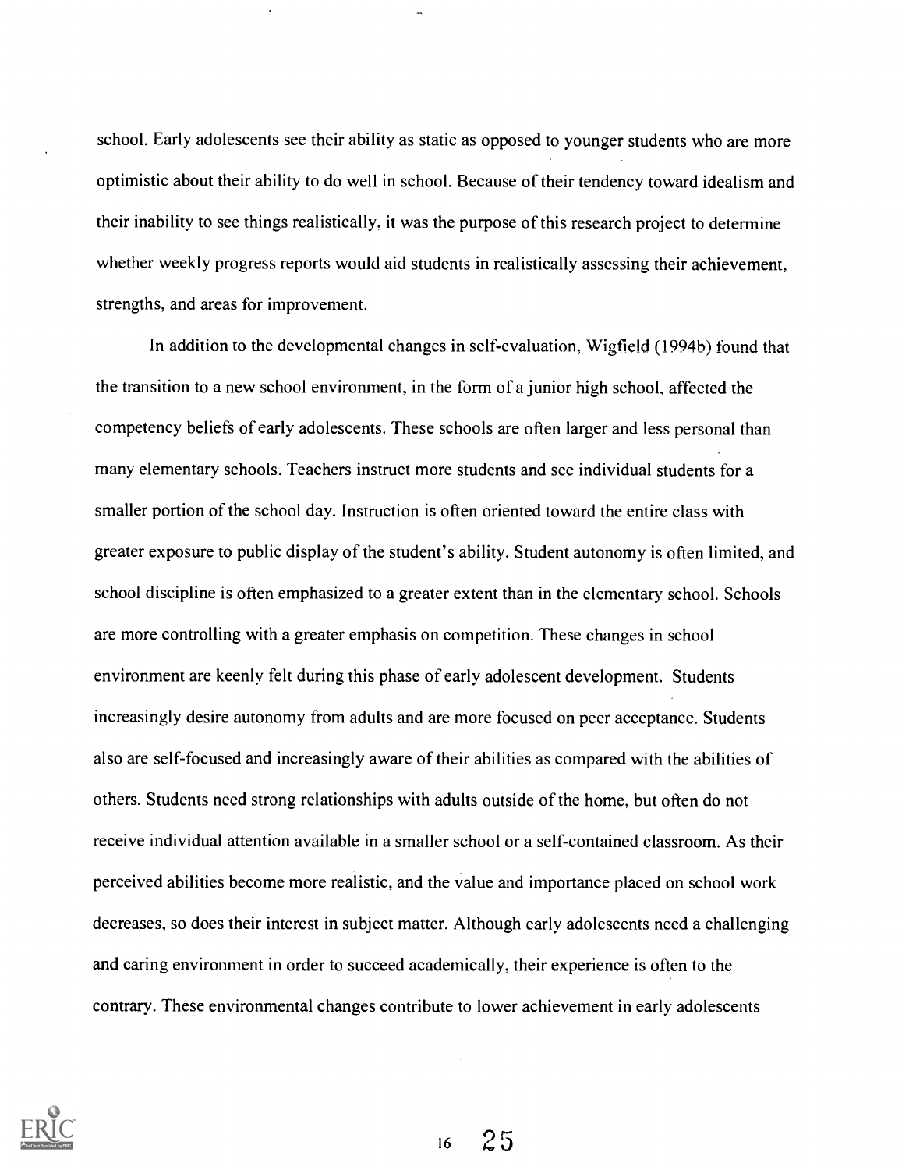school. Early adolescents see their ability as static as opposed to younger students who are more optimistic about their ability to do well in school. Because of their tendency toward idealism and their inability to see things realistically, it was the purpose of this research project to determine whether weekly progress reports would aid students in realistically assessing their achievement, strengths, and areas for improvement.

In addition to the developmental changes in self-evaluation, Wigfield (1994b) found that the transition to a new school environment, in the form of a junior high school, affected the competency beliefs of early adolescents. These schools are often larger and less personal than many elementary schools. Teachers instruct more students and see individual students for a smaller portion of the school day. Instruction is often oriented toward the entire class with greater exposure to public display of the student's ability. Student autonomy is often limited, and school discipline is often emphasized to a greater extent than in the elementary school. Schools are more controlling with a greater emphasis on competition. These changes in school environment are keenly felt during this phase of early adolescent development. Students increasingly desire autonomy from adults and are more focused on peer acceptance. Students also are self-focused and increasingly aware of their abilities as compared with the abilities of others. Students need strong relationships with adults outside of the home, but often do not receive individual attention available in a smaller school or a self-contained classroom. As their perceived abilities become more realistic, and the value and importance placed on school work decreases, so does their interest in subject matter. Although early adolescents need a challenging and caring environment in order to succeed academically, their experience is often to the contrary. These environmental changes contribute to lower achievement in early adolescents

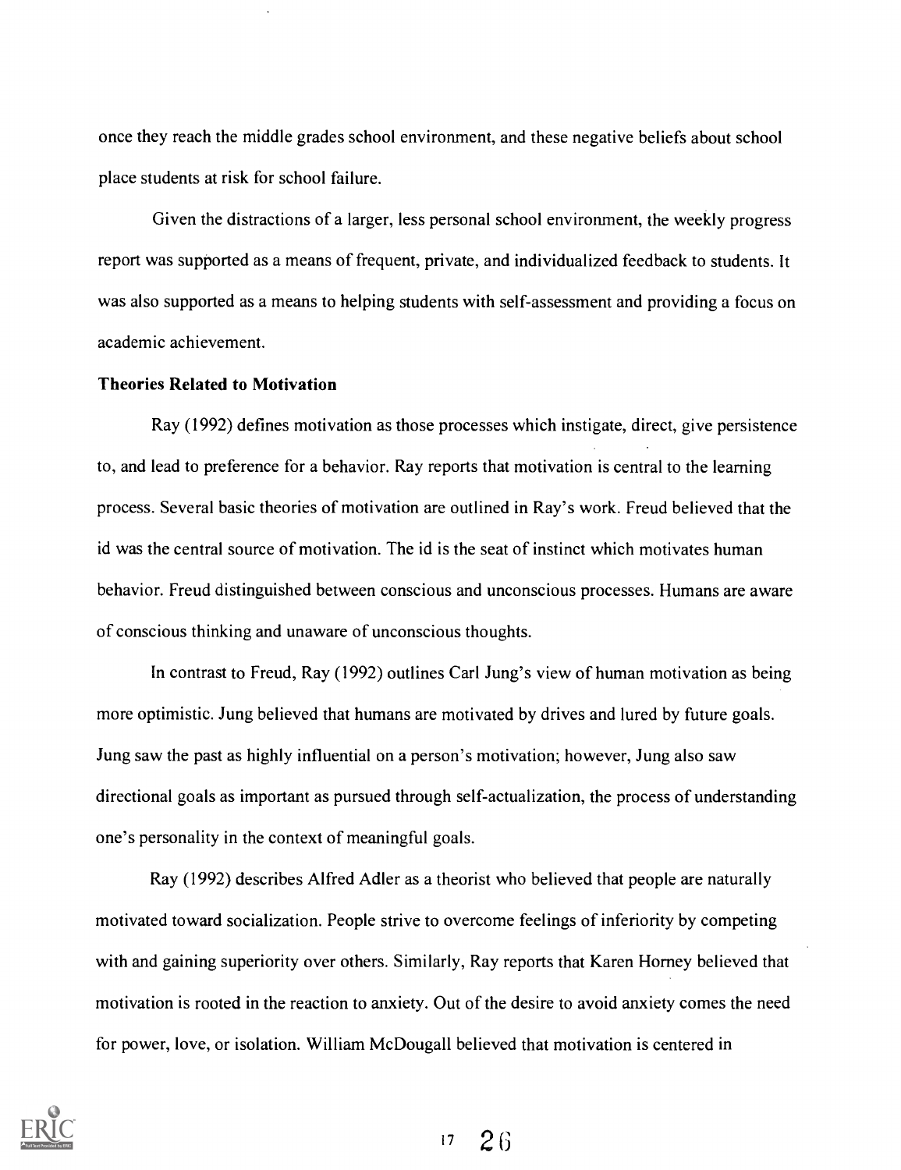once they reach the middle grades school environment, and these negative beliefs about school place students at risk for school failure.

Given the distractions of a larger, less personal school environment, the weekly progress report was supported as a means of frequent, private, and individualized feedback to students. It was also supported as a means to helping students with self-assessment and providing a focus on academic achievement.

#### Theories Related to Motivation

Ray (1992) defines motivation as those processes which instigate, direct, give persistence to, and lead to preference for a behavior. Ray reports that motivation is central to the learning process. Several basic theories of motivation are outlined in Ray's work. Freud believed that the id was the central source of motivation. The id is the seat of instinct which motivates human behavior. Freud distinguished between conscious and unconscious processes. Humans are aware of conscious thinking and unaware of unconscious thoughts.

In contrast to Freud, Ray (1992) outlines Carl Jung's view of human motivation as being more optimistic. Jung believed that humans are motivated by drives and lured by future goals. Jung saw the past as highly influential on a person's motivation; however, Jung also saw directional goals as important as pursued through self-actualization, the process of understanding one's personality in the context of meaningful goals.

Ray (1992) describes Alfred Adler as a theorist who believed that people are naturally motivated toward socialization. People strive to overcome feelings of inferiority by competing with and gaining superiority over others. Similarly, Ray reports that Karen Homey believed that motivation is rooted in the reaction to anxiety. Out of the desire to avoid anxiety comes the need for power, love, or isolation. William McDougall believed that motivation is centered in



 $17 \quad 26$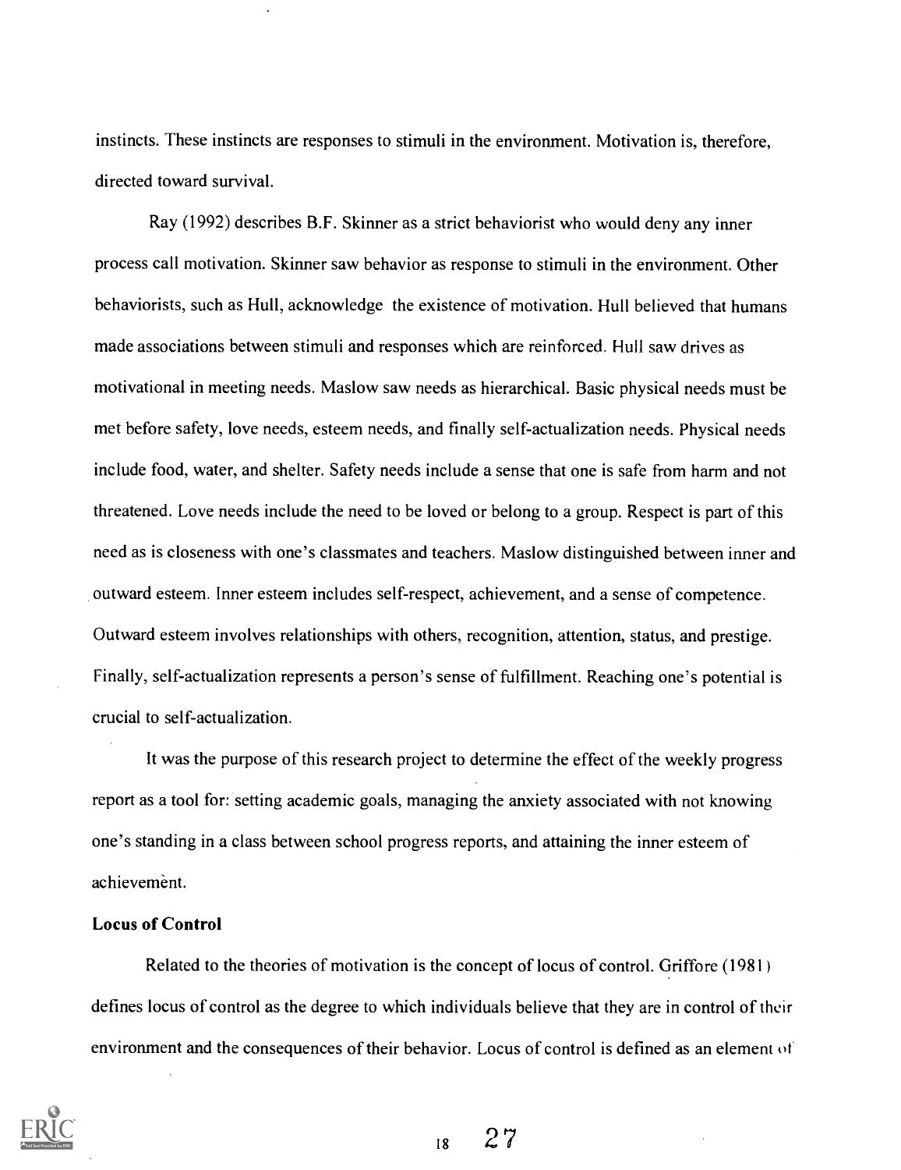instincts. These instincts are responses to stimuli in the environment. Motivation is, therefore, directed toward survival.

Ray (1992) describes B.F. Skinner as a strict behaviorist who would deny any inner process call motivation. Skinner saw behavior as response to stimuli in the environment. Other behaviorists, such as Hull, acknowledge the existence of motivation. Hull believed that humans made associations between stimuli and responses which are reinforced. Hull saw drives as motivational in meeting needs. Maslow saw needs as hierarchical. Basic physical needs must be met before safety, love needs, esteem needs, and finally self-actualization needs. Physical needs include food, water, and shelter. Safety needs include a sense that one is safe from harm and not threatened. Love needs include the need to be loved or belong to a group. Respect is part of this need as is closeness with one's classmates and teachers. Maslow distinguished between inner and outward esteem. Inner esteem includes self-respect, achievement, and a sense of competence. Outward esteem involves relationships with others, recognition, attention, status, and prestige. Finally, self-actualization represents a person's sense of fulfillment. Reaching one's potential is crucial to self-actualization.

It was the purpose of this research project to determine the effect of the weekly progress report as a tool for: setting academic goals, managing the anxiety associated with not knowing one's standing in a class between school progress reports, and attaining the inner esteem of achievement.

## Locus of Control

Related to the theories of motivation is the concept of locus of control. Griffore (1981) defines locus of control as the degree to which individuals believe that they are in control of their environment and the consequences of their behavior. Locus of control is defined as an element 01

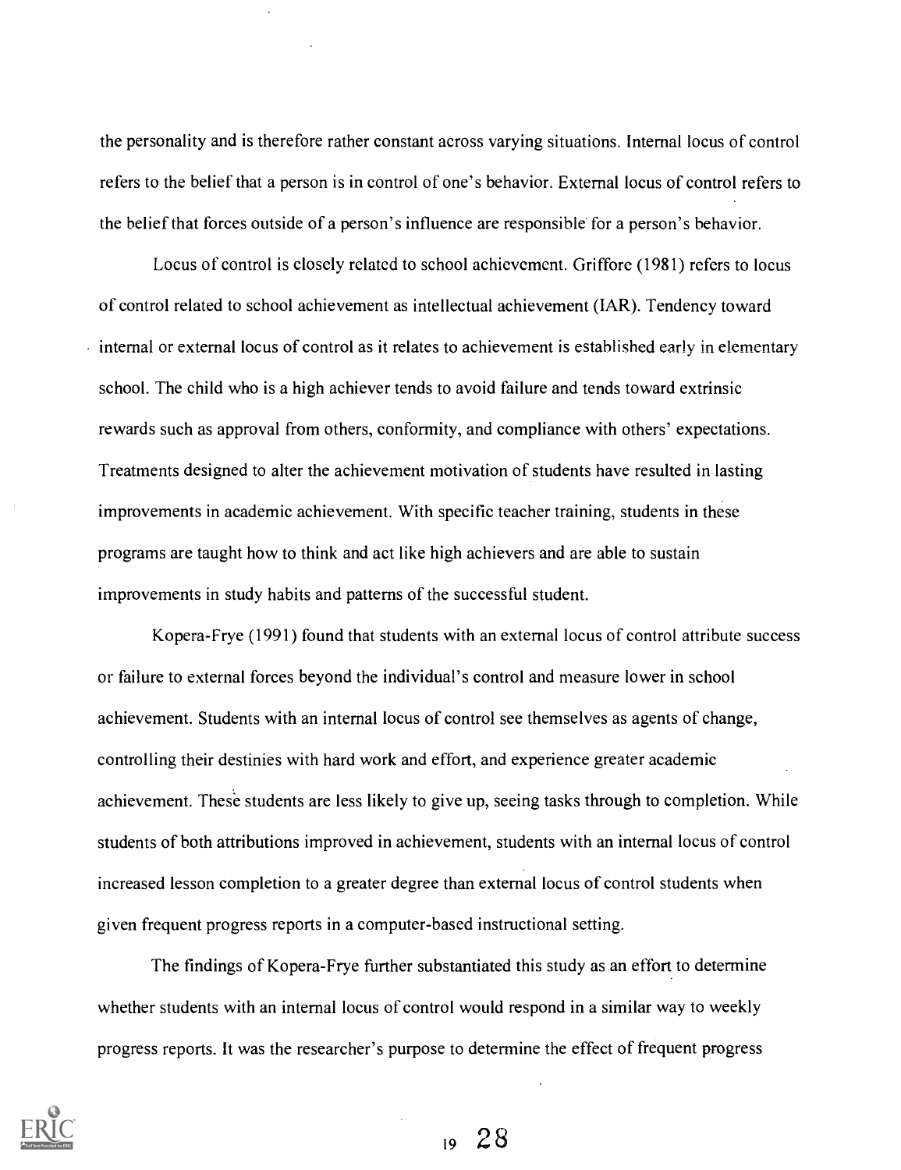the personality and is therefore rather constant across varying situations. Internal locus of control refers to the belief that a person is in control of one's behavior. External locus of control refers to the belief that forces outside of a person's influence are responsible for a person's behavior.

Locus of control is closely related to school achievement. Griffore (1981) refers to locus of control related to school achievement as intellectual achievement (IAR). Tendency toward internal or external locus of control as it relates to achievement is established early in elementary school. The child who is a high achiever tends to avoid failure and tends toward extrinsic rewards such as approval from others, conformity, and compliance with others' expectations. Treatments designed to alter the achievement motivation of students have resulted in lasting improvements in academic achievement. With specific teacher training, students in these programs are taught how to think and act like high achievers and are able to sustain improvements in study habits and patterns of the successful student.

Kopera-Frye (1991) found that students with an external locus of control attribute success or failure to external forces beyond the individual's control and measure lower in school achievement. Students with an internal locus of control see themselves as agents of change, controlling their destinies with hard work and effort, and experience greater academic achievement. These students are less likely to give up, seeing tasks through to completion. While students of both attributions improved in achievement, students with an internal locus of control increased lesson completion to a greater degree than external locus of control students when given frequent progress reports in a computer-based instructional setting.

The findings of Kopera-Frye further substantiated this study as an effort to determine whether students with an internal locus of control would respond in a similar way to weekly progress reports. It was the researcher's purpose to determine the effect of frequent progress

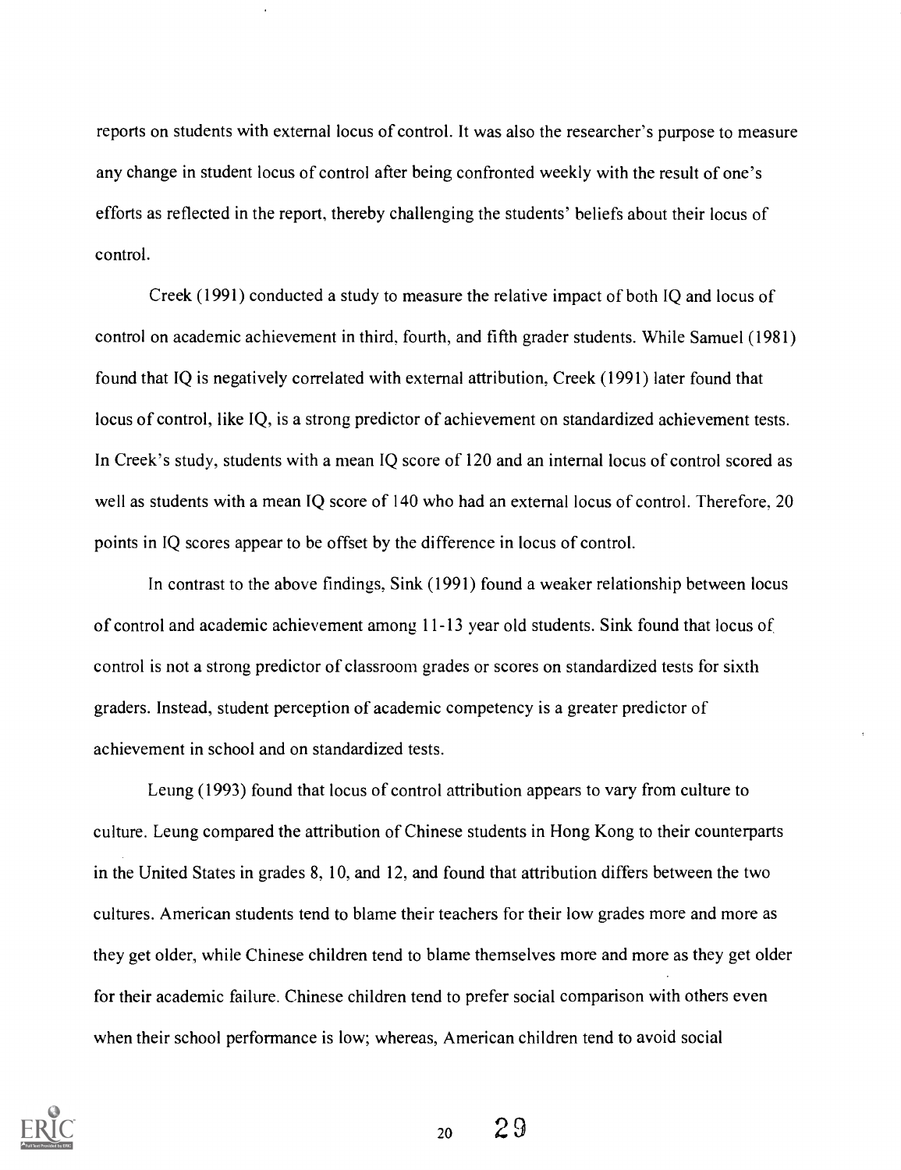reports on students with external locus of control. It was also the researcher's purpose to measure any change in student locus of control after being confronted weekly with the result of one's efforts as reflected in the report, thereby challenging the students' beliefs about their locus of control.

Creek (1991) conducted a study to measure the relative impact of both IQ and locus of control on academic achievement in third, fourth, and fifth grader students. While Samuel (1981) found that IQ is negatively correlated with external attribution, Creek (1991) later found that locus of control, like IQ, is a strong predictor of achievement on standardized achievement tests. In Creek's study, students with a mean IQ score of 120 and an internal locus of control scored as well as students with a mean IQ score of 140 who had an external locus of control. Therefore, 20 points in IQ scores appear to be offset by the difference in locus of control.

In contrast to the above findings, Sink (1991) found a weaker relationship between locus of control and academic achievement among 11-13 year old students. Sink found that locus of control is not a strong predictor of classroom grades or scores on standardized tests for sixth graders. Instead, student perception of academic competency is a greater predictor of achievement in school and on standardized tests.

Leung (1993) found that locus of control attribution appears to vary from culture to culture. Leung compared the attribution of Chinese students in Hong Kong to their counterparts in the United States in grades 8, 10, and 12, and found that attribution differs between the two cultures. American students tend to blame their teachers for their low grades more and more as they get older, while Chinese children tend to blame themselves more and more as they get older for their academic failure. Chinese children tend to prefer social comparison with others even when their school performance is low; whereas, American children tend to avoid social

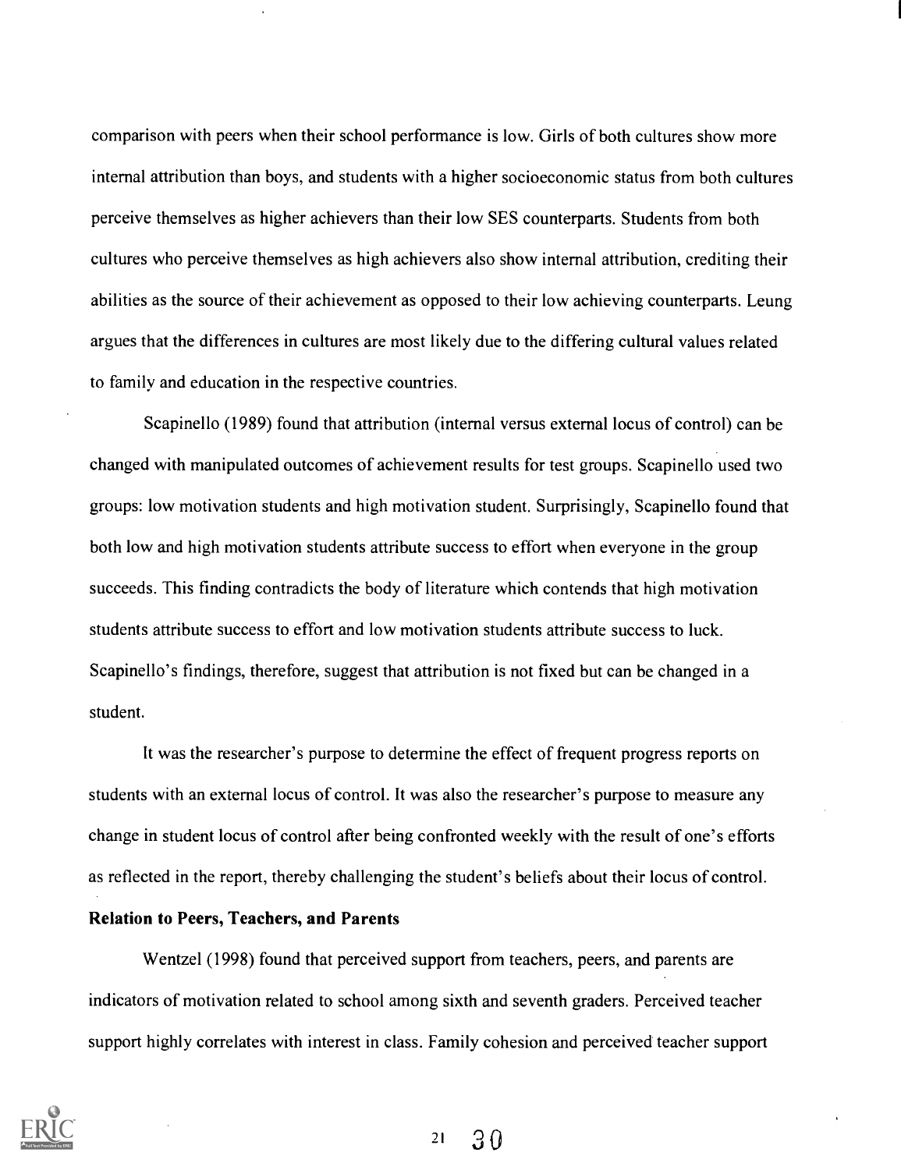comparison with peers when their school performance is low. Girls of both cultures show more internal attribution than boys, and students with a higher socioeconomic status from both cultures perceive themselves as higher achievers than their low SES counterparts. Students from both cultures who perceive themselves as high achievers also show internal attribution, crediting their abilities as the source of their achievement as opposed to their low achieving counterparts. Leung argues that the differences in cultures are most likely due to the differing cultural values related to family and education in the respective countries.

Scapinello (1989) found that attribution (internal versus external locus of control) can be changed with manipulated outcomes of achievement results for test groups. Scapinello used two groups: low motivation students and high motivation student. Surprisingly, Scapinello found that both low and high motivation students attribute success to effort when everyone in the group succeeds. This finding contradicts the body of literature which contends that high motivation students attribute success to effort and low motivation students attribute success to luck. Scapinello's findings, therefore, suggest that attribution is not fixed but can be changed in a student.

It was the researcher's purpose to determine the effect of frequent progress reports on students with an external locus of control. It was also the researcher's purpose to measure any change in student locus of control after being confronted weekly with the result of one's efforts as reflected in the report, thereby challenging the student's beliefs about their locus of control.

#### Relation to Peers, Teachers, and Parents

Wentzel (1998) found that perceived support from teachers, peers, and parents are indicators of motivation related to school among sixth and seventh graders. Perceived teacher support highly correlates with interest in class. Family cohesion and perceived teacher support



 $21 \quad 30$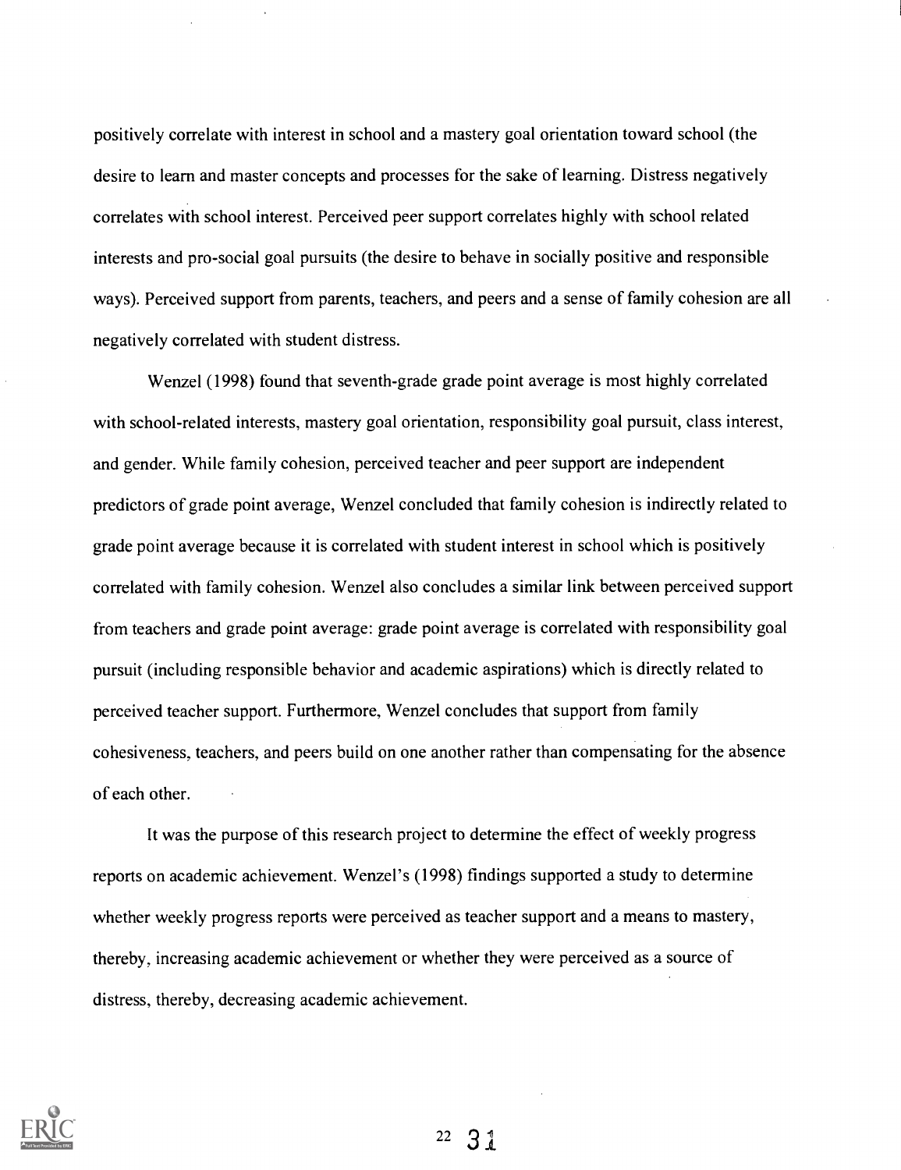positively correlate with interest in school and a mastery goal orientation toward school (the desire to learn and master concepts and processes for the sake of learning. Distress negatively correlates with school interest. Perceived peer support correlates highly with school related interests and pro-social goal pursuits (the desire to behave in socially positive and responsible ways). Perceived support from parents, teachers, and peers and a sense of family cohesion are all negatively correlated with student distress.

Wenzel (1998) found that seventh-grade grade point average is most highly correlated with school-related interests, mastery goal orientation, responsibility goal pursuit, class interest, and gender. While family cohesion, perceived teacher and peer support are independent predictors of grade point average, Wenzel concluded that family cohesion is indirectly related to grade point average because it is correlated with student interest in school which is positively correlated with family cohesion. Wenzel also concludes a similar link between perceived support from teachers and grade point average: grade point average is correlated with responsibility goal pursuit (including responsible behavior and academic aspirations) which is directly related to perceived teacher support. Furthermore, Wenzel concludes that support from family cohesiveness, teachers, and peers build on one another rather than compensating for the absence of each other.

It was the purpose of this research project to determine the effect of weekly progress reports on academic achievement. Wenzel's (1998) findings supported a study to determine whether weekly progress reports were perceived as teacher support and a means to mastery, thereby, increasing academic achievement or whether they were perceived as a source of distress, thereby, decreasing academic achievement.

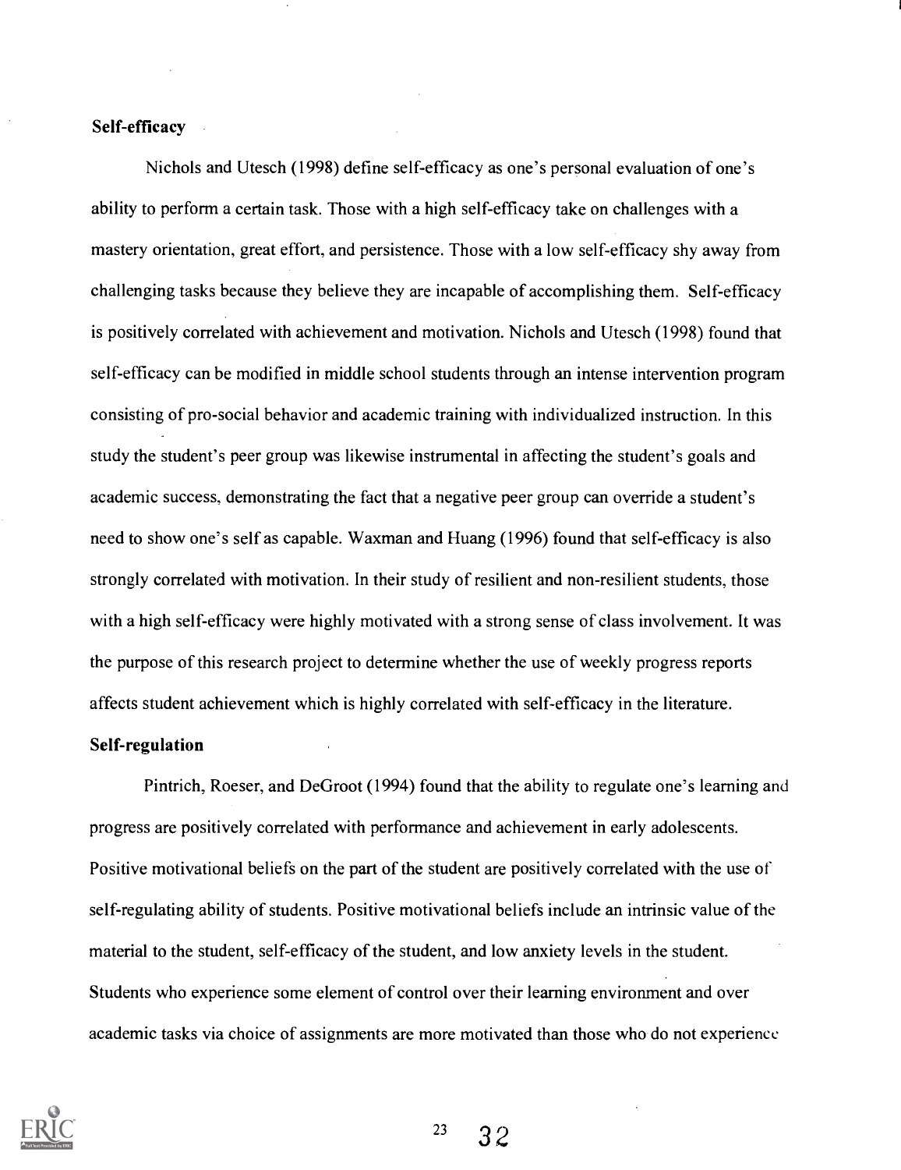## Self-efficacy

Nichols and Utesch (1998) define self-efficacy as one's personal evaluation of one's ability to perform a certain task. Those with a high self-efficacy take on challenges with a mastery orientation, great effort, and persistence. Those with a low self-efficacy shy away from challenging tasks because they believe they are incapable of accomplishing them. Self-efficacy is positively correlated with achievement and motivation. Nichols and Utesch (1998) found that self-efficacy can be modified in middle school students through an intense intervention program consisting of pro-social behavior and academic training with individualized instruction. In this study the student's peer group was likewise instrumental in affecting the student's goals and academic success, demonstrating the fact that a negative peer group can override a student's need to show one's self as capable. Waxman and Huang (1996) found that self-efficacy is also strongly correlated with motivation. In their study of resilient and non-resilient students, those with a high self-efficacy were highly motivated with a strong sense of class involvement. It was the purpose of this research project to determine whether the use of weekly progress reports affects student achievement which is highly correlated with self-efficacy in the literature.

### Self-regulation

Pintrich, Roeser, and DeGroot (1994) found that the ability to regulate one's learning and progress are positively correlated with performance and achievement in early adolescents. Positive motivational beliefs on the part of the student are positively correlated with the use of self-regulating ability of students. Positive motivational beliefs include an intrinsic value of the material to the student, self-efficacy of the student, and low anxiety levels in the student. Students who experience some element of control over their learning environment and over academic tasks via choice of assignments are more motivated than those who do not experience



 $23 \quad 32$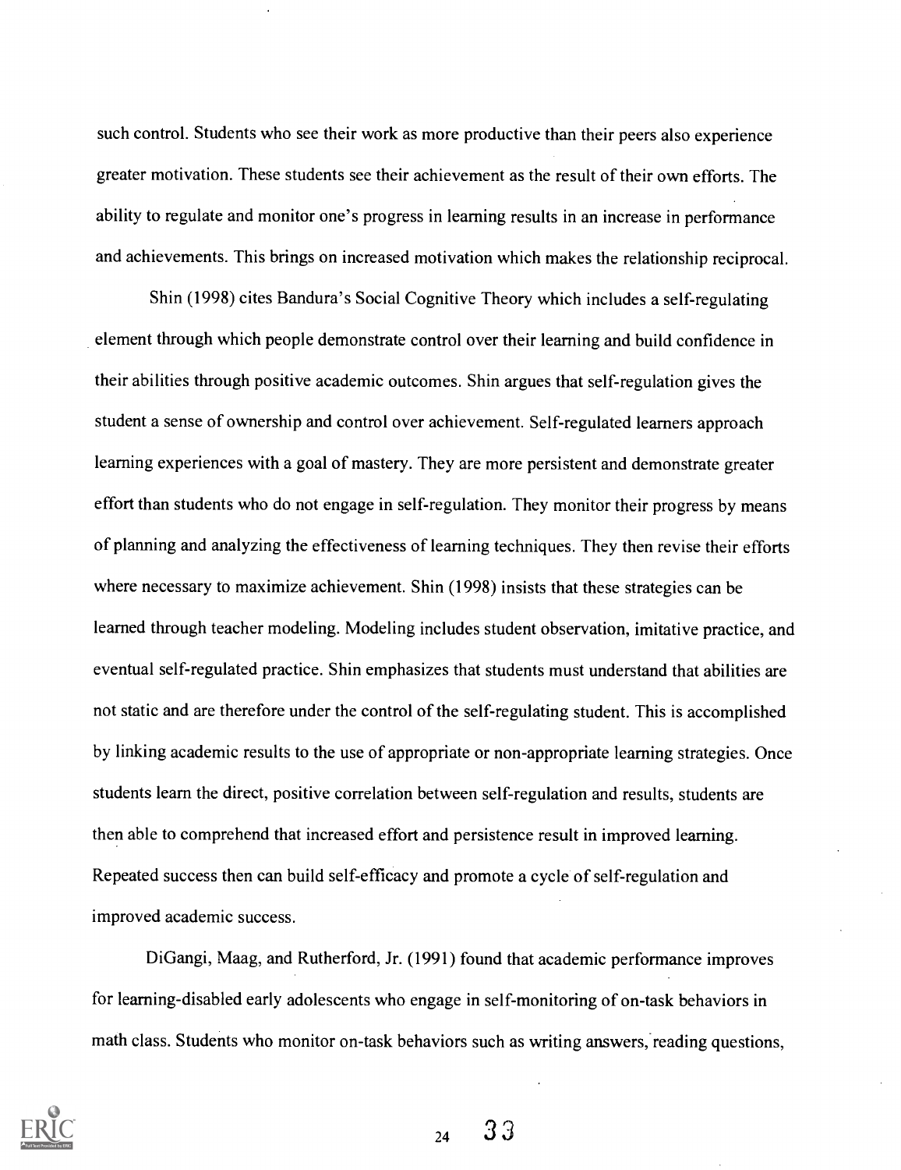such control. Students who see their work as more productive than their peers also experience greater motivation. These students see their achievement as the result of their own efforts. The ability to regulate and monitor one's progress in learning results in an increase in performance and achievements. This brings on increased motivation which makes the relationship reciprocal.

Shin (1998) cites Bandura's Social Cognitive Theory which includes a self-regulating element through which people demonstrate control over their learning and build confidence in their abilities through positive academic outcomes. Shin argues that self-regulation gives the student a sense of ownership and control over achievement. Self-regulated learners approach learning experiences with a goal of mastery. They are more persistent and demonstrate greater effort than students who do not engage in self-regulation. They monitor their progress by means of planning and analyzing the effectiveness of learning techniques. They then revise their efforts where necessary to maximize achievement. Shin (1998) insists that these strategies can be learned through teacher modeling. Modeling includes student observation, imitative practice, and eventual self-regulated practice. Shin emphasizes that students must understand that abilities are not static and are therefore under the control of the self-regulating student. This is accomplished by linking academic results to the use of appropriate or non-appropriate learning strategies. Once students learn the direct, positive correlation between self-regulation and results, students are then able to comprehend that increased effort and persistence result in improved learning. Repeated success then can build self-efficacy and promote a cycle of self-regulation and improved academic success.

DiGangi, Maag, and Rutherford, Jr. (1991) found that academic performance improves for learning-disabled early adolescents who engage in self-monitoring of on-task behaviors in math class. Students who monitor on-task behaviors such as writing answers, reading questions,



 $24 \quad 33$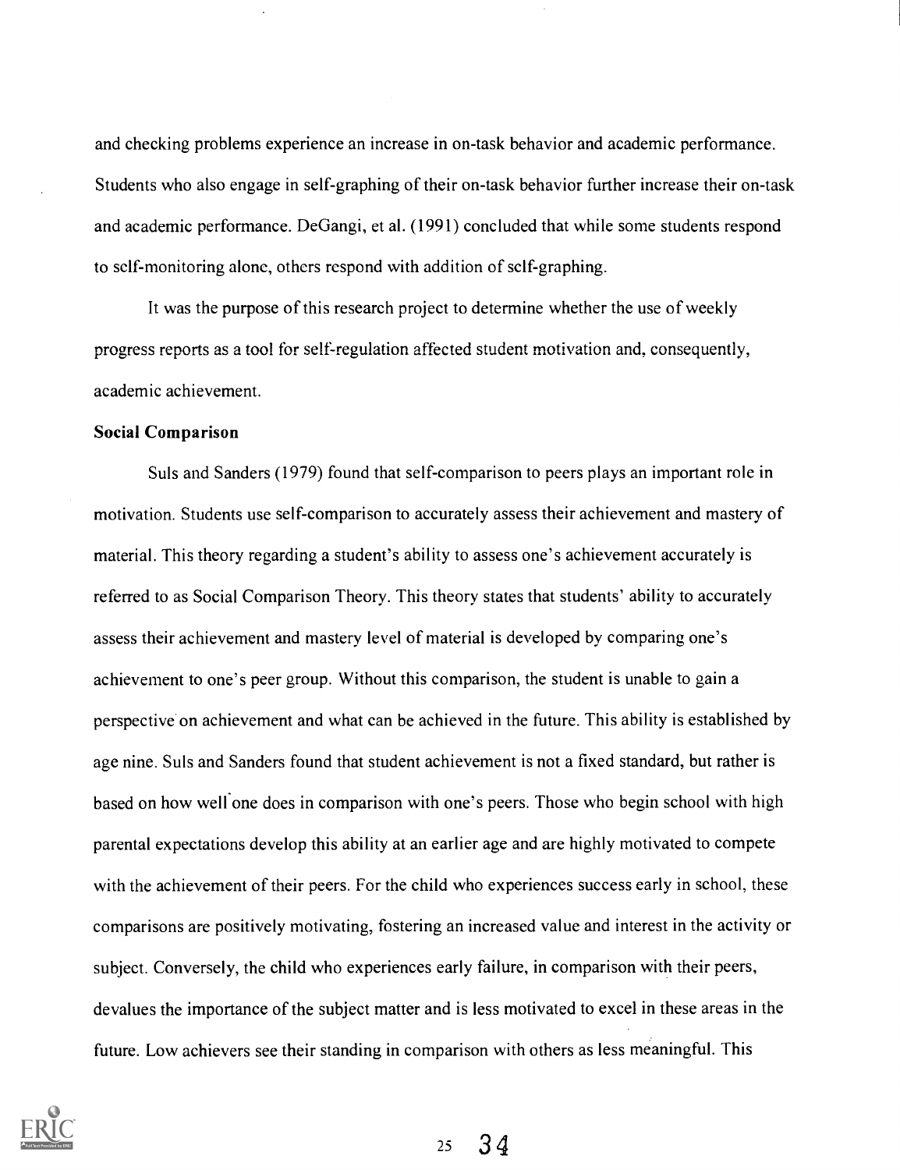and checking problems experience an increase in on-task behavior and academic performance. Students who also engage in self-graphing of their on-task behavior further increase their on-task and academic performance. DeGangi, et al. (1991) concluded that while some students respond to self-monitoring alone, others respond with addition of self-graphing.

It was the purpose of this research project to determine whether the use of weekly progress reports as a tool for self-regulation affected student motivation and, consequently, academic achievement.

### Social Comparison

Suls and Sanders (1979) found that self-comparison to peers plays an important role in motivation. Students use self-comparison to accurately assess their achievement and mastery of material. This theory regarding a student's ability to assess one's achievement accurately is referred to as Social Comparison Theory. This theory states that students' ability to accurately assess their achievement and mastery level of material is developed by comparing one's achievement to one's peer group. Without this comparison, the student is unable to gain a perspective on achievement and what can be achieved in the future. This ability is established by age nine. Suls and Sanders found that student achievement is not a fixed standard, but rather is based on how well one does in comparison with one's peers. Those who begin school with high parental expectations develop this ability at an earlier age and are highly motivated to compete with the achievement of their peers. For the child who experiences success early in school, these comparisons are positively motivating, fostering an increased value and interest in the activity or subject. Conversely, the child who experiences early failure, in comparison with their peers, devalues the importance of the subject matter and is less motivated to excel in these areas in the future. Low achievers see their standing in comparison with others as less meaningful. This

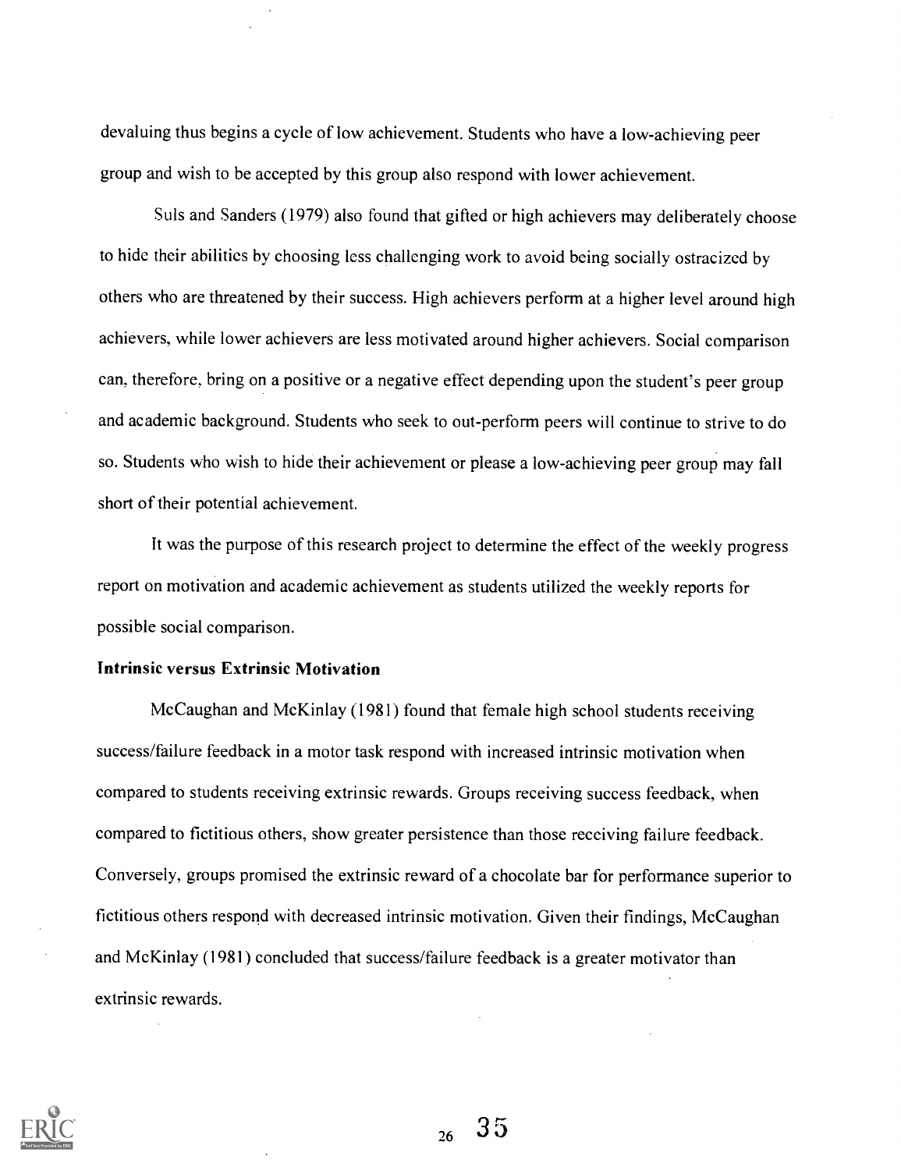devaluing thus begins a cycle of low achievement. Students who have a low-achieving peer group and wish to be accepted by this group also respond with lower achievement.

Suls and Sanders (1979) also found that gifted or high achievers may deliberately choose to hide their abilities by choosing less challenging work to avoid being socially ostracized by others who are threatened by their success. High achievers perform at a higher level around high achievers, while lower achievers are less motivated around higher achievers. Social comparison can, therefore, bring on a positive or a negative effect depending upon the student's peer group and academic background. Students who seek to out-perform peers will continue to strive to do so. Students who wish to hide their achievement or please a low-achieving peer group may fall short of their potential achievement.

It was the purpose of this research project to determine the effect of the weekly progress report on motivation and academic achievement as students utilized the weekly reports for possible social comparison.

#### Intrinsic versus Extrinsic Motivation

McCaughan and McKinlay (1981) found that female high school students receiving success/failure feedback in a motor task respond with increased intrinsic motivation when compared to students receiving extrinsic rewards. Groups receiving success feedback, when compared to fictitious others, show greater persistence than those receiving failure feedback. Conversely, groups promised the extrinsic reward of a chocolate bar for performance superior to fictitious others respond with decreased intrinsic motivation. Given their findings, McCaughan and McKinlay (1981) concluded that success/failure feedback is a greater motivator than extrinsic rewards.



 $_{26}$  35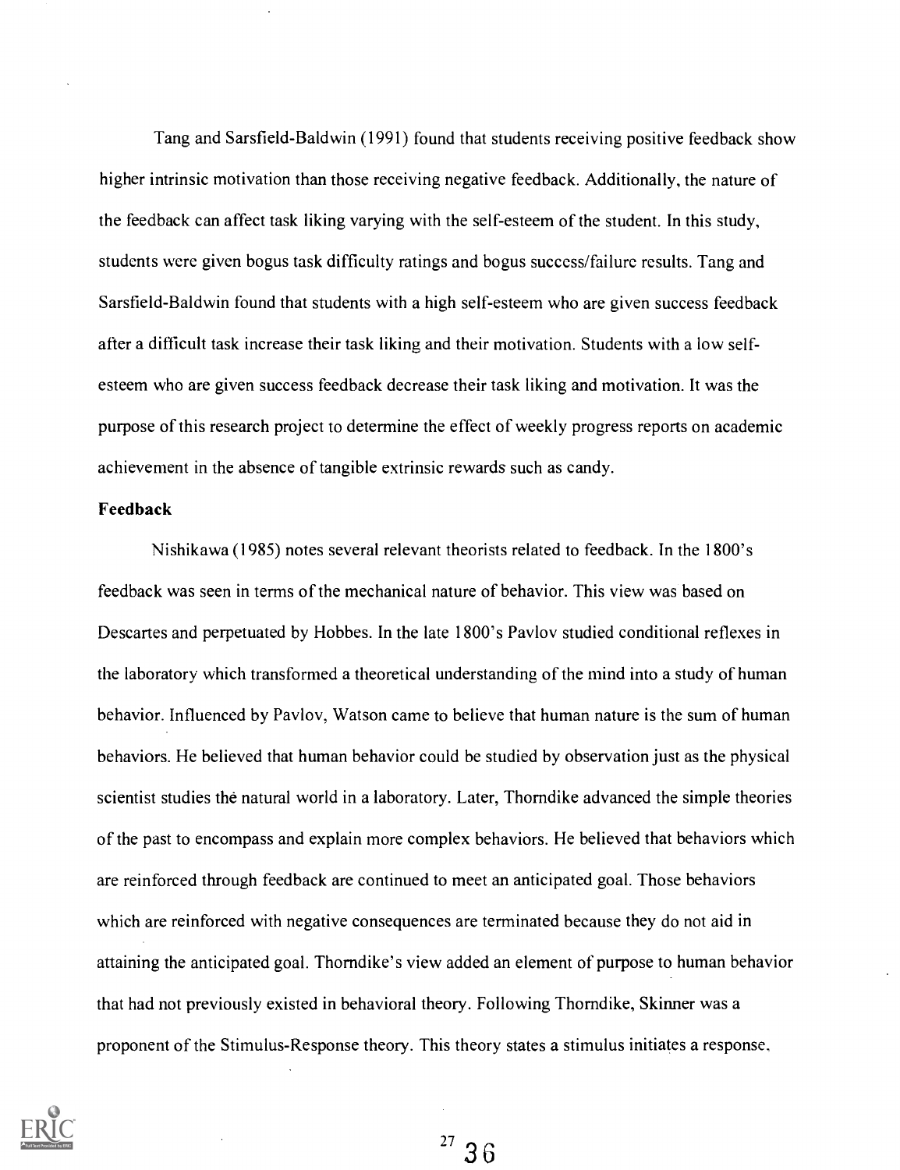Tang and Sarsfield-Baldwin (1991) found that students receiving positive feedback show higher intrinsic motivation than those receiving negative feedback. Additionally, the nature of the feedback can affect task liking varying with the self-esteem of the student. In this study, students were given bogus task difficulty ratings and bogus success/failure results. Tang and Sarsfield-Baldwin found that students with a high self-esteem who are given success feedback after a difficult task increase their task liking and their motivation. Students with a low selfesteem who are given success feedback decrease their task liking and motivation. It was the purpose of this research project to determine the effect of weekly progress reports on academic achievement in the absence of tangible extrinsic rewards such as candy.

#### Feedback

Nishikawa (1985) notes several relevant theorists related to feedback. In the 1800's feedback was seen in terms of the mechanical nature of behavior. This view was based on Descartes and perpetuated by Hobbes. In the late 1800's Pavlov studied conditional reflexes in the laboratory which transformed a theoretical understanding of the mind into a study of human behavior. Influenced by Pavlov, Watson came to believe that human nature is the sum of human behaviors. He believed that human behavior could be studied by observation just as the physical scientist studies the natural world in a laboratory. Later, Thorndike advanced the simple theories of the past to encompass and explain more complex behaviors. He believed that behaviors which are reinforced through feedback are continued to meet an anticipated goal. Those behaviors which are reinforced with negative consequences are terminated because they do not aid in attaining the anticipated goal. Thorndike's view added an element of purpose to human behavior that had not previously existed in behavioral theory. Following Thorndike, Skinner was a proponent of the Stimulus-Response theory. This theory states a stimulus initiates a response,



 $^{27}$  36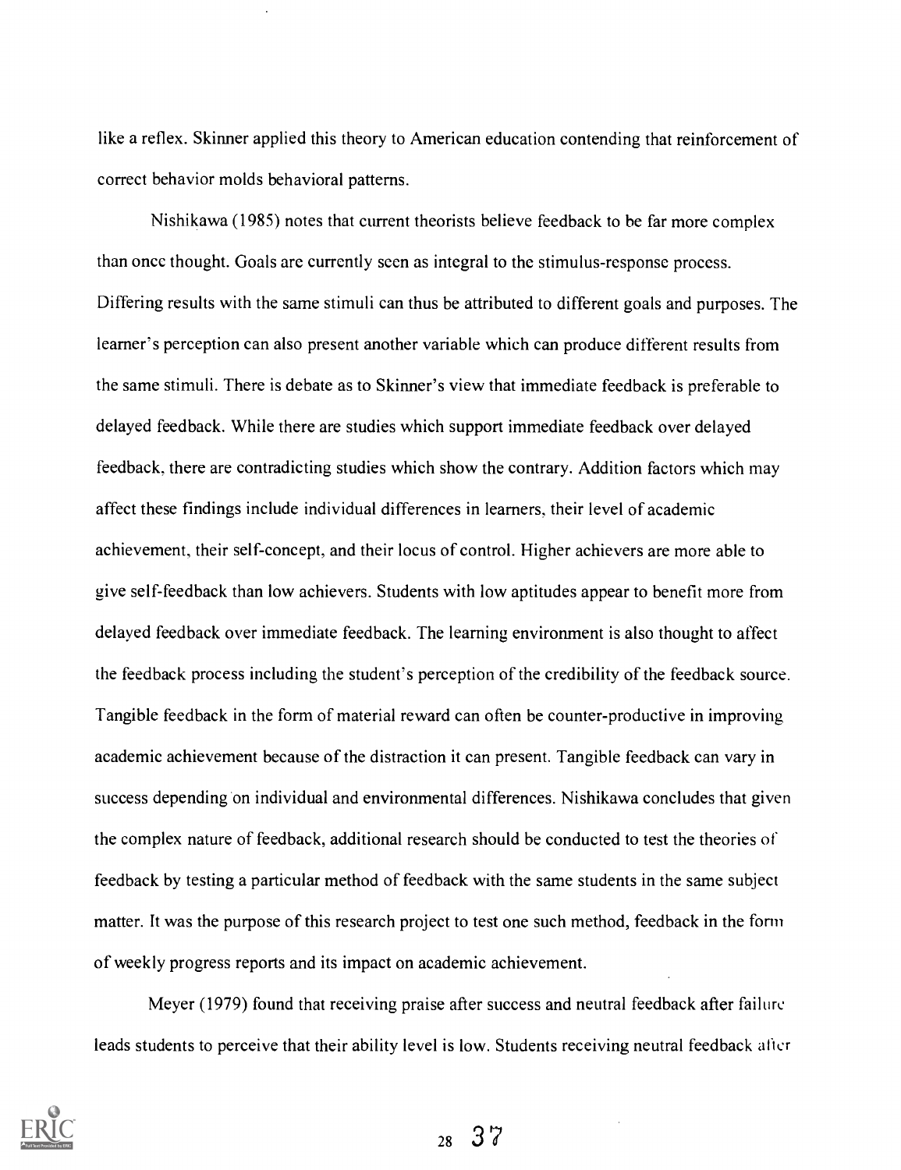like a reflex. Skinner applied this theory to American education contending that reinforcement of correct behavior molds behavioral patterns.

Nishikawa (1985) notes that current theorists believe feedback to be far more complex than once thought. Goals arc currently seen as integral to the stimulus-response process. Differing results with the same stimuli can thus be attributed to different goals and purposes. The learner's perception can also present another variable which can produce different results from the same stimuli. There is debate as to Skinner's view that immediate feedback is preferable to delayed feedback. While there are studies which support immediate feedback over delayed feedback, there are contradicting studies which show the contrary. Addition factors which may affect these findings include individual differences in learners, their level of academic achievement, their self-concept, and their locus of control. Higher achievers are more able to give self-feedback than low achievers. Students with low aptitudes appear to benefit more from delayed feedback over immediate feedback. The learning environment is also thought to affect the feedback process including the student's perception of the credibility of the feedback source. Tangible feedback in the form of material reward can often be counter-productive in improving academic achievement because of the distraction it can present. Tangible feedback can vary in success depending on individual and environmental differences. Nishikawa concludes that given the complex nature of feedback, additional research should be conducted to test the theories of feedback by testing a particular method of feedback with the same students in the same subject matter. It was the purpose of this research project to test one such method, feedback in the form of weekly progress reports and its impact on academic achievement.

Meyer (1979) found that receiving praise after success and neutral feedback after failure leads students to perceive that their ability level is low. Students receiving neutral feedback alter



 $28 \t37$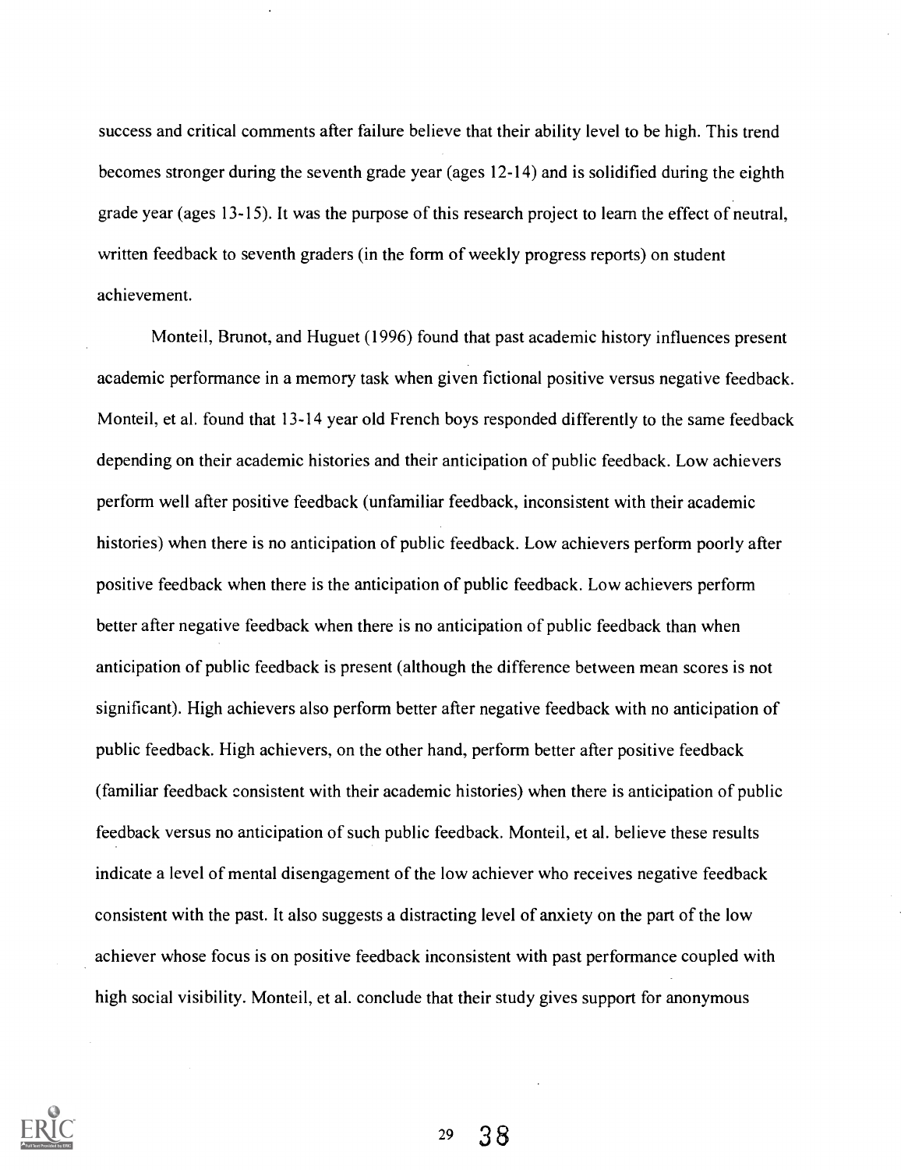success and critical comments after failure believe that their ability level to be high. This trend becomes stronger during the seventh grade year (ages 12-14) and is solidified during the eighth grade year (ages 13-15). It was the purpose of this research project to learn the effect of neutral, written feedback to seventh graders (in the form of weekly progress reports) on student achievement.

Monteil, Brunot, and Huguet (1996) found that past academic history influences present academic performance in a memory task when given fictional positive versus negative feedback. Monteil, et al. found that 13-14 year old French boys responded differently to the same feedback depending on their academic histories and their anticipation of public feedback. Low achievers perform well after positive feedback (unfamiliar feedback, inconsistent with their academic histories) when there is no anticipation of public feedback. Low achievers perform poorly after positive feedback when there is the anticipation of public feedback. Low achievers perform better after negative feedback when there is no anticipation of public feedback than when anticipation of public feedback is present (although the difference between mean scores is not significant). High achievers also perform better after negative feedback with no anticipation of public feedback. High achievers, on the other hand, perform better after positive feedback (familiar feedback consistent with their academic histories) when there is anticipation of public feedback versus no anticipation of such public feedback. Monteil, et al. believe these results indicate a level of mental disengagement of the low achiever who receives negative feedback consistent with the past. It also suggests a distracting level of anxiety on the part of the low achiever whose focus is on positive feedback inconsistent with past performance coupled with high social visibility. Monteil, et al. conclude that their study gives support for anonymous

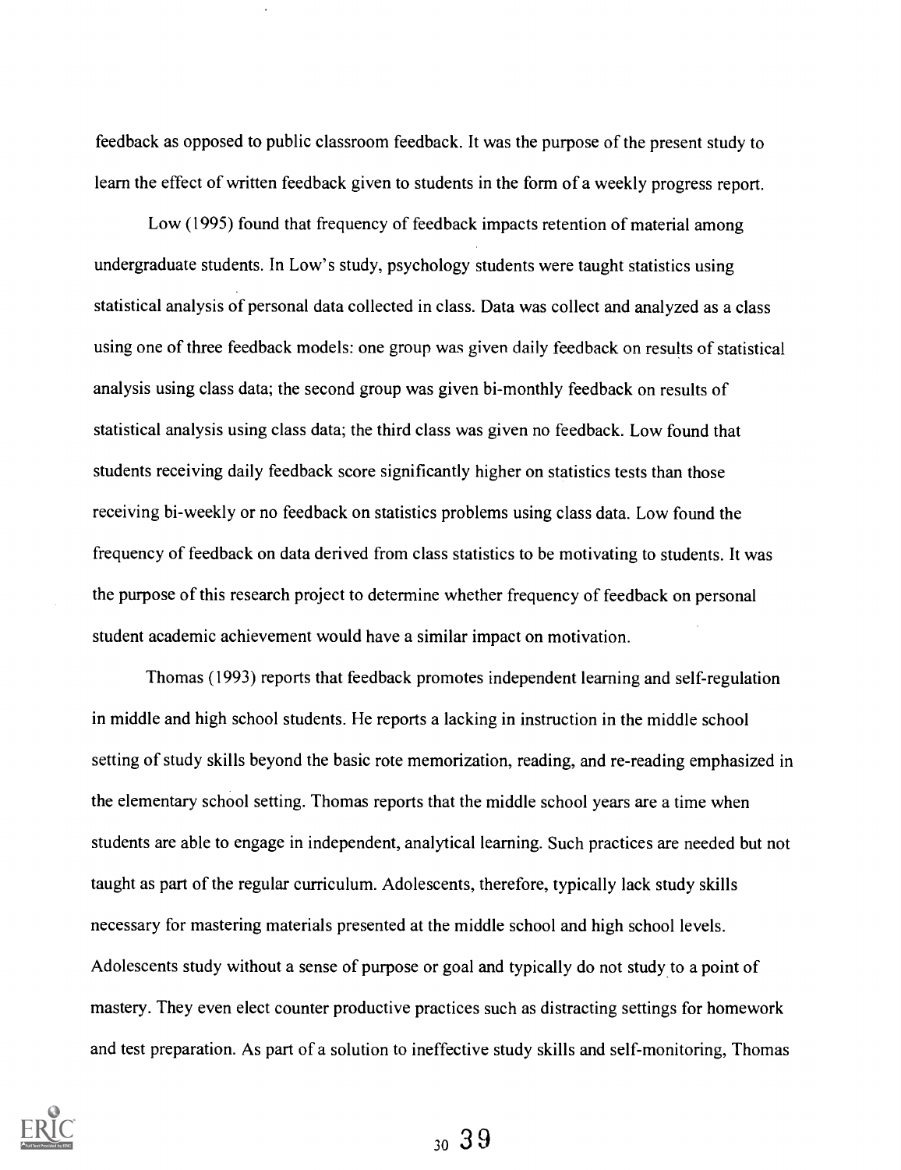feedback as opposed to public classroom feedback. It was the purpose of the present study to learn the effect of written feedback given to students in the form of a weekly progress report.

Low (1995) found that frequency of feedback impacts retention of material among undergraduate students. In Low's study, psychology students were taught statistics using statistical analysis of personal data collected in class. Data was collect and analyzed as a class using one of three feedback models: one group was given daily feedback on results of statistical analysis using class data; the second group was given bi-monthly feedback on results of statistical analysis using class data; the third class was given no feedback. Low found that students receiving daily feedback score significantly higher on statistics tests than those receiving bi-weekly or no feedback on statistics problems using class data. Low found the frequency of feedback on data derived from class statistics to be motivating to students. It was the purpose of this research project to determine whether frequency of feedback on personal student academic achievement would have a similar impact on motivation.

Thomas (1993) reports that feedback promotes independent learning and self-regulation in middle and high school students. He reports a lacking in instruction in the middle school setting of study skills beyond the basic rote memorization, reading, and re-reading emphasized in the elementary school setting. Thomas reports that the middle school years are a time when students are able to engage in independent, analytical learning. Such practices are needed but not taught as part of the regular curriculum. Adolescents, therefore, typically lack study skills necessary for mastering materials presented at the middle school and high school levels. Adolescents study without a sense of purpose or goal and typically do not study to a point of mastery. They even elect counter productive practices such as distracting settings for homework and test preparation. As part of a solution to ineffective study skills and self-monitoring, Thomas

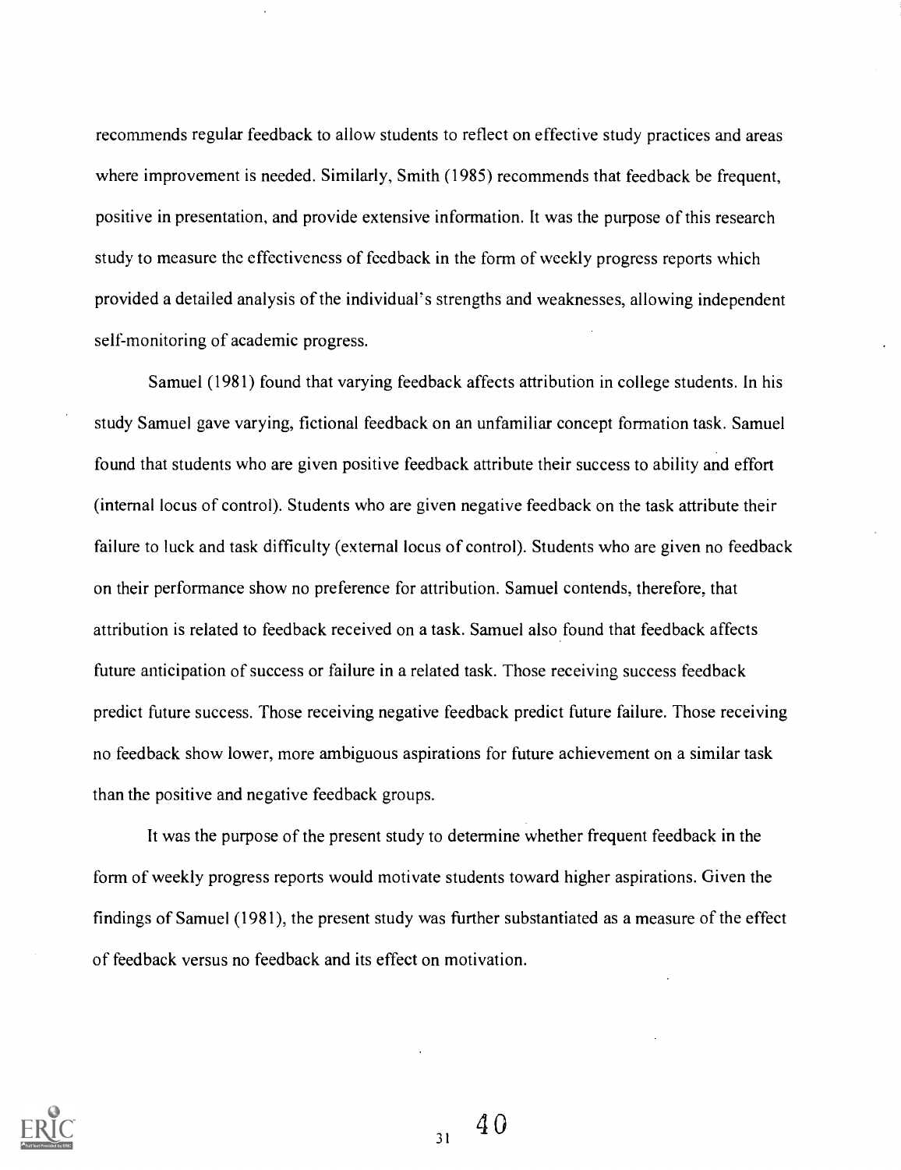recommends regular feedback to allow students to reflect on effective study practices and areas where improvement is needed. Similarly, Smith (1985) recommends that feedback be frequent, positive in presentation, and provide extensive information. It was the purpose of this research study to measure the effectiveness of feedback in the form of weekly progress reports which provided a detailed analysis of the individual's strengths and weaknesses, allowing independent self-monitoring of academic progress.

Samuel (1981) found that varying feedback affects attribution in college students. In his study Samuel gave varying, fictional feedback on an unfamiliar concept formation task. Samuel found that students who are given positive feedback attribute their success to ability and effort (internal locus of control). Students who are given negative feedback on the task attribute their failure to luck and task difficulty (external locus of control). Students who are given no feedback on their performance show no preference for attribution. Samuel contends, therefore, that attribution is related to feedback received on a task. Samuel also found that feedback affects future anticipation of success or failure in a related task. Those receiving success feedback predict future success. Those receiving negative feedback predict future failure. Those receiving no feedback show lower, more ambiguous aspirations for future achievement on a similar task than the positive and negative feedback groups.

It was the purpose of the present study to determine whether frequent feedback in the form of weekly progress reports would motivate students toward higher aspirations. Given the findings of Samuel (1981), the present study was further substantiated as a measure of the effect of feedback versus no feedback and its effect on motivation.

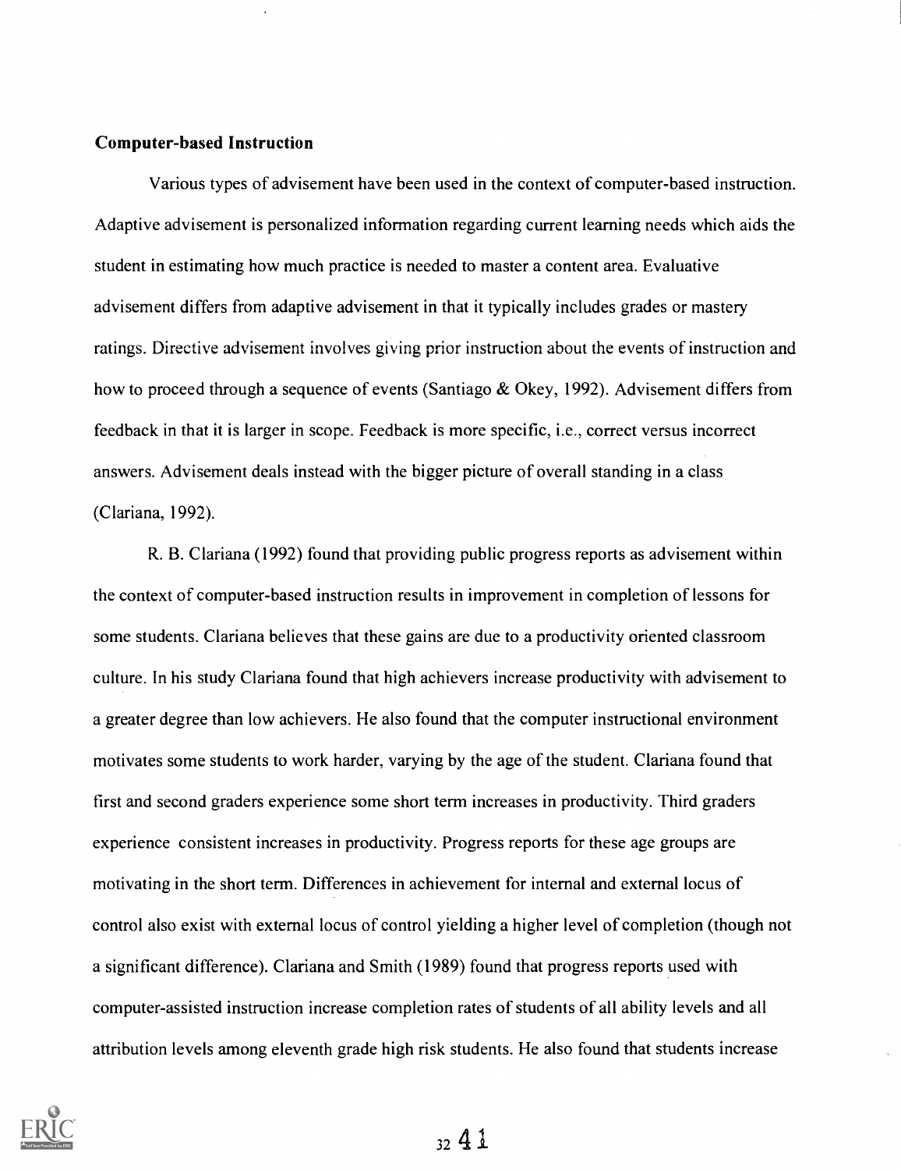### Computer-based Instruction

Various types of advisement have been used in the context of computer-based instruction. Adaptive advisement is personalized information regarding current learning needs which aids the student in estimating how much practice is needed to master a content area. Evaluative advisement differs from adaptive advisement in that it typically includes grades or mastery ratings. Directive advisement involves giving prior instruction about the events of instruction and how to proceed through a sequence of events (Santiago & Okey, 1992). Advisement differs from feedback in that it is larger in scope. Feedback is more specific, i.e., correct versus incorrect answers. Advisement deals instead with the bigger picture of overall standing in a class (Clariana, 1992).

R. B. Clariana (1992) found that providing public progress reports as advisement within the context of computer-based instruction results in improvement in completion of lessons for some students. Clariana believes that these gains are due to a productivity oriented classroom culture. In his study Clariana found that high achievers increase productivity with advisement to a greater degree than low achievers. He also found that the computer instructional environment motivates some students to work harder, varying by the age of the student. Clariana found that first and second graders experience some short term increases in productivity. Third graders experience consistent increases in productivity. Progress reports for these age groups are motivating in the short term. Differences in achievement for internal and external locus of control also exist with external locus of control yielding a higher level of completion (though not a significant difference). Clariana and Smith (1989) found that progress reports used with computer-assisted instruction increase completion rates of students of all ability levels and all attribution levels among eleventh grade high risk students. He also found that students increase

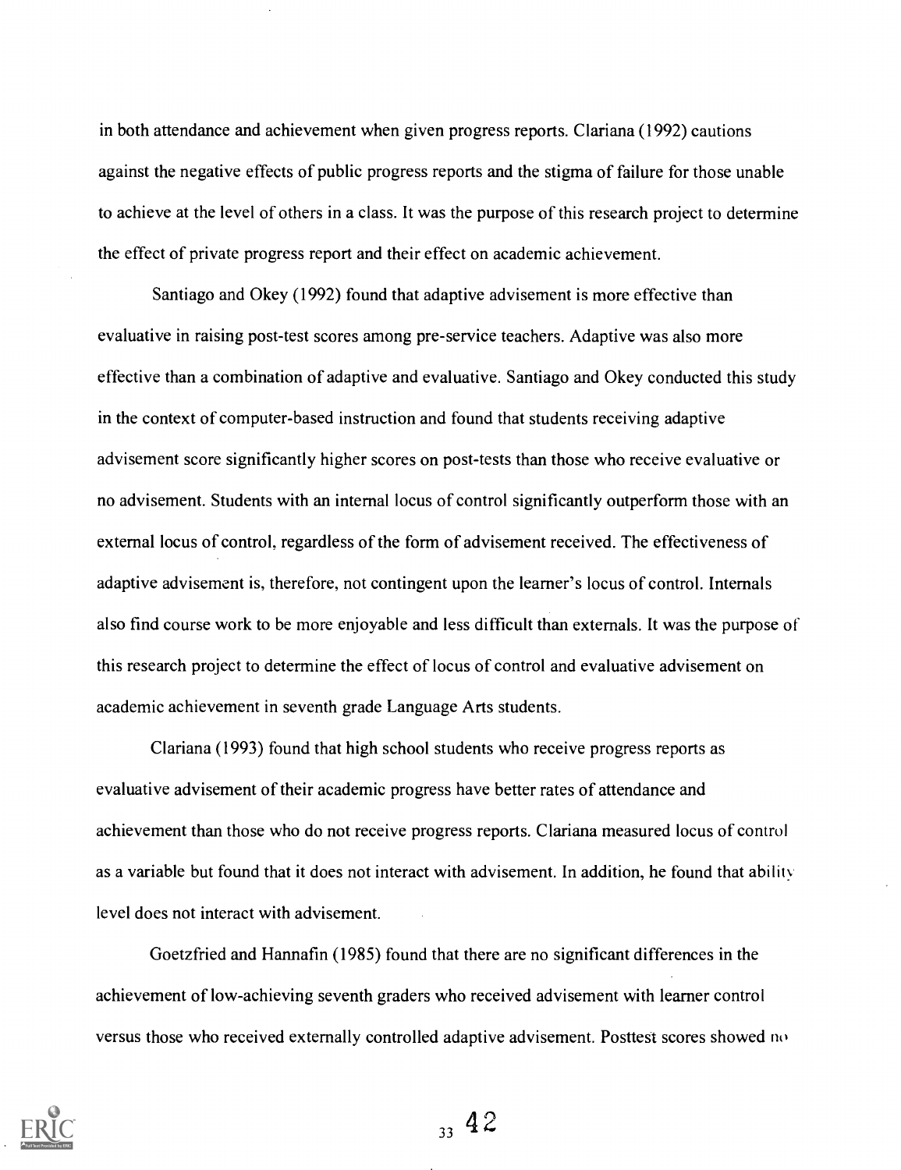in both attendance and achievement when given progress reports. Clariana (1992) cautions against the negative effects of public progress reports and the stigma of failure for those unable to achieve at the level of others in a class. It was the purpose of this research project to determine the effect of private progress report and their effect on academic achievement.

Santiago and Okey (1992) found that adaptive advisement is more effective than evaluative in raising post-test scores among pre-service teachers. Adaptive was also more effective than a combination of adaptive and evaluative. Santiago and Okey conducted this study in the context of computer-based instruction and found that students receiving adaptive advisement score significantly higher scores on post-tests than those who receive evaluative or no advisement. Students with an internal locus of control significantly outperform those with an external locus of control, regardless of the form of advisement received. The effectiveness of adaptive advisement is, therefore, not contingent upon the learner's locus of control. Internals also find course work to be more enjoyable and less difficult than externals. It was the purpose of this research project to determine the effect of locus of control and evaluative advisement on academic achievement in seventh grade Language Arts students.

Clariana (1993) found that high school students who receive progress reports as evaluative advisement of their academic progress have better rates of attendance and achievement than those who do not receive progress reports. Clariana measured locus of control as a variable but found that it does not interact with advisement. In addition, he found that ability level does not interact with advisement.

Goetzfried and Hannafin (1985) found that there are no significant differences in the achievement of low-achieving seventh graders who received advisement with learner control versus those who received externally controlled adaptive advisement. Posttest scores showed no

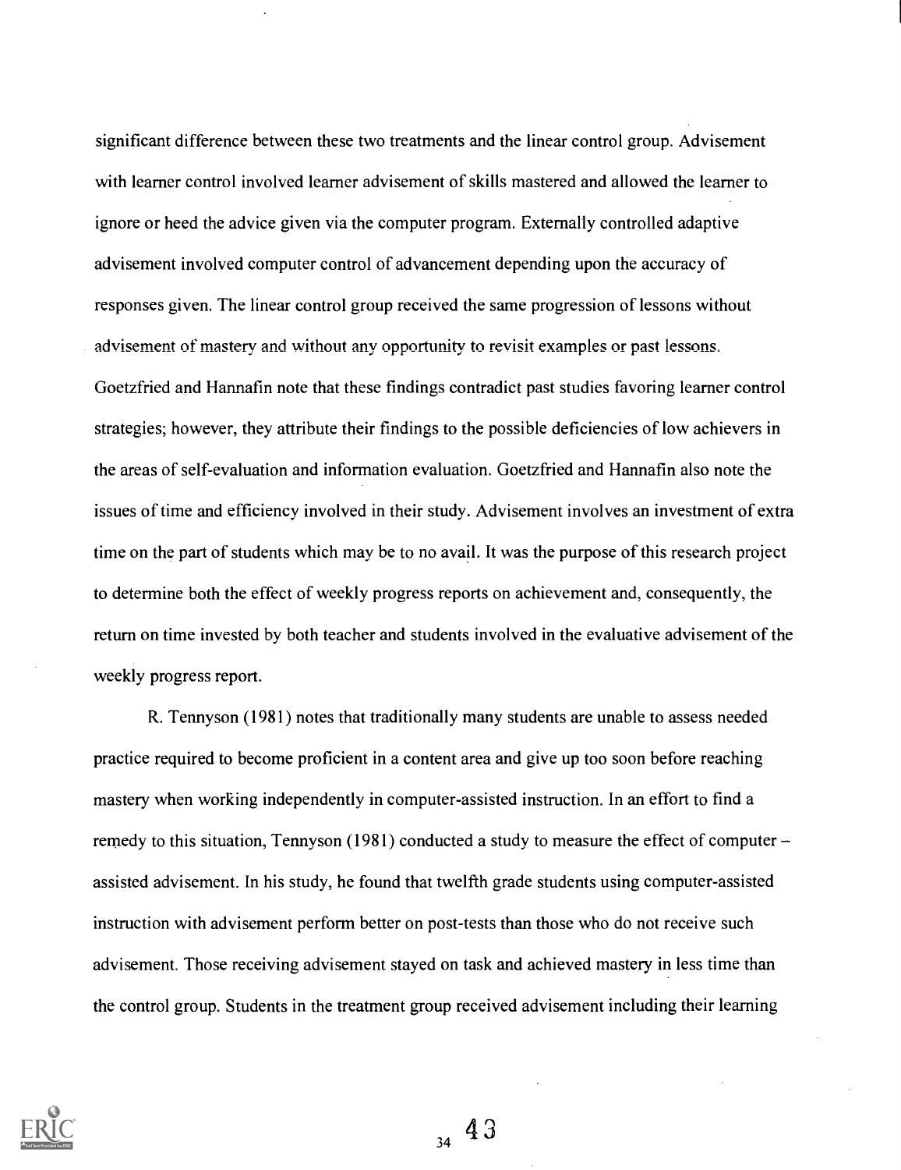significant difference between these two treatments and the linear control group. Advisement with learner control involved learner advisement of skills mastered and allowed the learner to ignore or heed the advice given via the computer program. Externally controlled adaptive advisement involved computer control of advancement depending upon the accuracy of responses given. The linear control group received the same progression of lessons without advisement of mastery and without any opportunity to revisit examples or past lessons. Goetzfried and Hannafin note that these findings contradict past studies favoring learner control strategies; however, they attribute their findings to the possible deficiencies of low achievers in the areas of self-evaluation and information evaluation. Goetzfried and Hannafin also note the issues of time and efficiency involved in their study. Advisement involves an investment of extra time on the part of students which may be to no avail. It was the purpose of this research project to determine both the effect of weekly progress reports on achievement and, consequently, the return on time invested by both teacher and students involved in the evaluative advisement of the weekly progress report.

R. Tennyson (1981) notes that traditionally many students are unable to assess needed practice required to become proficient in a content area and give up too soon before reaching mastery when working independently in computer-assisted instruction. In an effort to find a remedy to this situation, Tennyson (1981) conducted a study to measure the effect of computer assisted advisement. In his study, he found that twelfth grade students using computer-assisted instruction with advisement perform better on post-tests than those who do not receive such advisement. Those receiving advisement stayed on task and achieved mastery in less time than the control group. Students in the treatment group received advisement including their learning



 $34\,9$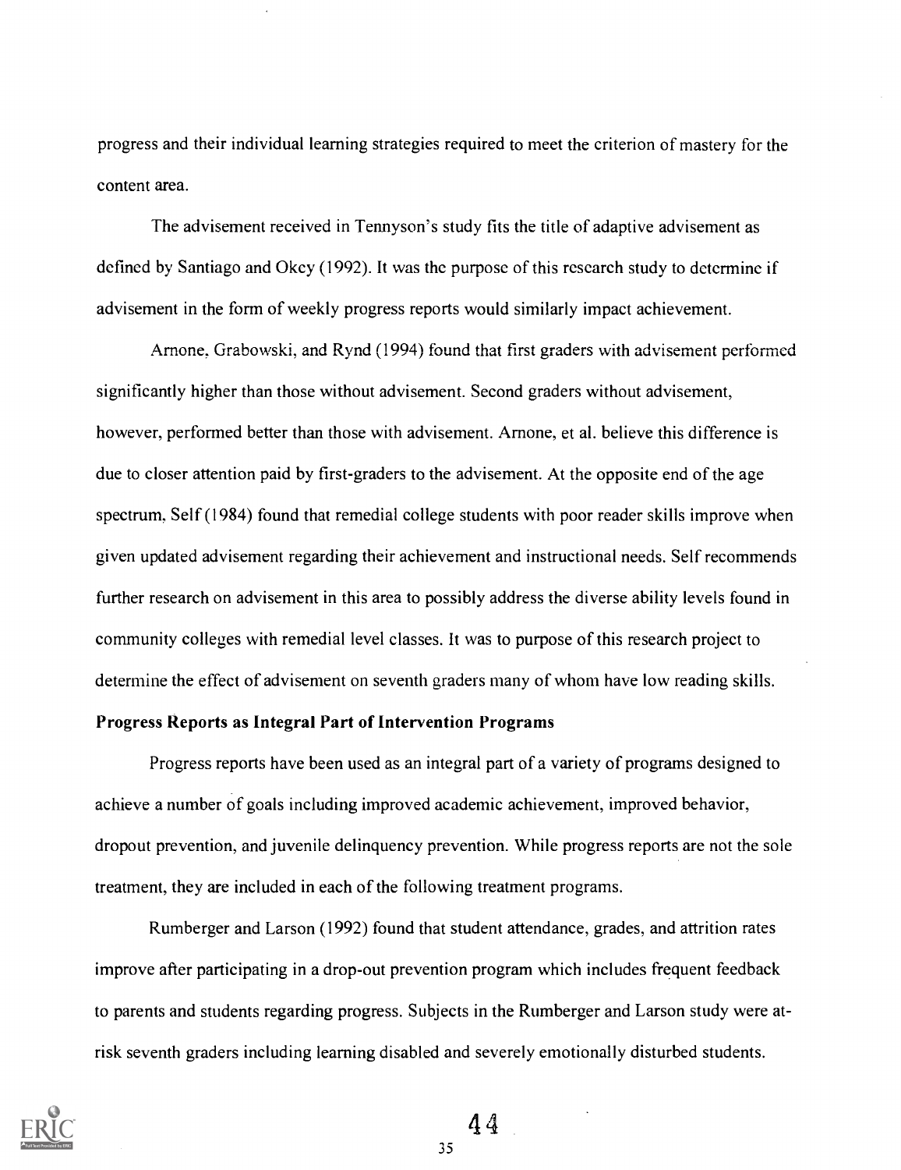progress and their individual learning strategies required to meet the criterion of mastery for the content area.

The advisement received in Tennyson's study fits the title of adaptive advisement as defined by Santiago and Okey (1992). It was the purpose of this research study to determine if advisement in the form of weekly progress reports would similarly impact achievement.

Arnone. Grabowski, and Rynd (1994) found that first graders with advisement performed significantly higher than those without advisement. Second graders without advisement, however, performed better than those with advisement. Arnone, et al. believe this difference is due to closer attention paid by first-graders to the advisement. At the opposite end of the age spectrum, Self (1984) found that remedial college students with poor reader skills improve when given updated advisement regarding their achievement and instructional needs. Self recommends further research on advisement in this area to possibly address the diverse ability levels found in community colleges with remedial level classes. It was to purpose of this research project to determine the effect of advisement on seventh graders many of whom have low reading skills.

# Progress Reports as Integral Part of Intervention Programs

Progress reports have been used as an integral part of a variety of programs designed to achieve a number of goals including improved academic achievement, improved behavior, dropout prevention, and juvenile delinquency prevention. While progress reports are not the sole treatment, they are included in each of the following treatment programs.

Rumberger and Larson (1992) found that student attendance, grades, and attrition rates improve after participating in a drop-out prevention program which includes frequent feedback to parents and students regarding progress. Subjects in the Rumberger and Larson study were atrisk seventh graders including learning disabled and severely emotionally disturbed students.

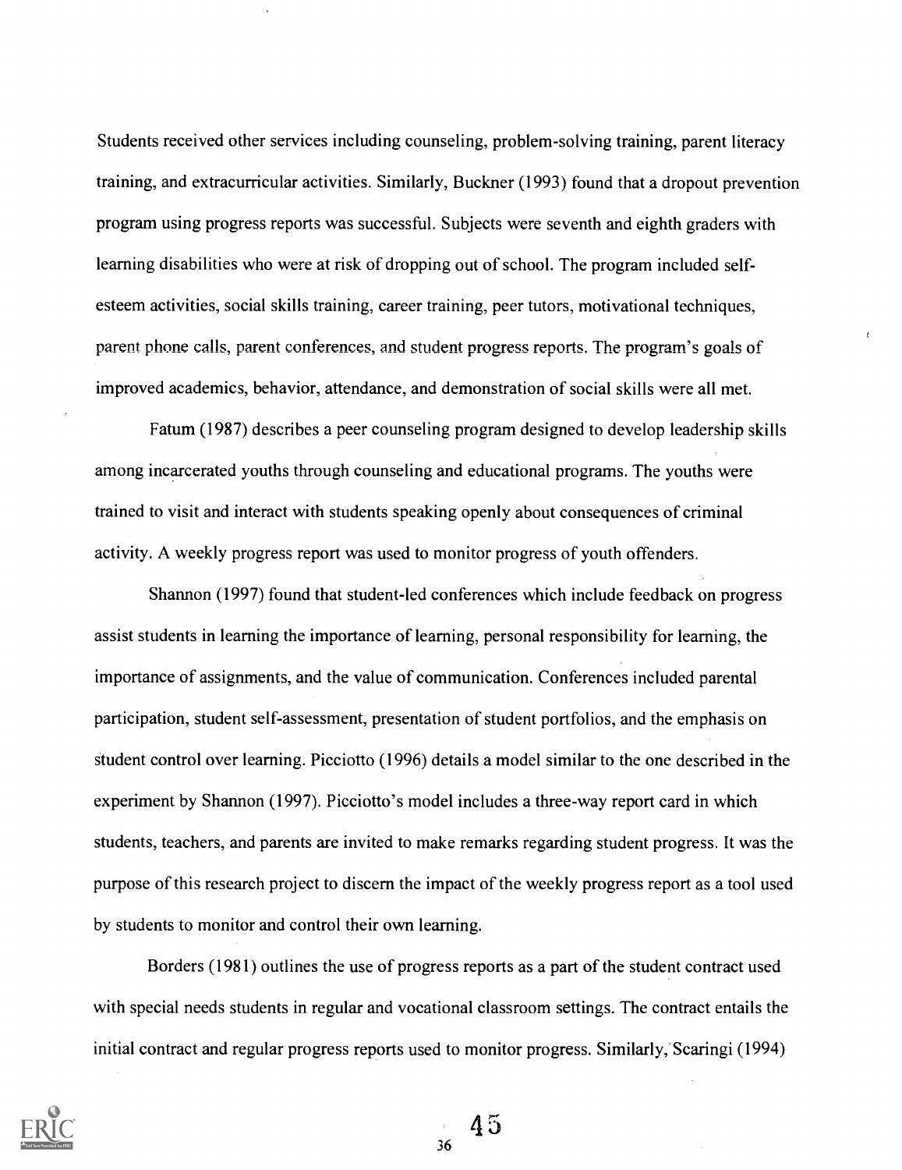Students received other services including counseling, problem-solving training, parent literacy training, and extracurricular activities. Similarly, Buckner (1993) found that a dropout prevention program using progress reports was successful. Subjects were seventh and eighth graders with learning disabilities who were at risk of dropping out of school. The program included selfesteem activities, social skills training, career training, peer tutors, motivational techniques, parent phone calls, parent conferences, and student progress reports. The program's goals of improved academics, behavior, attendance, and demonstration of social skills were all met.

Fatum (1987) describes a peer counseling program designed to develop leadership skills among incarcerated youths through counseling and educational programs. The youths were trained to visit and interact with students speaking openly about consequences of criminal activity. A weekly progress report was used to monitor progress of youth offenders.

Shannon (1997) found that student-led conferences which include feedback on progress assist students in learning the importance of learning, personal responsibility for learning, the importance of assignments, and the value of communication. Conferences included parental participation, student self-assessment, presentation of student portfolios, and the emphasis on student control over learning. Picciotto (1996) details a model similar to the one described in the experiment by Shannon (1997). Picciotto's model includes a three-way report card in which students, teachers, and parents are invited to make remarks regarding student progress. It was the purpose of this research project to discern the impact of the weekly progress report as a tool used by students to monitor and control their own learning.

Borders (1981) outlines the use of progress reports as a part of the student contract used with special needs students in regular and vocational classroom settings. The contract entails the initial contract and regular progress reports used to monitor progress. Similarly, Scaringi (1994)

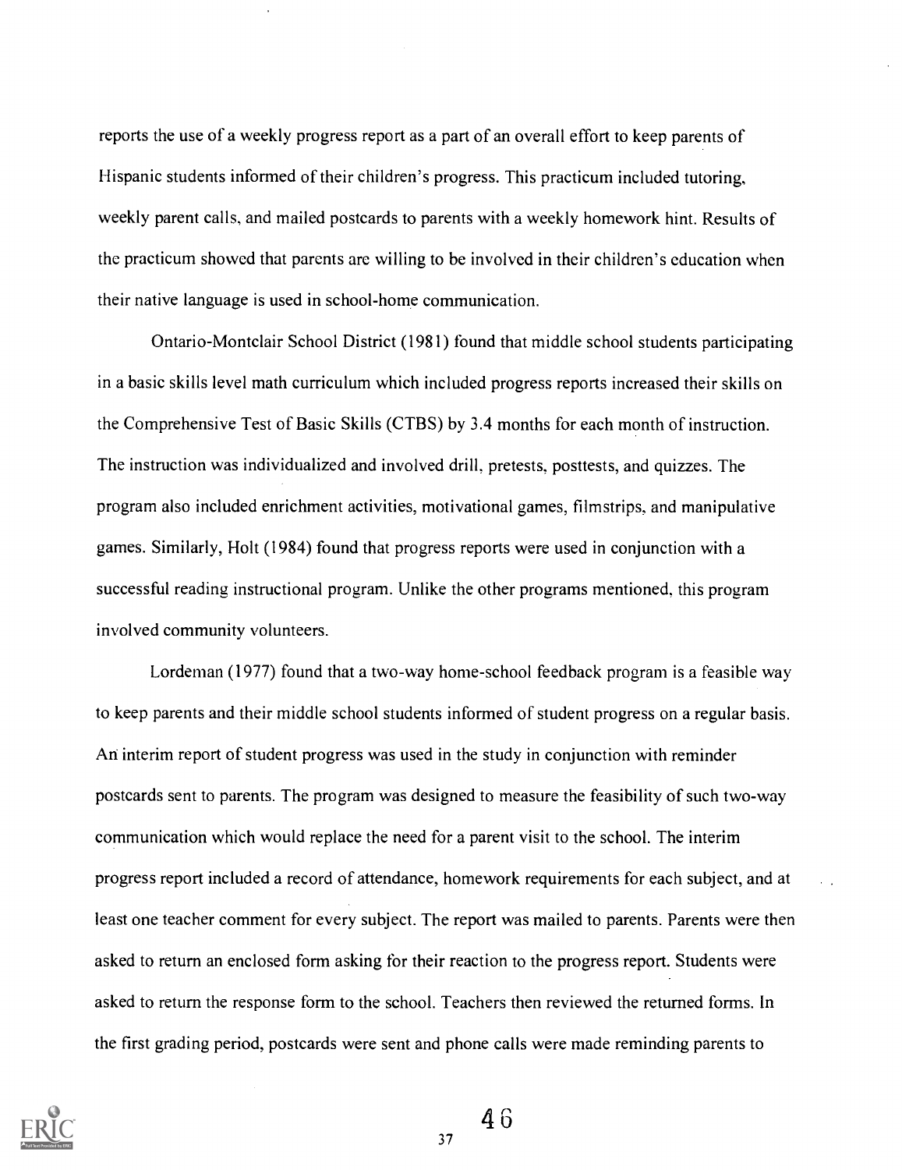reports the use of a weekly progress report as a part of an overall effort to keep parents of Hispanic students informed of their children's progress. This practicum included tutoring, weekly parent calls, and mailed postcards to parents with a weekly homework hint. Results of the practicum showed that parents are willing to be involved in their children's education when their native language is used in school-home communication.

Ontario-Montclair School District (1981) found that middle school students participating in a basic skills level math curriculum which included progress reports increased their skills on the Comprehensive Test of Basic Skills (CTBS) by 3.4 months for each month of instruction. The instruction was individualized and involved drill, pretests, posttests, and quizzes. The program also included enrichment activities, motivational games, filmstrips, and manipulative games. Similarly, Holt (1984) found that progress reports were used in conjunction with a successful reading instructional program. Unlike the other programs mentioned, this program involved community volunteers.

Lordeman (1977) found that a two-way home-school feedback program is a feasible way to keep parents and their middle school students informed of student progress on a regular basis. An interim report of student progress was used in the study in conjunction with reminder postcards sent to parents. The program was designed to measure the feasibility of such two-way communication which would replace the need for a parent visit to the school. The interim progress report included a record of attendance, homework requirements for each subject, and at least one teacher comment for every subject. The report was mailed to parents. Parents were then asked to return an enclosed form asking for their reaction to the progress report. Students were asked to return the response form to the school. Teachers then reviewed the returned forms. In the first grading period, postcards were sent and phone calls were made reminding parents to



46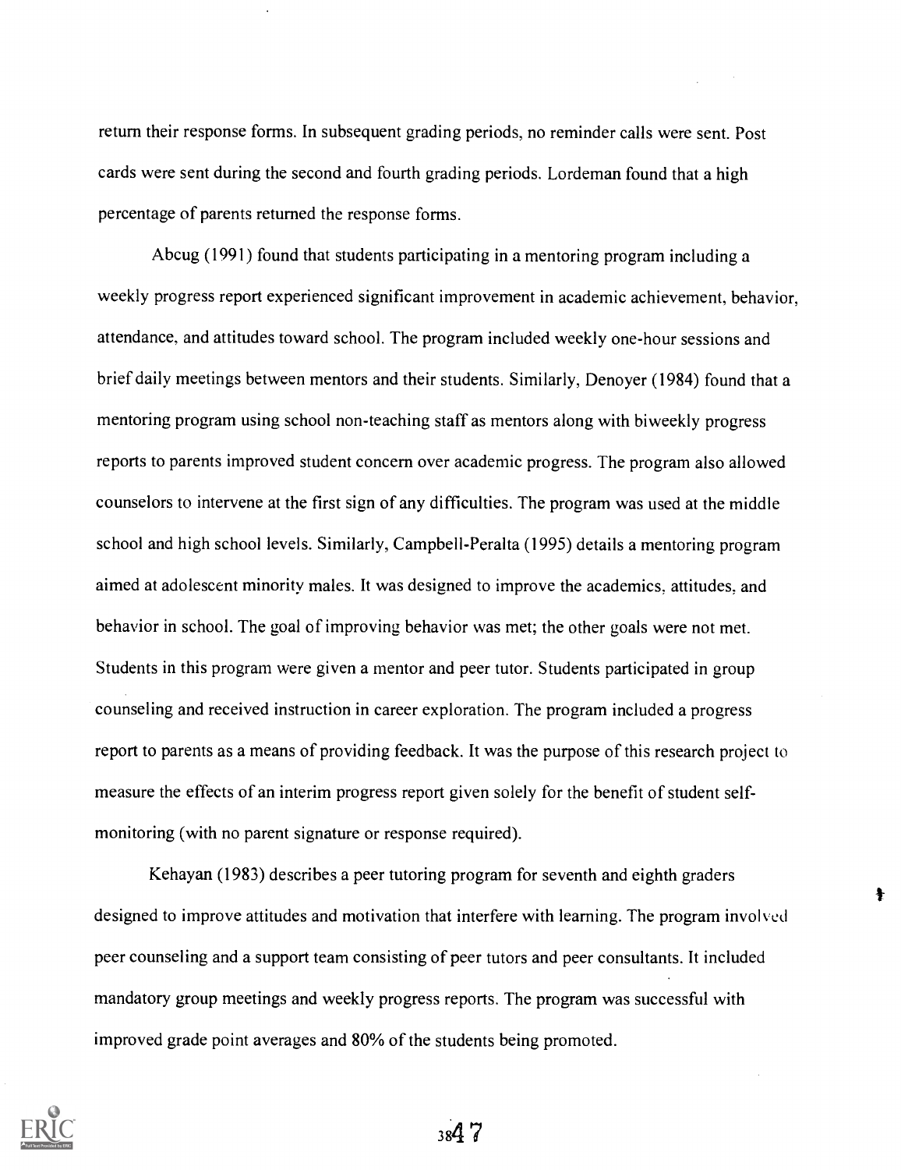return their response forms. In subsequent grading periods, no reminder calls were sent. Post cards were sent during the second and fourth grading periods. Lordeman found that a high percentage of parents returned the response forms.

Abcug (1991) found that students participating in a mentoring program including a weekly progress report experienced significant improvement in academic achievement, behavior, attendance, and attitudes toward school. The program included weekly one-hour sessions and brief daily meetings between mentors and their students. Similarly, Denoyer (1984) found that a mentoring program using school non-teaching staff as mentors along with biweekly progress reports to parents improved student concern over academic progress. The program also allowed counselors to intervene at the first sign of any difficulties. The program was used at the middle school and high school levels. Similarly, Campbell-Peralta (1995) details a mentoring program aimed at adolescent minority males. It was designed to improve the academics, attitudes, and behavior in school. The goal of improving behavior was met; the other goals were not met. Students in this program were given a mentor and peer tutor. Students participated in group counseling and received instruction in career exploration. The program included a progress report to parents as a means of providing feedback. It was the purpose of this research project to measure the effects of an interim progress report given solely for the benefit of student selfmonitoring (with no parent signature or response required).

Kehayan (1983) describes a peer tutoring program for seventh and eighth graders designed to improve attitudes and motivation that interfere with learning. The program involved peer counseling and a support team consisting of peer tutors and peer consultants. It included mandatory group meetings and weekly progress reports. The program was successful with improved grade point averages and 80% of the students being promoted.

 $\ddagger$ 

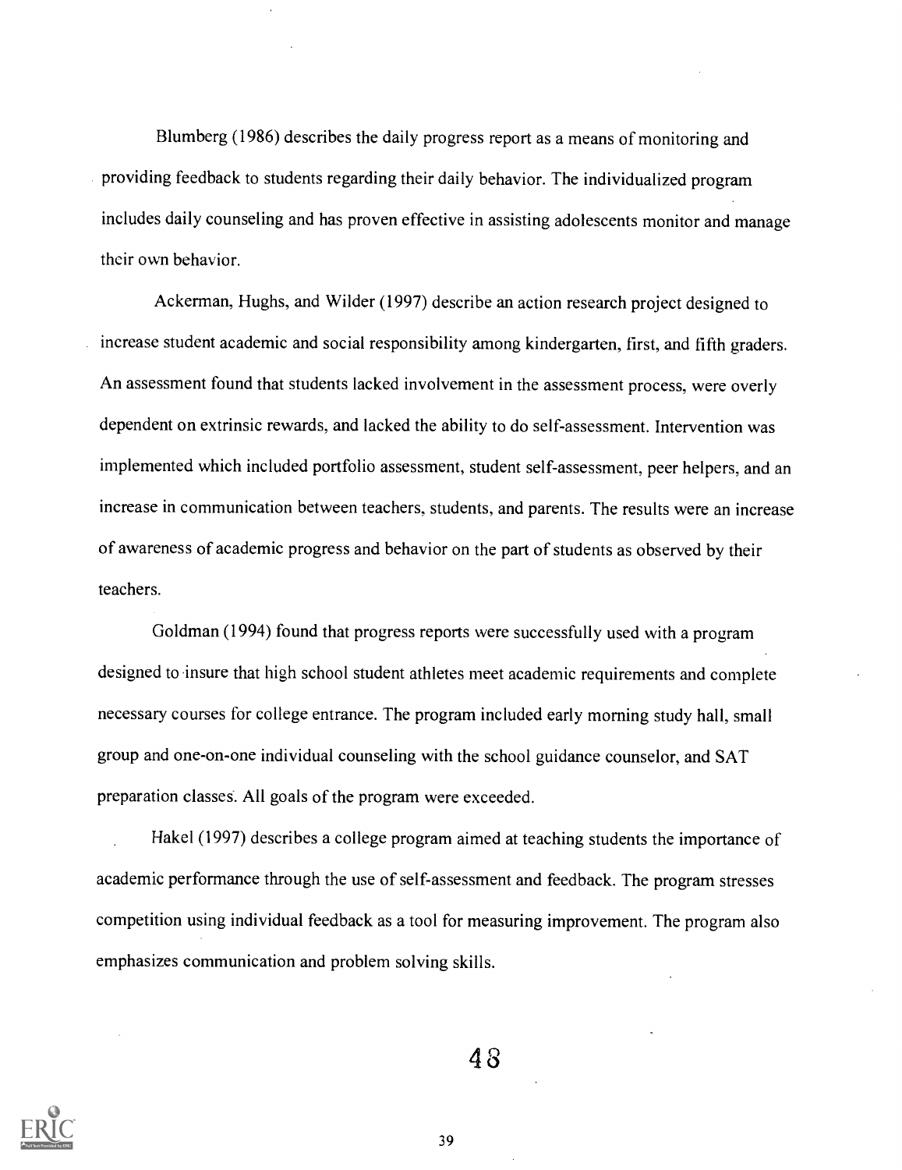Blumberg (1986) describes the daily progress report as a means of monitoring and providing feedback to students regarding their daily behavior. The individualized program includes daily counseling and has proven effective in assisting adolescents monitor and manage their own behavior.

Ackerman, Hughs, and Wilder (1997) describe an action research project designed to increase student academic and social responsibility among kindergarten, first, and fifth graders. An assessment found that students lacked involvement in the assessment process, were overly dependent on extrinsic rewards, and lacked the ability to do self-assessment. Intervention was implemented which included portfolio assessment, student self-assessment, peer helpers, and an increase in communication between teachers, students, and parents. The results were an increase of awareness of academic progress and behavior on the part of students as observed by their teachers.

Goldman (1994) found that progress reports were successfully used with a program designed to insure that high school student athletes meet academic requirements and complete necessary courses for college entrance. The program included early morning study hall, small group and one-on-one individual counseling with the school guidance counselor, and SAT preparation classes. All goals of the program were exceeded.

Hakel (1997) describes a college program aimed at teaching students the importance of academic performance through the use of self-assessment and feedback. The program stresses competition using individual feedback as a tool for measuring improvement. The program also emphasizes communication and problem solving skills.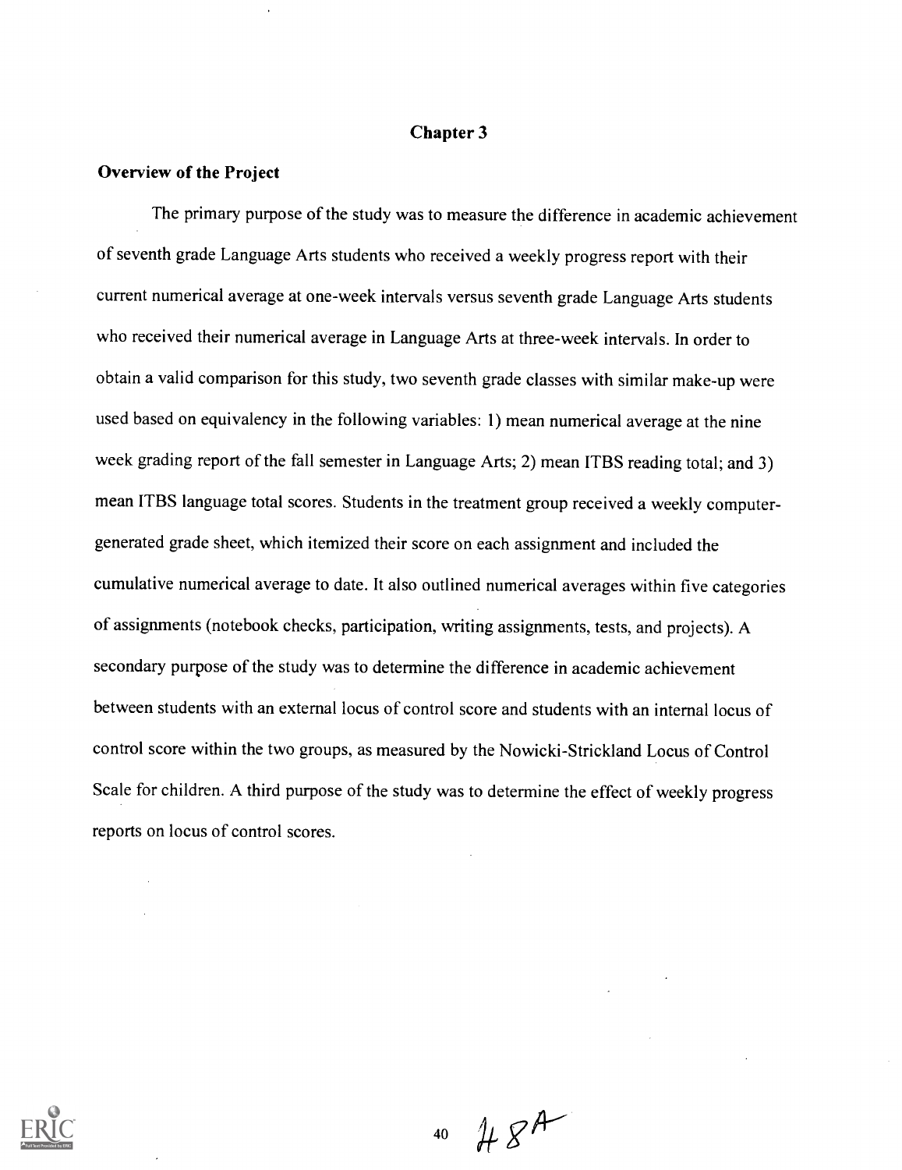### Chapter 3

#### Overview of the Project

The primary purpose of the study was to measure the difference in academic achievement of seventh grade Language Arts students who received a weekly progress report with their current numerical average at one-week intervals versus seventh grade Language Arts students who received their numerical average in Language Arts at three-week intervals. In order to obtain a valid comparison for this study, two seventh grade classes with similar make-up were used based on equivalency in the following variables: 1) mean numerical average at the nine week grading report of the fall semester in Language Arts; 2) mean ITBS reading total; and 3) mean ITBS language total scores. Students in the treatment group received a weekly computergenerated grade sheet, which itemized their score on each assignment and included the cumulative numerical average to date. It also outlined numerical averages within five categories of assignments (notebook checks, participation, writing assignments, tests, and projects). A secondary purpose of the study was to determine the difference in academic achievement between students with an external locus of control score and students with an internal locus of control score within the two groups, as measured by the Nowicki-Strickland Locus of Control Scale for children. A third purpose of the study was to determine the effect of weekly progress reports on locus of control scores.



 $484$ 40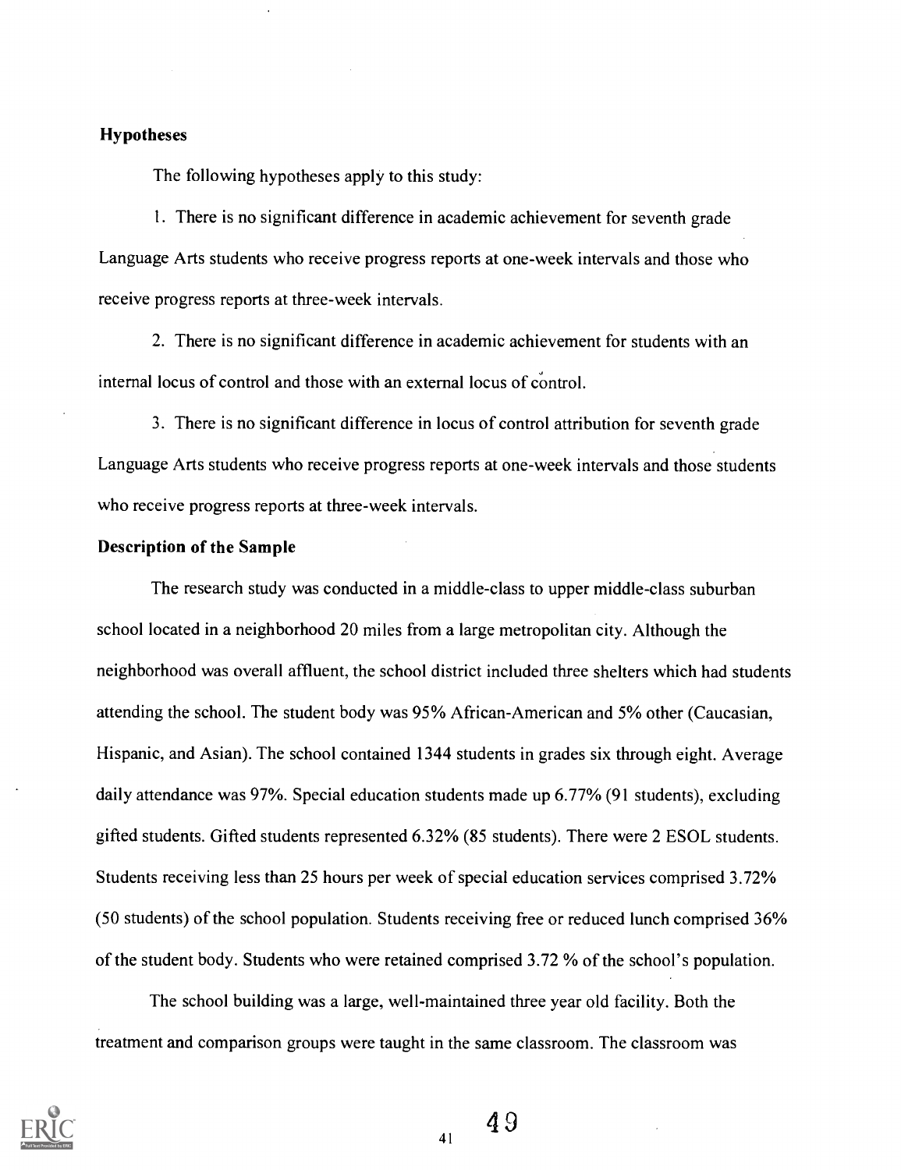### **Hypotheses**

The following hypotheses apply to this study:

1. There is no significant difference in academic achievement for seventh grade Language Arts students who receive progress reports at one-week intervals and those who receive progress reports at three-week intervals.

2. There is no significant difference in academic achievement for students with an internal locus of control and those with an external locus of control.

3. There is no significant difference in locus of control attribution for seventh grade Language Arts students who receive progress reports at one-week intervals and those students who receive progress reports at three-week intervals.

### Description of the Sample

The research study was conducted in a middle-class to upper middle-class suburban school located in a neighborhood 20 miles from a large metropolitan city. Although the neighborhood was overall affluent, the school district included three shelters which had students attending the school. The student body was 95% African-American and 5% other (Caucasian, Hispanic, and Asian). The school contained 1344 students in grades six through eight. Average daily attendance was 97%. Special education students made up 6.77% (91 students), excluding gifted students. Gifted students represented 6.32% (85 students). There were 2 ESOL students. Students receiving less than 25 hours per week of special education services comprised 3.72% (50 students) of the school population. Students receiving free or reduced lunch comprised 36% of the student body. Students who were retained comprised 3.72 % of the school's population.

The school building was a large, well-maintained three year old facility. Both the treatment and comparison groups were taught in the same classroom. The classroom was



 $49$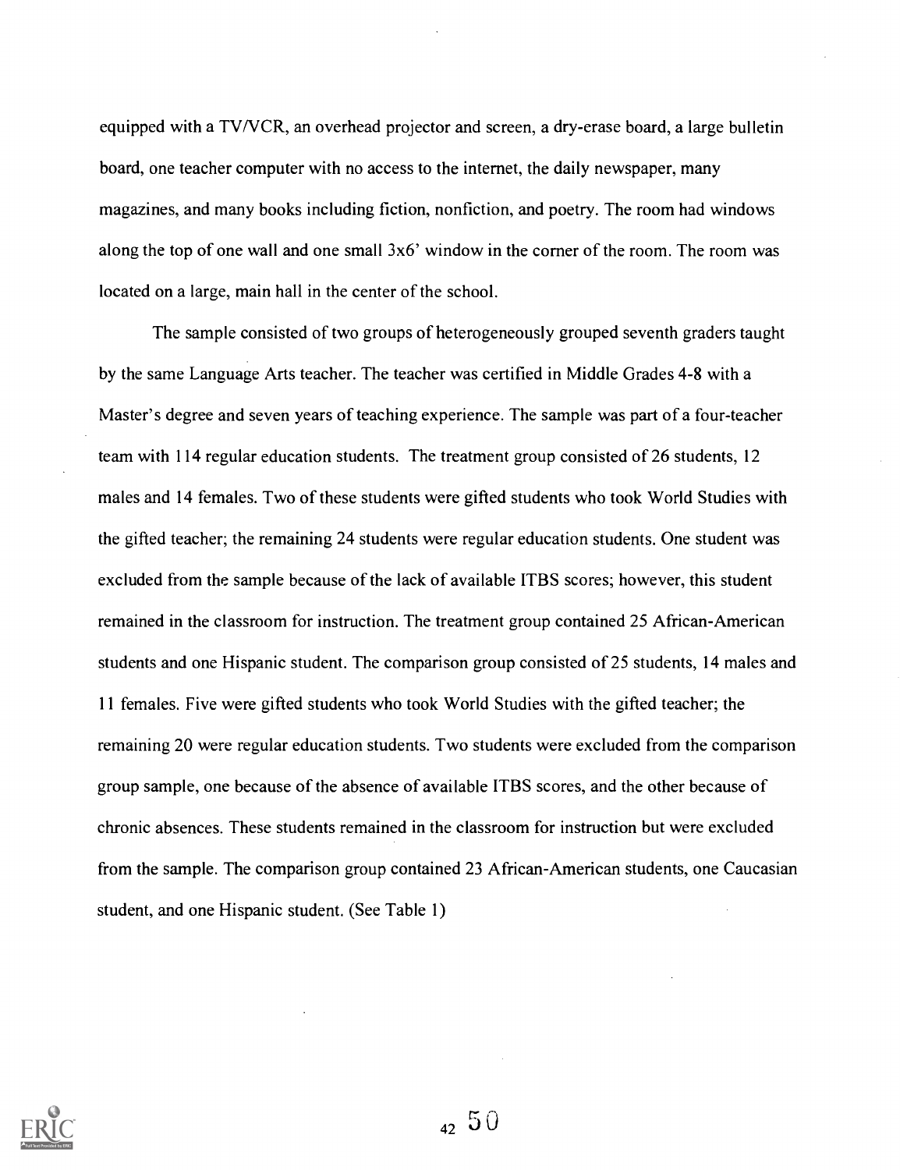equipped with a TV/VCR, an overhead projector and screen, a dry-erase board, a large bulletin board, one teacher computer with no access to the internet, the daily newspaper, many magazines, and many books including fiction, nonfiction, and poetry. The room had windows along the top of one wall and one small 3x6' window in the corner of the room. The room was located on a large, main hall in the center of the school.

The sample consisted of two groups of heterogeneously grouped seventh graders taught by the same Language Arts teacher. The teacher was certified in Middle Grades 4-8 with a Master's degree and seven years of teaching experience. The sample was part of a four-teacher team with 114 regular education students. The treatment group consisted of 26 students, 12 males and 14 females. Two of these students were gifted students who took World Studies with the gifted teacher; the remaining 24 students were regular education students. One student was excluded from the sample because of the lack of available ITBS scores; however, this student remained in the classroom for instruction. The treatment group contained 25 African-American students and one Hispanic student. The comparison group consisted of 25 students, 14 males and 11 females. Five were gifted students who took World Studies with the gifted teacher; the remaining 20 were regular education students. Two students were excluded from the comparison group sample, one because of the absence of available ITBS scores, and the other because of chronic absences. These students remained in the classroom for instruction but were excluded from the sample. The comparison group contained 23 African-American students, one Caucasian student, and one Hispanic student. (See Table 1)



 $42\,50$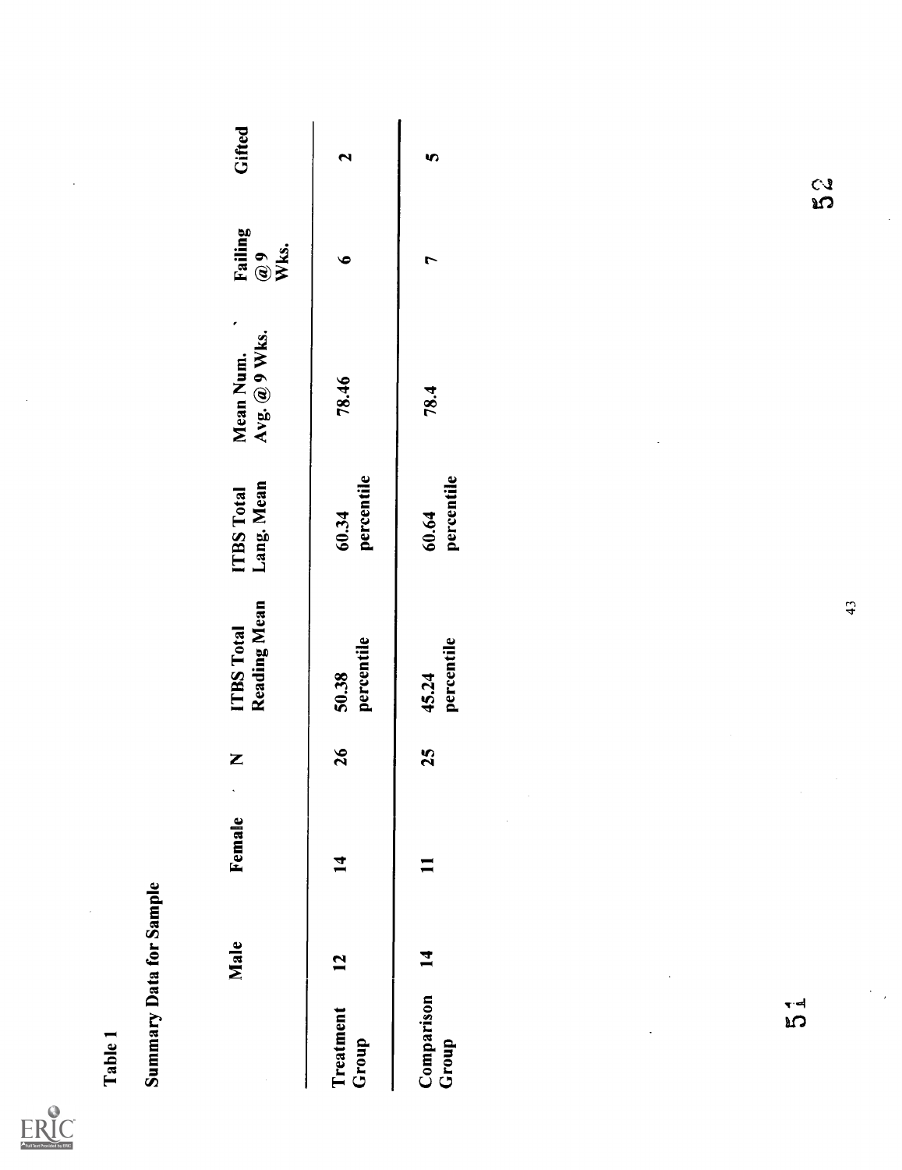| Full Text Provided by ERIC |
|----------------------------|

| Table 1                               |                         |                                        |          |                                   |                                 |                                                |                                 |                   |
|---------------------------------------|-------------------------|----------------------------------------|----------|-----------------------------------|---------------------------------|------------------------------------------------|---------------------------------|-------------------|
|                                       | Summary Data for Sample |                                        |          |                                   |                                 |                                                |                                 |                   |
|                                       | Male                    | $\sim$<br>Female                       | Z        | Reading Mean<br><b>ITBS Total</b> | Lang. Mean<br><b>ITBS Total</b> | $\pmb{\epsilon}$<br>Avg. @ 9 Wks.<br>Mean Num. | Failing<br>Wks.<br>$\mathbf{C}$ | Gifted            |
| Treatment<br>Group                    | 12                      | 14                                     | 26       | percentile<br>50.38               | percentile<br>60.34             | 78.46                                          | $\bullet$                       | $\mathbf{\Omega}$ |
| Comparison<br>Group                   | 14                      | $\blacksquare$                         | 25       | percentile<br>45.24               | percentile<br>60.64             | 78.4                                           | $\overline{r}$                  | $\bullet$         |
|                                       |                         | $\frac{1}{2}$                          |          |                                   |                                 |                                                |                                 |                   |
|                                       |                         |                                        |          |                                   |                                 |                                                |                                 |                   |
|                                       |                         |                                        | $\alpha$ |                                   |                                 |                                                |                                 |                   |
| $\mathcal{L}_{\text{max}}$<br>รี<br>ค |                         | $\overline{\phantom{a}}$<br>$\epsilon$ |          | 43                                |                                 |                                                | 3<br>Sa<br>$\cdot$              |                   |
|                                       |                         |                                        |          |                                   |                                 |                                                |                                 |                   |
|                                       |                         |                                        |          |                                   |                                 |                                                |                                 |                   |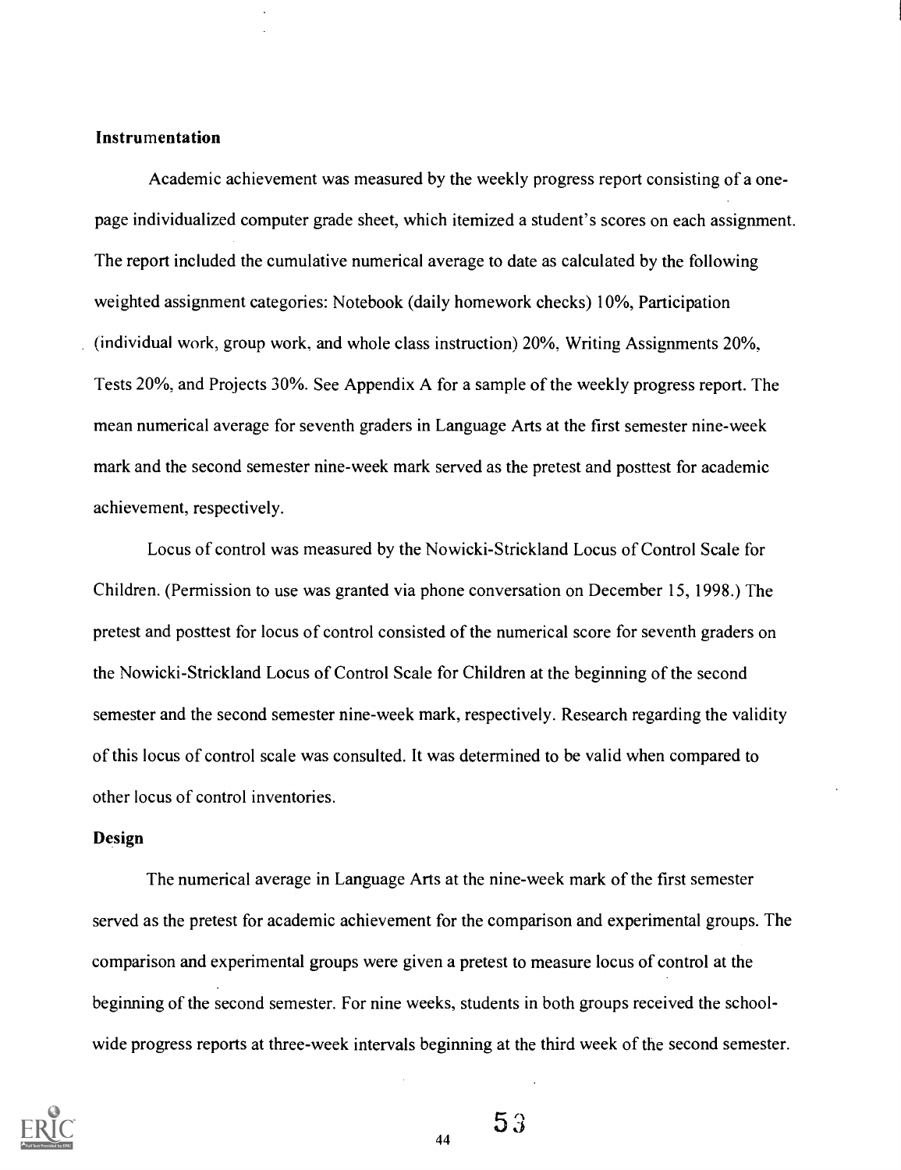#### Instrumentation

Academic achievement was measured by the weekly progress report consisting of a onepage individualized computer grade sheet, which itemized a student's scores on each assignment. The report included the cumulative numerical average to date as calculated by the following weighted assignment categories: Notebook (daily homework checks) 10%, Participation (individual work, group work, and whole class instruction) 20%, Writing Assignments 20%, Tests 20%, and Projects 30%. See Appendix A for a sample of the weekly progress report. The mean numerical average for seventh graders in Language Arts at the first semester nine-week mark and the second semester nine-week mark served as the pretest and posttest for academic achievement, respectively.

Locus of control was measured by the Nowicki-Strickland Locus of Control Scale for Children. (Permission to use was granted via phone conversation on December 15, 1998.) The pretest and posttest for locus of control consisted of the numerical score for seventh graders on the Nowicki-Strickland Locus of Control Scale for Children at the beginning of the second semester and the second semester nine-week mark, respectively. Research regarding the validity of this locus of control scale was consulted. It was determined to be valid when compared to other locus of control inventories.

#### Design

The numerical average in Language Arts at the nine-week mark of the first semester served as the pretest for academic achievement for the comparison and experimental groups. The comparison and experimental groups were given a pretest to measure locus of control at the beginning of the second semester. For nine weeks, students in both groups received the schoolwide progress reports at three-week intervals beginning at the third week of the second semester.



 $53$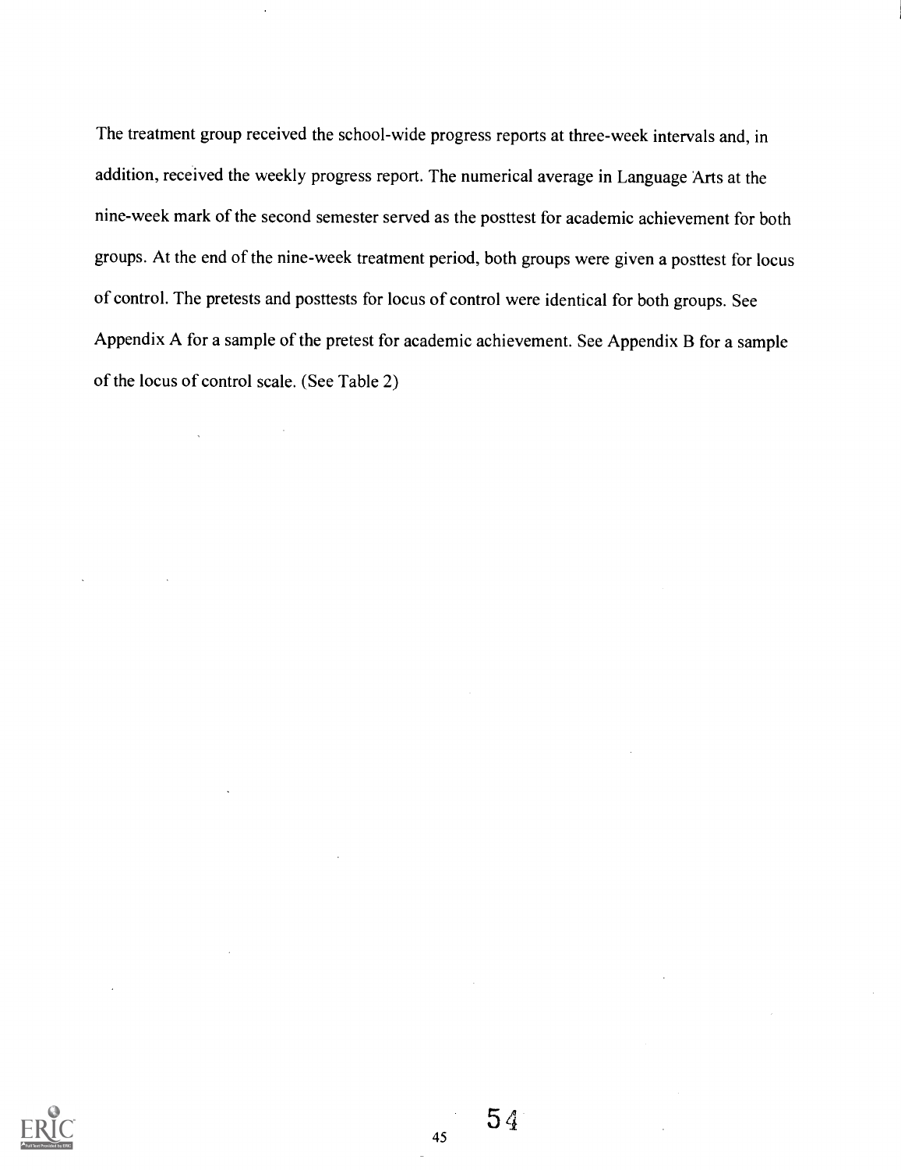The treatment group received the school-wide progress reports at three-week intervals and, in addition, received the weekly progress report. The numerical average in Language Arts at the nine-week mark of the second semester served as the posttest for academic achievement for both groups. At the end of the nine-week treatment period, both groups were given a posttest for locus of control. The pretests and posttests for locus of control were identical for both groups. See Appendix A for a sample of the pretest for academic achievement. See Appendix B for a sample of the locus of control scale. (See Table 2)

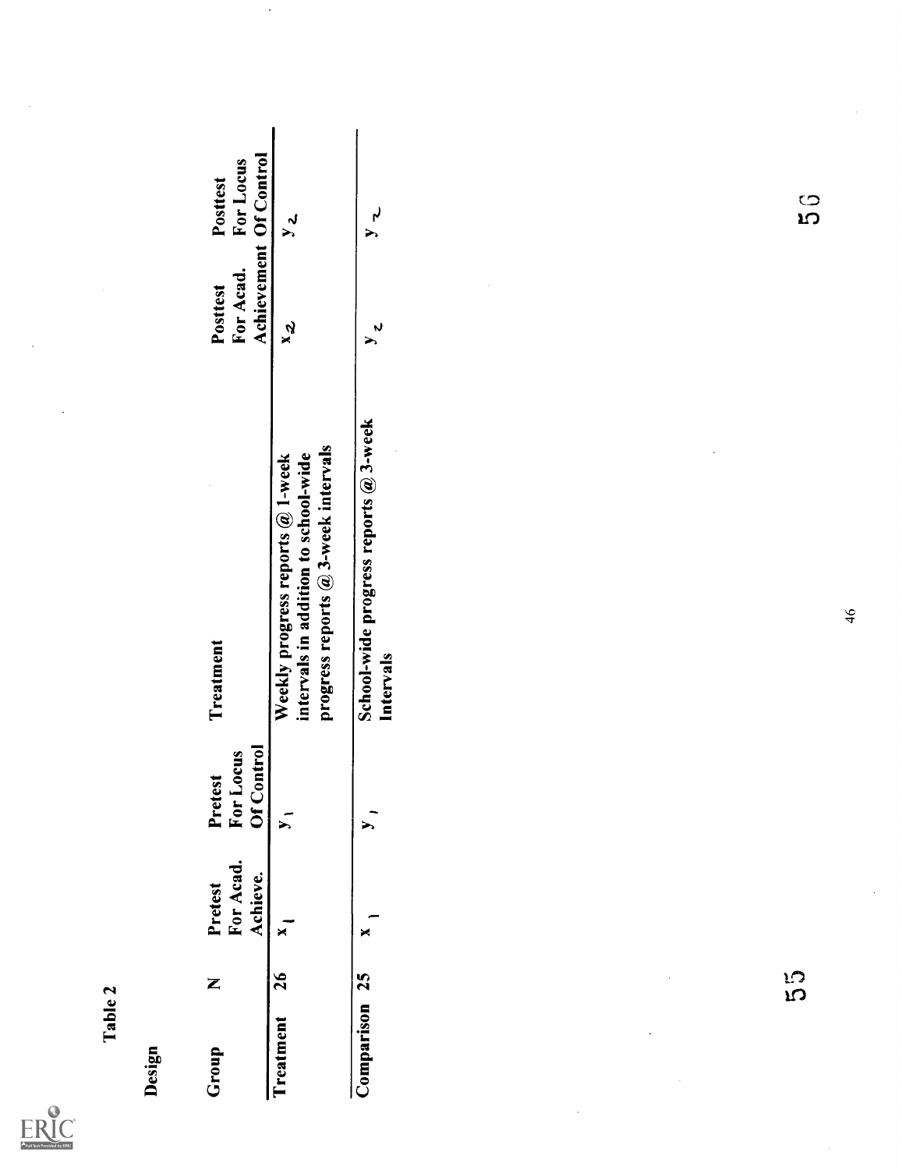| <b>Full Text Provided by ERIC</b> |
|-----------------------------------|

Table 2

| Design     |         |                                  |                                    |                                                                                                                 |                                                 |                                       |
|------------|---------|----------------------------------|------------------------------------|-----------------------------------------------------------------------------------------------------------------|-------------------------------------------------|---------------------------------------|
| Group      | Z       | For Acad.<br>Achieve.<br>Pretest | Of Control<br>For Locus<br>Pretest | Treatment                                                                                                       | Achievement Of Control<br>For Acad.<br>Posttest | For Locus<br>Posttest                 |
| Treatment  | 26      | $\mathbf{x}$                     | $\overline{\phantom{a}}$           | progress reports @ 3-week intervals<br>intervals in addition to school-wide<br>Weekly progress reports @ 1-week | $x^2$                                           | $y_{2}$                               |
| Comparison | 25      | ×                                | $\sum$                             | School-wide progress reports @ 3-week<br>Intervals                                                              | $y$ 2                                           | $\mathbf{r}$<br>$\blacktriangleright$ |
|            | S<br>CI |                                  |                                    | 46                                                                                                              |                                                 | ្ង<br>ស                               |

 $\bar{\beta}$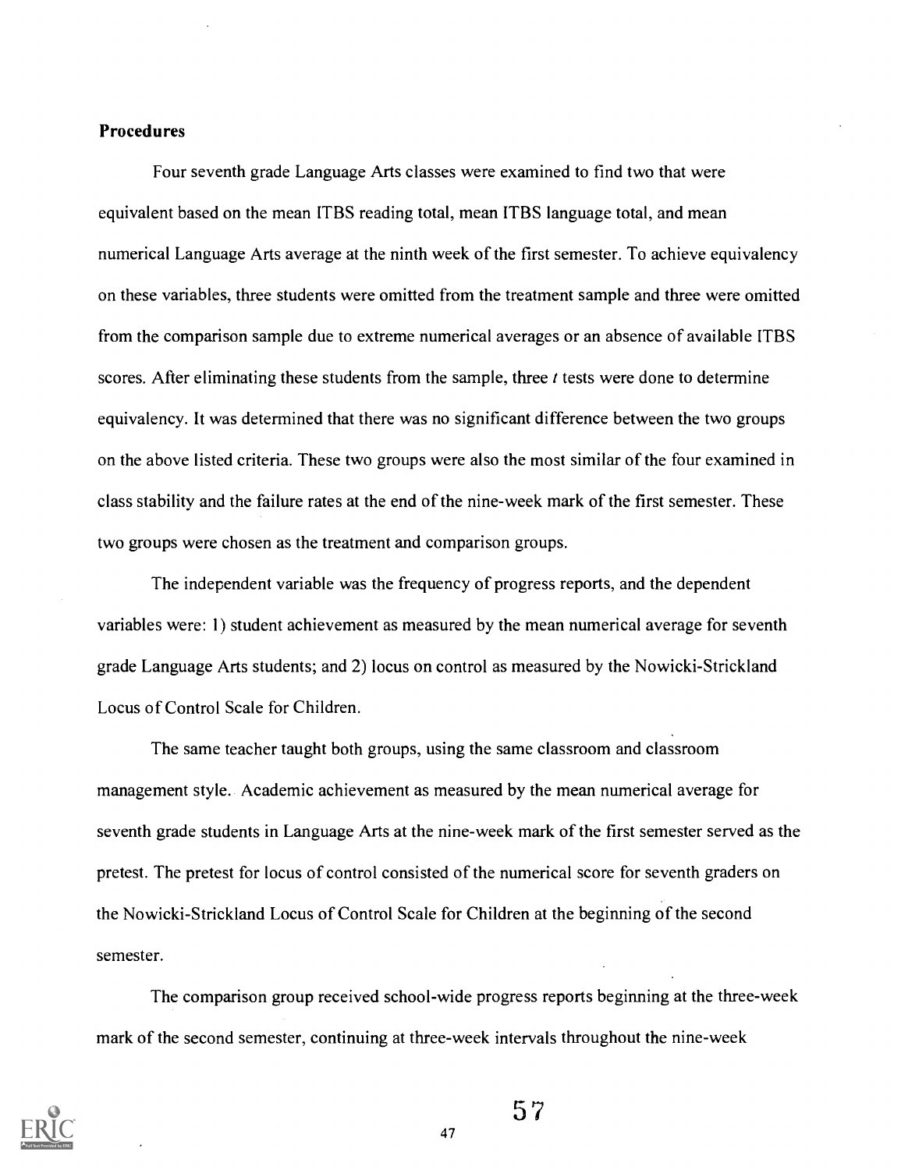#### Procedures

Four seventh grade Language Arts classes were examined to find two that were equivalent based on the mean ITBS reading total, mean ITBS language total, and mean numerical Language Arts average at the ninth week of the first semester. To achieve equivalency on these variables, three students were omitted from the treatment sample and three were omitted from the comparison sample due to extreme numerical averages or an absence of available ITBS scores. After eliminating these students from the sample, three  $t$  tests were done to determine equivalency. It was determined that there was no significant difference between the two groups on the above listed criteria. These two groups were also the most similar of the four examined in class stability and the failure rates at the end of the nine-week mark of the first semester. These two groups were chosen as the treatment and comparison groups.

The independent variable was the frequency of progress reports, and the dependent variables were: 1) student achievement as measured by the mean numerical average for seventh grade Language Arts students; and 2) locus on control as measured by the Nowicki-Strickland Locus of Control Scale for Children.

The same teacher taught both groups, using the same classroom and classroom management style. Academic achievement as measured by the mean numerical average for seventh grade students in Language Arts at the nine-week mark of the first semester served as the pretest. The pretest for locus of control consisted of the numerical score for seventh graders on the Nowicki-Strickland Locus of Control Scale for Children at the beginning of the second semester.

The comparison group received school-wide progress reports beginning at the three-week mark of the second semester, continuing at three-week intervals throughout the nine-week



57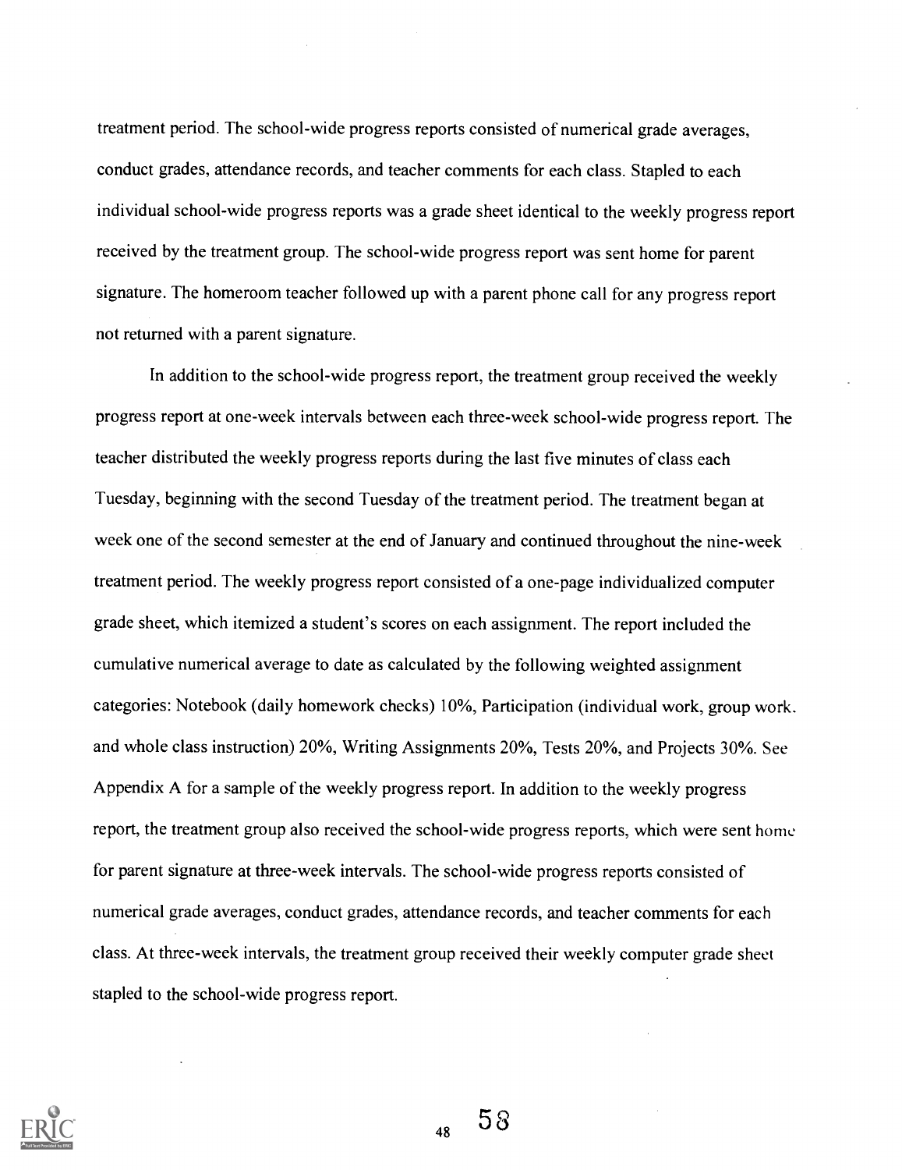treatment period. The school-wide progress reports consisted of numerical grade averages, conduct grades, attendance records, and teacher comments for each class. Stapled to each individual school-wide progress reports was a grade sheet identical to the weekly progress report received by the treatment group. The school-wide progress report was sent home for parent signature. The homeroom teacher followed up with a parent phone call for any progress report not returned with a parent signature.

In addition to the school-wide progress report, the treatment group received the weekly progress report at one-week intervals between each three-week school-wide progress report. The teacher distributed the weekly progress reports during the last five minutes of class each Tuesday, beginning with the second Tuesday of the treatment period. The treatment began at week one of the second semester at the end of January and continued throughout the nine-week treatment period. The weekly progress report consisted of a one-page individualized computer grade sheet, which itemized a student's scores on each assignment. The report included the cumulative numerical average to date as calculated by the following weighted assignment categories: Notebook (daily homework checks) 10%, Participation (individual work, group work. and whole class instruction) 20%, Writing Assignments 20%, Tests 20%, and Projects 30%. See Appendix A for a sample of the weekly progress report. In addition to the weekly progress report, the treatment group also received the school-wide progress reports, which were sent home for parent signature at three-week intervals. The school-wide progress reports consisted of numerical grade averages, conduct grades, attendance records, and teacher comments for each class. At three-week intervals, the treatment group received their weekly computer grade sheet stapled to the school-wide progress report.



 $58$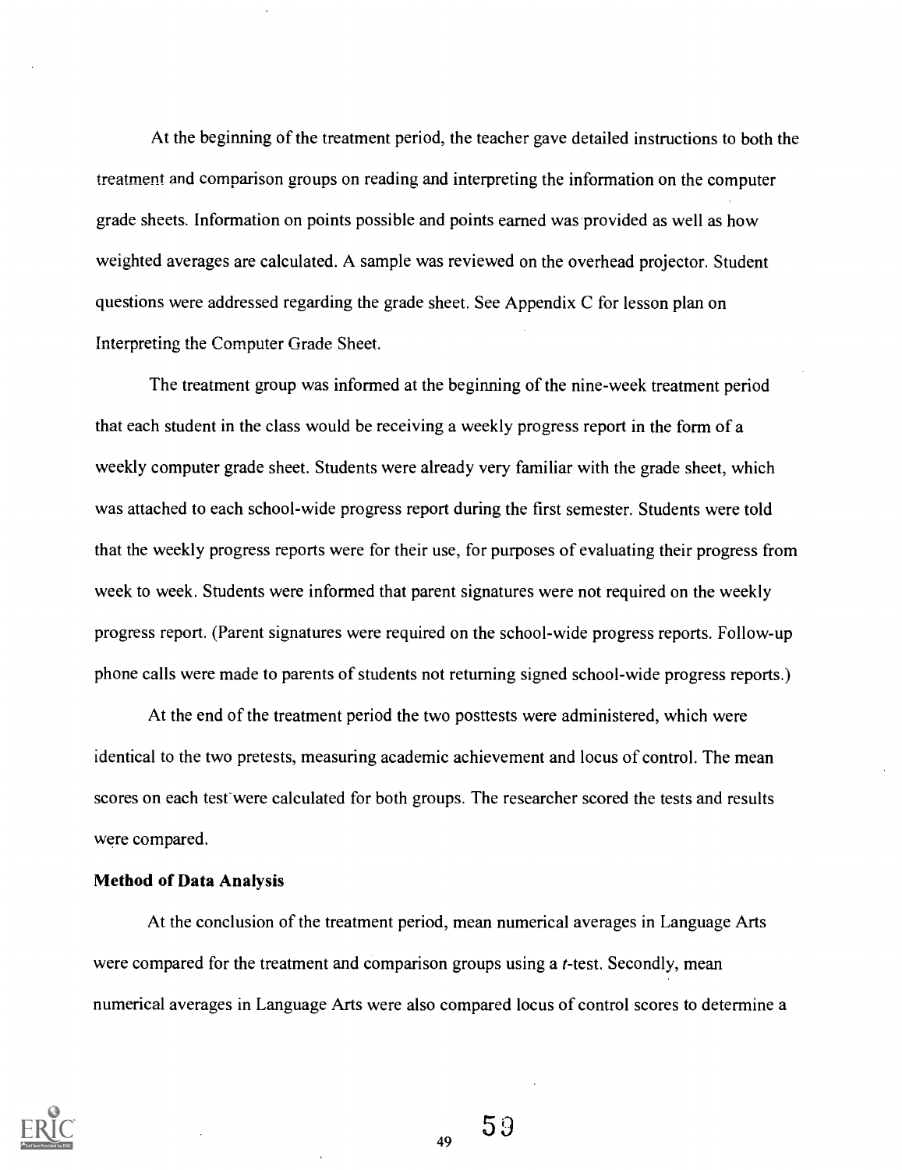At the beginning of the treatment period, the teacher gave detailed instructions to both the treatment and comparison groups on reading and interpreting the information on the computer grade sheets. Information on points possible and points earned was provided as well as how weighted averages are calculated. A sample was reviewed on the overhead projector. Student questions were addressed regarding the grade sheet. See Appendix C for lesson plan on Interpreting the Computer Grade Sheet.

The treatment group was informed at the beginning of the nine-week treatment period that each student in the class would be receiving a weekly progress report in the form of a weekly computer grade sheet. Students were already very familiar with the grade sheet, which was attached to each school-wide progress report during the first semester. Students were told that the weekly progress reports were for their use, for purposes of evaluating their progress from week to week. Students were informed that parent signatures were not required on the weekly progress report. (Parent signatures were required on the school-wide progress reports. Follow-up phone calls were made to parents of students not returning signed school-wide progress reports.)

At the end of the treatment period the two posttests were administered, which were identical to the two pretests, measuring academic achievement and locus of control. The mean scores on each test-were calculated for both groups. The researcher scored the tests and results were compared.

#### Method of Data Analysis

At the conclusion of the treatment period, mean numerical averages in Language Arts were compared for the treatment and comparison groups using a *t*-test. Secondly, mean numerical averages in Language Arts were also compared locus of control scores to determine a



59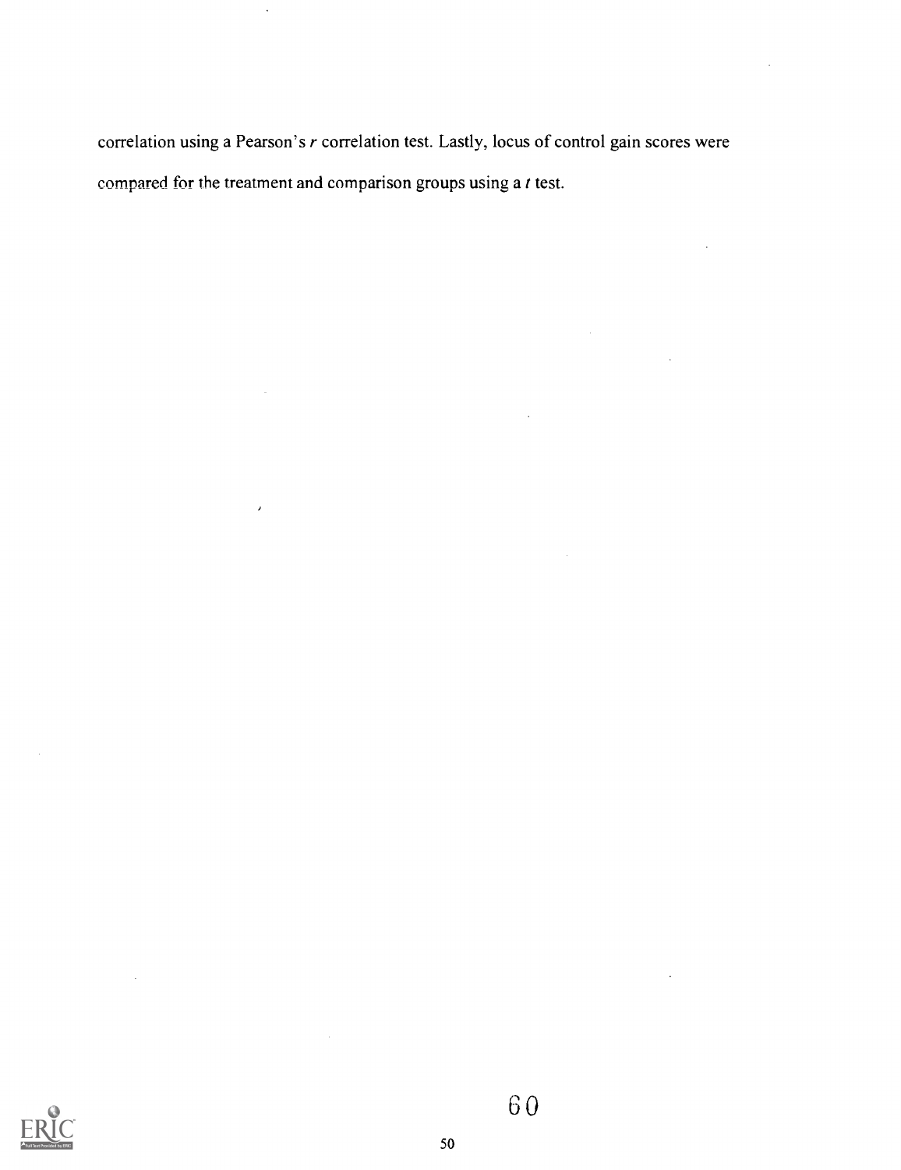correlation using a Pearson's r correlation test. Lastly, locus of control gain scores were compared for the treatment and comparison groups using a t test.



60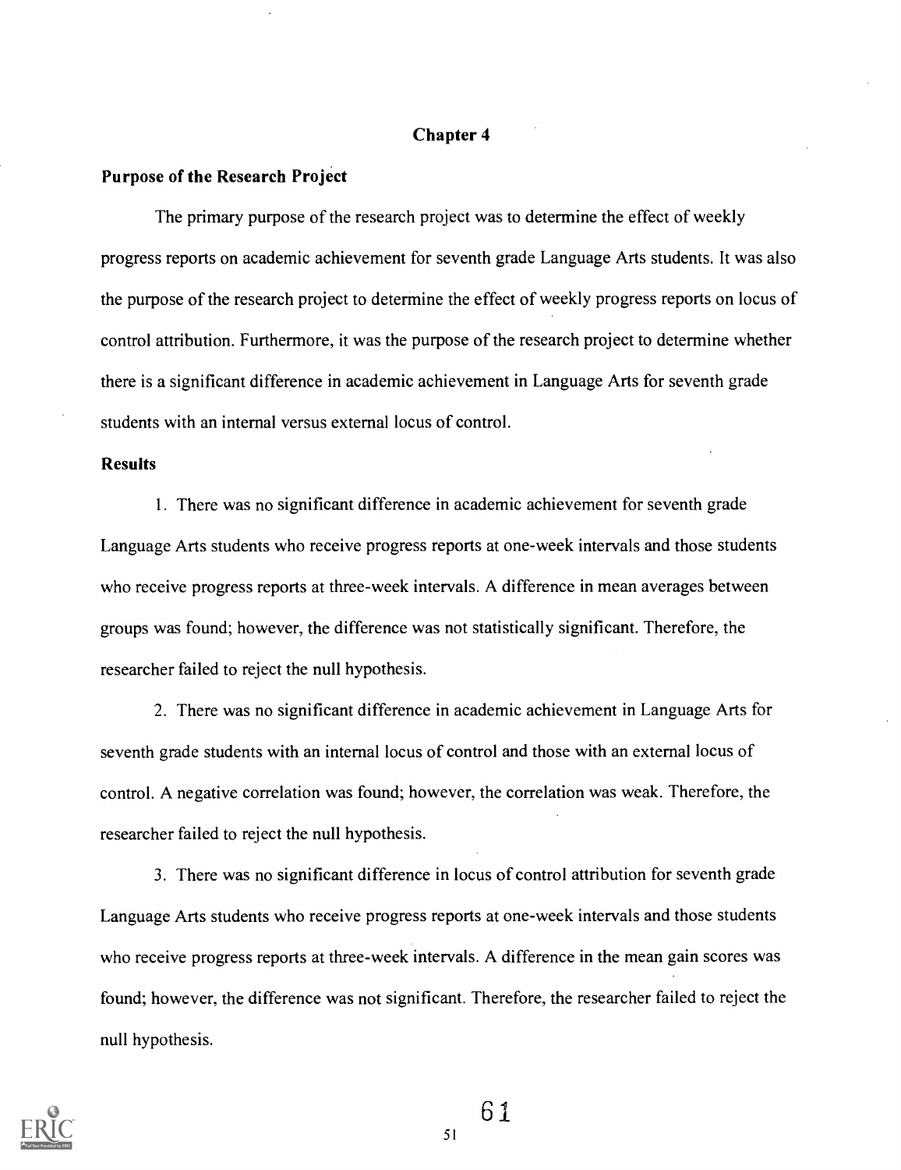#### Chapter 4

#### Purpose of the Research Project

The primary purpose of the research project was to determine the effect of weekly progress reports on academic achievement for seventh grade Language Arts students. It was also the purpose of the research project to determine the effect of weekly progress reports on locus of control attribution. Furthermore, it was the purpose of the research project to determine whether there is a significant difference in academic achievement in Language Arts for seventh grade students with an internal versus external locus of control.

#### Results

1. There was no significant difference in academic achievement for seventh grade Language Arts students who receive progress reports at one-week intervals and those students who receive progress reports at three-week intervals. A difference in mean averages between groups was found; however, the difference was not statistically significant. Therefore, the researcher failed to reject the null hypothesis.

2. There was no significant difference in academic achievement in Language Arts for seventh grade students with an internal locus of control and those with an external locus of control. A negative correlation was found; however, the correlation was weak. Therefore, the researcher failed to reject the null hypothesis.

3. There was no significant difference in locus of control attribution for seventh grade Language Arts students who receive progress reports at one-week intervals and those students who receive progress reports at three-week intervals. A difference in the mean gain scores was found; however, the difference was not significant. Therefore, the researcher failed to reject the null hypothesis.



61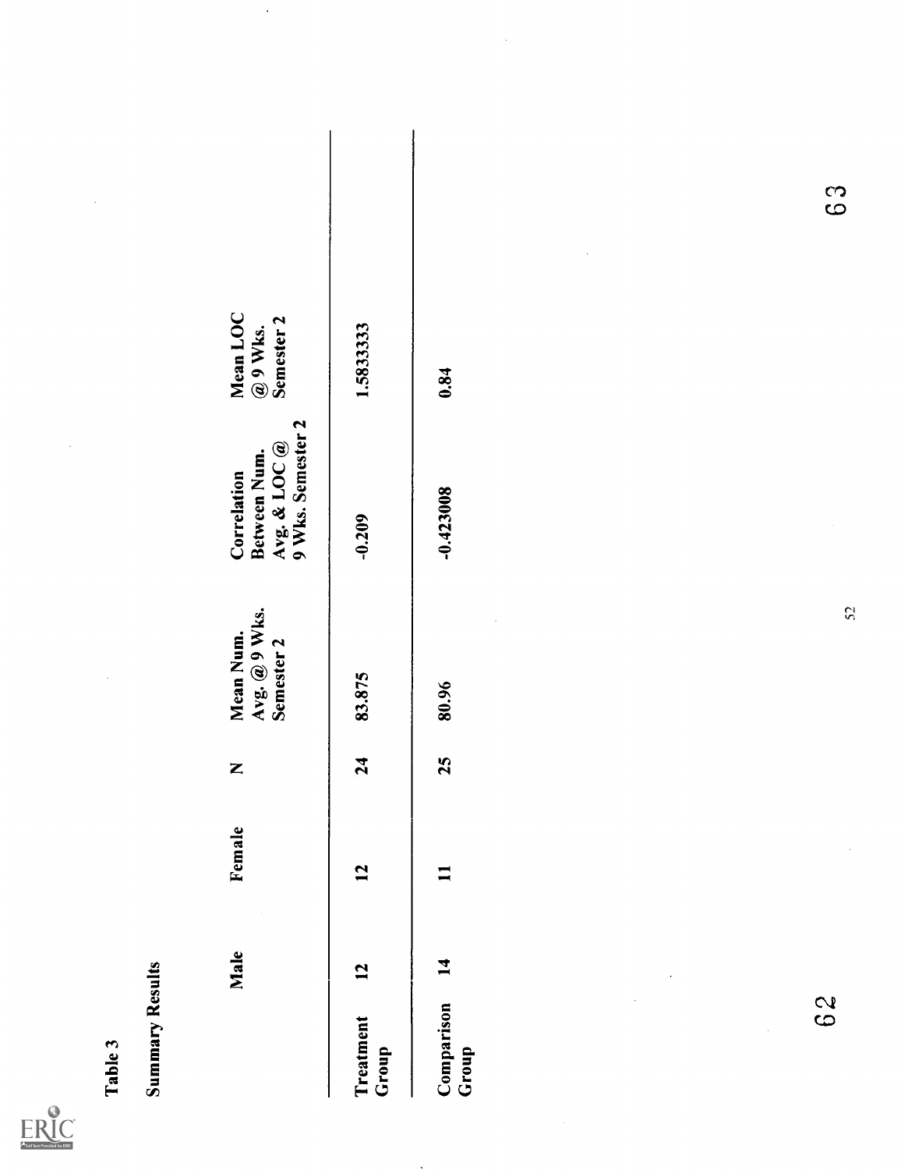

| Table 3                                    |              |                |    |                                          |                                                                    |                                                |        |
|--------------------------------------------|--------------|----------------|----|------------------------------------------|--------------------------------------------------------------------|------------------------------------------------|--------|
| <b>Summary Results</b>                     |              |                |    |                                          |                                                                    |                                                |        |
|                                            | Male         | Female         | Z  | Avg. @ 9 Wks.<br>Mean Num.<br>Semester 2 | Avg. & LOC $@$<br>9 Wks. Semester 2<br>Between Num.<br>Correlation | Mean LOC<br>Semester <sub>2</sub><br>$@9$ Wks. |        |
| Treatment<br>Group                         | $\mathbf{L}$ | 12             | 24 | 83.875                                   | $-0.209$                                                           | 1.5833333                                      |        |
| Comparison<br>$\hat{\mathcal{A}}$<br>Group | 14           | $\blacksquare$ | 25 | 80.96                                    | $-0.423008$                                                        | 0.84                                           |        |
| 62                                         |              |                |    | 52                                       |                                                                    |                                                | ာ<br>ထ |
|                                            |              |                |    |                                          |                                                                    |                                                |        |
|                                            |              |                |    |                                          |                                                                    |                                                |        |

 $\ddot{\phantom{a}}$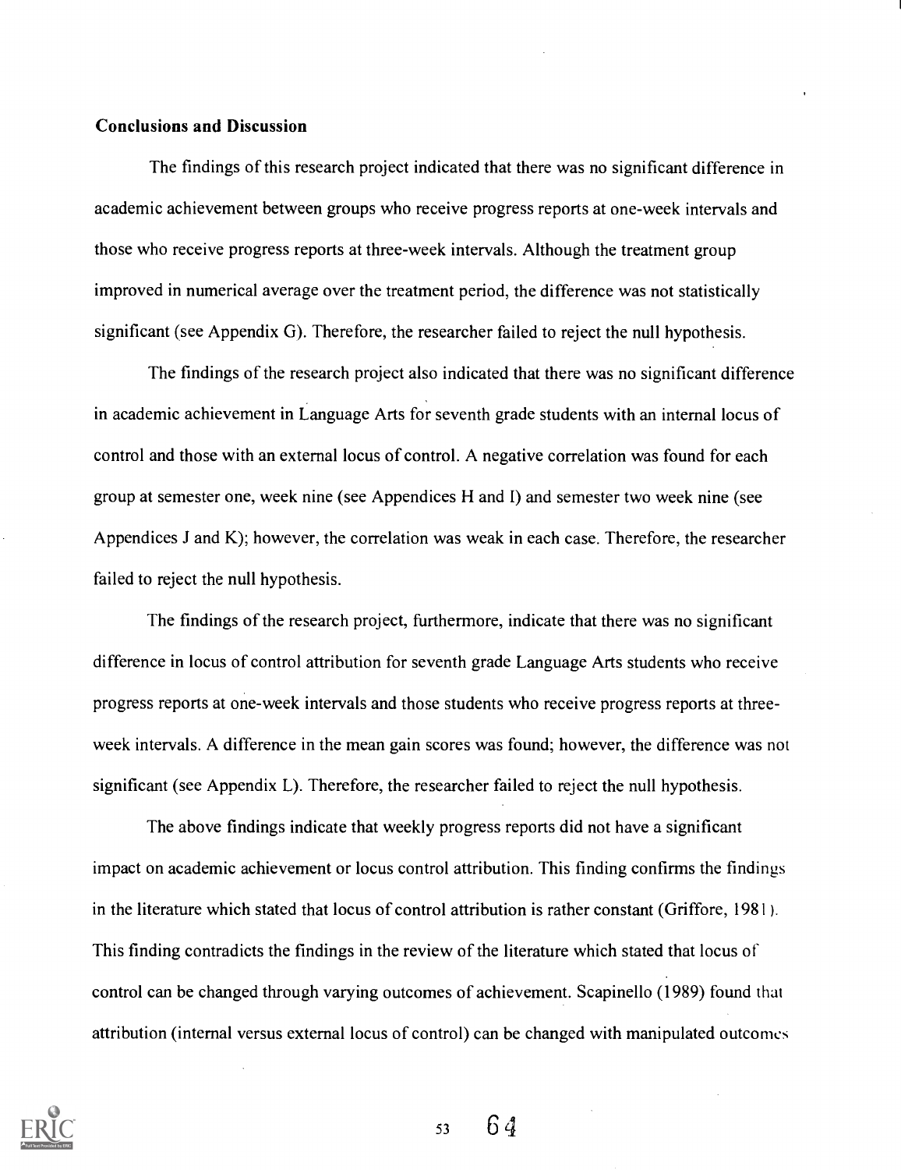#### Conclusions and Discussion

The findings of this research project indicated that there was no significant difference in academic achievement between groups who receive progress reports at one-week intervals and those who receive progress reports at three-week intervals. Although the treatment group improved in numerical average over the treatment period, the difference was not statistically significant (see Appendix G). Therefore, the researcher failed to reject the null hypothesis.

The findings of the research project also indicated that there was no significant difference in academic achievement in Language Arts for seventh grade students with an internal locus of control and those with an external locus of control. A negative correlation was found for each group at semester one, week nine (see Appendices H and I) and semester two week nine (see Appendices J and K); however, the correlation was weak in each case. Therefore, the researcher failed to reject the null hypothesis.

The findings of the research project, furthermore, indicate that there was no significant difference in locus of control attribution for seventh grade Language Arts students who receive progress reports at one-week intervals and those students who receive progress reports at threeweek intervals. A difference in the mean gain scores was found; however, the difference was not significant (see Appendix L). Therefore, the researcher failed to reject the null hypothesis.

The above findings indicate that weekly progress reports did not have a significant impact on academic achievement or locus control attribution. This finding confirms the findings in the literature which stated that locus of control attribution is rather constant (Griffore, 1981). This finding contradicts the findings in the review of the literature which stated that locus of control can be changed through varying outcomes of achievement. Scapinello (1989) found that attribution (internal versus external locus of control) can be changed with manipulated outcomes

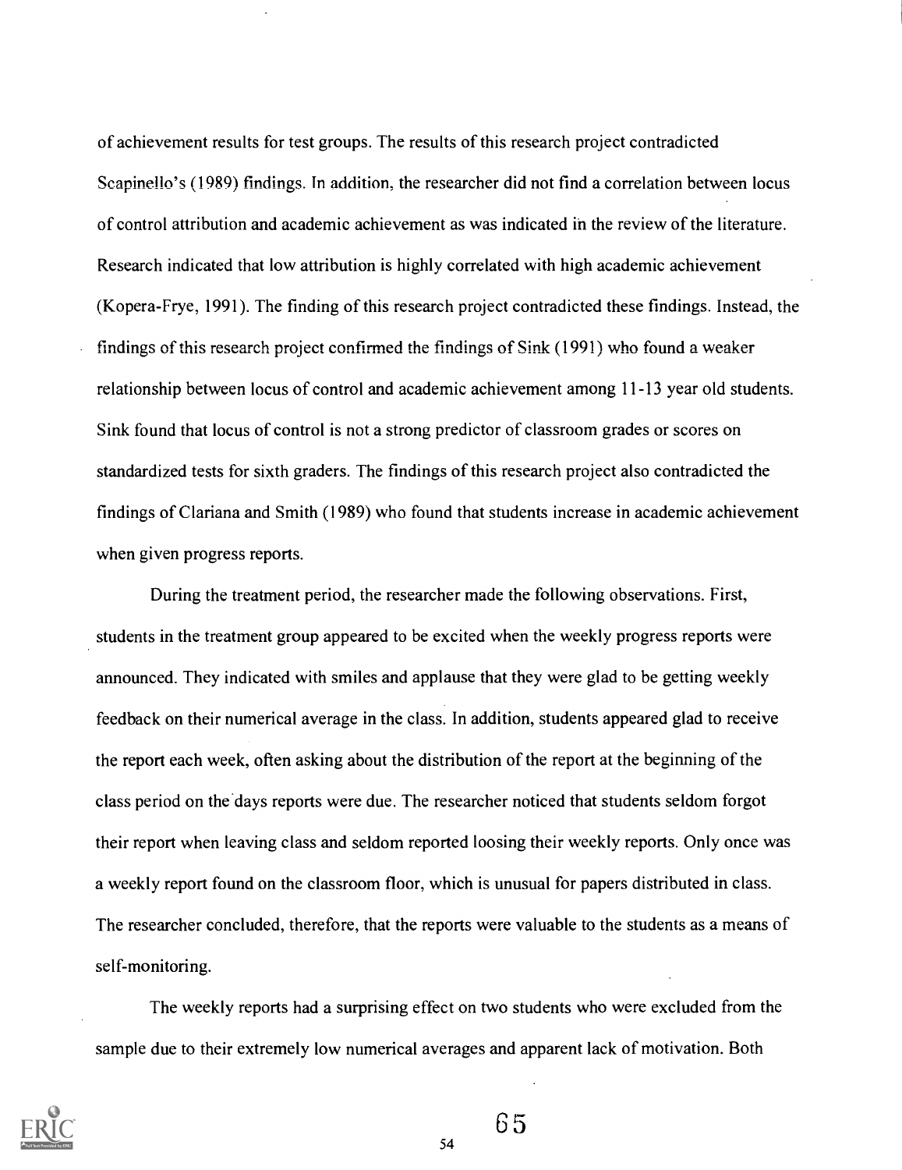of achievement results for test groups. The results of this research project contradicted Scapinello's (1989) findings. In addition, the researcher did not find a correlation between locus of control attribution and academic achievement as was indicated in the review of the literature. Research indicated that low attribution is highly correlated with high academic achievement (Kopera-Frye, 1991). The finding of this research project contradicted these findings. Instead, the findings of this research project confirmed the findings of Sink (1991) who found a weaker relationship between locus of control and academic achievement among 11-13 year old students. Sink found that locus of control is not a strong predictor of classroom grades or scores on standardized tests for sixth graders. The findings of this research project also contradicted the findings of Clariana and Smith (1989) who found that students increase in academic achievement when given progress reports.

During the treatment period, the researcher made the following observations. First, students in the treatment group appeared to be excited when the weekly progress reports were announced. They indicated with smiles and applause that they were glad to be getting weekly feedback on their numerical average in the class. In addition, students appeared glad to receive the report each week, often asking about the distribution of the report at the beginning of the class period on the days reports were due. The researcher noticed that students seldom forgot their report when leaving class and seldom reported loosing their weekly reports. Only once was a weekly report found on the classroom floor, which is unusual for papers distributed in class. The researcher concluded, therefore, that the reports were valuable to the students as a means of self-monitoring.

The weekly reports had a surprising effect on two students who were excluded from the sample due to their extremely low numerical averages and apparent lack of motivation. Both



65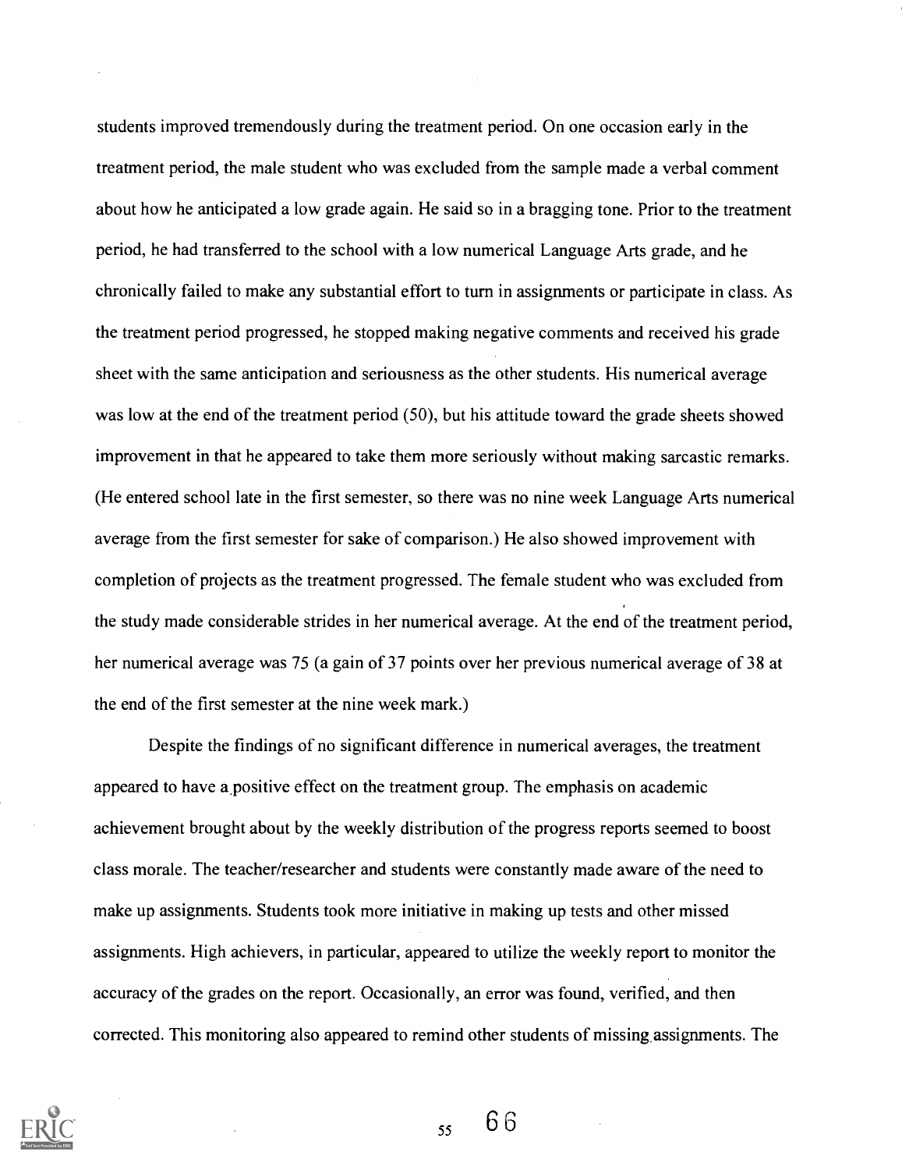students improved tremendously during the treatment period. On one occasion early in the treatment period, the male student who was excluded from the sample made a verbal comment about how he anticipated a low grade again. He said so in a bragging tone. Prior to the treatment period, he had transferred to the school with a low numerical Language Arts grade, and he chronically failed to make any substantial effort to turn in assignments or participate in class. As the treatment period progressed, he stopped making negative comments and received his grade sheet with the same anticipation and seriousness as the other students. His numerical average was low at the end of the treatment period (50), but his attitude toward the grade sheets showed improvement in that he appeared to take them more seriously without making sarcastic remarks. (He entered school late in the first semester, so there was no nine week Language Arts numerical average from the first semester for sake of comparison.) He also showed improvement with completion of projects as the treatment progressed. The female student who was excluded from the study made considerable strides in her numerical average. At the end of the treatment period, her numerical average was 75 (a gain of 37 points over her previous numerical average of 38 at the end of the first semester at the nine week mark.)

Despite the findings of no significant difference in numerical averages, the treatment appeared to have a positive effect on the treatment group. The emphasis on academic achievement brought about by the weekly distribution of the progress reports seemed to boost class morale. The teacher/researcher and students were constantly made aware of the need to make up assignments. Students took more initiative in making up tests and other missed assignments. High achievers, in particular, appeared to utilize the weekly report to monitor the accuracy of the grades on the report. Occasionally, an error was found, verified, and then corrected. This monitoring also appeared to remind other students of missing assignments. The



 $55 \t66$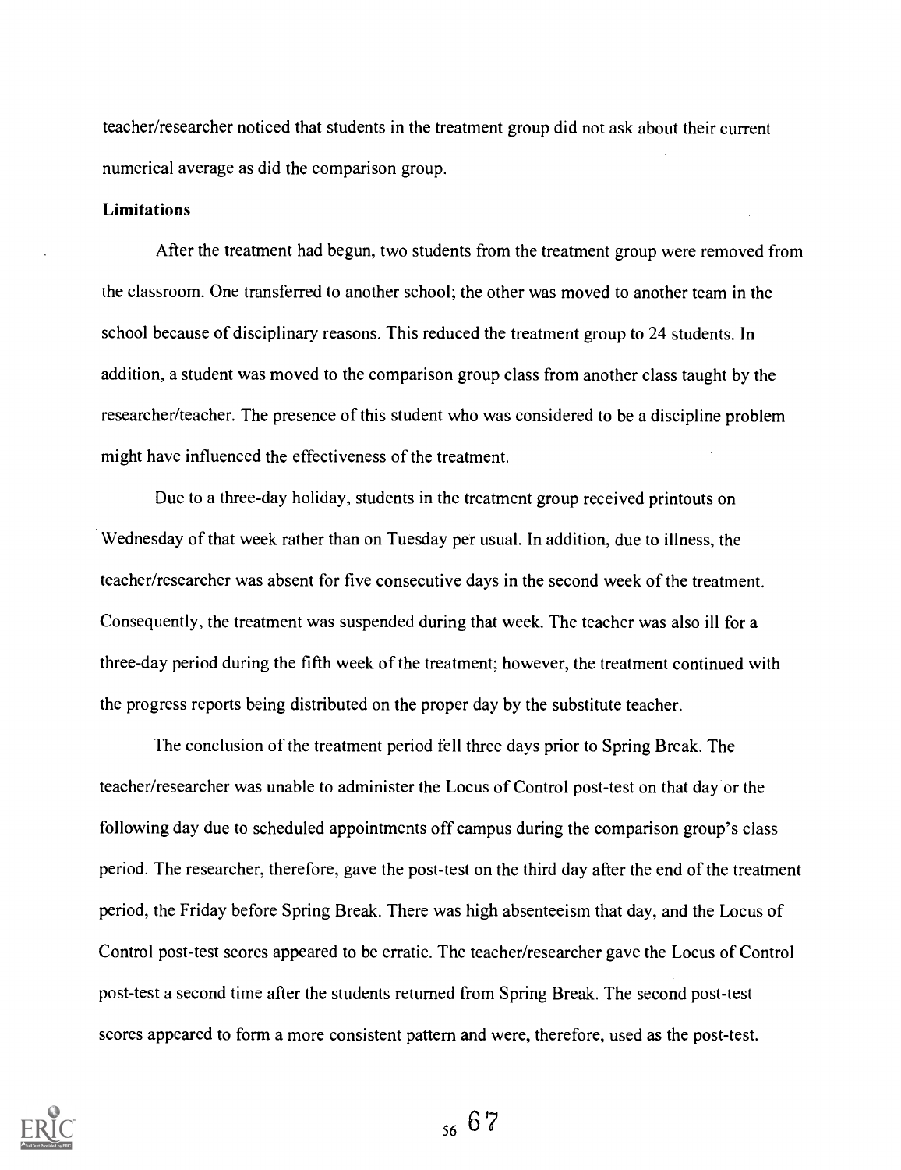teacher/researcher noticed that students in the treatment group did not ask about their current numerical average as did the comparison group.

### Limitations

After the treatment had begun, two students from the treatment group were removed from the classroom. One transferred to another school; the other was moved to another team in the school because of disciplinary reasons. This reduced the treatment group to 24 students. In addition, a student was moved to the comparison group class from another class taught by the researcher/teacher. The presence of this student who was considered to be a discipline problem might have influenced the effectiveness of the treatment.

Due to a three-day holiday, students in the treatment group received printouts on Wednesday of that week rather than on Tuesday per usual. In addition, due to illness, the teacher/researcher was absent for five consecutive days in the second week of the treatment. Consequently, the treatment was suspended during that week. The teacher was also ill for a three-day period during the fifth week of the treatment; however, the treatment continued with the progress reports being distributed on the proper day by the substitute teacher.

The conclusion of the treatment period fell three days prior to Spring Break. The teacher/researcher was unable to administer the Locus of Control post-test on that day or the following day due to scheduled appointments off campus during the comparison group's class period. The researcher, therefore, gave the post-test on the third day after the end of the treatment period, the Friday before Spring Break. There was high absenteeism that day, and the Locus of Control post-test scores appeared to be erratic. The teacher/researcher gave the Locus of Control post-test a second time after the students returned from Spring Break. The second post-test scores appeared to form a more consistent pattern and were, therefore, used as the post-test.



<sup>56</sup> 6 7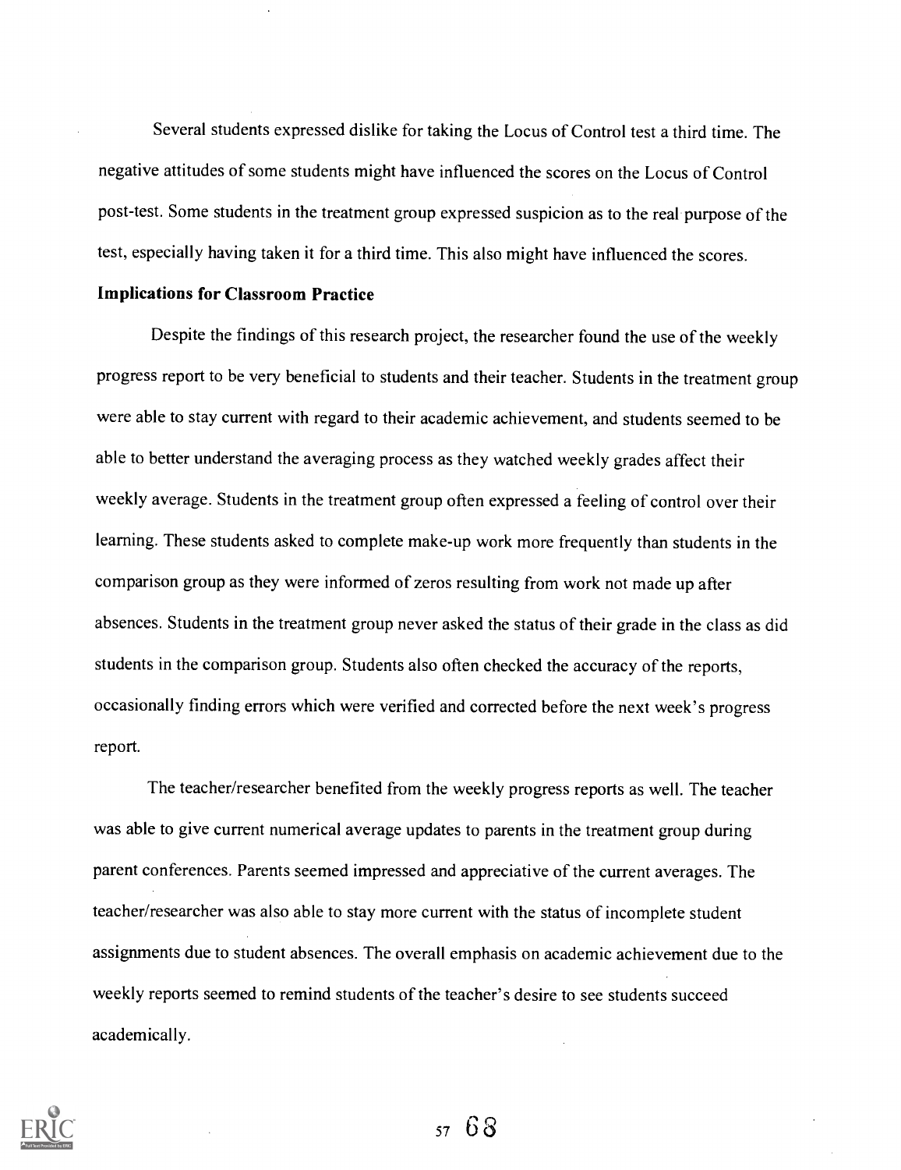Several students expressed dislike for taking the Locus of Control test a third time. The negative attitudes of some students might have influenced the scores on the Locus of Control post-test. Some students in the treatment group expressed suspicion as to the real purpose of the test, especially having taken it for a third time. This also might have influenced the scores.

# Implications for Classroom Practice

Despite the findings of this research project, the researcher found the use of the weekly progress report to be very beneficial to students and their teacher. Students in the treatment group were able to stay current with regard to their academic achievement, and students seemed to be able to better understand the averaging process as they watched weekly grades affect their weekly average. Students in the treatment group often expressed a feeling of control over their learning. These students asked to complete make-up work more frequently than students in the comparison group as they were informed of zeros resulting from work not made up after absences. Students in the treatment group never asked the status of their grade in the class as did students in the comparison group. Students also often checked the accuracy of the reports, occasionally finding errors which were verified and corrected before the next week's progress report.

The teacher/researcher benefited from the weekly progress reports as well. The teacher was able to give current numerical average updates to parents in the treatment group during parent conferences. Parents seemed impressed and appreciative of the current averages. The teacher/researcher was also able to stay more current with the status of incomplete student assignments due to student absences. The overall emphasis on academic achievement due to the weekly reports seemed to remind students of the teacher's desire to see students succeed academically.

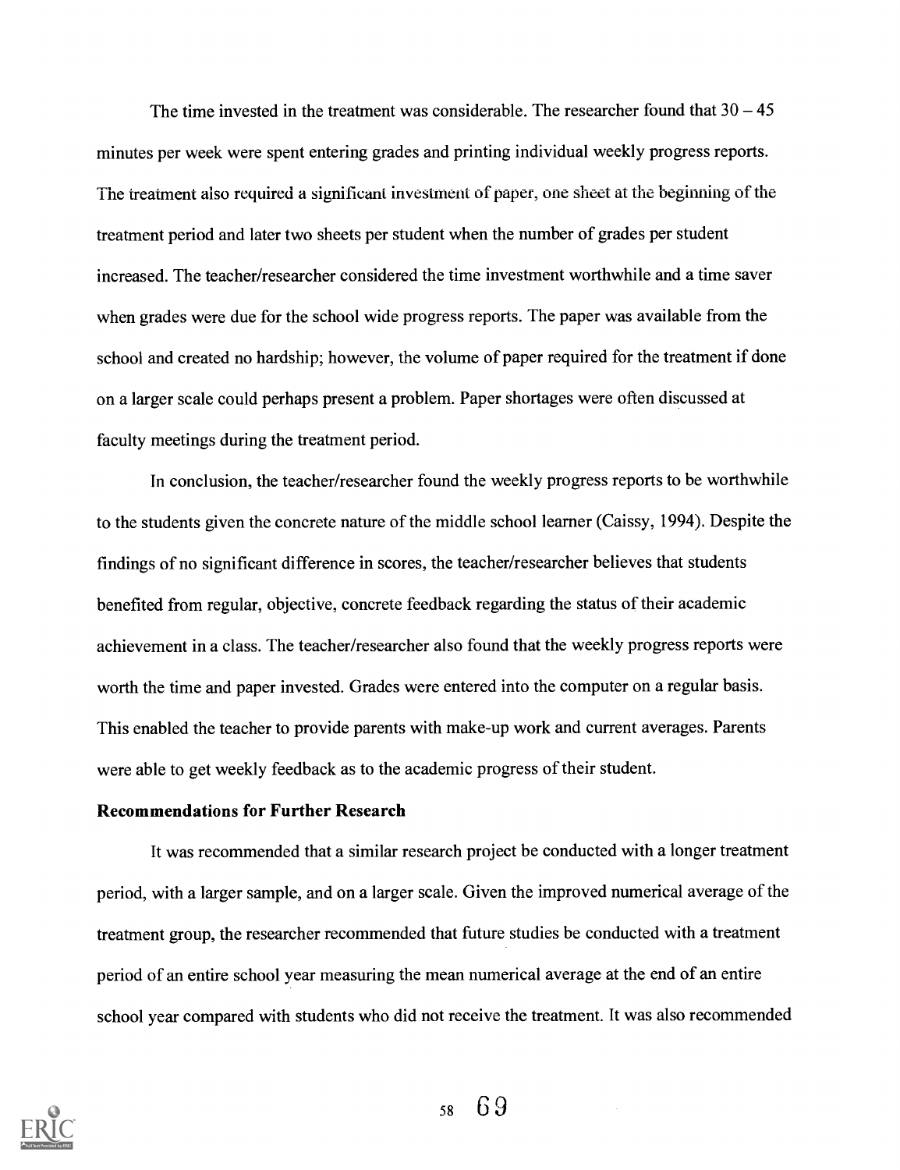The time invested in the treatment was considerable. The researcher found that  $30 - 45$ minutes per week were spent entering grades and printing individual weekly progress reports. The treatment also required a significant investment of paper, one sheet at the beginning of the treatment period and later two sheets per student when the number of grades per student increased. The teacher/researcher considered the time investment worthwhile and a time saver when grades were due for the school wide progress reports. The paper was available from the school and created no hardship; however, the volume of paper required for the treatment if done on a larger scale could perhaps present a problem. Paper shortages were often discussed at faculty meetings during the treatment period.

In conclusion, the teacher/researcher found the weekly progress reports to be worthwhile to the students given the concrete nature of the middle school learner (Caissy, 1994). Despite the findings of no significant difference in scores, the teacher/researcher believes that students benefited from regular, objective, concrete feedback regarding the status of their academic achievement in a class. The teacher/researcher also found that the weekly progress reports were worth the time and paper invested. Grades were entered into the computer on a regular basis. This enabled the teacher to provide parents with make-up work and current averages. Parents were able to get weekly feedback as to the academic progress of their student.

# Recommendations for Further Research

It was recommended that a similar research project be conducted with a longer treatment period, with a larger sample, and on a larger scale. Given the improved numerical average of the treatment group, the researcher recommended that future studies be conducted with a treatment period of an entire school year measuring the mean numerical average at the end of an entire school year compared with students who did not receive the treatment. It was also recommended

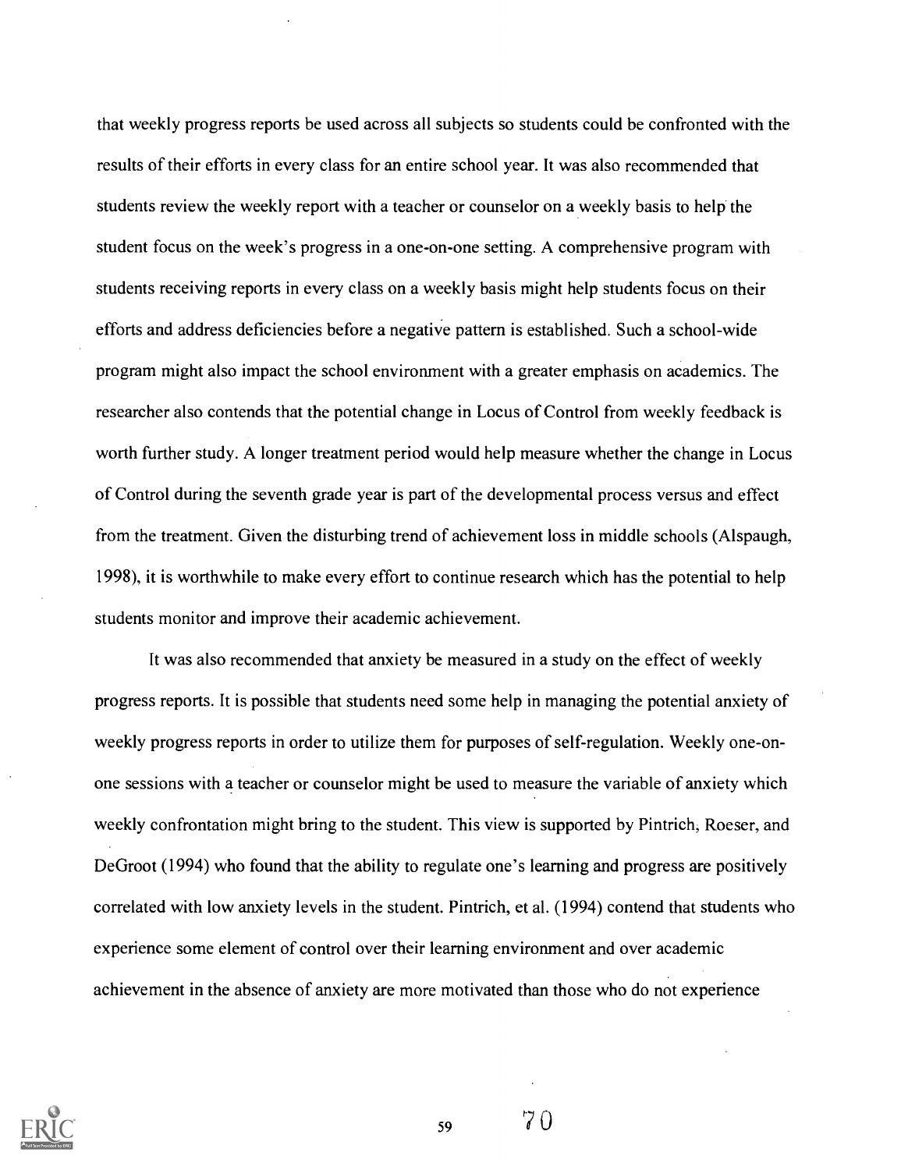that weekly progress reports be used across all subjects so students could be confronted with the results of their efforts in every class for an entire school year. It was also recommended that students review the weekly report with a teacher or counselor on a weekly basis to help the student focus on the week's progress in a one-on-one setting. A comprehensive program with students receiving reports in every class on a weekly basis might help students focus on their efforts and address deficiencies before a negative pattern is established. Such a school-wide program might also impact the school environment with a greater emphasis on academics. The researcher also contends that the potential change in Locus of Control from weekly feedback is worth further study. A longer treatment period would help measure whether the change in Locus of Control during the seventh grade year is part of the developmental process versus and effect from the treatment. Given the disturbing trend of achievement loss in middle schools (Alspaugh, 1998), it is worthwhile to make every effort to continue research which has the potential to help students monitor and improve their academic achievement.

It was also recommended that anxiety be measured in a study on the effect of weekly progress reports. It is possible that students need some help in managing the potential anxiety of weekly progress reports in order to utilize them for purposes of self-regulation. Weekly one-onone sessions with a teacher or counselor might be used to measure the variable of anxiety which weekly confrontation might bring to the student. This view is supported by Pintrich; Roeser, and DeGroot (1994) who found that the ability to regulate one's learning and progress are positively correlated with low anxiety levels in the student. Pintrich, et al. (1994) contend that students who experience some element of control over their learning environment and over academic achievement in the absence of anxiety are more motivated than those who do not experience



59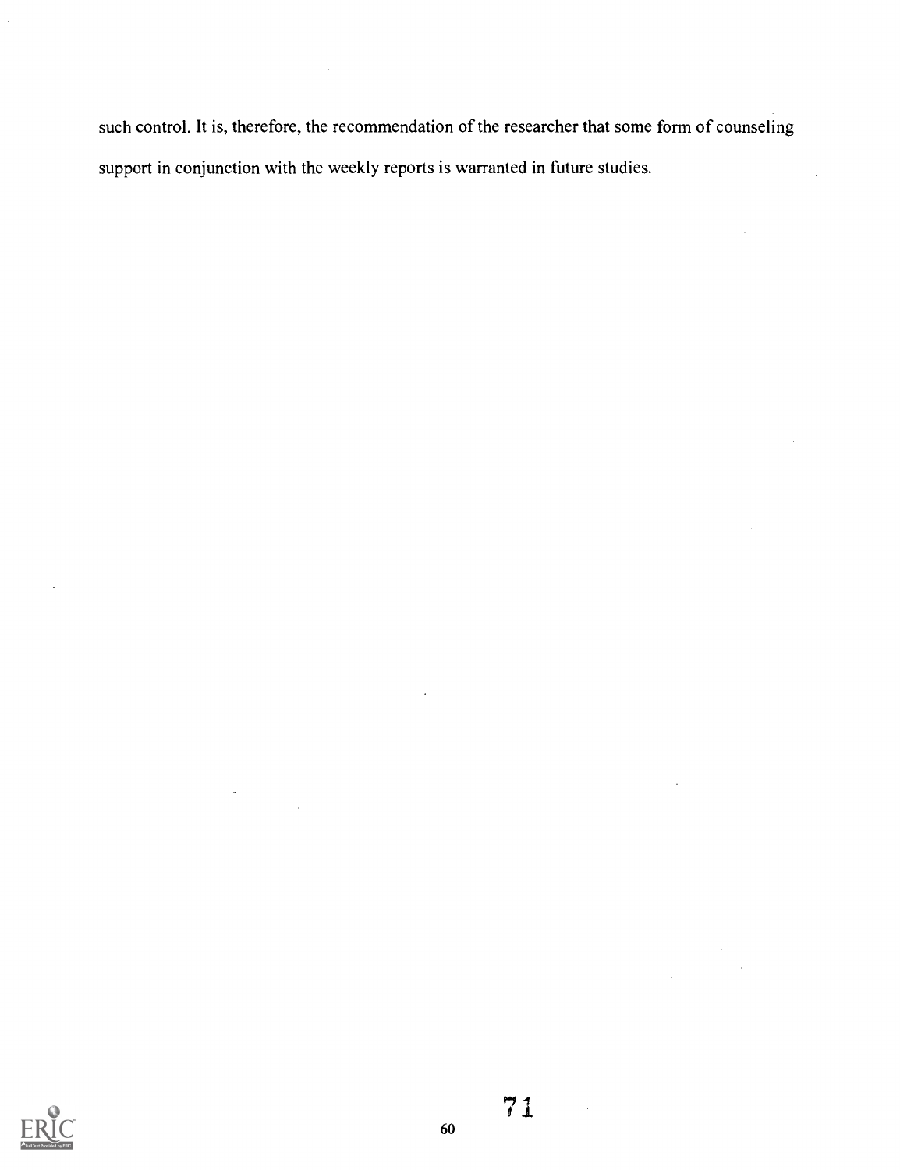such control. It is, therefore, the recommendation of the researcher that some form of counseling support in conjunction with the weekly reports is warranted in future studies.



71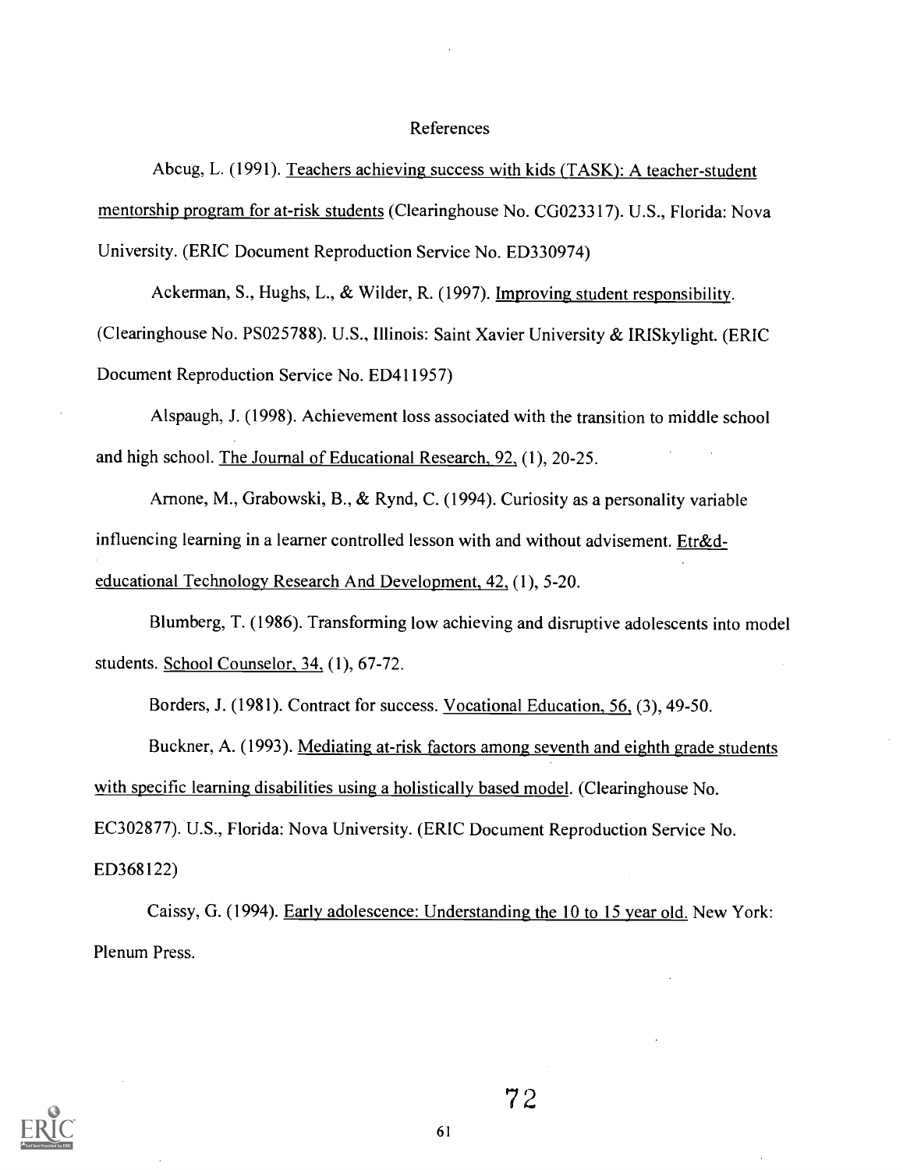# References

Abcug, L. (1991). Teachers achieving success with kids (TASK): A teacher-student mentorship program for at-risk students (Clearinghouse No. CG023317). U.S., Florida: Nova University. (ERIC Document Reproduction Service No. ED330974)

Ackerman, S., Hughs, L., & Wilder, R. (1997). Improving student responsibility. (Clearinghouse No. PS025788). U.S., Illinois: Saint Xavier University & IRISkylight. (ERIC Document Reproduction Service No. ED411957)

Alspaugh, J. (1998). Achievement loss associated with the transition to middle school and high school. The Journal of Educational Research, 92, (1), 20-25.

Arnone, M., Grabowski, B., & Rynd, C. (1994). Curiosity as a personality variable influencing learning in a learner controlled lesson with and without advisement. Etr&deducational Technology Research And Development, 42, (1), 5-20.

Blumberg, T. (1986). Transforming low achieving and disruptive adolescents into model students. School Counselor, 34, (1), 67-72.

Borders, J. (1981). Contract for success. Vocational Education, 56, (3), 49-50.

Buckner, A. (1993). Mediating at-risk factors among seventh and eighth grade students with specific learning disabilities using a holistically based model. (Clearinghouse No.

EC302877). U.S., Florida: Nova University. (ERIC Document Reproduction Service No.

ED368122)

Caissy, G. (1994). Early adolescence: Understanding the 10 to 15 year old. New York: Plenum Press.

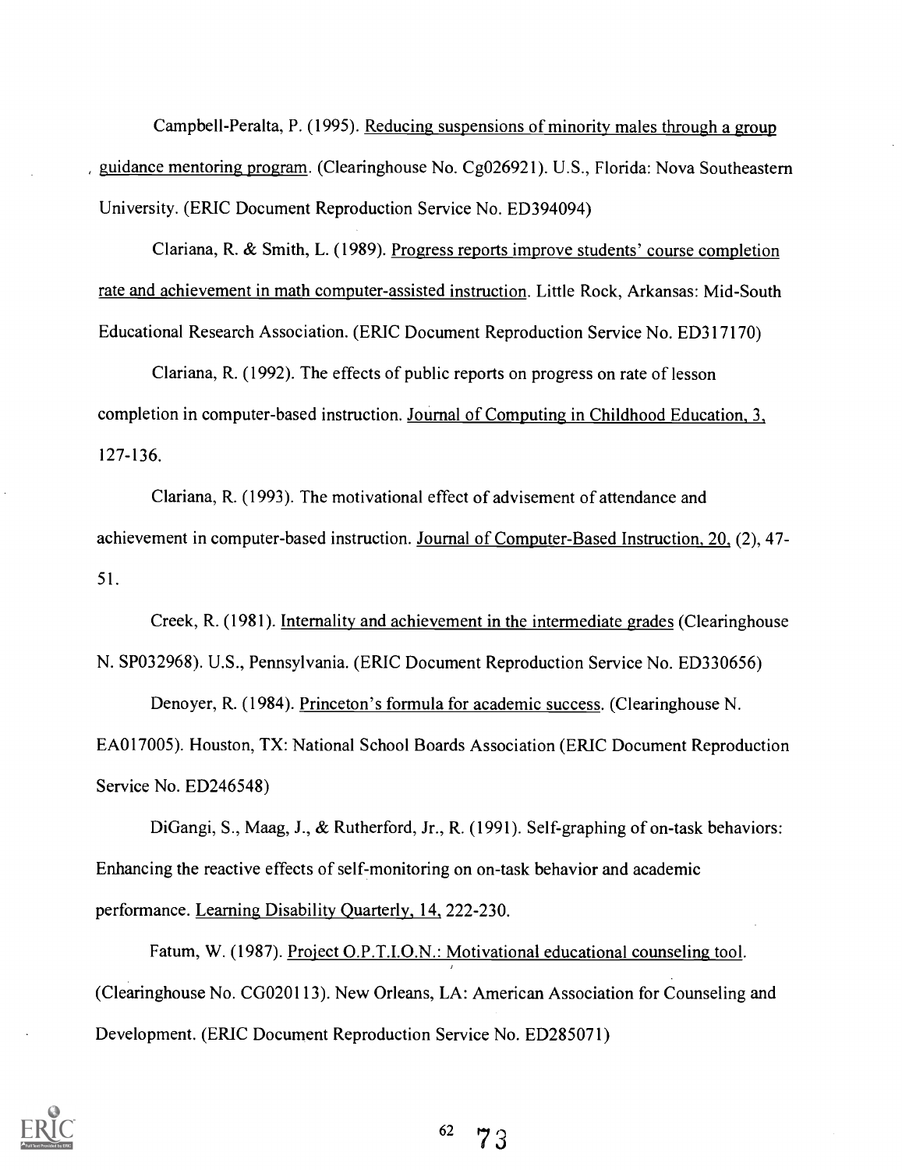Campbell-Peralta, P. (1995). Reducing suspensions of minority males through a group , guidance mentoring program. (Clearinghouse No. Cg026921). U.S., Florida: Nova Southeastern University. (ERIC Document Reproduction Service No. ED394094)

Clariana, R. & Smith, L. (1989). Progress reports improve students' course completion rate and achievement in math computer-assisted instruction. Little Rock, Arkansas: Mid-South Educational Research Association. (ERIC Document Reproduction Service No. ED317170)

Clariana, R. (1992). The effects of public reports on progress on rate of lesson completion in computer-based instruction. Journal of Computing in Childhood Education, 3, 127-136.

Clariana, R. (1993). The motivational effect of advisement of attendance and achievement in computer-based instruction. Journal of Computer-Based Instruction, 20, (2), 47- 51.

Creek, R. (1981). Internality and achievement in the intermediate grades (Clearinghouse N. SP032968). U.S., Pennsylvania. (ERIC Document Reproduction Service No. ED330656)

Denoyer, R. (1984). Princeton's formula for academic success. (Clearinghouse N. EA017005). Houston, TX: National School Boards Association (ERIC Document Reproduction Service No. ED246548)

DiGangi, S., Maag, J., & Rutherford, Jr., R. (1991). Self-graphing of on-task behaviors: Enhancing the reactive effects of self-monitoring on on-task behavior and academic performance. Learning Disability Quarterly, 14, 222-230.

Fatum, W. (1987). Project O.P.T.I.O.N.: Motivational educational counseling tool. (Clearinghouse No. CG020113). New Orleans, LA: American Association for Counseling and Development. (ERIC Document Reproduction Service No. ED285071)

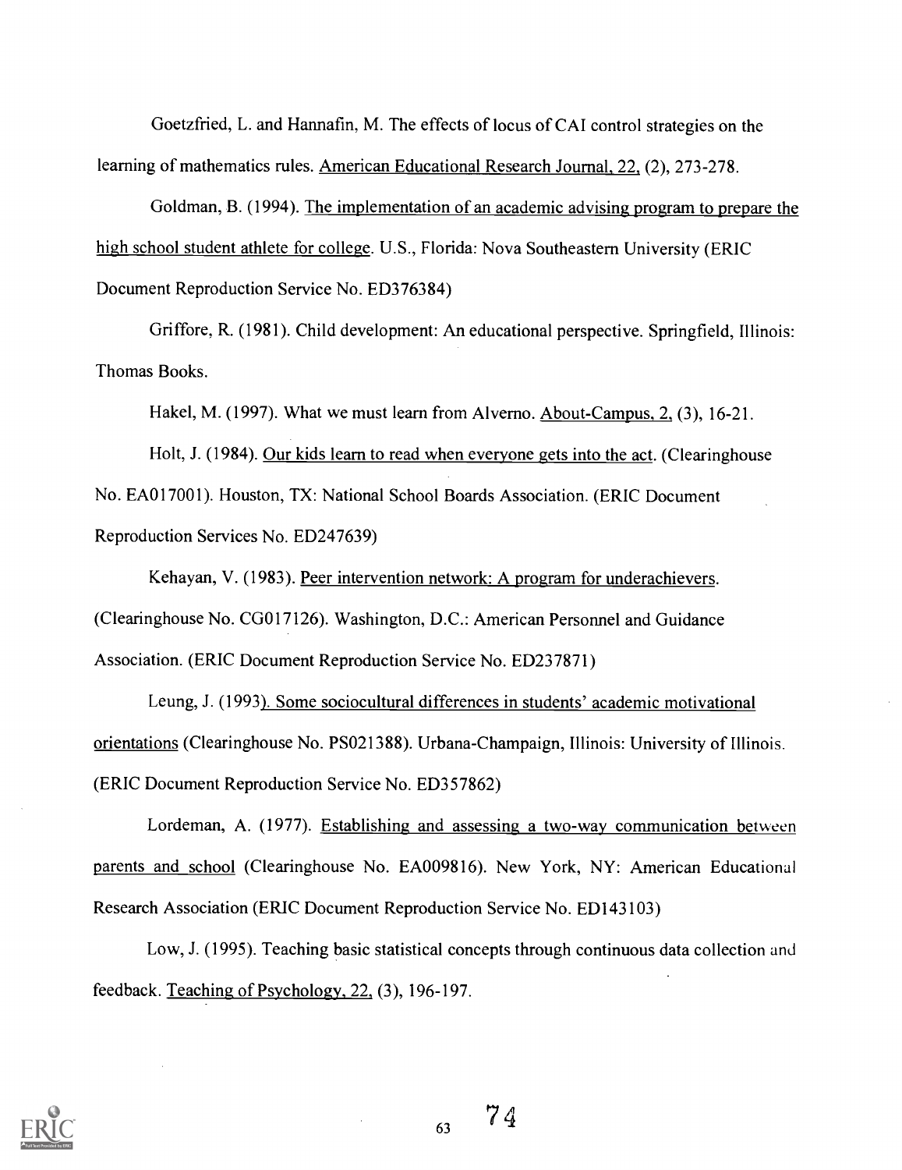Goetzfried, L. and Hannafin, M. The effects of locus of CAI control strategies on the learning of mathematics rules. American Educational Research Journal, 22, (2), 273-278.

Goldman, B. (1994). The implementation of an academic advising program to prepare the high school student athlete for college. U.S., Florida: Nova Southeastern University (ERIC Document Reproduction Service No. ED376384)

Griffore, R. (1981). Child development: An educational perspective. Springfield, Illinois: Thomas Books.

Hakel, M. (1997). What we must learn from Alverno. About-Campus, 2, (3), 16-21.

Holt, J. (1984). Our kids learn to read when everyone gets into the act. (Clearinghouse No. EA017001). Houston, TX: National School Boards Association. (ERIC Document Reproduction Services No. ED247639)

Kehayan, V. (1983). Peer intervention network: A program for underachievers. (Clearinghouse No. CG017126). Washington, D.C.: American Personnel and Guidance Association. (ERIC Document Reproduction Service No. ED237871)

Leung, J. (1993). Some sociocultural differences in students' academic motivational orientations (Clearinghouse No. PS021388). Urbana-Champaign, Illinois: University of Illinois. (ERIC Document Reproduction Service No. ED357862)

Lordeman, A. (1977). Establishing and assessing a two-way communication between parents and school (Clearinghouse No. EA009816). New York, NY: American Educational Research Association (ERIC Document Reproduction Service No. ED143103)

Low, J. (1995). Teaching basic statistical concepts through continuous data collection and feedback. Teaching of Psychology, 22, (3), 196-197.

63

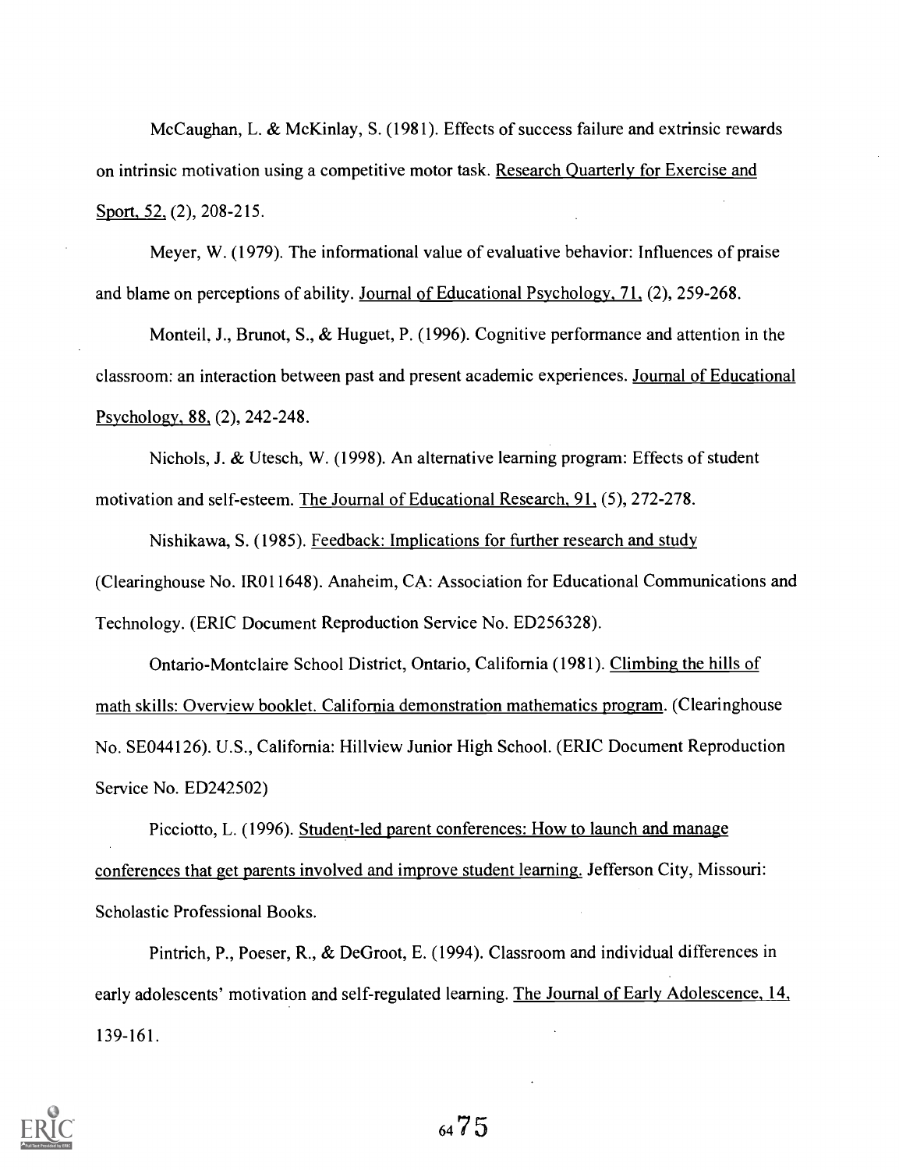McCaughan, L. & McKinlay, S. (1981). Effects of success failure and extrinsic rewards on intrinsic motivation using a competitive motor task. Research Quarterly for Exercise and Sport, 52, (2), 208-215.

Meyer, W. (1979). The informational value of evaluative behavior: Influences of praise and blame on perceptions of ability. Journal of Educational Psychology, 71, (2), 259-268.

Monteil, J., Brunot, S., & Huguet, P. (1996). Cognitive performance and attention in the classroom: an interaction between past and present academic experiences. Journal of Educational Psychology, 88, (2), 242-248.

Nichols, J. & Utesch, W. (1998). An alternative learning program: Effects of student motivation and self-esteem. The Journal of Educational Research, 91, (5), 272-278.

Nishikawa, S. (1985). Feedback: Implications for further research and study (Clearinghouse No. IR011648). Anaheim, CA: Association for Educational Communications and Technology. (ERIC Document Reproduction Service No. ED256328).

Ontario-Montclaire School District, Ontario, California (1981). Climbing the hills of math skills: Overview booklet. California demonstration mathematics program. (Clearinghouse No. SE044126). U.S., California: Hillview Junior High School. (ERIC Document Reproduction Service No. ED242502)

Picciotto, L. (1996). Student-led parent conferences: How to launch and manage conferences that get parents involved and improve student learning. Jefferson City, Missouri: Scholastic Professional Books.

Pintrich, P., Poeser, R., & DeGroot, E. (1994). Classroom and individual differences in early adolescents' motivation and self-regulated learning. The Journal of Early Adolescence, 14, 139-161.



<sup>64</sup> 7 5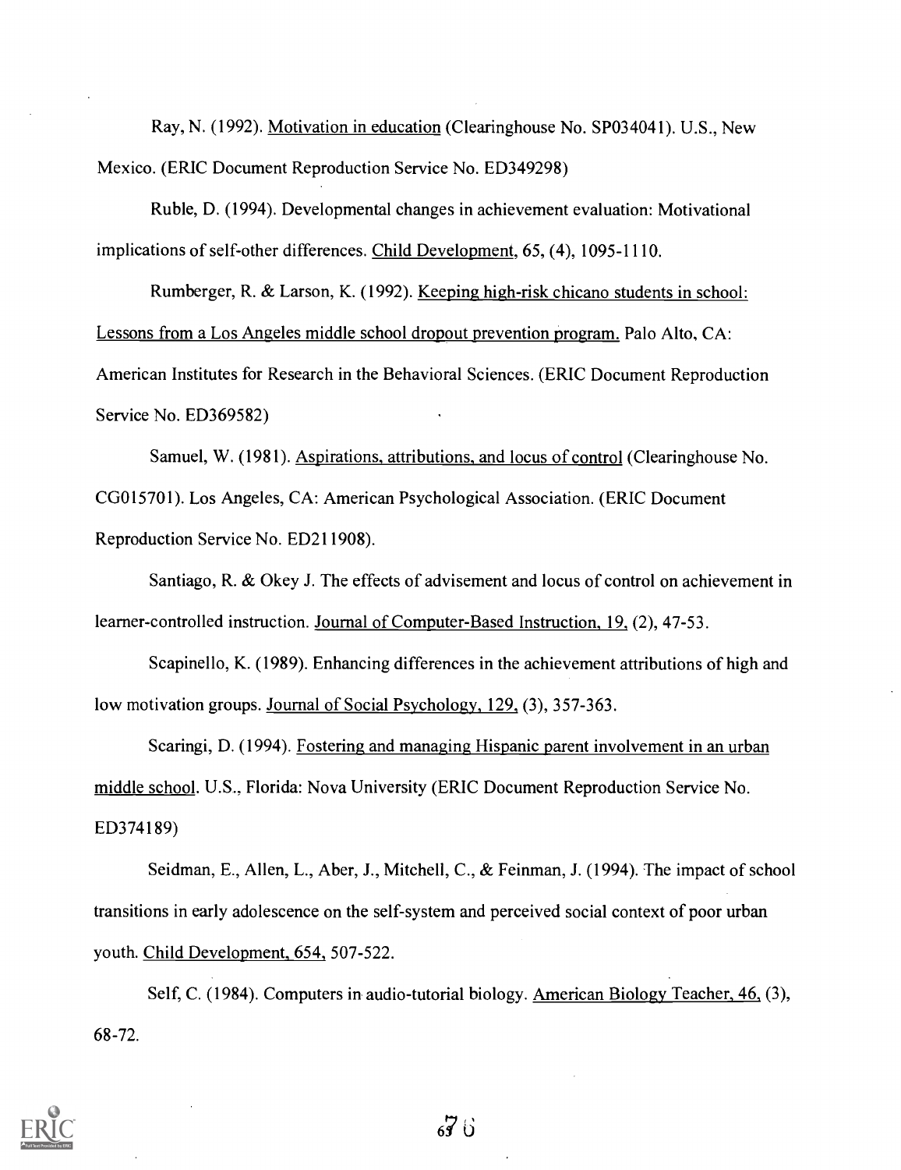Ray, N. (1992). Motivation in education (Clearinghouse No. SP034041). U.S., New Mexico. (ERIC Document Reproduction Service No. ED349298)

Ruble, D. (1994). Developmental changes in achievement evaluation: Motivational implications of self-other differences. Child Development, 65, (4), 1095-1110.

Rumberger, R. & Larson, K. (1992). Keeping high-risk chicano students in school: Lessons from a Los Angeles middle school dropout prevention program. Palo Alto, CA: American Institutes for Research in the Behavioral Sciences. (ERIC Document Reproduction Service No. ED369582)

Samuel, W. (1981). Aspirations, attributions, and locus of control (Clearinghouse No. CG015701). Los Angeles, CA: American Psychological Association. (ERIC Document Reproduction Service No. ED211908).

Santiago, R. & Okey J. The effects of advisement and locus of control on achievement in learner-controlled instruction. Journal of Computer-Based Instruction, 19, (2), 47-53.

Scapinello, K. (1989). Enhancing differences in the achievement attributions of high and low motivation groups. Journal of Social Psychology, 129, (3), 357-363.

Scaringi, D. (1994). Fostering and managing Hispanic parent involvement in an urban middle school. U.S.. Florida: Nova University (ERIC Document Reproduction Service No. ED374189)

Seidman, E., Allen, L., Aber, J., Mitchell, C., & Feinman, J. (1994). The impact of school transitions in early adolescence on the self-system and perceived social context of poor urban youth. Child Development, 654, 507-522.

Self, C. (1984). Computers in audio-tutorial biology. American Biology Teacher, 46, (3), 68-72.

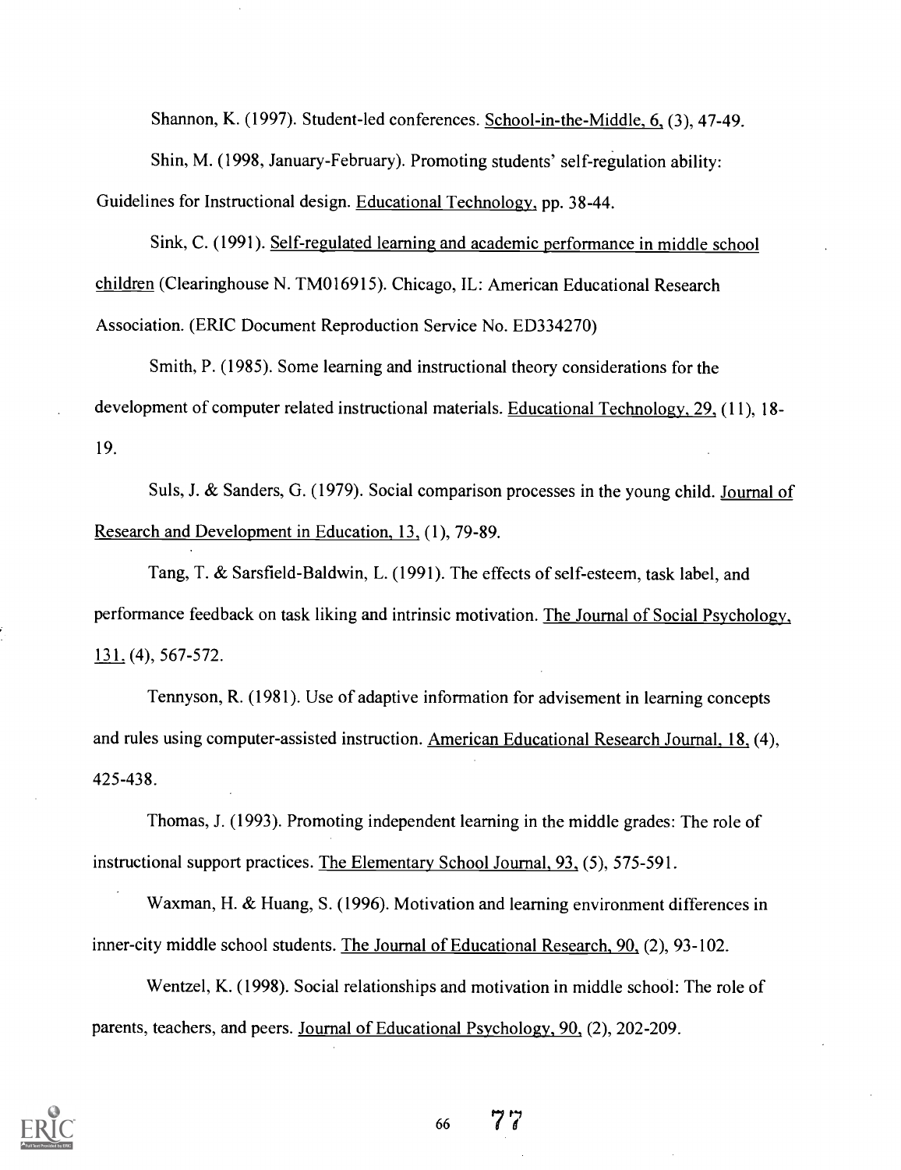Shannon, K. (1997). Student-led conferences. School-in-the-Middle, 6, (3), 47-49.

Shin, M. (1998, January-February). Promoting students' self-regulation ability:

Guidelines for Instructional design. Educational Technology, pp. 38-44.

Sink, C. (1991). Self-regulated learning and academic performance in middle school children (Clearinghouse N. TM016915). Chicago, IL: American Educational Research

Association. (ERIC Document Reproduction Service No. ED334270)

Smith, P. (1985). Some learning and instructional theory considerations for the development of computer related instructional materials. Educational Technology, 29, (11), 18- 19.

Suls, J. & Sanders, G. (1979). Social comparison processes in the young child. Journal of Research and Development in Education, 13, (1), 79-89.

Tang, T. & Sarsfield-Baldwin, L. (1991). The effects of self-esteem, task label, and performance feedback on task liking and intrinsic motivation. The Journal of Social Psychology, 131. (4), 567-572.

Tennyson, R. (1981). Use of adaptive information for advisement in learning concepts and rules using computer-assisted instruction. American Educational Research Journal, 18, (4), 425-438.

Thomas, J. (1993). Promoting independent learning in the middle grades: The role of instructional support practices. The Elementary School Journal, 93, (5), 575-591.

Waxman, H. & Huang, S. (1996). Motivation and learning environment differences in inner-city middle school students. The Journal of Educational Research, 90, (2), 93-102.

Wentzel, K. (1998). Social relationships and motivation in middle school: The role of parents, teachers, and peers. Journal of Educational Psychology, 90, (2), 202-209.



<sup>66</sup> 7 7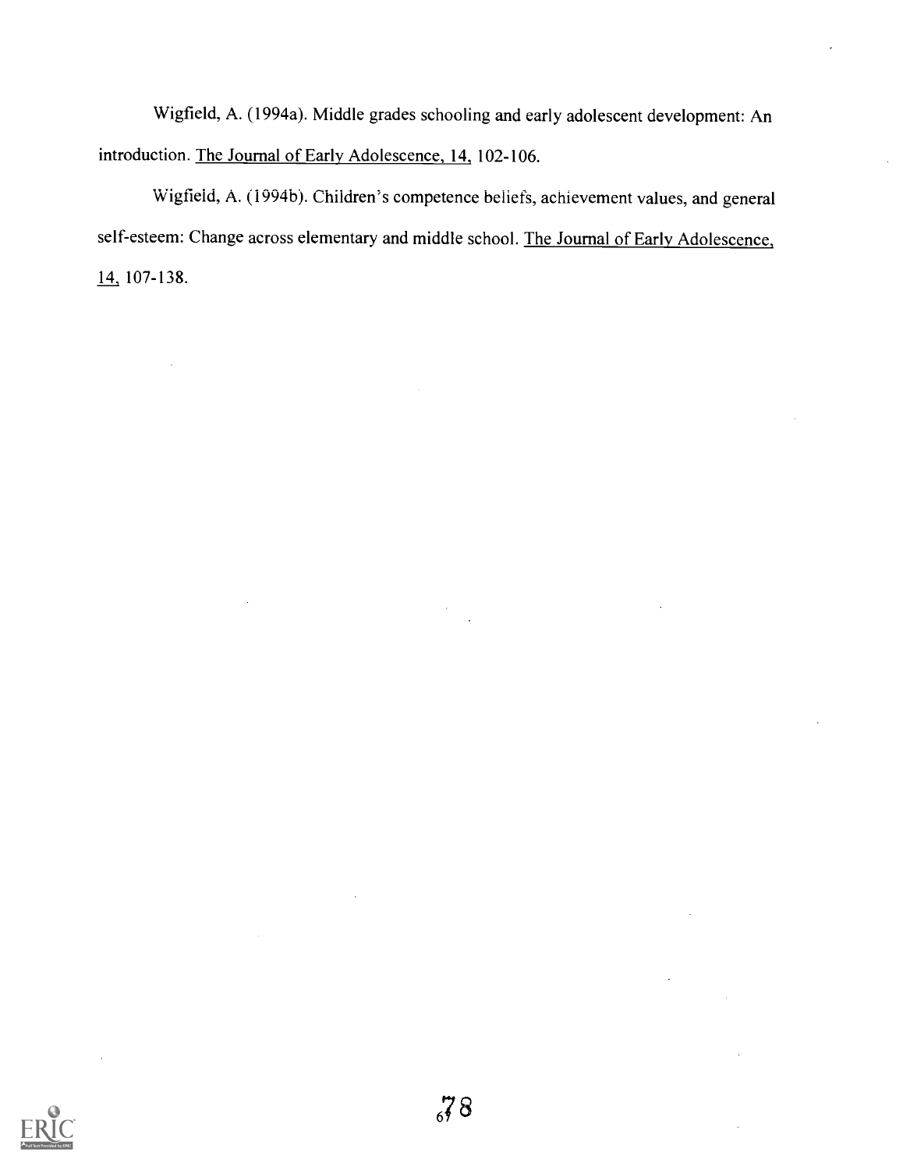Wigfield, A. (1994a). Middle grades schooling and early adolescent development: An introduction. The Journal of Early Adolescence, 14, 102-106.

Wigfield, A. (1994b). Children's competence beliefs, achievement values, and general self-esteem: Change across elementary and middle school. The Journal of Early Adolescence, 14, 107-138.

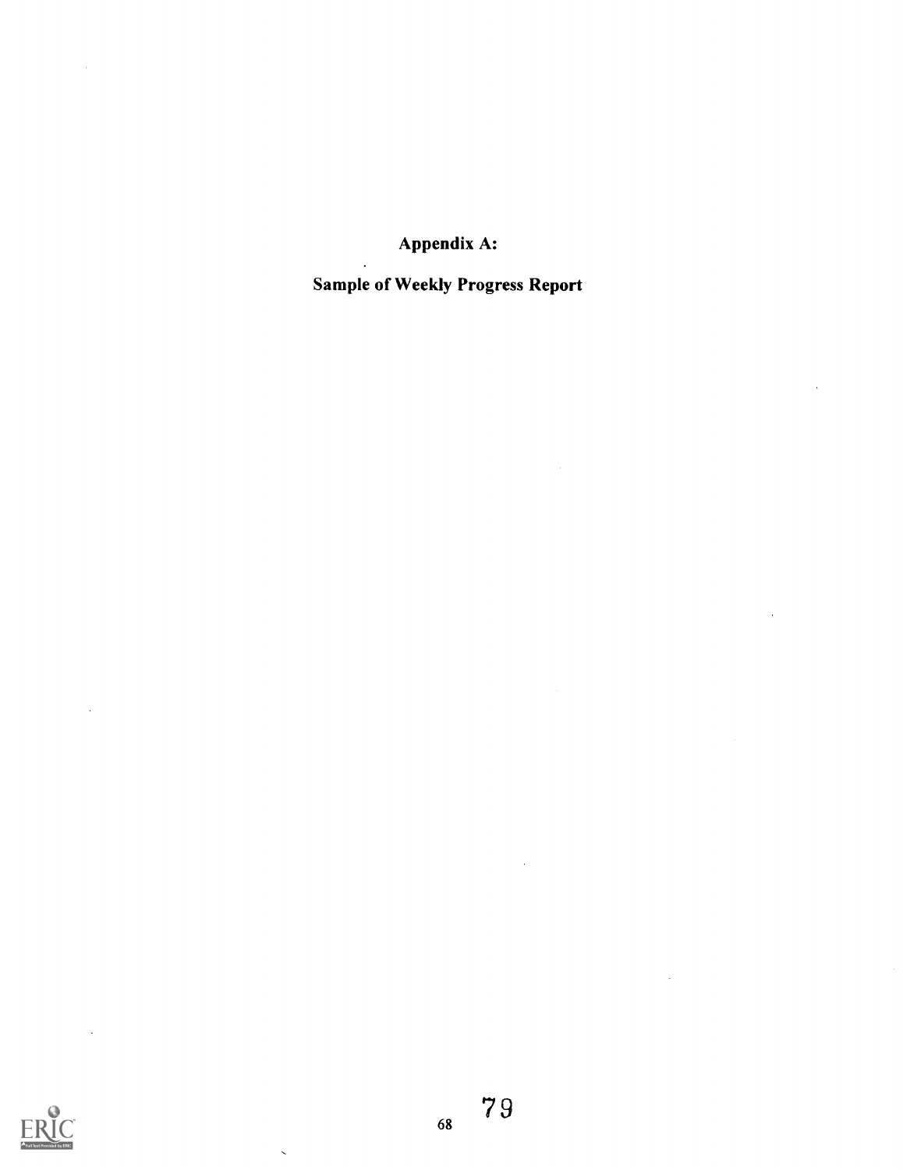Appendix A:

# Sample of Weekly Progress Report



 $\ddot{\phantom{a}}$ 

J.

68

 $\bar{\mathcal{L}}$ 

t,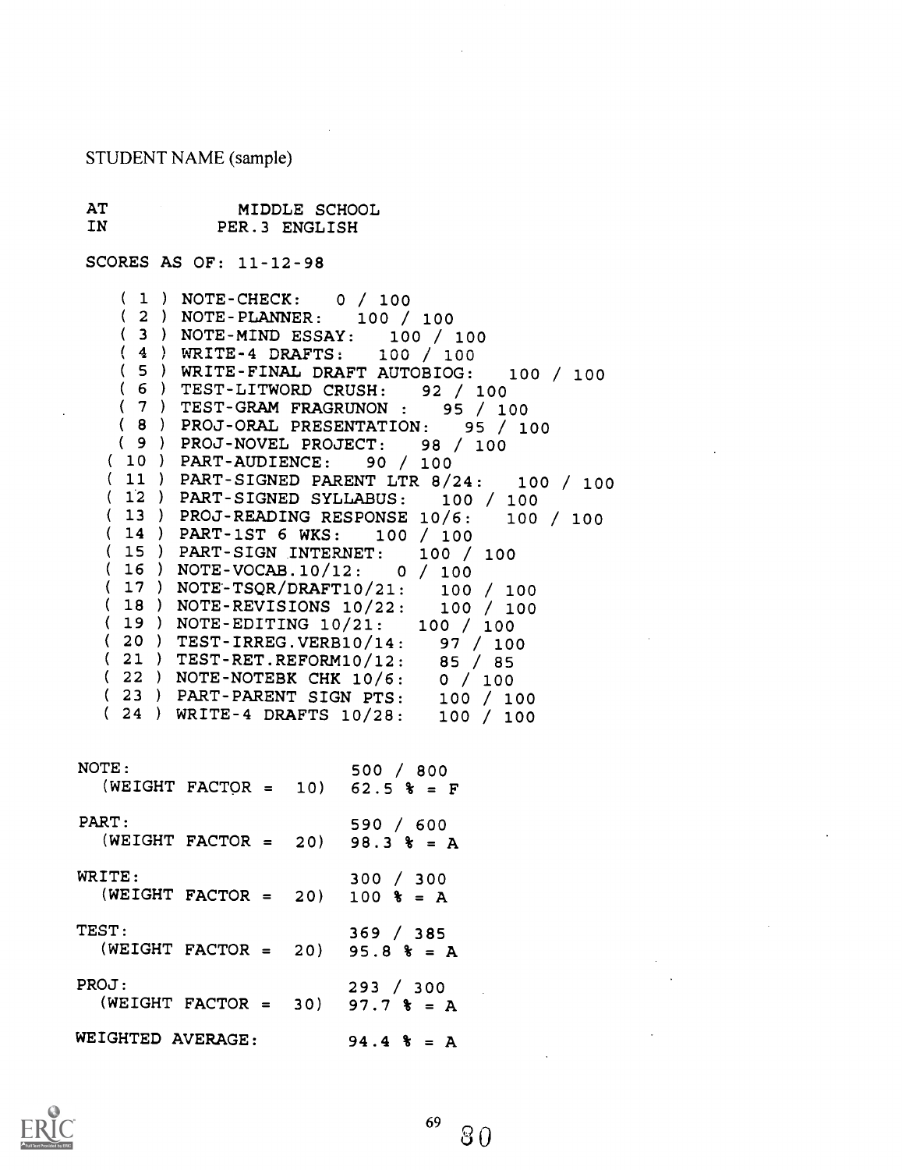STUDENT NAME (sample)

AT IN MIDDLE SCHOOL PER.3 ENGLISH

 $\sim 10^7$ 

SCORES AS OF: 11-12-98

| $(1)$ NOTE-CHECK: 0 / 100                                                                                       |
|-----------------------------------------------------------------------------------------------------------------|
| $(2)$ NOTE-PLANNER: 100 / 100                                                                                   |
| (3) NOTE-MIND ESSAY: 100 / 100<br>(4) WRITE-4 DRAFTS: 100 / 100                                                 |
|                                                                                                                 |
| (5) WRITE-FINAL DRAFT AUTOBIOG: 100 / 100                                                                       |
|                                                                                                                 |
|                                                                                                                 |
| (6) TEST-LITWORD CRUSH: 92 / 100<br>(7) TEST-GRAM FRAGRUNON: 95 / 100<br>(8) PROJ-ORAL PRESENTATION: 95 / 100   |
| (9) PROJ-NOVEL PROJECT: 98 / 100                                                                                |
| $(10)$ PART-AUDIENCE: 90 / 100                                                                                  |
| (11) PART-SIGNED PARENT LTR $8/24$ : 100 / 100<br>(12) PART-SIGNED SYLLABUS: 100 / 100                          |
|                                                                                                                 |
| (13) PROJ-READING RESPONSE 10/6: 100 / 100                                                                      |
| $(14)$ PART-1ST 6 WKS: 100 / 100                                                                                |
| (15) PART-SIGN INTERNET: 100 / 100                                                                              |
| $(16) NOTE-VOCAB.10/12: 0 / 100$                                                                                |
| ( 17 ) NOTE-TSQR/DRAFT10/21: 100 / 100                                                                          |
| (18) NOTE-REVISIONS $10/22: 100 / 100$                                                                          |
| $(19)$ NOTE-EDITING $10/21: 100 / 100$                                                                          |
| (20) TEST-IRREG.VERB10/14: 97 / 100<br>(21) TEST-RET.REFORM10/12: 85 / 85<br>(22) NOTE-NOTEBK CHK 10/6: 0 / 100 |
|                                                                                                                 |
|                                                                                                                 |
|                                                                                                                 |
| (23) PART-PARENT SIGN PTS: 100 / 100<br>(24) WRITE-4 DRAFTS 10/28: 100 / 100                                    |
|                                                                                                                 |
|                                                                                                                 |
| NOTE:<br>500 / 800                                                                                              |
| (WEIGHT FACTOR = 10) $62.5$ $\text{*}$ = F                                                                      |
|                                                                                                                 |
| PART: 590 / 600<br>(WEIGHT FACTOR = 20) 98.3 $\text{*}$ = A                                                     |
|                                                                                                                 |
|                                                                                                                 |
| WRITE:<br>300 / 300                                                                                             |
| WRITE: $300 / 300$<br>(WEIGHT FACTOR = 20) 100 $\frac{1}{3}$ = A                                                |
|                                                                                                                 |
| TEST:<br>369 / 385                                                                                              |
| (WEIGHT FACTOR = 20) $95.8$ $\frac{1}{8}$ = A                                                                   |
|                                                                                                                 |
| PROJ:<br>293 / 300                                                                                              |
| (WEIGHT FACTOR = 30) 97.7 $\frac{1}{8}$ = A                                                                     |
|                                                                                                                 |
| WEIGHTED AVERAGE: 94.4 % = A                                                                                    |
| <b>Contractor</b>                                                                                               |



 $\mathbf{r}$ 

 $\sim$   $\sim$ 

 $\bar{\beta}$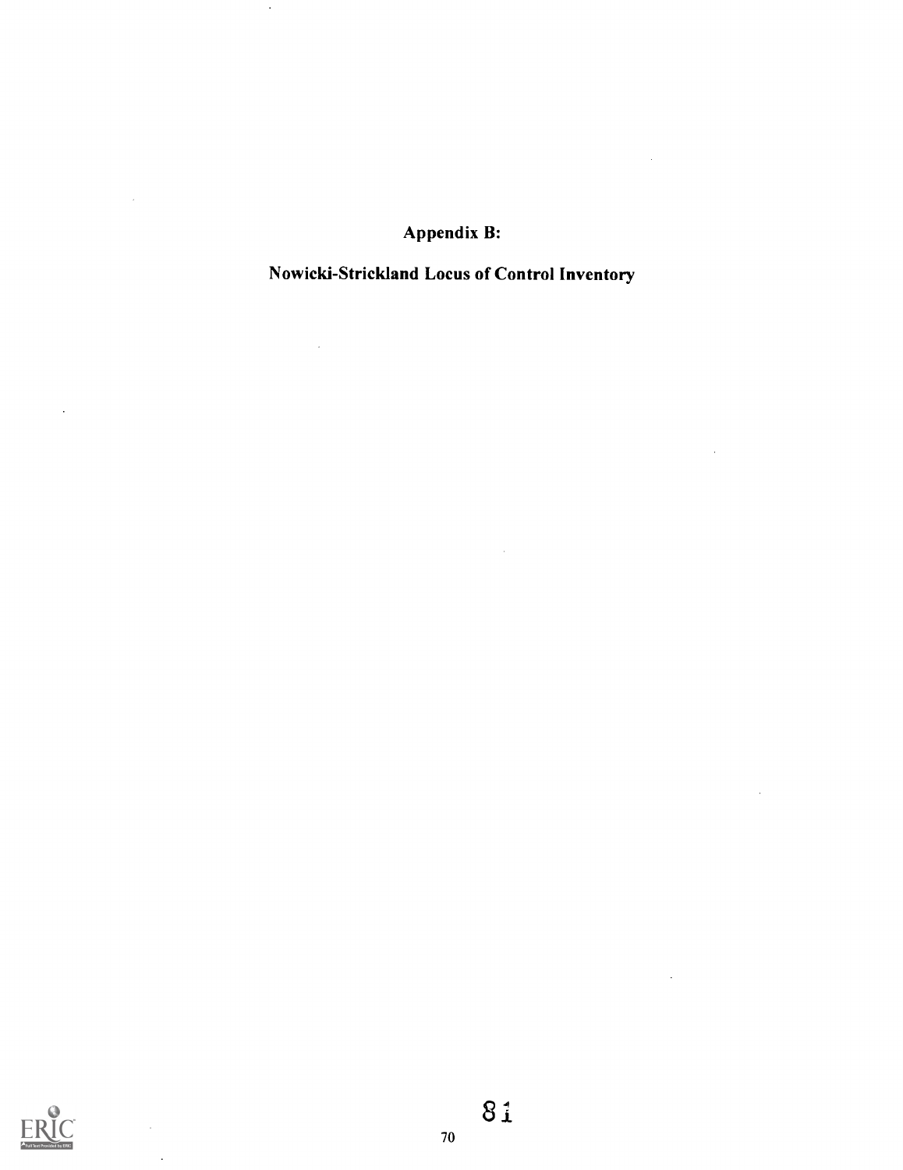Appendix B:

 $\sim$ 

 $\sim$ 

 $\hat{\boldsymbol{\gamma}}$ 

 $\mathcal{A}^{\mathcal{A}}$ 

 $\ddot{\phantom{a}}$ 

 $\sim 10^7$ 

 $\sim 10$ 

 $\hat{\mathcal{A}}$ 

Nowicki-Strickland Locus of Control Inventory

 $\sim 10^{-11}$ 



 $\bar{z}$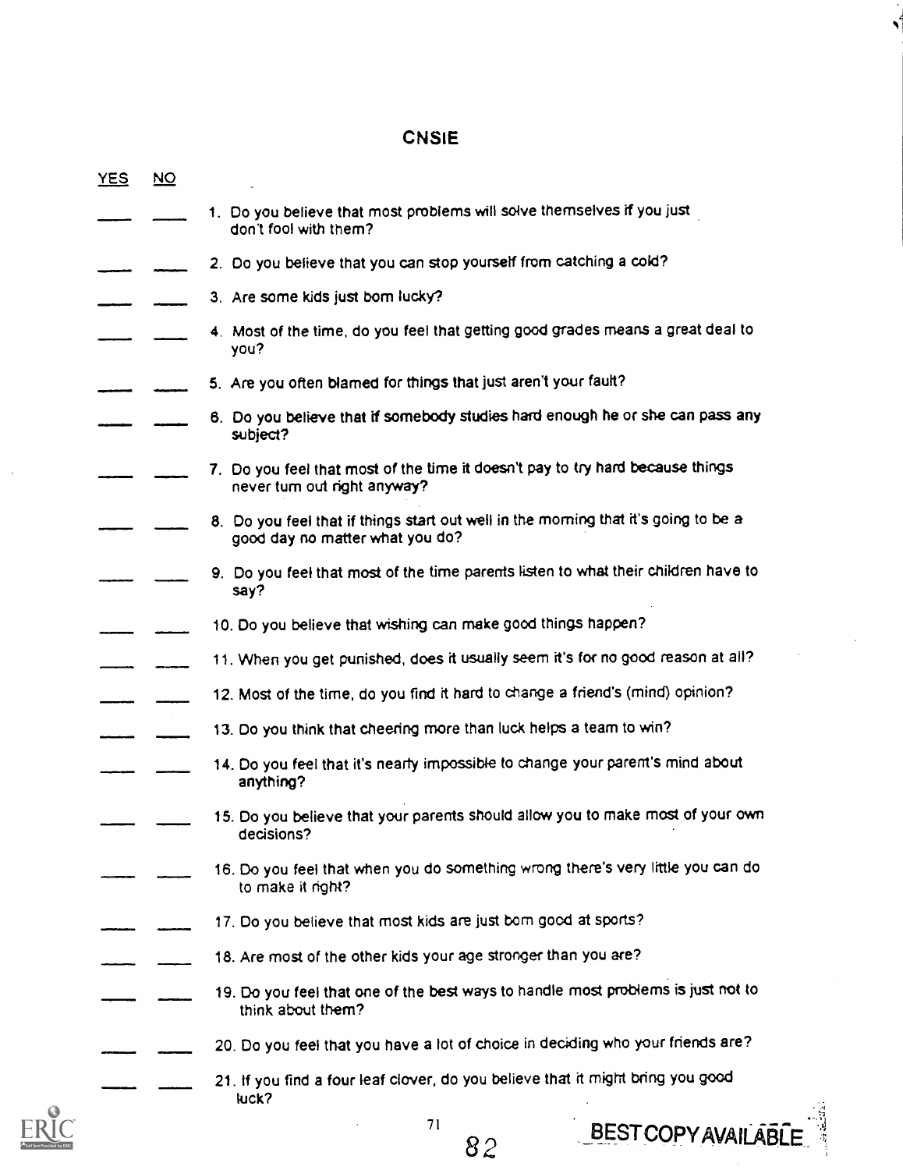# CNSIE

 $\mathbf{v}^t$ 

| <b>YES</b> | $\overline{NQ}$ |                                                                                                                        |
|------------|-----------------|------------------------------------------------------------------------------------------------------------------------|
|            |                 | 1. Do you believe that most problems will solve themselves if you just<br>don't fool with them?                        |
|            |                 | 2. Do you believe that you can stop yourself from catching a cold?                                                     |
|            |                 | 3. Are some kids just bom lucky?                                                                                       |
|            |                 | 4. Most of the time, do you feel that getting good grades means a great deal to<br>you?                                |
|            |                 | 5. Are you often blamed for things that just aren't your fault?                                                        |
|            |                 | 6. Do you believe that if somebody studies hard enough he or she can pass any<br>subject?                              |
|            |                 | 7. Do you feel that most of the time it doesn't pay to try hard because things<br>never turn out right anyway?         |
|            |                 | 8. Do you feel that if things start out well in the morning that it's going to be a<br>good day no matter what you do? |
|            |                 | 9. Do you feel that most of the time parents listen to what their children have to<br>say?                             |
|            |                 | 10. Do you believe that wishing can make good things happen?                                                           |
|            |                 | 11. When you get punished, does it usually seem it's for no good reason at all?                                        |
|            |                 | 12. Most of the time, do you find it hard to change a friend's (mind) opinion?                                         |
|            |                 | 13. Do you think that cheering more than luck helps a team to win?                                                     |
|            |                 | 14. Do you feel that it's nearly impossible to change your parent's mind about<br>anything?                            |
|            |                 | 15. Do you believe that your parents should allow you to make most of your own<br>decisions?                           |
|            |                 | 16. Do you feel that when you do something wrong there's very little you can do<br>to make it right?                   |
|            |                 | 17. Do you believe that most kids are just bom good at sports?                                                         |
|            |                 | 18. Are most of the other kids your age stronger than you are?                                                         |
|            |                 | 19. Do you feel that one of the best ways to handle most problems is just not to<br>think about them?                  |
|            |                 | 20. Do you feel that you have a lot of choice in deciding who your friends are?                                        |
|            |                 | 21. If you find a four leaf clover, do you believe that it might bring you good<br>luck?                               |
|            |                 | 71<br><b>BEST COPY AVAILABLE</b><br>R 2                                                                                |



 $rac{71}{82}$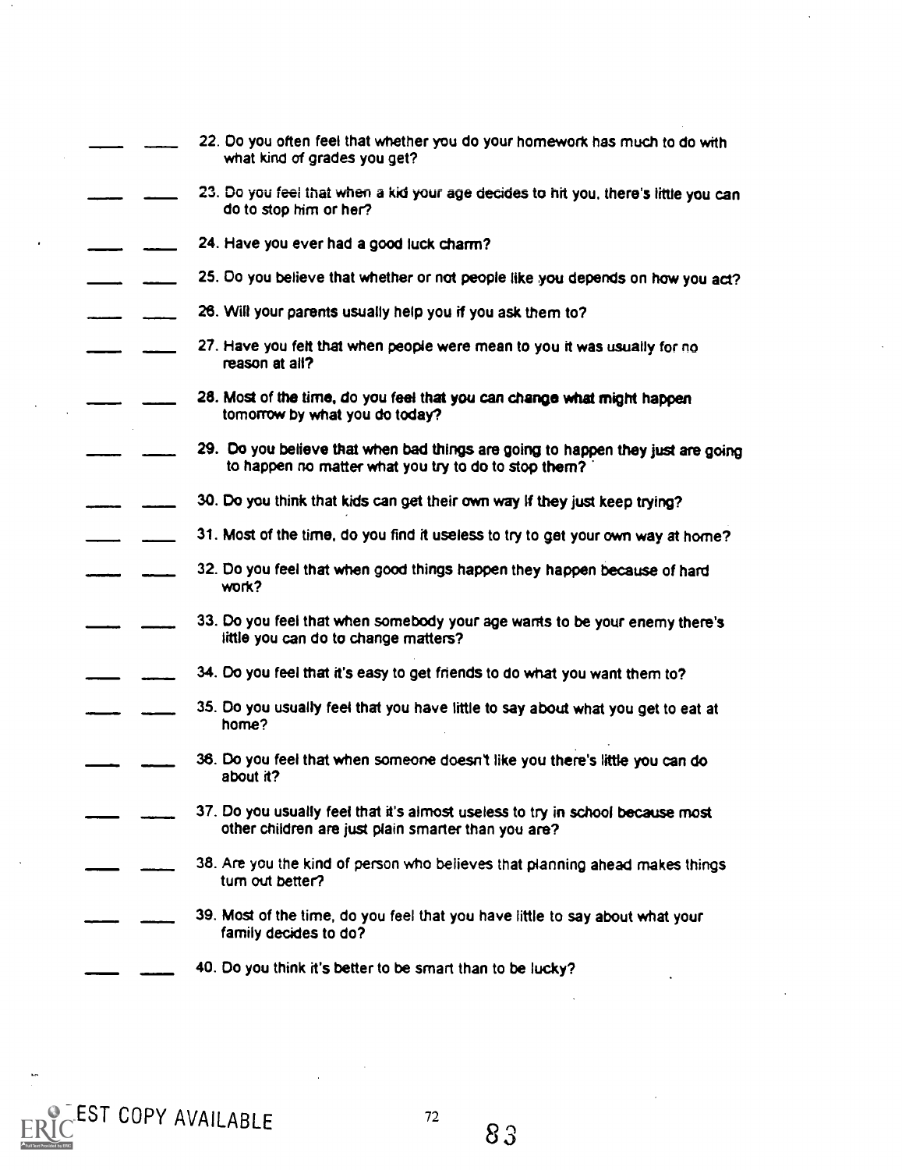|  | 22. Do you often feel that whether you do your homework has much to do with<br>what kind of grades you get?                             |
|--|-----------------------------------------------------------------------------------------------------------------------------------------|
|  | 23. Do you feel that when a kid your age decides to hit you, there's little you can<br>do to stop him or her?                           |
|  | 24. Have you ever had a good luck charm?                                                                                                |
|  | 25. Do you believe that whether or not people like you depends on how you act?                                                          |
|  | 26. Will your parents usually help you if you ask them to?                                                                              |
|  | 27. Have you felt that when people were mean to you it was usually for no<br>reason at all?                                             |
|  | 28. Most of the time, do you feel that you can change what might happen<br>tomorrow by what you do today?                               |
|  | 29. Do you believe that when bad things are going to happen they just are going<br>to happen no matter what you try to do to stop them? |
|  | 30. Do you think that kids can get their own way if they just keep trying?                                                              |
|  | 31. Most of the time, do you find it useless to try to get your own way at home?                                                        |
|  | 32. Do you feel that when good things happen they happen because of hard<br>work?                                                       |
|  | 33. Do you feel that when somebody your age wants to be your enemy there's<br>little you can do to change matters?                      |
|  | 34. Do you feel that it's easy to get friends to do what you want them to?                                                              |
|  | 35. Do you usually feel that you have little to say about what you get to eat at<br>home?                                               |
|  | 36. Do you feel that when someone doesn't like you there's little you can do<br>about it?                                               |
|  | 37. Do you usually feel that it's almost useless to try in school because most<br>other children are just plain smarter than you are?   |
|  | 38. Are you the kind of person who believes that planning ahead makes things<br>tum out better?                                         |
|  | 39. Most of the time, do you feel that you have little to say about what your<br>family decides to do?                                  |
|  | 40. Do you think it's better to be smart than to be lucky?                                                                              |



 $\sim$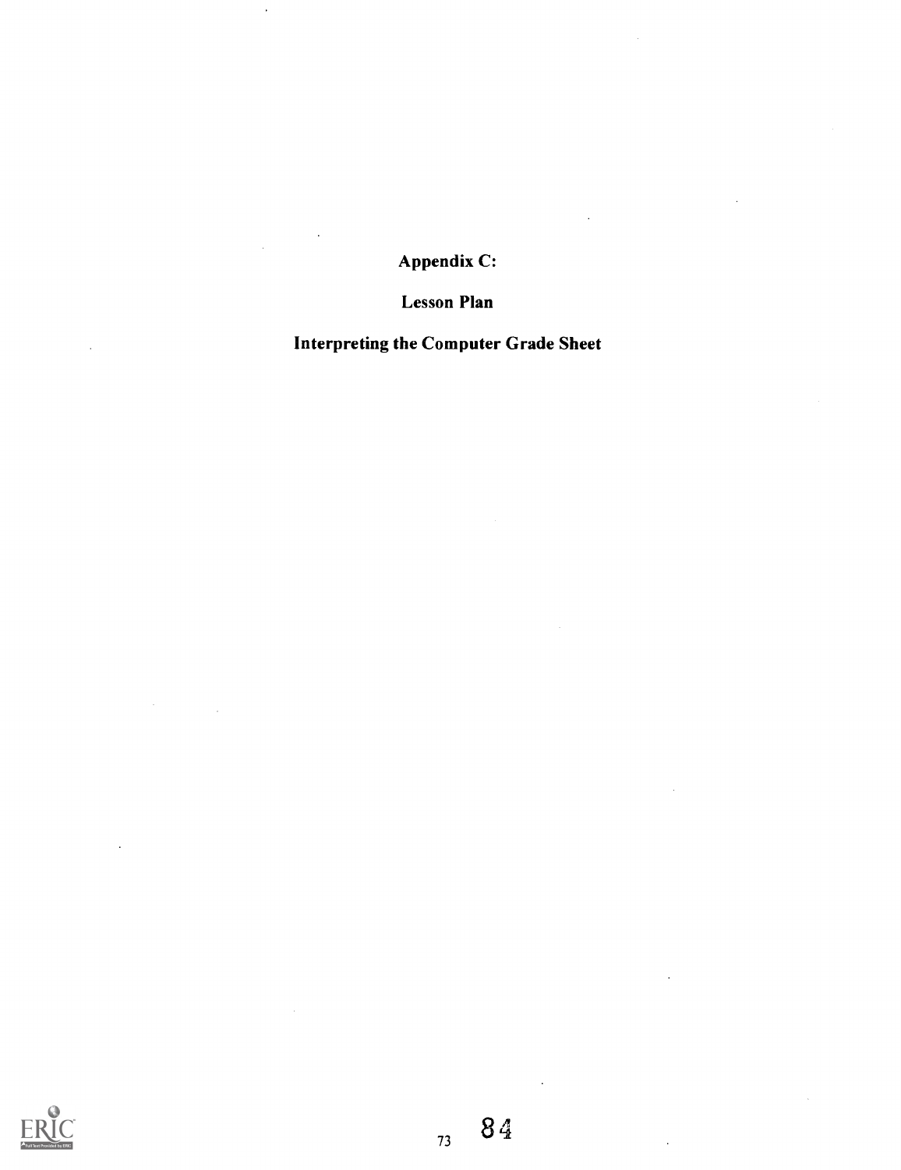Appendix C:

Lesson Plan

Interpreting the Computer Grade Sheet



 $\ddot{\phantom{0}}$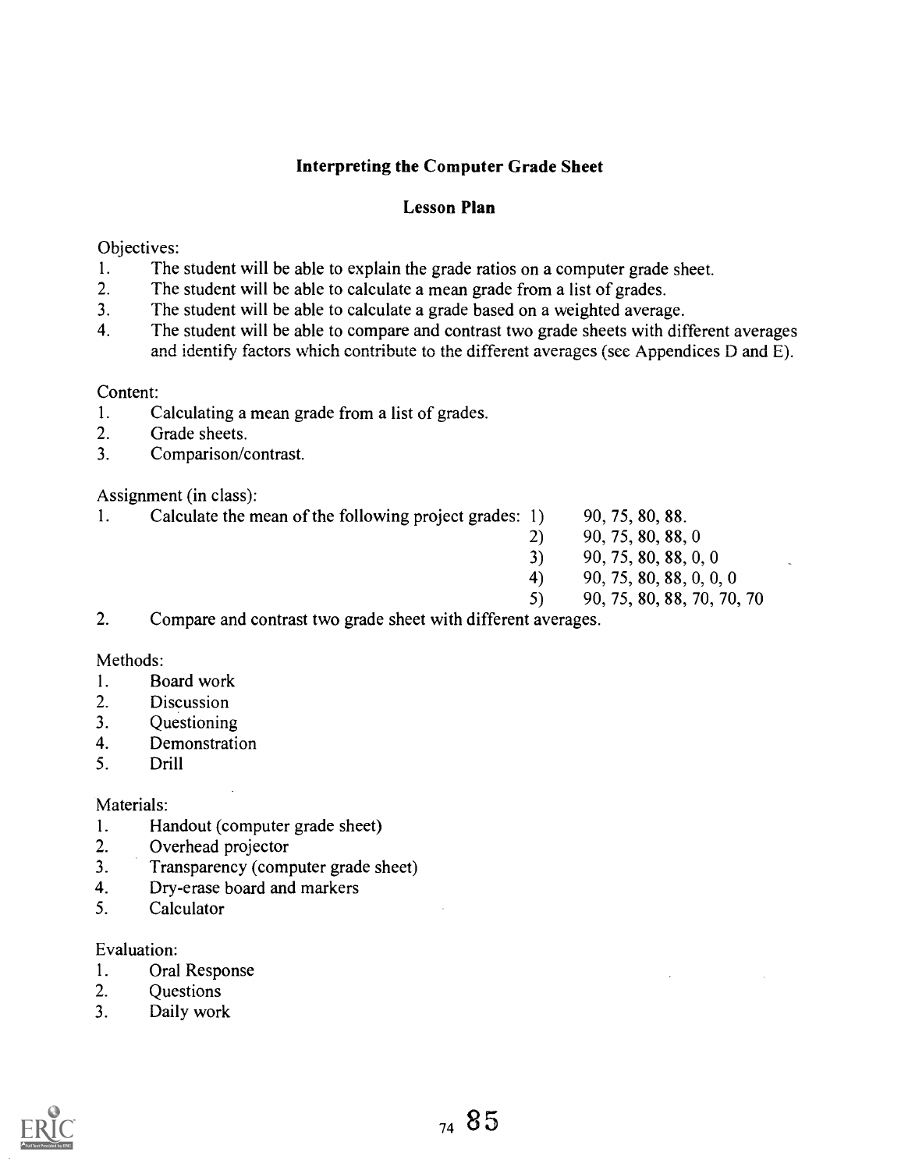#### Interpreting the Computer Grade Sheet

#### Lesson Plan

#### Objectives:

- 1. The student will be able to explain the grade ratios on a computer grade sheet.<br>2. The student will be able to calculate a mean grade from a list of grades.
- The student will be able to calculate a mean grade from a list of grades.
- 3. The student will be able to calculate a grade based on a weighted average.
- 4. The student will be able to compare and contrast two grade sheets with different averages and identify factors which contribute to the different averages (see Appendices D and E).

#### Content:

- 1. Calculating a mean grade from a list of grades.
- 2. Grade sheets.
- 3. Comparison/contrast.

Assignment (in class):

- 1. Calculate the mean of the following project grades: 1) 90, 75, 80, 88.
- - 2) 90, 75, 80, 88, 0
	- 3) 90, 75, 80, 88, 0, 0
	- 4) 90, 75, 80, 88, 0, 0, 0
	- 5) 90, 75, 80, 88, 70, 70, 70
- 2. Compare and contrast two grade sheet with different averages.

#### Methods:

- 1. Board work
- 2. Discussion
- 3. Questioning
- 4. Demonstration
- 5. Drill

#### Materials:

- 1. Handout (computer grade sheet)
- 2. Overhead projector
- 3. Transparency (computer grade sheet)
- 4. Dry-erase board and markers
- 5. Calculator

#### Evaluation:

- 1. Oral Response
- 2. Questions
- 3. Daily work

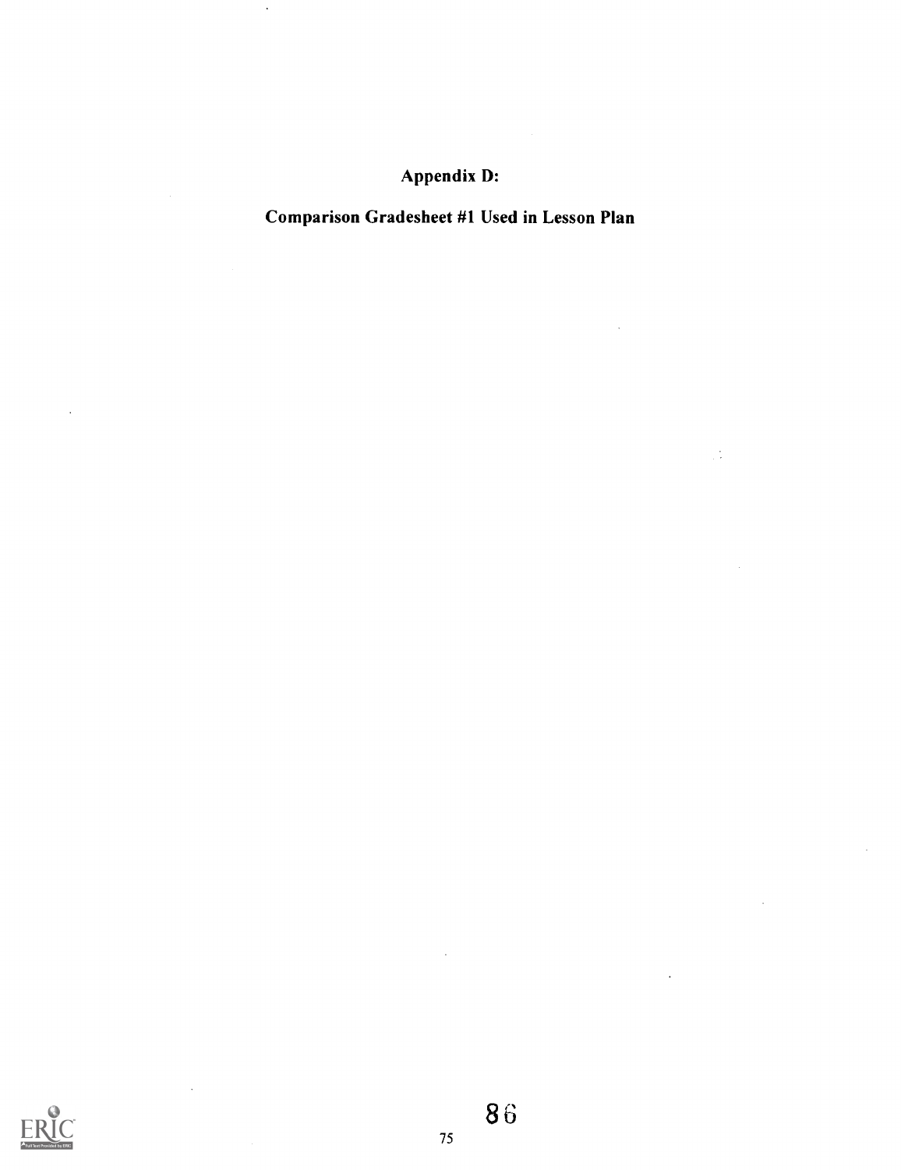## Appendix D:

## Comparison Gradesheet #1 Used in Lesson Plan

 $\frac{1}{2}$ 

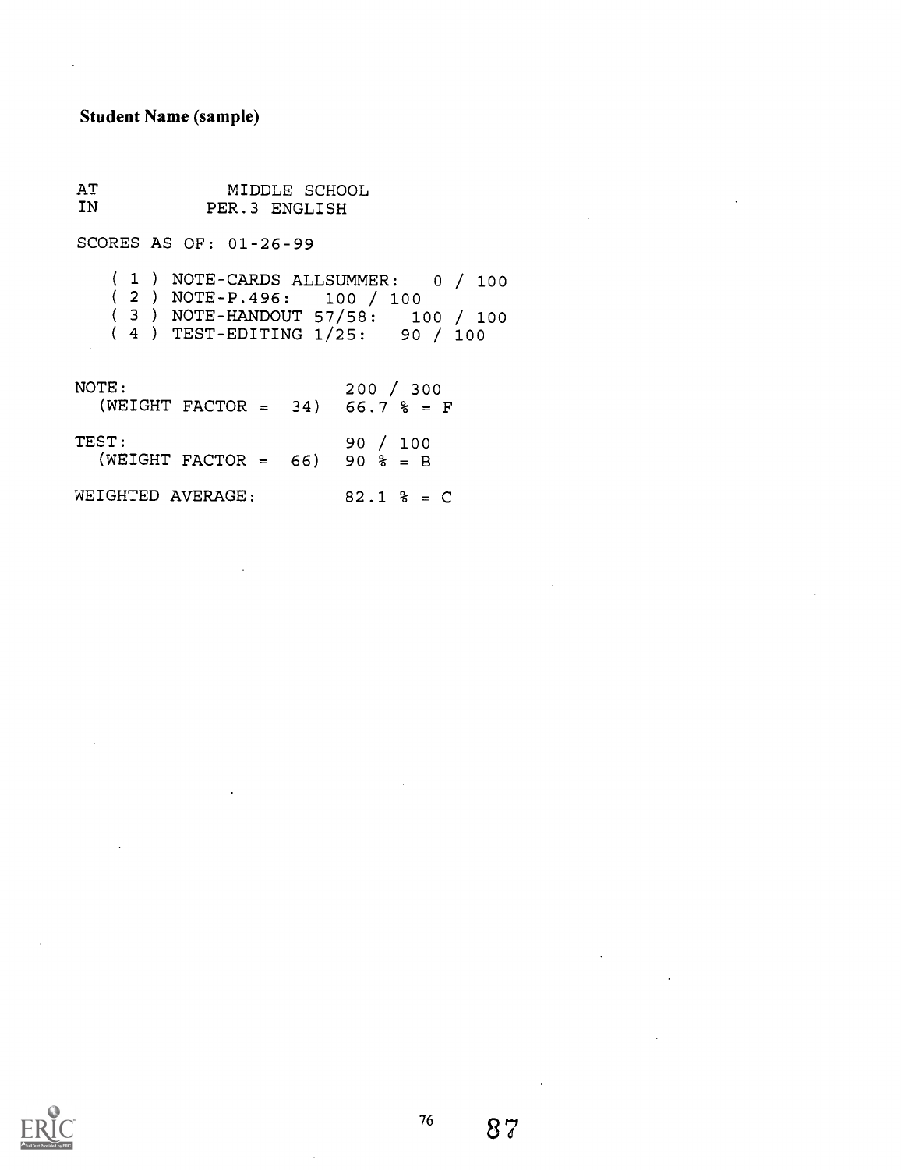#### Student Name (sample)

 $\hat{\mathcal{A}}$ 

AT IN MIDDLE SCHOOL PER.3 ENGLISH

SCORES AS OF: 01-26-99

( <sup>1</sup> ) NOTE-CARDS ALLSUMMER: <sup>0</sup> / 100 ( <sup>2</sup> ) NOTE-P.496: 100 / 100 ( <sup>3</sup> ) NOTE-HANDOUT 57/58: 100 / 100

( <sup>4</sup> ) TEST-EDITING 1/25: 90 / 100

| NOTE:<br>(WEIGHT FACTOR = 34) 66.7 % = F  | 200 / 300      |
|-------------------------------------------|----------------|
| TEST:<br>(WEIGHT FACTOR = $66$ ) 90 % = B | 90 / 100       |
| WEIGHTED AVERAGE:                         | $82.1$ $%$ = C |



76

 $87$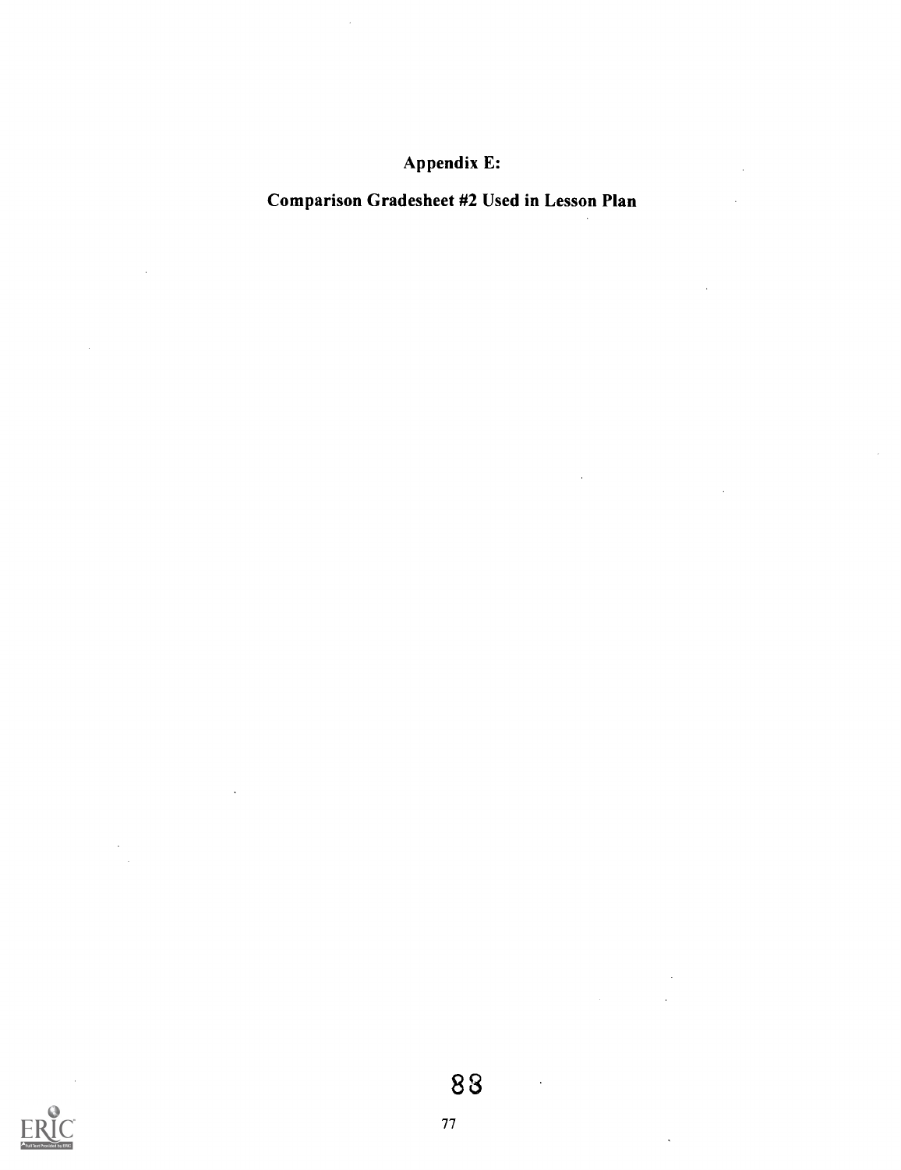Appendix E:

 $\bar{z}$ 

 $\ddot{\phantom{a}}$ 

# Comparison Gradesheet #2 Used in Lesson Plan

 $\hat{\boldsymbol{\beta}}$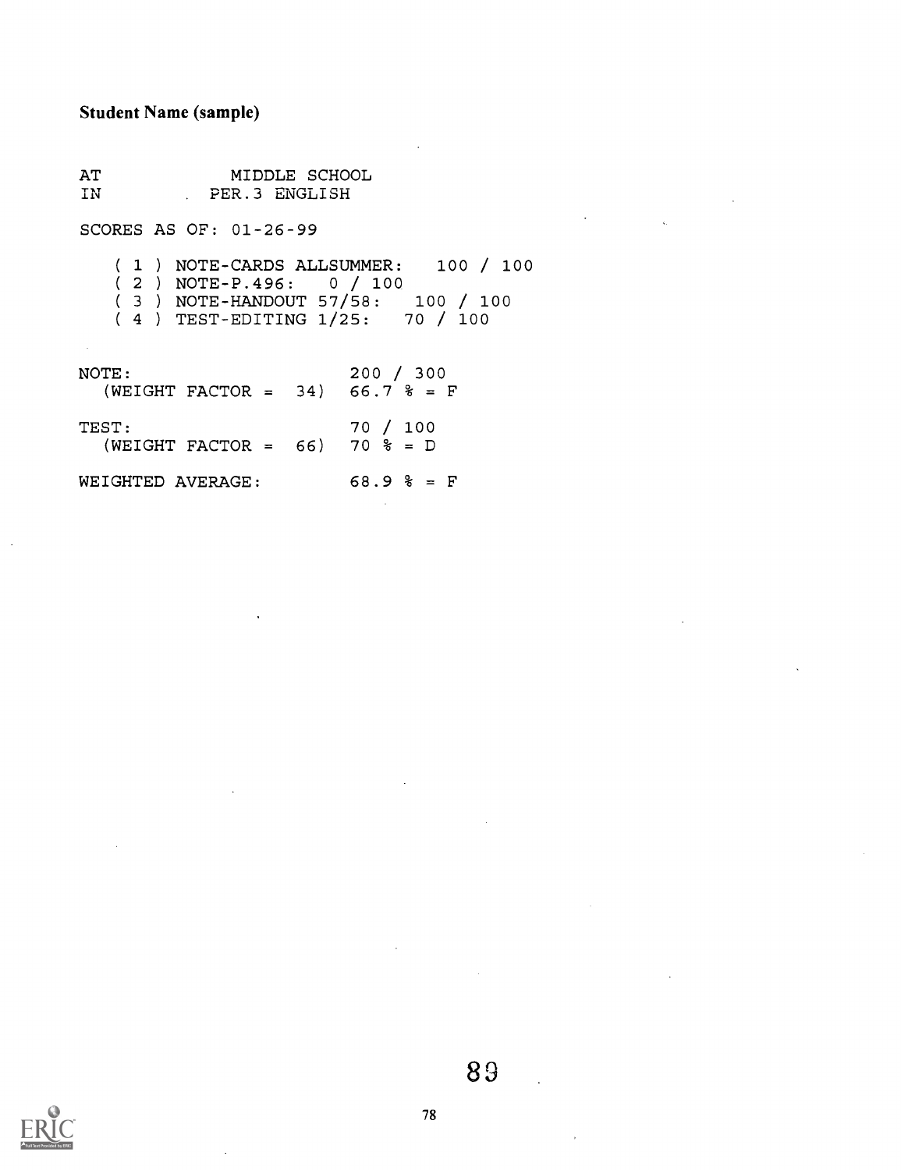#### Student Name (sample)

AT 1-117 JAN MIDDLE SCHOOL PER.3 ENGLISH

SCORES AS OF: 01-26-99

( <sup>1</sup> ) NOTE-CARDS ALLSUMMER: 100 / 100 ( <sup>2</sup> ) NOTE-P.496: 0 / 100 ( <sup>3</sup> ) NOTE-HANDOUT 57/58: 100 /100

( 4 ) TEST-EDITING 1/25: 70 / 100

NOTE: (WEIGHT FACTOR =TEST:  $(WEIGHT FACTOR = 66) 70 % = D$ WEIGHTED AVERAGE: 34) 66.7 200 / 300 66.7 % = F 70 / 100 68.9 % = F / 300  $\text{\%} = \text{F}$ 

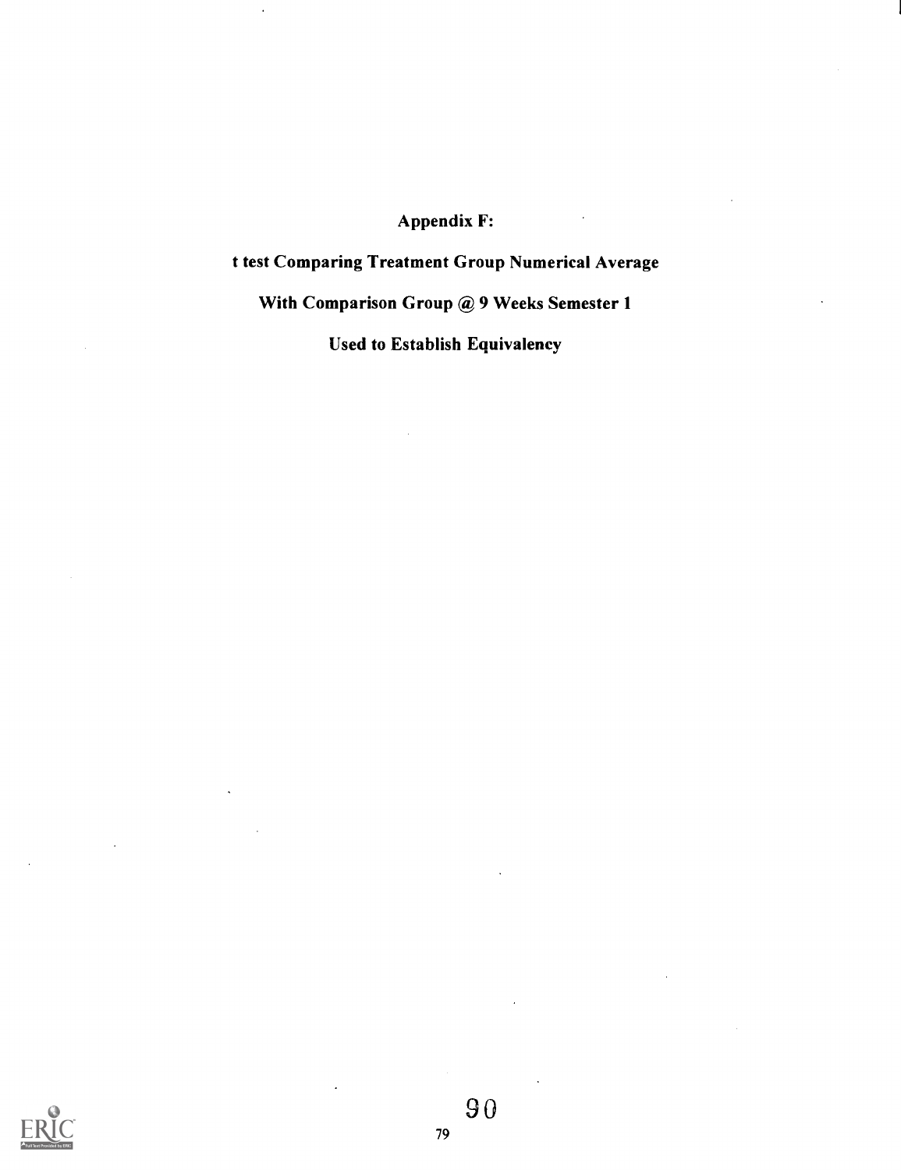### Appendix F:

## t test Comparing Treatment Group Numerical Average

With Comparison Group @ 9 Weeks Semester 1

Used to Establish Equivalency



90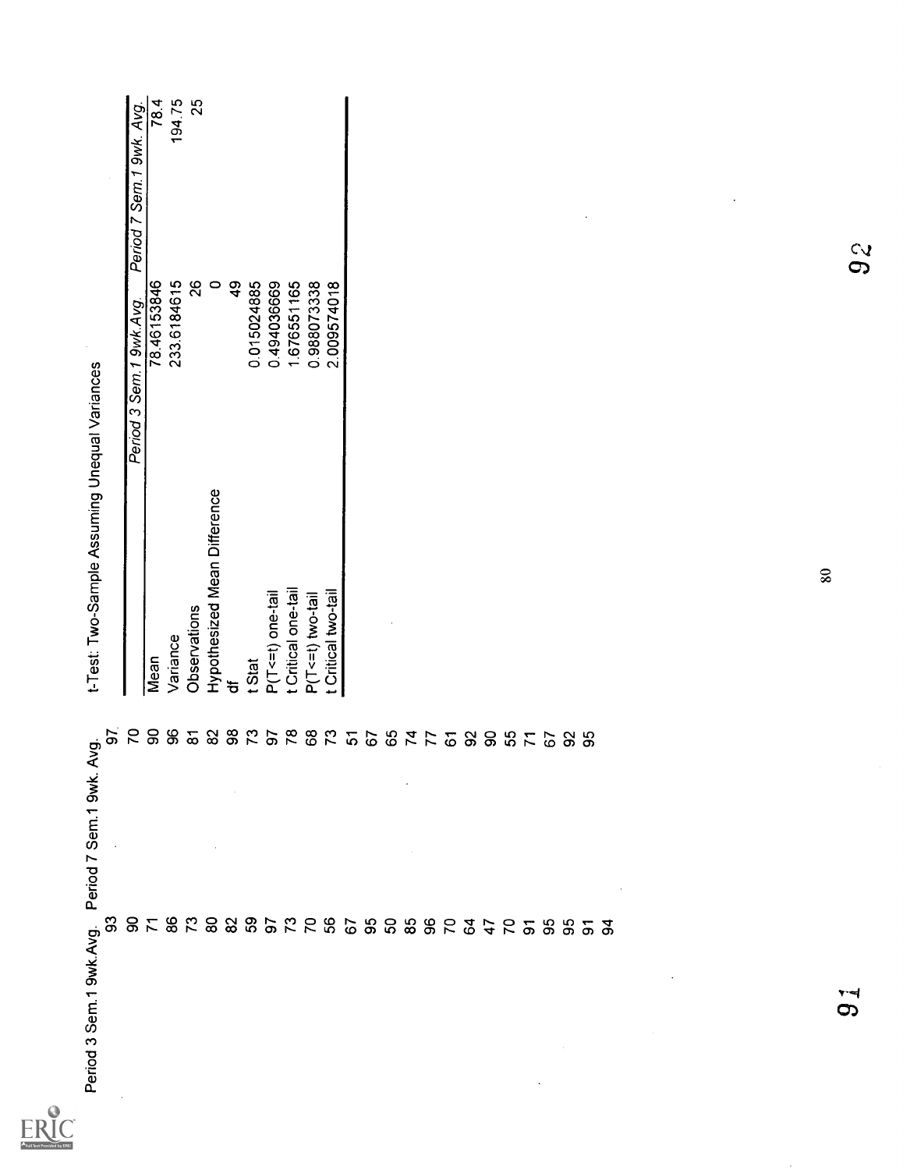$ERIC$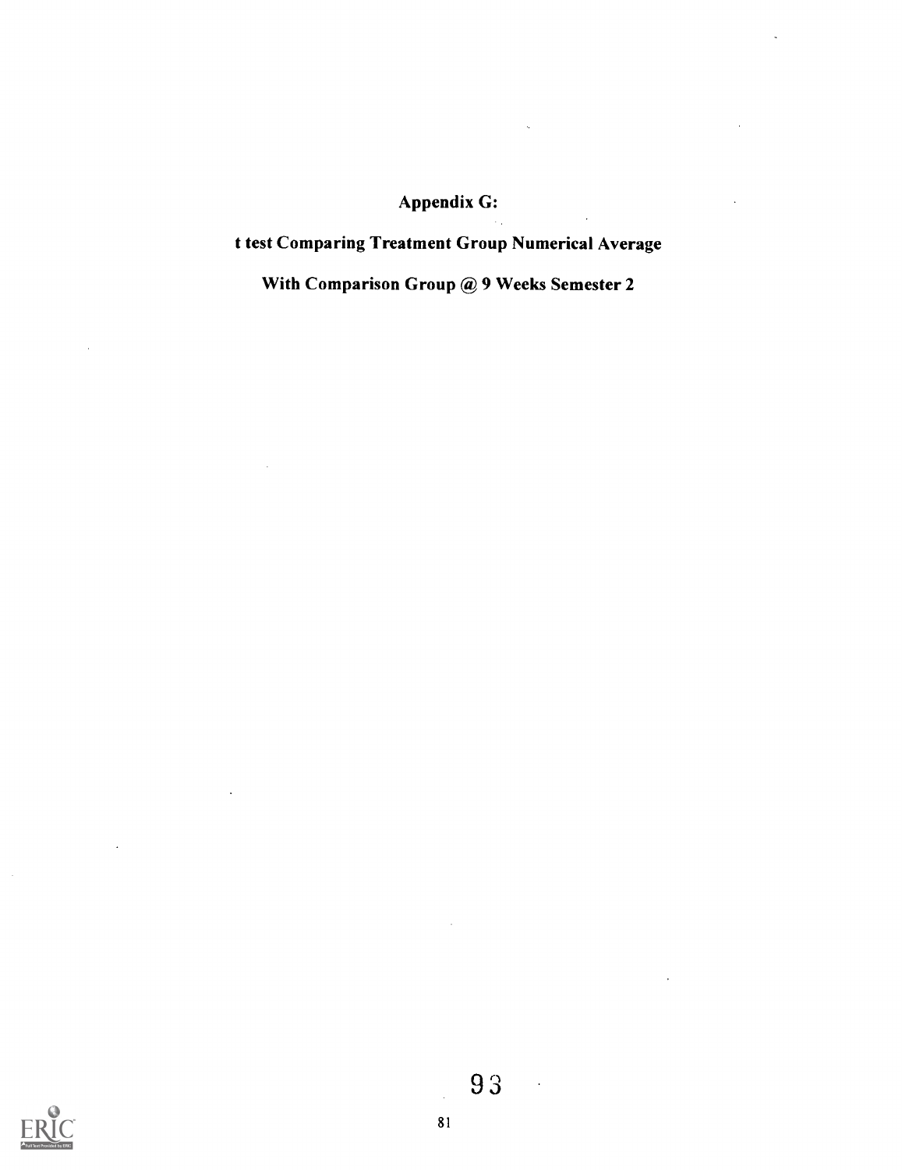# Appendix G:

# t test Comparing Treatment Group Numerical Average

With Comparison Group @ 9 Weeks Semester 2

 $\bar{\bar{z}}$ 



 $\mathcal{A}$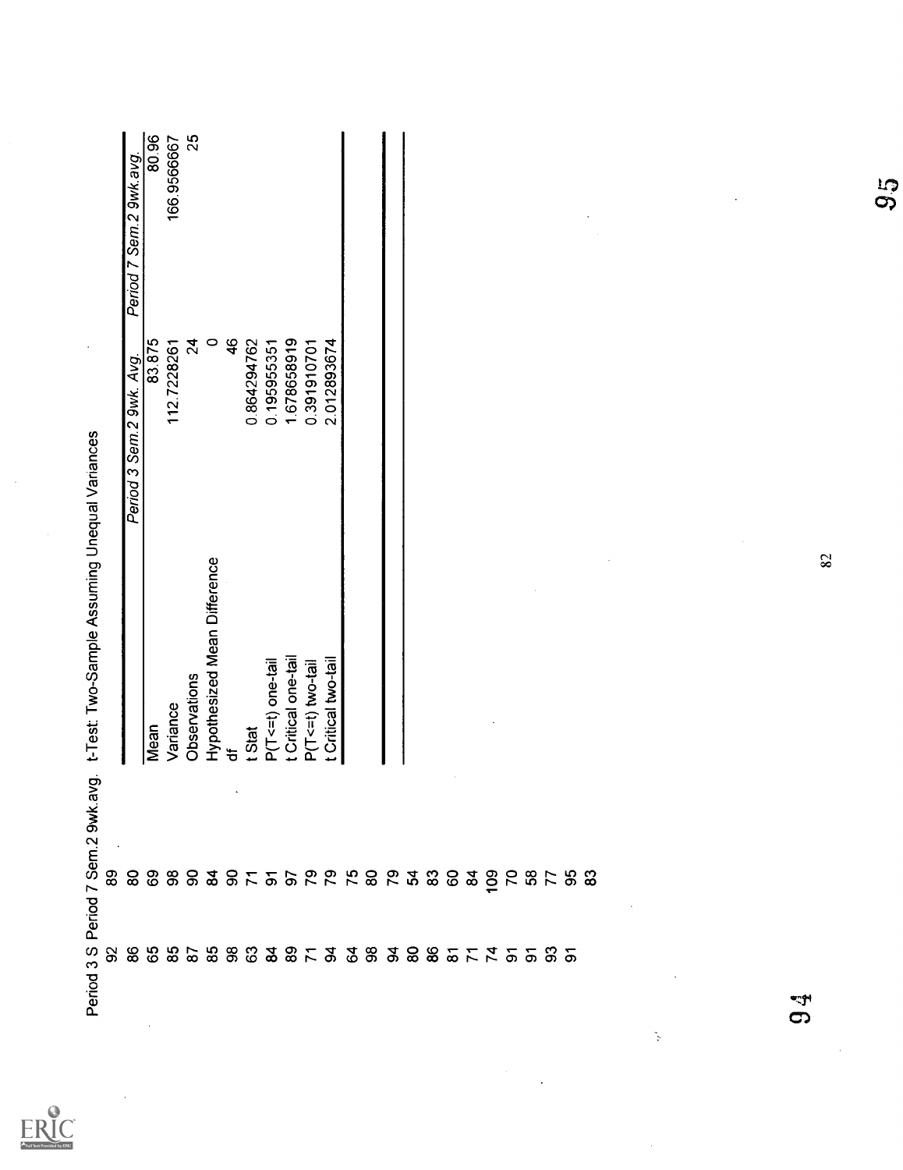|             | avg.                | t-Test: Two-Sample Assuming Unequal Variances |                          |                         |
|-------------|---------------------|-----------------------------------------------|--------------------------|-------------------------|
|             |                     |                                               | Period 3 Sem 2 9wk. Avg. | Period 7 Sem.2 9wk.avg. |
|             |                     | Mean                                          | 83.875                   | 80.96                   |
|             |                     | Variance                                      | 1127228261               | 166.9566667             |
|             |                     | Observations                                  | $\overline{2}$           | 25                      |
|             |                     | Hypothesized Mean Difference                  | $\circ$                  |                         |
|             | $\hat{\phantom{a}}$ | ᡃ᠍ᡠ                                           | $\frac{4}{6}$            |                         |
|             |                     | t Stat                                        | 0.864294762              |                         |
|             |                     | P(T<=t) one-tail                              | 0.195955351              |                         |
|             |                     | t Critical one-tail                           | 1.678658919              |                         |
|             |                     | P(T<=t) two-tail                              | 0.391910701              |                         |
|             |                     | t Critical two-tail                           | 2.012893674              |                         |
|             |                     |                                               |                          |                         |
|             |                     |                                               |                          |                         |
|             |                     |                                               |                          |                         |
|             |                     |                                               |                          |                         |
|             |                     |                                               |                          |                         |
|             |                     |                                               |                          |                         |
|             |                     |                                               |                          |                         |
|             |                     |                                               |                          |                         |
|             |                     |                                               |                          |                         |
|             |                     |                                               |                          |                         |
|             |                     |                                               |                          |                         |
|             |                     |                                               |                          |                         |
|             |                     |                                               |                          |                         |
|             |                     |                                               |                          |                         |
|             | $\Delta$            |                                               |                          |                         |
| N,          |                     |                                               |                          |                         |
|             |                     |                                               |                          |                         |
|             |                     |                                               |                          |                         |
|             |                     |                                               |                          |                         |
|             |                     |                                               |                          |                         |
|             |                     |                                               |                          |                         |
| ভত্ত্ব<br>5 |                     |                                               |                          |                         |
|             |                     | 82                                            |                          |                         |
|             |                     |                                               |                          |                         |
|             |                     |                                               |                          | 95                      |
|             |                     |                                               |                          |                         |

 $ER_{\text{test}}^{\text{O}}$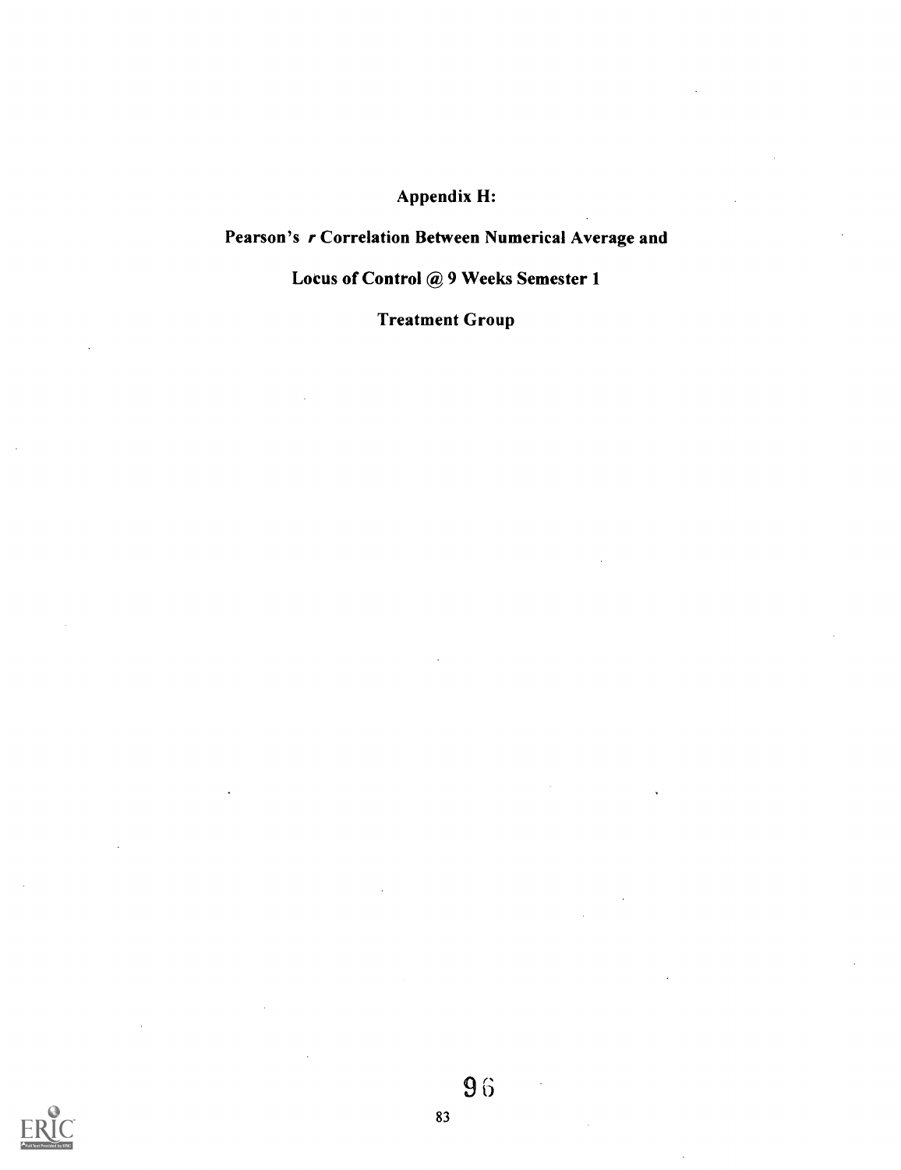## Appendix H:

## Pearson's r Correlation Between Numerical Average and

### Locus of Control @ 9 Weeks Semester 1

Treatment Group

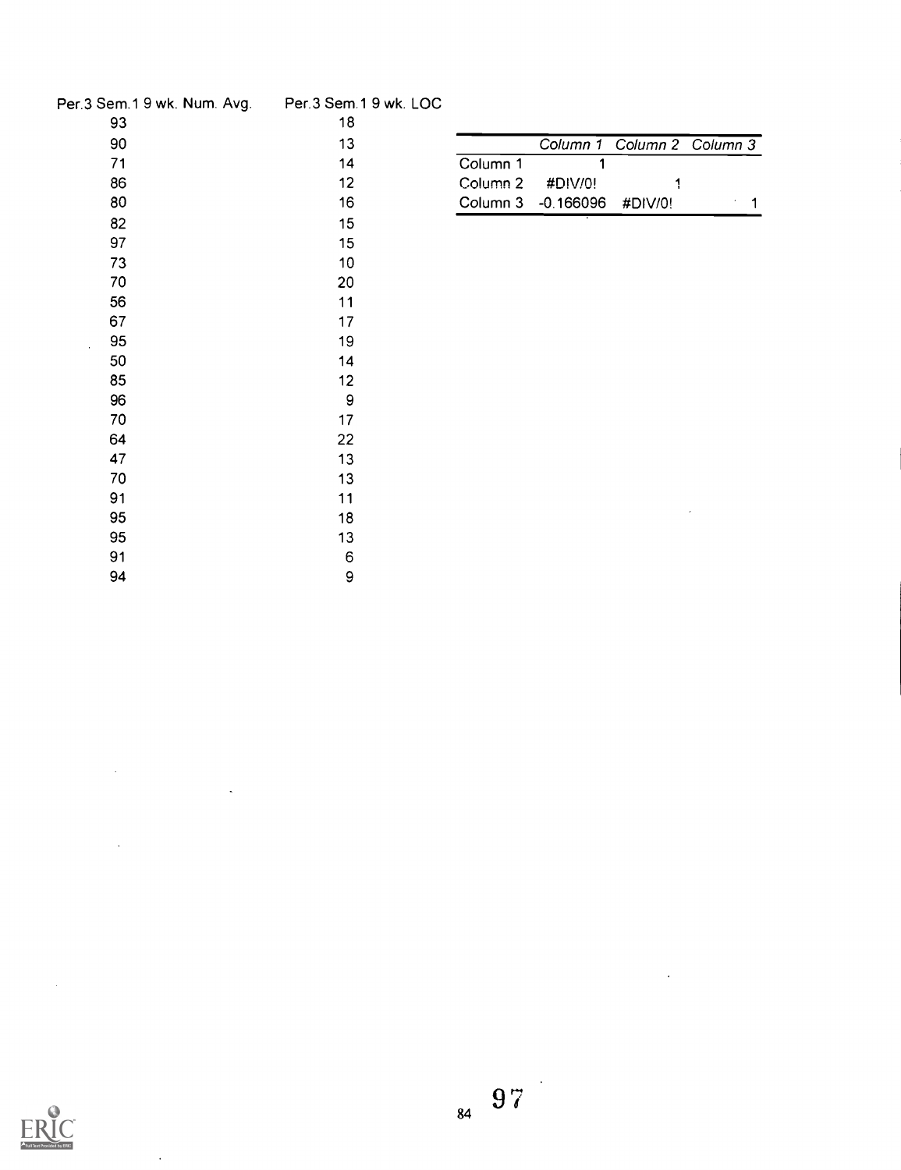| Per 3 Sem.1 9 wk. Num. Avg. | Per.3 Sem.1 9 wk. LOC |          |             |             |  |
|-----------------------------|-----------------------|----------|-------------|-------------|--|
| 93                          | 18                    |          |             |             |  |
| 90                          | 13                    |          | Column $1$  | Column 2 Co |  |
| 71                          | 14                    | Column 1 |             |             |  |
| 86                          | 12 <sup>2</sup>       | Column 2 | #DIV/0!     | 1           |  |
| 80                          | 16                    | Column 3 | $-0.166096$ | #DIV/0!     |  |
| 82                          | 15                    |          |             |             |  |
| 97                          | 15                    |          |             |             |  |
| 73                          | 10 <sub>1</sub>       |          |             |             |  |
| 70                          | 20                    |          |             |             |  |
| 56                          | 11                    |          |             |             |  |
| 67                          | 17                    |          |             |             |  |
| 95                          | 19                    |          |             |             |  |
| 50                          | 14                    |          |             |             |  |
| 85                          | 12 <sub>2</sub>       |          |             |             |  |
| 96                          | $\boldsymbol{9}$      |          |             |             |  |
| 70                          | 17                    |          |             |             |  |
| 64                          | 22                    |          |             |             |  |
| 47                          | 13                    |          |             |             |  |
| 70                          | 13                    |          |             |             |  |
| 91                          | 11                    |          |             |             |  |
| 95                          | 18                    |          |             |             |  |
| 95                          | 13                    |          |             |             |  |
| 91                          | 6                     |          |             |             |  |
| 94                          | 9                     |          |             |             |  |

| 13 |                    |                            | Column 1 Column 2 Column 3 |  |
|----|--------------------|----------------------------|----------------------------|--|
| 14 | Column 1           |                            |                            |  |
| 12 | Column $2$ #DIV/0! |                            |                            |  |
| 16 |                    | Column 3 -0.166096 #DIV/0! |                            |  |



 $\sim$ 

l.

 $\ddot{\phantom{a}}$ 

 $\hat{\mathcal{A}}$ 

 $\ddot{\phantom{0}}$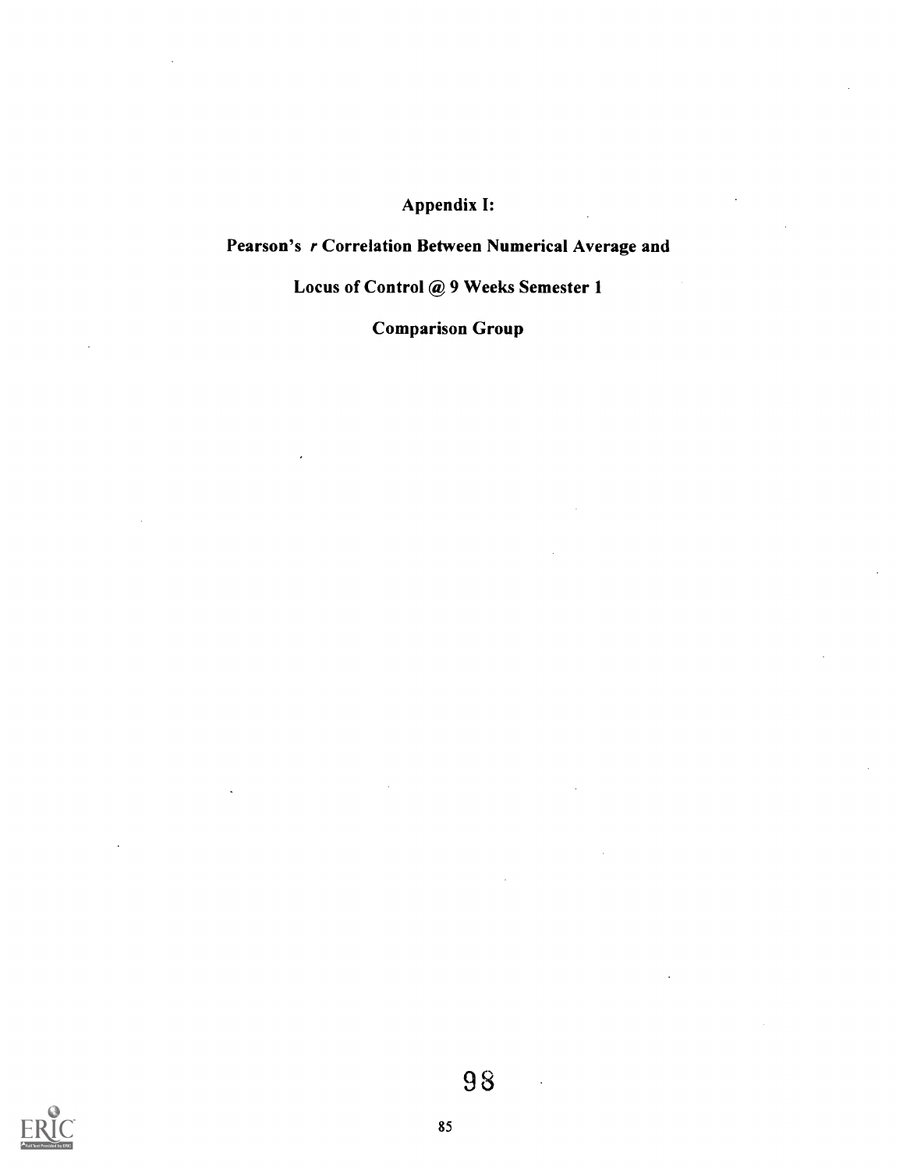## Appendix I:

## Pearson's r Correlation Between Numerical Average and

## Locus of Control @ 9 Weeks Semester 1

Comparison Group

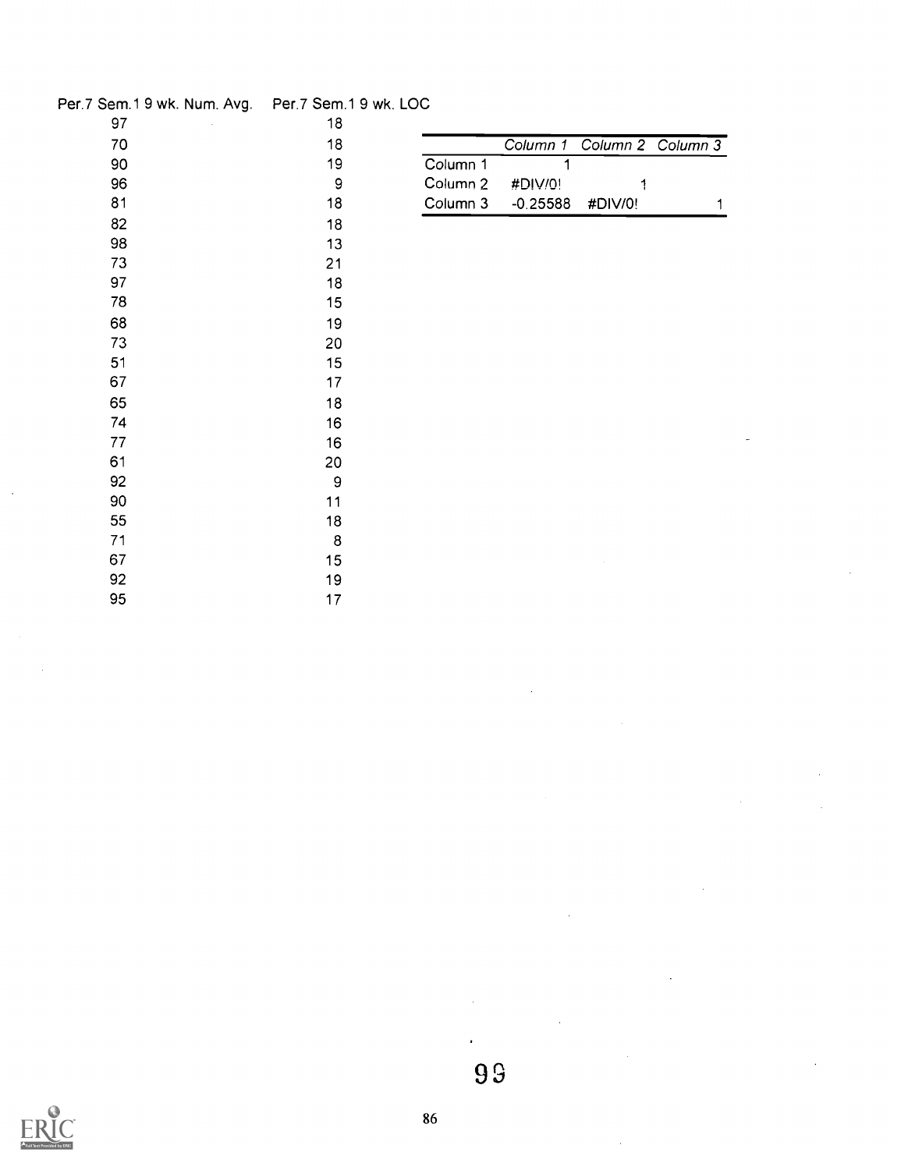| Per.7 Sem.1 9 wk. Num. Avg.  Per.7 Sem.1 9 wk. LOC. |        |                     |            |         |                   |
|-----------------------------------------------------|--------|---------------------|------------|---------|-------------------|
| 97                                                  | 18     |                     |            |         |                   |
| 70                                                  | 18     |                     | Column 1   |         | Column 2 Column 3 |
| 90                                                  | 19     | Column 1            |            |         |                   |
| 96                                                  | 9      | Column <sub>2</sub> | #DIV/0!    | 1       |                   |
| 81                                                  | 18     | Column 3            | $-0.25588$ | #DIV/0! | 1                 |
| 82                                                  | 18     |                     |            |         |                   |
| 98                                                  | 13     |                     |            |         |                   |
| 73                                                  | 21     |                     |            |         |                   |
| 97                                                  | 18     |                     |            |         |                   |
| 78                                                  | 15     |                     |            |         |                   |
| 68                                                  | 19     |                     |            |         |                   |
| 73                                                  | 20     |                     |            |         |                   |
| 51                                                  | 15     |                     |            |         |                   |
| 67                                                  | 17     |                     |            |         |                   |
| 65                                                  | 18     |                     |            |         |                   |
| 74                                                  | 16     |                     |            |         |                   |
| 77                                                  | 16     |                     |            |         |                   |
| 61                                                  | 20     |                     |            |         |                   |
| 92                                                  | 9      |                     |            |         |                   |
| 90                                                  | 11     |                     |            |         |                   |
| 55                                                  | 18     |                     |            |         |                   |
| 71                                                  | $\bf8$ |                     |            |         |                   |
| 67                                                  | 15     |                     |            |         |                   |
| 92                                                  | 19     |                     |            |         |                   |
| 95                                                  | 17     |                     |            |         |                   |



 $\hat{\textbf{r}}$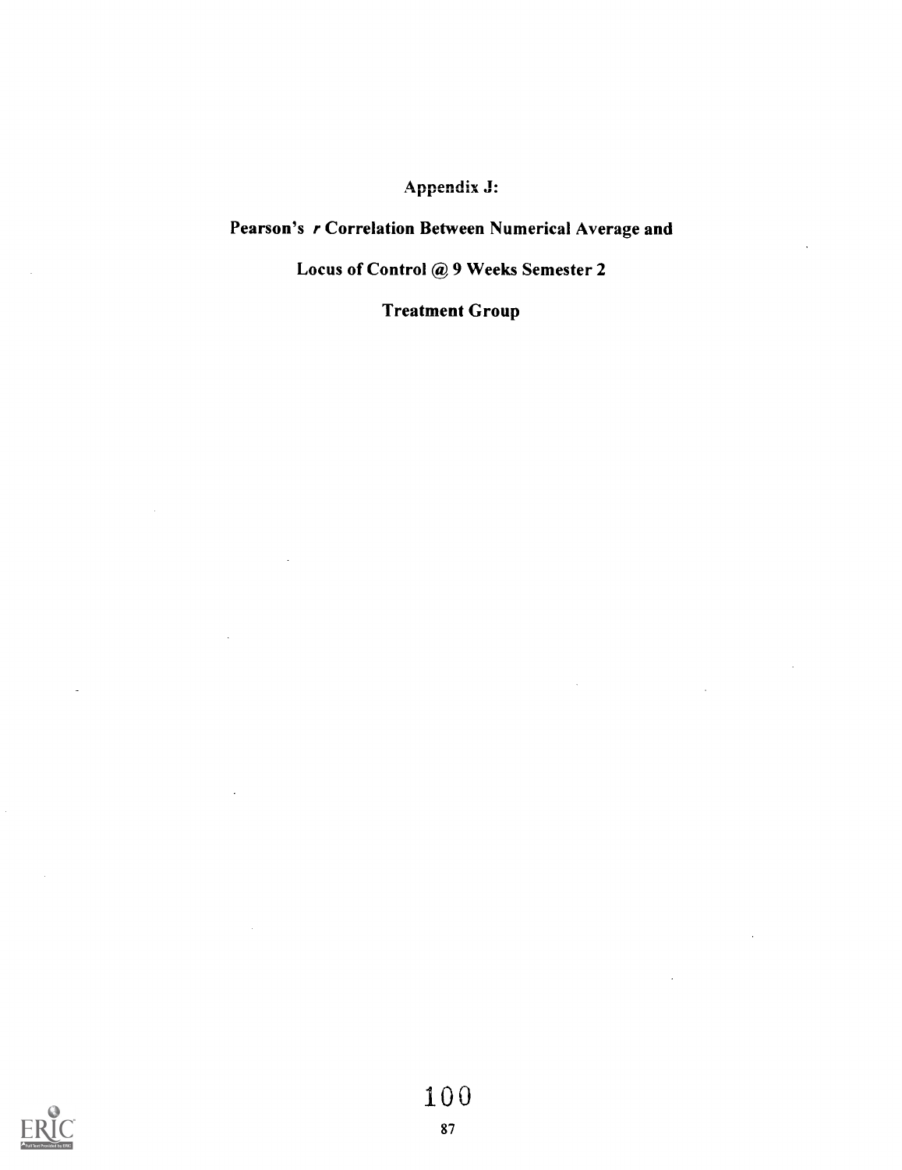## Appendix J:

# Pearson's r Correlation Between Numerical Average and

### Locus of Control @ 9 Weeks Semester 2

### Treatment Group

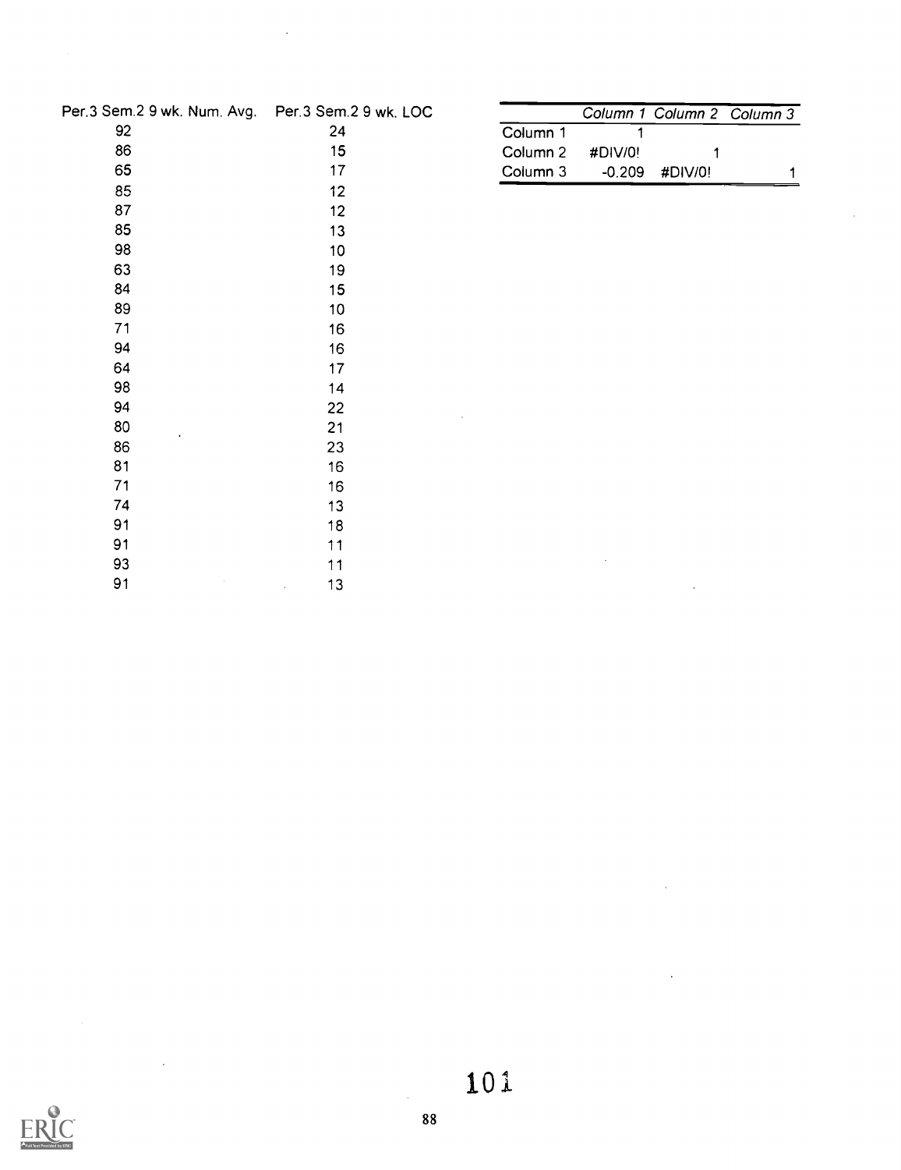| Per.3 Sem.2 9 wk. Num. Avg. Per.3 Sem.2 9 wk. LOC |                 |          |          |         | Column 1 Column 2 Column 3 |
|---------------------------------------------------|-----------------|----------|----------|---------|----------------------------|
| 92                                                | 24              | Column 1 |          |         |                            |
| 86                                                | 15              | Column 2 | #DIV/0!  |         |                            |
| 65                                                | 17              | Column 3 | $-0.209$ | #DIV/0! | 1                          |
| 85                                                | 12              |          |          |         |                            |
| 87                                                | 12              |          |          |         |                            |
| 85                                                | 13              |          |          |         |                            |
| 98                                                | 10 <sub>1</sub> |          |          |         |                            |
| 63                                                | 19              |          |          |         |                            |
| 84                                                | 15 <sub>1</sub> |          |          |         |                            |
| 89                                                | 10              |          |          |         |                            |
| 71                                                | 16              |          |          |         |                            |
| 94                                                | 16              |          |          |         |                            |
| 64                                                | 17              |          |          |         |                            |
| 98                                                | 14              |          |          |         |                            |
| 94                                                | 22              |          |          |         |                            |
| 80<br>$\bullet$                                   | 21              |          |          |         |                            |
| 86                                                | 23              |          |          |         |                            |
| 81                                                | 16              |          |          |         |                            |
| 71                                                | 16              |          |          |         |                            |
| 74                                                | 13              |          |          |         |                            |
| 91                                                | 18              |          |          |         |                            |
| 91                                                | 11              |          |          |         |                            |
| 93                                                | 11              |          |          |         |                            |
| 91                                                | 13              |          |          | $\sim$  |                            |

 $\ddot{\phantom{1}}$ 



 $\overline{\phantom{a}}$ 

 $\bar{\beta}$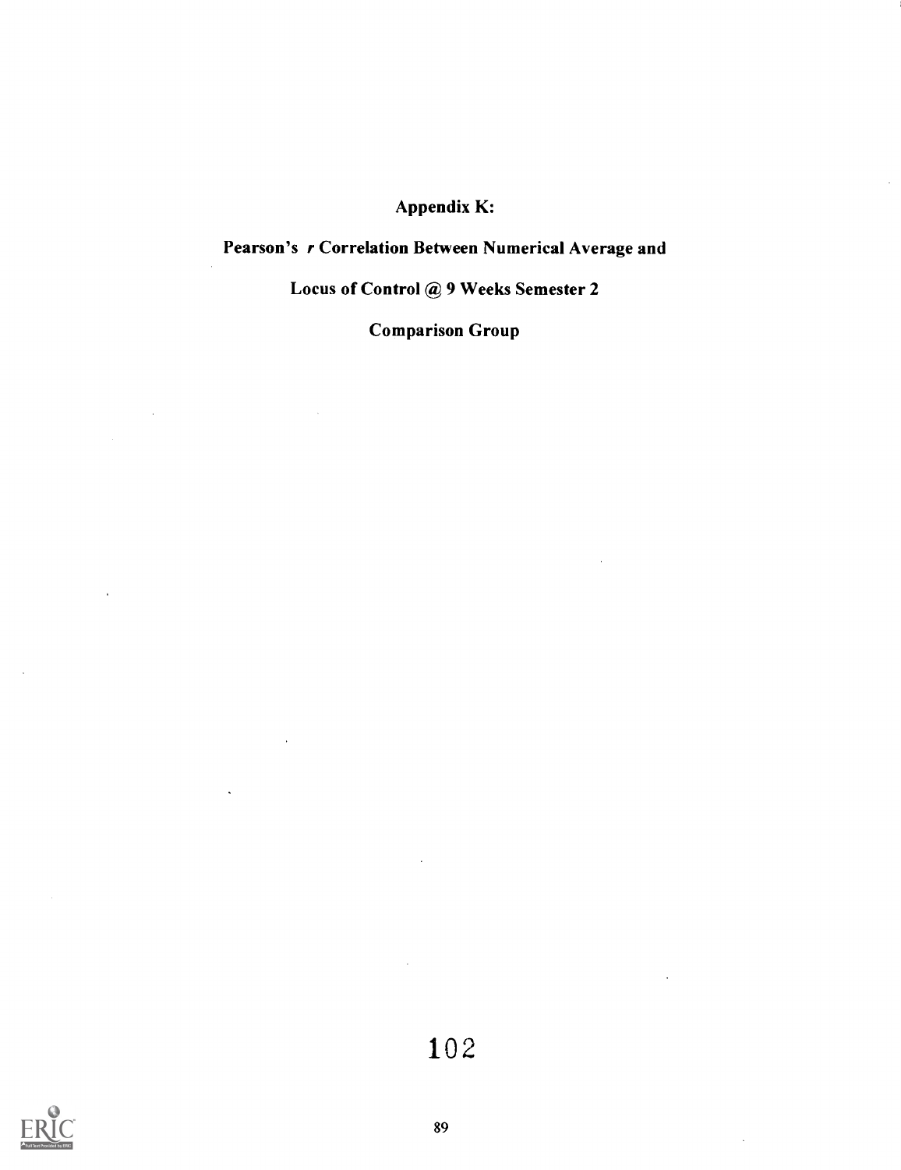### Appendix K:

## Pearson's r Correlation Between Numerical Average and

#### Locus of Control @ 9 Weeks Semester 2

Comparison Group



 $\ddot{\phantom{a}}$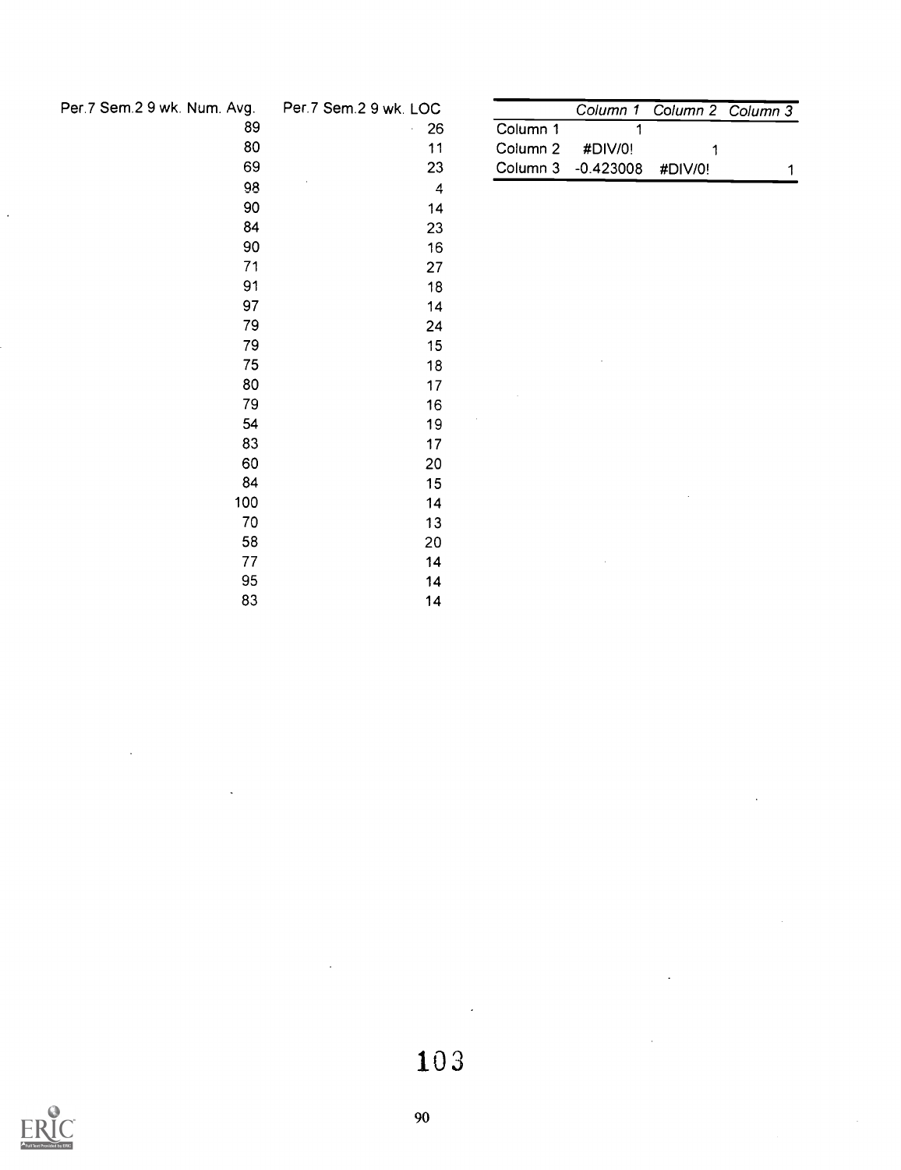| Per.7 Sem.2 9 wk. Num. Av |  |  |  |  |  |  |
|---------------------------|--|--|--|--|--|--|
|---------------------------|--|--|--|--|--|--|

| ۱vg. | Per.7 Sem.2 9 wk. LOC |                     | Column 1    | Col |
|------|-----------------------|---------------------|-------------|-----|
| 89   | 26                    | Column 1            | 1           |     |
| 80   | 11                    | Column <sub>2</sub> | #DIV/0!     |     |
| 69   | 23                    | Column 3            | $-0.423008$ | #C  |
| 98   | 4                     |                     |             |     |
| 90   | 14                    |                     |             |     |
| 84   | 23                    |                     |             |     |
| 90   | 16                    |                     |             |     |
| 71   | 27                    |                     |             |     |
| 91   | 18                    |                     |             |     |
| 97   | 14                    |                     |             |     |
| 79   | 24                    |                     |             |     |
| 79   | 15                    |                     |             |     |
| 75   | 18                    |                     |             |     |
| 80   | 17                    |                     |             |     |
| 79   | 16                    |                     |             |     |
| 54   | 19                    |                     |             |     |
| 83   | 17                    |                     |             |     |
| 60   | 20                    |                     |             |     |
| 84   | 15                    |                     |             |     |
| 100  | 14                    |                     |             |     |
| 70   | 13                    |                     |             |     |
| 58   | 20                    |                     |             |     |
| 77   | 14                    |                     |             |     |
| 95   | 14                    |                     |             |     |
| 83   | 14                    |                     |             |     |

| Column 1 |                    |                            |
|----------|--------------------|----------------------------|
|          |                    |                            |
|          |                    |                            |
|          | Column $2 + DIV/0$ | Column 3 -0.423008 #DIV/0! |



 $\cdot$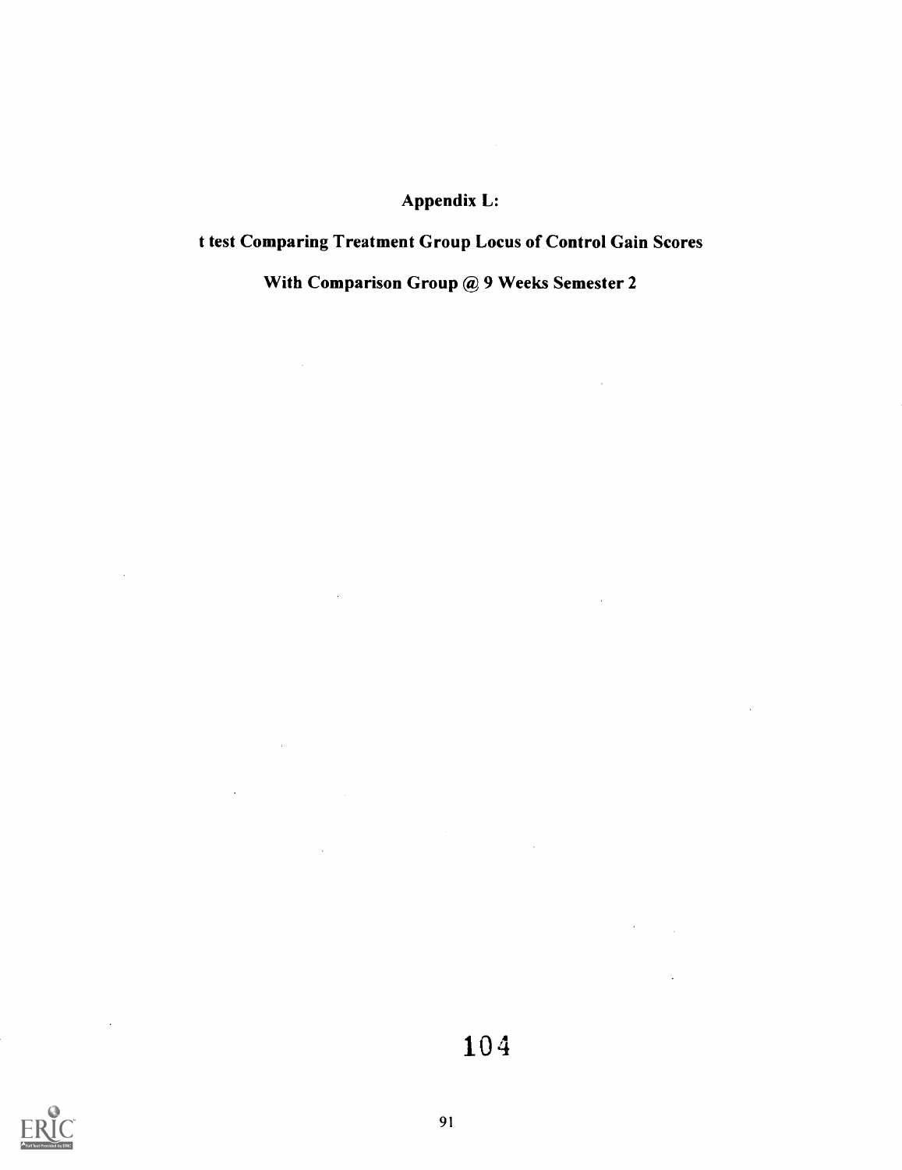### Appendix L:

## t test Comparing Treatment Group Locus of Control Gain Scores

With Comparison Group @ 9 Weeks Semester 2

 $\sim 10^{-11}$ 

 $\mathcal{L}(\mathcal{A})$  and  $\mathcal{L}(\mathcal{A})$  .

 $\sim 10^6$ 

 $\sim 10^{-10}$ 

 $\mathcal{A}_\mathrm{c}$ 

 $\sim$ 

 $\label{eq:2} \mathcal{L}(\mathcal{L}^{\text{max}}_{\text{max}}(\mathbf{X}^{\text{max}}_{\text{max}})) \leq \frac{1}{2}$ 

 $\bar{\mathcal{L}}$ 

 $\mathcal{L}_{\mathcal{A}}$ 



 $\sim$ 

 $\sim$   $\sim$ 

104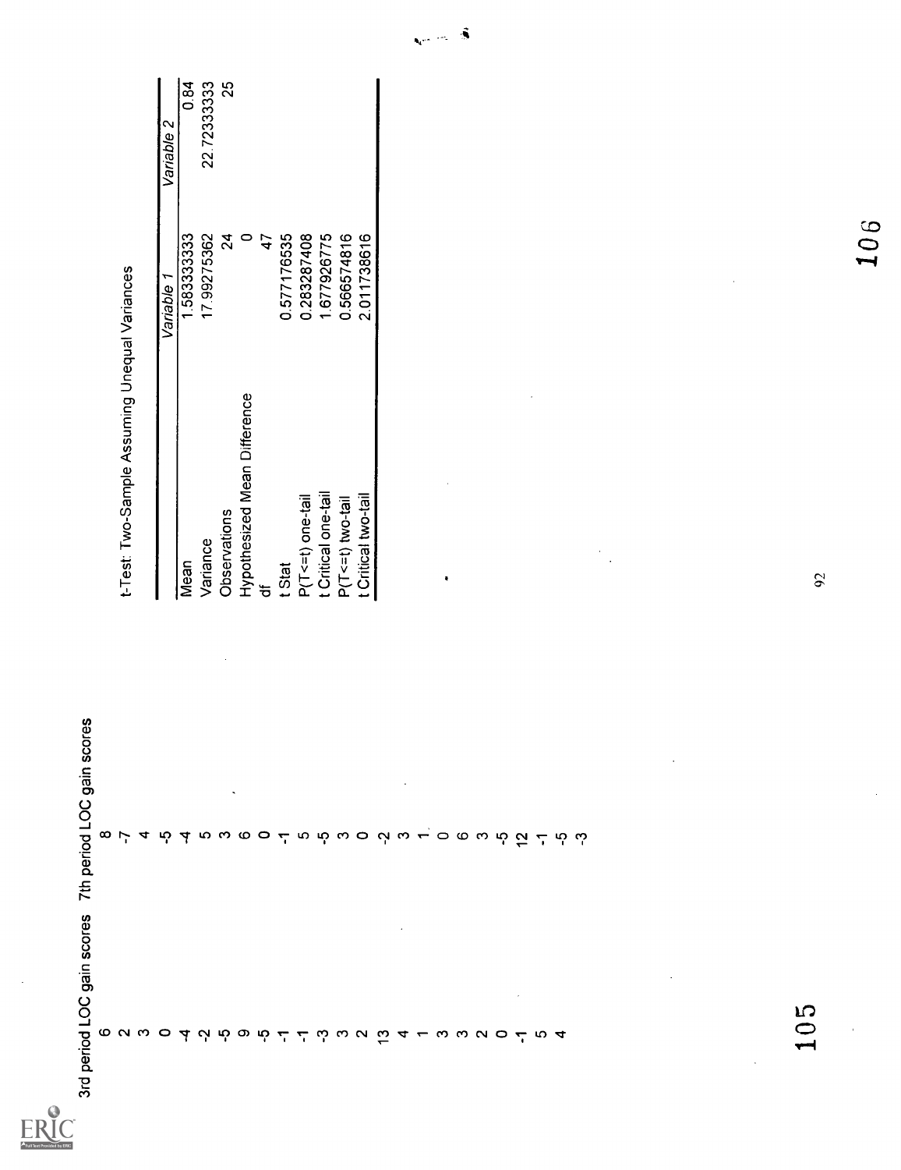| stroppend LOC Jain scores                                                                                                       | gain scores<br>7th period LOC                                                                                                                                                                                                                                                                                    |                                               |                |                               |
|---------------------------------------------------------------------------------------------------------------------------------|------------------------------------------------------------------------------------------------------------------------------------------------------------------------------------------------------------------------------------------------------------------------------------------------------------------|-----------------------------------------------|----------------|-------------------------------|
|                                                                                                                                 |                                                                                                                                                                                                                                                                                                                  |                                               |                |                               |
|                                                                                                                                 |                                                                                                                                                                                                                                                                                                                  | t-Test: Two-Sample Assuming Unequal Variances |                |                               |
|                                                                                                                                 |                                                                                                                                                                                                                                                                                                                  |                                               |                |                               |
|                                                                                                                                 |                                                                                                                                                                                                                                                                                                                  |                                               | Variable       | $\mathbf{\Omega}$<br>Variable |
|                                                                                                                                 |                                                                                                                                                                                                                                                                                                                  | Mean                                          | 1.58333333     | $\frac{1}{6}$                 |
|                                                                                                                                 |                                                                                                                                                                                                                                                                                                                  | Variance                                      | 17.99275362    | 22.72333333                   |
|                                                                                                                                 |                                                                                                                                                                                                                                                                                                                  | Observations                                  | $\overline{2}$ | $\frac{5}{2}$                 |
|                                                                                                                                 |                                                                                                                                                                                                                                                                                                                  | Hypothesized Mean Difference                  | $\circ$        |                               |
|                                                                                                                                 |                                                                                                                                                                                                                                                                                                                  | ᡃ᠍ᡠ                                           | $\ddot{4}$     |                               |
|                                                                                                                                 |                                                                                                                                                                                                                                                                                                                  | t Stat                                        | 0.577176535    |                               |
|                                                                                                                                 |                                                                                                                                                                                                                                                                                                                  | P(T<=t) one-tail                              | 0.283287408    |                               |
|                                                                                                                                 |                                                                                                                                                                                                                                                                                                                  | t Critical one-tail                           | 1.677926775    |                               |
|                                                                                                                                 |                                                                                                                                                                                                                                                                                                                  | $P(T \le t)$ two-tail                         | 0.566574816    |                               |
|                                                                                                                                 |                                                                                                                                                                                                                                                                                                                  | t Critical two-tail                           | 2.011738616    |                               |
|                                                                                                                                 |                                                                                                                                                                                                                                                                                                                  |                                               |                |                               |
|                                                                                                                                 |                                                                                                                                                                                                                                                                                                                  |                                               |                |                               |
|                                                                                                                                 |                                                                                                                                                                                                                                                                                                                  |                                               |                |                               |
|                                                                                                                                 |                                                                                                                                                                                                                                                                                                                  | ٠                                             |                |                               |
| $\sigma$ a $\omega$ $\sigma$ d $\sigma$ d $\sigma$ d $\sigma$ d $\sigma$ d $\sigma$ d $\sigma$ d $\sigma$ d $\sigma$ d $\sigma$ | $\infty$ $\mapsto$ 4 $\infty$ 4 $\infty$ $\infty$ 6 $\infty$ 4 $\infty$ 6 $\infty$ 6 $\infty$ 6 $\infty$ 6 $\infty$ 6 $\infty$ 6 $\infty$ 6 $\infty$ 6 $\infty$ 6 $\infty$ 6 $\infty$ 6 $\infty$ 6 $\infty$ 6 $\infty$ 6 $\infty$ 6 $\infty$ 6 $\infty$ 6 $\infty$ 6 $\infty$ 6 $\infty$ 6 $\infty$ 6 $\infty$ 6 |                                               |                |                               |
|                                                                                                                                 |                                                                                                                                                                                                                                                                                                                  |                                               |                |                               |
|                                                                                                                                 |                                                                                                                                                                                                                                                                                                                  |                                               |                |                               |
|                                                                                                                                 |                                                                                                                                                                                                                                                                                                                  |                                               |                |                               |
|                                                                                                                                 |                                                                                                                                                                                                                                                                                                                  |                                               |                |                               |
|                                                                                                                                 |                                                                                                                                                                                                                                                                                                                  |                                               |                |                               |
|                                                                                                                                 |                                                                                                                                                                                                                                                                                                                  |                                               |                |                               |
|                                                                                                                                 |                                                                                                                                                                                                                                                                                                                  |                                               |                |                               |
|                                                                                                                                 |                                                                                                                                                                                                                                                                                                                  |                                               |                |                               |
|                                                                                                                                 |                                                                                                                                                                                                                                                                                                                  |                                               |                |                               |
|                                                                                                                                 |                                                                                                                                                                                                                                                                                                                  |                                               |                |                               |
|                                                                                                                                 |                                                                                                                                                                                                                                                                                                                  |                                               |                |                               |
|                                                                                                                                 |                                                                                                                                                                                                                                                                                                                  |                                               |                |                               |
|                                                                                                                                 |                                                                                                                                                                                                                                                                                                                  |                                               |                |                               |
|                                                                                                                                 |                                                                                                                                                                                                                                                                                                                  |                                               |                |                               |
| <b>IC</b><br>$\bigcirc$                                                                                                         |                                                                                                                                                                                                                                                                                                                  |                                               |                |                               |

|                              | Variable 1  | Variable 2  |
|------------------------------|-------------|-------------|
| Vlean                        | 1.583333333 | စ်<br>ဝ     |
| Variance                     | 17.99275362 | 22.72333333 |
| <b>Observations</b>          | 24          | Ñ           |
| Hypothesized Mean Difference |             |             |
| ≒                            |             |             |
| Stat                         | 0.577176535 |             |
| $P(T \le t)$ one-tail        | 0.283287408 |             |
| Critical one-tail            | 1677926775  |             |
| $P(T \le t)$ two-tail        | 0.566574816 |             |
| Critical two-tail            | 2.011738616 |             |
|                              |             |             |

106

 $\underset{\overbrace{\text{Full}_{\text{Bat Proddot}}}}{\prod\limits_{\text{Afull Part Prodddot}}}} \underset{\text{Perdot}}{\overset{\text{Q}}{\prod}}$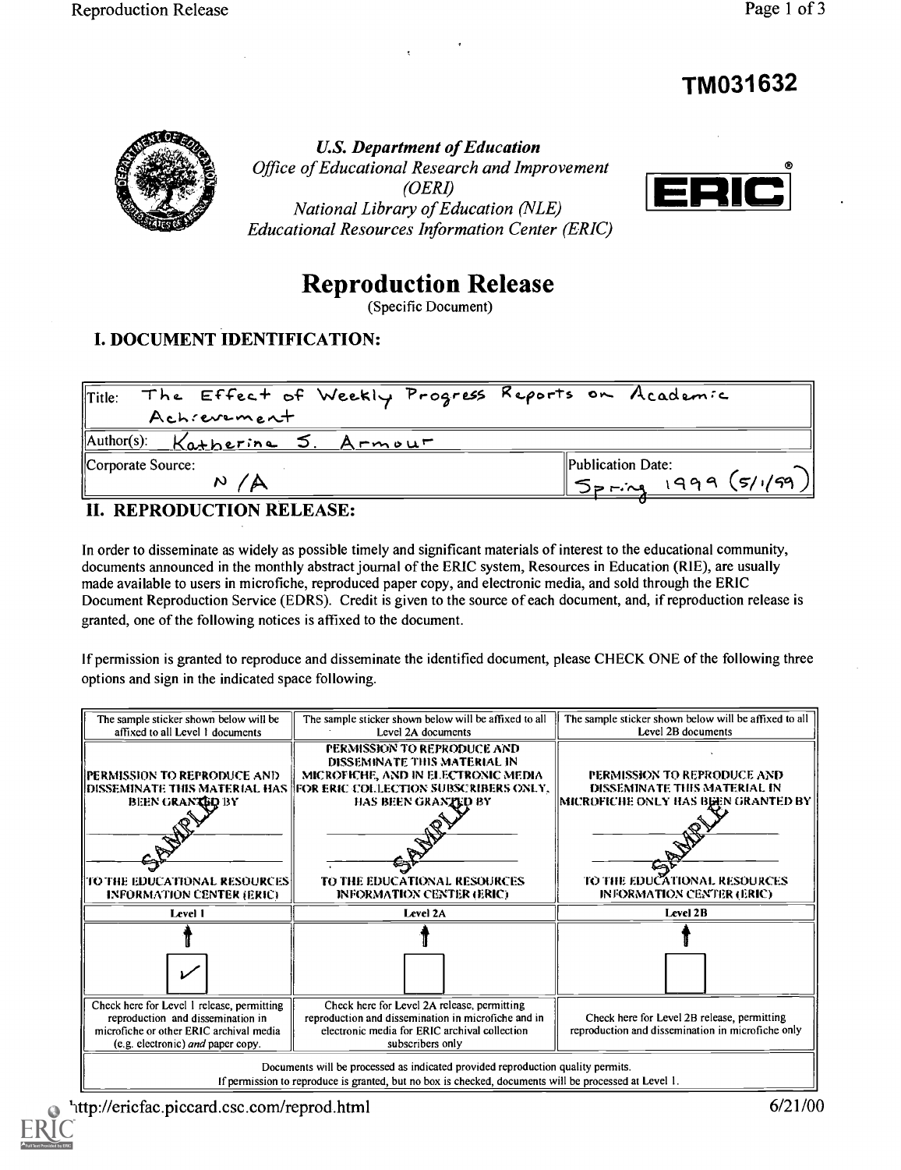# TM031632



U.S. Department of Education Office of Educational Research and Improvement (OERI) National Library of Education (NLE) Educational Resources Information Center (ERIC)



# Reproduction Release

(Specific Document)

#### I. DOCUMENT IDENTIFICATION:

| The Effect of Weekly Progress Reports on Academic<br>$\ $ Title: |                                  |
|------------------------------------------------------------------|----------------------------------|
| Achievement                                                      |                                  |
| $\text{Author(s):}$ Katherine 5. Armour                          |                                  |
| Corporate Source:                                                | $\blacksquare$ Publication Date: |
| N.                                                               | $\degree$ Spring 1999 (5/1/99)   |

#### II. REPRODUCTION RELEASE:

In order to disseminate as widely as possible timely and significant materials of interest to the educational community, documents announced in the monthly abstract journal of the ERIC system, Resources in Education (RIE), are usually made available to users in microfiche, reproduced paper copy, and electronic media, and sold through the ERIC Document Reproduction Service (EDRS). Credit is given to the source of each document, and, if reproduction release is granted, one of the following notices is affixed to the document.

If permission is granted to reproduce and disseminate the identified document, please CHECK ONE of the following three options and sign in the indicated space following.



http://ericfac.piccard.csc.com/reprod.html 6/21/00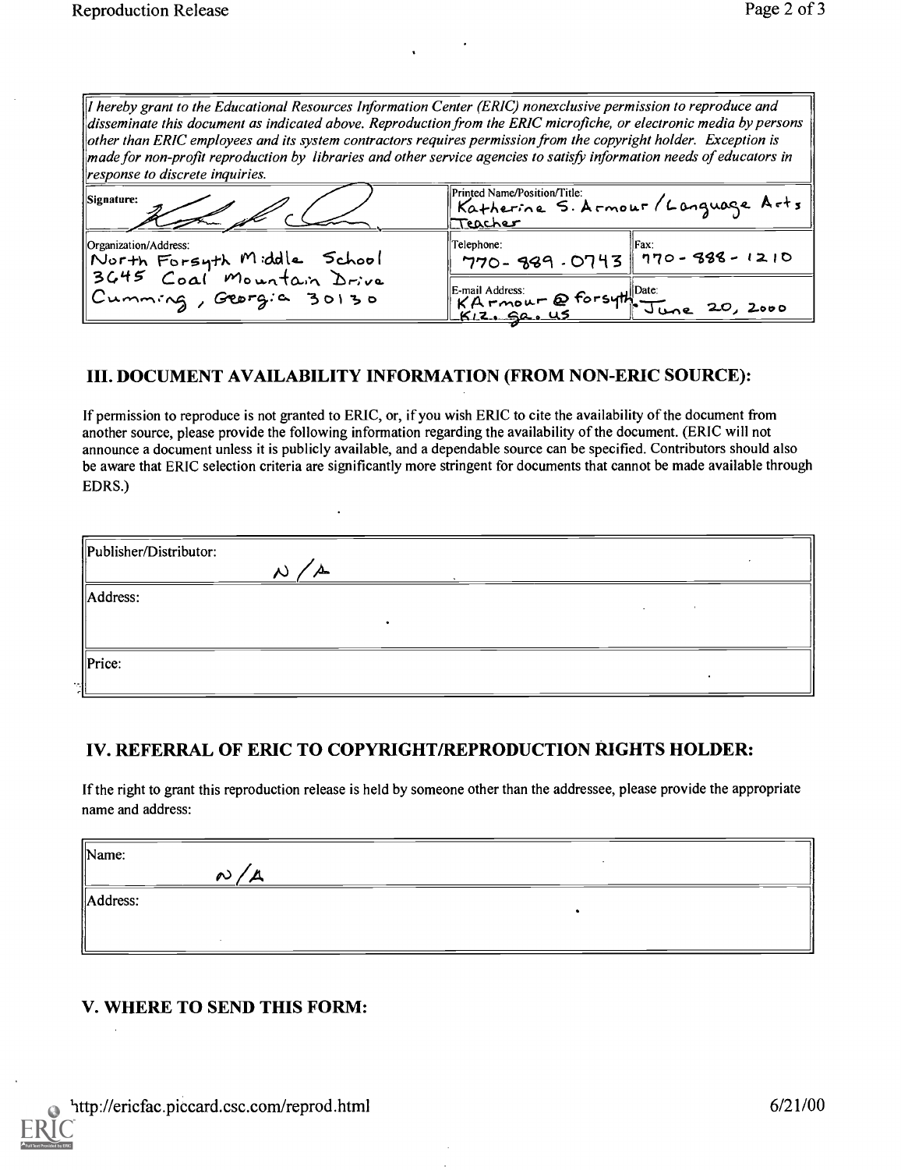| If hereby grant to the Educational Resources Information Center (ERIC) nonexclusive permission to reproduce and<br>disseminate this document as indicated above. Reproduction from the ERIC microfiche, or electronic media by persons<br>other than ERIC employees and its system contractors requires permission from the copyright holder. Exception is<br>$\parallel$ made for non-profit reproduction by libraries and other service agencies to satisfy information needs of educators in<br>response to discrete inquiries. |                                                                              |  |  |
|------------------------------------------------------------------------------------------------------------------------------------------------------------------------------------------------------------------------------------------------------------------------------------------------------------------------------------------------------------------------------------------------------------------------------------------------------------------------------------------------------------------------------------|------------------------------------------------------------------------------|--|--|
| <b>Signature:</b>                                                                                                                                                                                                                                                                                                                                                                                                                                                                                                                  | Printed Name/Position/Title:<br>Katherine S. Armour/Language Arts<br>Teacher |  |  |
| Organization/Address:                                                                                                                                                                                                                                                                                                                                                                                                                                                                                                              | Telephone:<br>$770 - 389.0743$ 770-388-1210                                  |  |  |
| North Forsyth Middle School<br>3645 Coal Mountain Drive<br>Cumming, Georgia 30130                                                                                                                                                                                                                                                                                                                                                                                                                                                  | KA MOUT @ Forsyth Date:<br>KA MOUT @ Forsyth June 20, 2000                   |  |  |

#### III. DOCUMENT AVAILABILITY INFORMATION (FROM NON-ERIC SOURCE):

 $\ddot{\phantom{a}}$ 

If permission to reproduce is not granted to ERIC, or, if you wish ERIC to cite the availability of the document from another source, please provide the following information regarding the availability of the document. (ERIC will not announce a document unless it is publicly available, and a dependable source can be specified. Contributors should also be aware that ERIC selection criteria are significantly more stringent for documents that cannot be made available through EDRS.)

| Publisher/Distributor: | ᄮ<br>∼ |  |  |
|------------------------|--------|--|--|
| Address:               |        |  |  |
| $\ $ Price:            |        |  |  |

#### IV. REFERRAL OF ERIC TO COPYRIGHT/REPRODUCTION RIGHTS HOLDER:

If the right to grant this reproduction release is held by someone other than the addressee, please provide the appropriate name and address:

| $\ $ Name:           |        |  |
|----------------------|--------|--|
|                      | ∼<br>- |  |
| $\parallel$ Address: |        |  |
|                      |        |  |
|                      |        |  |

## V. WHERE TO SEND THIS FORM: